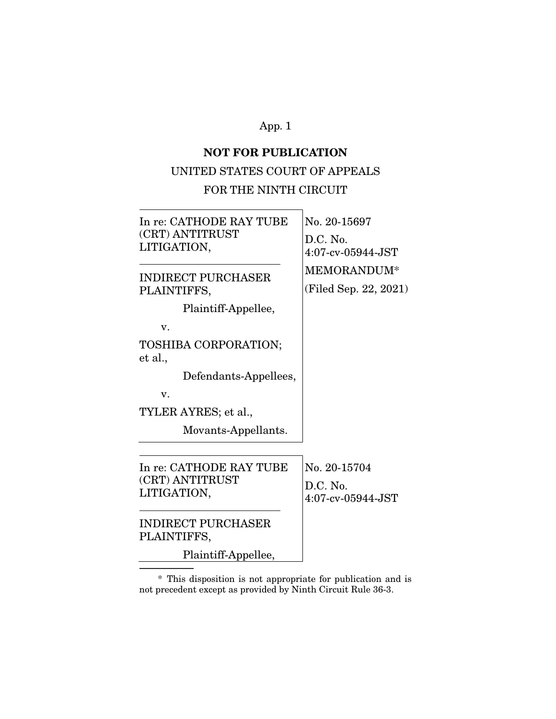# **NOT FOR PUBLICATION**

## UNITED STATES COURT OF APPEALS

# FOR THE NINTH CIRCUIT

| In re: CATHODE RAY TUBE<br>(CRT) ANTITRUST<br>LITIGATION,                              | No. 20-15697<br>D.C. No.<br>$4:07$ -cv-05944-JST |  |
|----------------------------------------------------------------------------------------|--------------------------------------------------|--|
| <b>INDIRECT PURCHASER</b><br>PLAINTIFFS,<br>Plaintiff-Appellee,<br>v.                  | MEMORANDUM*<br>(Filed Sep. 22, 2021)             |  |
| TOSHIBA CORPORATION;<br>et al.,<br>Defendants-Appellees,<br>v.<br>TYLER AYRES; et al., |                                                  |  |
| Movants-Appellants.                                                                    |                                                  |  |
| In re: CATHODE RAY TUBE<br>(CRT) ANTITRUST<br>LITIGATION,                              | No. 20-15704<br>$D.C.$ No.<br>4:07-cv-05944-JST  |  |
| <b>INDIRECT PURCHASER</b><br>PLAINTIFFS,                                               |                                                  |  |
| Plaintiff-Appellee,                                                                    |                                                  |  |

 \* This disposition is not appropriate for publication and is not precedent except as provided by Ninth Circuit Rule 36-3.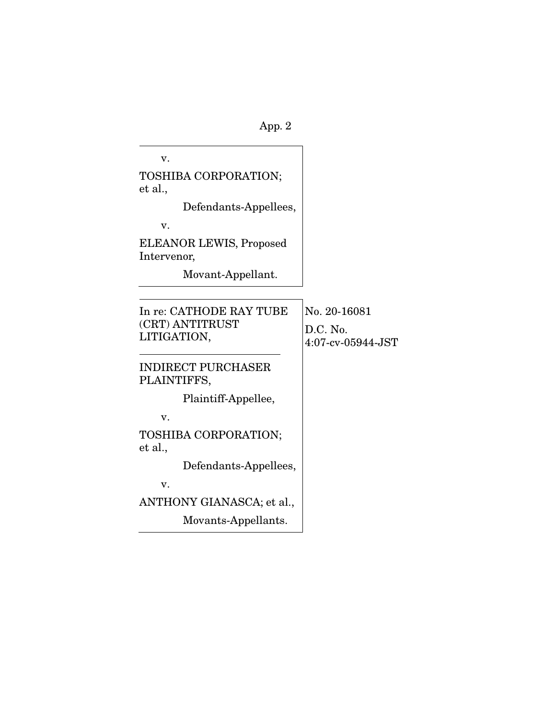v. TOSHIBA CORPORATION; et al., Defendants-Appellees, v. ELEANOR LEWIS, Proposed Intervenor, Movant-Appellant. In re: CATHODE RAY TUBE (CRT) ANTITRUST LITIGATION,  $\overline{a}$ INDIRECT PURCHASER PLAINTIFFS, Plaintiff-Appellee, v. TOSHIBA CORPORATION; et al., Defendants-Appellees, v. ANTHONY GIANASCA; et al., Movants-Appellants. No. 20-16081 D.C. No. 4:07-cv-05944-JST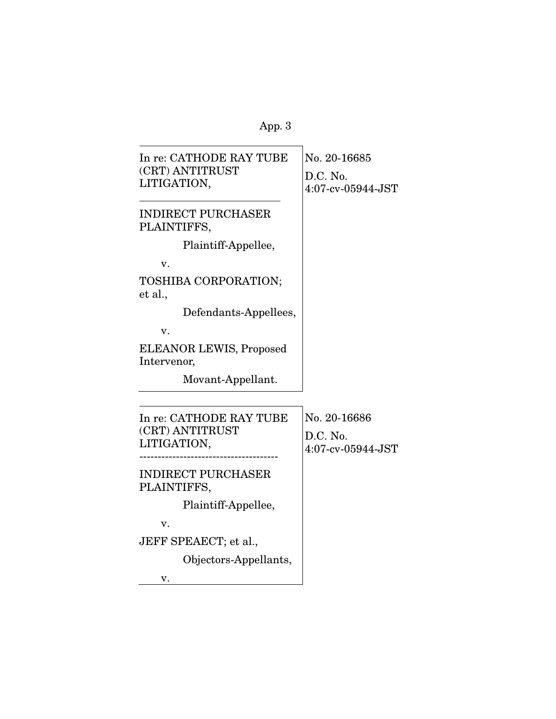| In re: CATHODE RAY TUBE<br>(CRT) ANTITRUST<br>LITIGATION, | No. 20-16685<br>D.C. No.<br>4:07-cv-05944-JST      |
|-----------------------------------------------------------|----------------------------------------------------|
| <b>INDIRECT PURCHASER</b><br>PLAINTIFFS,                  |                                                    |
| Plaintiff-Appellee,                                       |                                                    |
| v.                                                        |                                                    |
| TOSHIBA CORPORATION;<br>et al.,                           |                                                    |
| Defendants-Appellees,                                     |                                                    |
| v.                                                        |                                                    |
| ELEANOR LEWIS, Proposed<br>Intervenor,                    |                                                    |
| Movant-Appellant.                                         |                                                    |
|                                                           |                                                    |
| In re: CATHODE RAY TUBE<br>(CRT) ANTITRUST<br>LITIGATION, | No. 20-16686<br>$D.C.$ No.<br>$4:07$ -cv-05944-JST |
| <b>INDIRECT PURCHASER</b><br>PLAINTIFFS,                  |                                                    |
| Plaintiff-Appellee,                                       |                                                    |
| v.                                                        |                                                    |
| JEFF SPEAECT; et al.,                                     |                                                    |
| Objectors-Appellants,                                     |                                                    |
| v.                                                        |                                                    |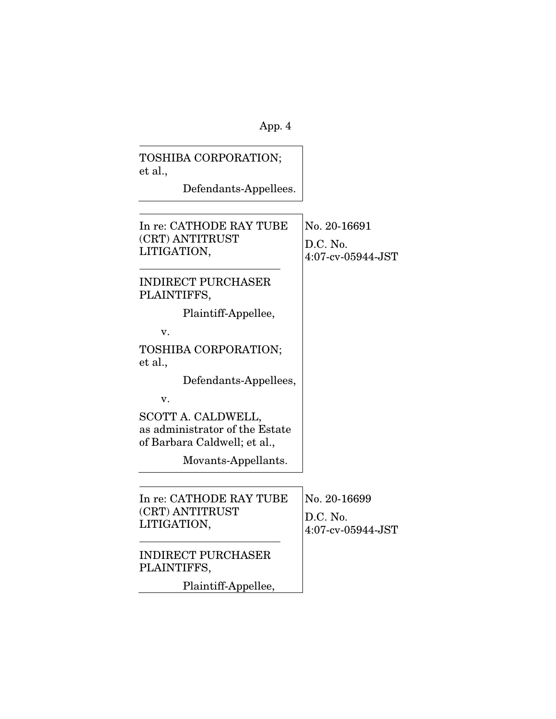| TOSHIBA CORPORATION;<br>et al.,                                                      |                                               |
|--------------------------------------------------------------------------------------|-----------------------------------------------|
| Defendants-Appellees.                                                                |                                               |
|                                                                                      |                                               |
| In re: CATHODE RAY TUBE<br>(CRT) ANTITRUST<br>LITIGATION,                            | No. 20-16691<br>D.C. No.<br>4:07-cv-05944-JST |
| <b>INDIRECT PURCHASER</b><br>PLAINTIFFS,                                             |                                               |
| Plaintiff-Appellee,                                                                  |                                               |
| v.                                                                                   |                                               |
| TOSHIBA CORPORATION;<br>et al.,                                                      |                                               |
| Defendants-Appellees,                                                                |                                               |
| v.                                                                                   |                                               |
| SCOTT A. CALDWELL,<br>as administrator of the Estate<br>of Barbara Caldwell; et al., |                                               |
| Movants-Appellants.                                                                  |                                               |
|                                                                                      |                                               |
| In re: CATHODE RAY TUBE                                                              | No. 20-16699                                  |
| (CRT) ANTITRUST<br>LITIGATION,                                                       | D.C. No.<br>$4:07$ -cv-05944-JST              |
| <b>INDIRECT PURCHASER</b><br>PLAINTIFFS,                                             |                                               |
| Plaintiff-Appellee,                                                                  |                                               |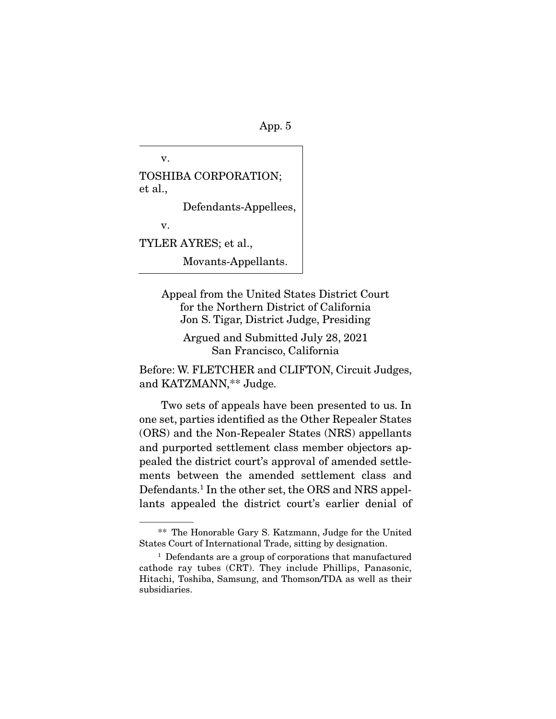v. TOSHIBA CORPORATION; et al., Defendants-Appellees, v.

TYLER AYRES; et al.,

Movants-Appellants.

Appeal from the United States District Court for the Northern District of California Jon S. Tigar, District Judge, Presiding

Argued and Submitted July 28, 2021 San Francisco, California

Before: W. FLETCHER and CLIFTON, Circuit Judges, and KATZMANN,\*\* Judge.

 Two sets of appeals have been presented to us. In one set, parties identified as the Other Repealer States (ORS) and the Non-Repealer States (NRS) appellants and purported settlement class member objectors appealed the district court's approval of amended settlements between the amended settlement class and Defendants.1 In the other set, the ORS and NRS appellants appealed the district court's earlier denial of

 <sup>\*\*</sup> The Honorable Gary S. Katzmann, Judge for the United States Court of International Trade, sitting by designation.

<sup>1</sup> Defendants are a group of corporations that manufactured cathode ray tubes (CRT). They include Phillips, Panasonic, Hitachi, Toshiba, Samsung, and Thomson/TDA as well as their subsidiaries.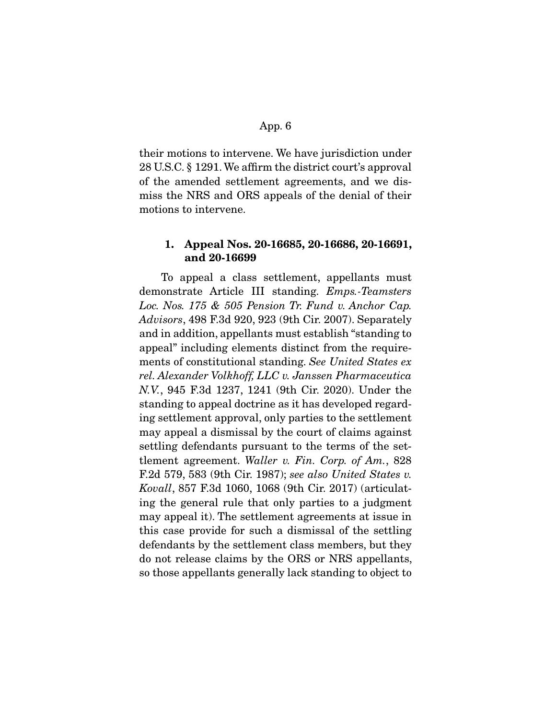their motions to intervene. We have jurisdiction under 28 U.S.C. § 1291. We affirm the district court's approval of the amended settlement agreements, and we dismiss the NRS and ORS appeals of the denial of their motions to intervene.

## **1. Appeal Nos. 20-16685, 20-16686, 20-16691, and 20-16699**

 To appeal a class settlement, appellants must demonstrate Article III standing. Emps.-Teamsters Loc. Nos. 175 & 505 Pension Tr. Fund v. Anchor Cap. Advisors, 498 F.3d 920, 923 (9th Cir. 2007). Separately and in addition, appellants must establish "standing to appeal" including elements distinct from the requirements of constitutional standing. See United States ex rel. Alexander Volkhoff, LLC v. Janssen Pharmaceutica N.V., 945 F.3d 1237, 1241 (9th Cir. 2020). Under the standing to appeal doctrine as it has developed regarding settlement approval, only parties to the settlement may appeal a dismissal by the court of claims against settling defendants pursuant to the terms of the settlement agreement. Waller v. Fin. Corp. of Am., 828 F.2d 579, 583 (9th Cir. 1987); see also United States v. Kovall, 857 F.3d 1060, 1068 (9th Cir. 2017) (articulating the general rule that only parties to a judgment may appeal it). The settlement agreements at issue in this case provide for such a dismissal of the settling defendants by the settlement class members, but they do not release claims by the ORS or NRS appellants, so those appellants generally lack standing to object to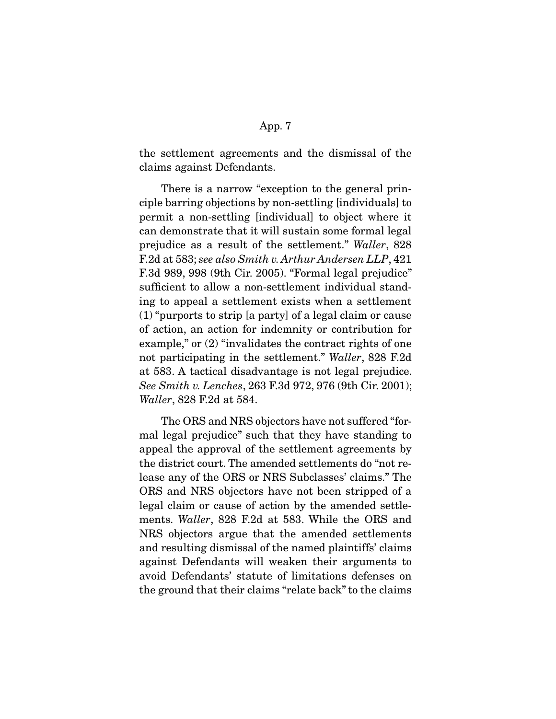the settlement agreements and the dismissal of the claims against Defendants.

 There is a narrow "exception to the general principle barring objections by non-settling [individuals] to permit a non-settling [individual] to object where it can demonstrate that it will sustain some formal legal prejudice as a result of the settlement." Waller, 828 F.2d at 583; see also Smith v. Arthur Andersen LLP, 421 F.3d 989, 998 (9th Cir. 2005). "Formal legal prejudice" sufficient to allow a non-settlement individual standing to appeal a settlement exists when a settlement (1) "purports to strip [a party] of a legal claim or cause of action, an action for indemnity or contribution for example," or (2) "invalidates the contract rights of one not participating in the settlement." Waller, 828 F.2d at 583. A tactical disadvantage is not legal prejudice. See Smith v. Lenches, 263 F.3d 972, 976 (9th Cir. 2001); Waller, 828 F.2d at 584.

 The ORS and NRS objectors have not suffered "formal legal prejudice" such that they have standing to appeal the approval of the settlement agreements by the district court. The amended settlements do "not release any of the ORS or NRS Subclasses' claims." The ORS and NRS objectors have not been stripped of a legal claim or cause of action by the amended settlements. Waller, 828 F.2d at 583. While the ORS and NRS objectors argue that the amended settlements and resulting dismissal of the named plaintiffs' claims against Defendants will weaken their arguments to avoid Defendants' statute of limitations defenses on the ground that their claims "relate back" to the claims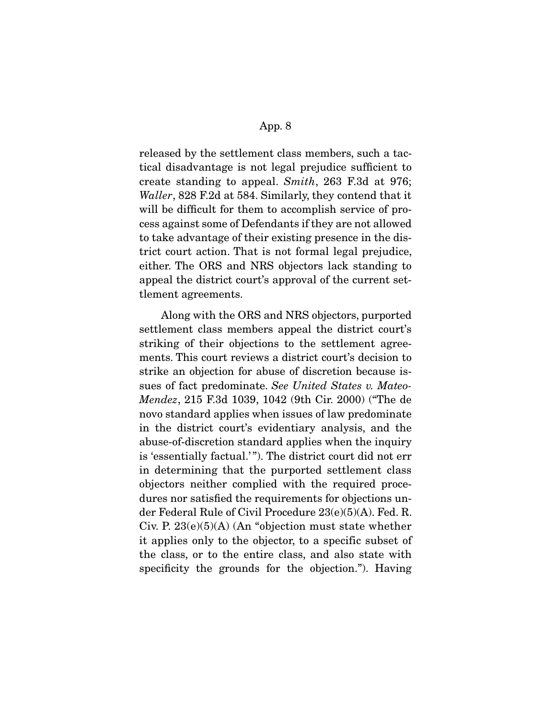released by the settlement class members, such a tactical disadvantage is not legal prejudice sufficient to create standing to appeal. Smith, 263 F.3d at 976; Waller, 828 F.2d at 584. Similarly, they contend that it will be difficult for them to accomplish service of process against some of Defendants if they are not allowed to take advantage of their existing presence in the district court action. That is not formal legal prejudice, either. The ORS and NRS objectors lack standing to appeal the district court's approval of the current settlement agreements.

 Along with the ORS and NRS objectors, purported settlement class members appeal the district court's striking of their objections to the settlement agreements. This court reviews a district court's decision to strike an objection for abuse of discretion because issues of fact predominate. See United States v. Mateo-Mendez, 215 F.3d 1039, 1042 (9th Cir. 2000) ("The de novo standard applies when issues of law predominate in the district court's evidentiary analysis, and the abuse-of-discretion standard applies when the inquiry is 'essentially factual.' "). The district court did not err in determining that the purported settlement class objectors neither complied with the required procedures nor satisfied the requirements for objections under Federal Rule of Civil Procedure 23(e)(5)(A). Fed. R. Civ. P.  $23(e)(5)(A)$  (An "objection must state whether it applies only to the objector, to a specific subset of the class, or to the entire class, and also state with specificity the grounds for the objection."). Having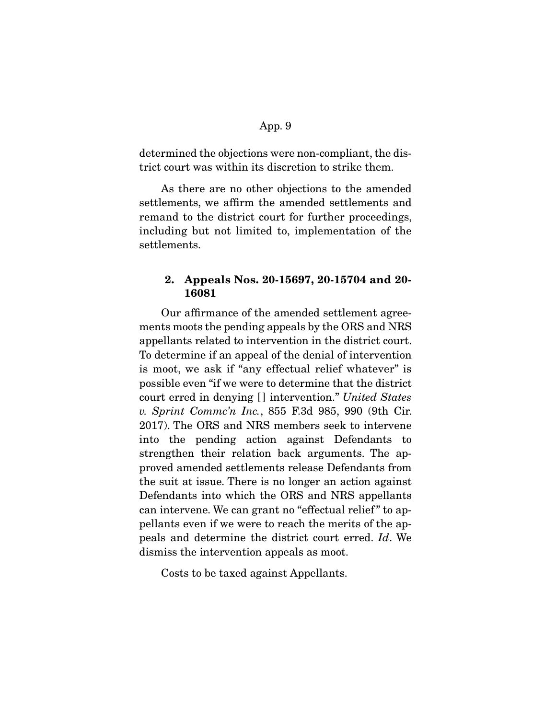determined the objections were non-compliant, the district court was within its discretion to strike them.

 As there are no other objections to the amended settlements, we affirm the amended settlements and remand to the district court for further proceedings, including but not limited to, implementation of the settlements.

## **2. Appeals Nos. 20-15697, 20-15704 and 20- 16081**

 Our affirmance of the amended settlement agreements moots the pending appeals by the ORS and NRS appellants related to intervention in the district court. To determine if an appeal of the denial of intervention is moot, we ask if "any effectual relief whatever" is possible even "if we were to determine that the district court erred in denying [] intervention." United States v. Sprint Commc'n Inc., 855 F.3d 985, 990 (9th Cir. 2017). The ORS and NRS members seek to intervene into the pending action against Defendants to strengthen their relation back arguments. The approved amended settlements release Defendants from the suit at issue. There is no longer an action against Defendants into which the ORS and NRS appellants can intervene. We can grant no "effectual relief" to appellants even if we were to reach the merits of the appeals and determine the district court erred. Id. We dismiss the intervention appeals as moot.

Costs to be taxed against Appellants.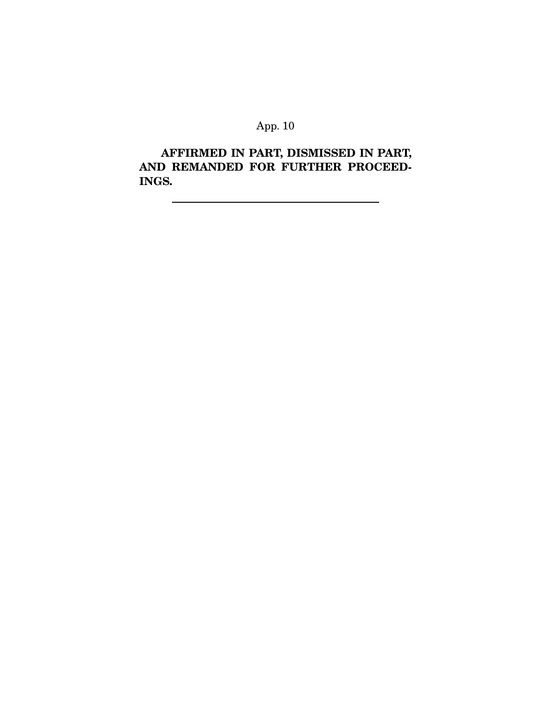**AFFIRMED IN PART, DISMISSED IN PART, AND REMANDED FOR FURTHER PROCEED-INGS.**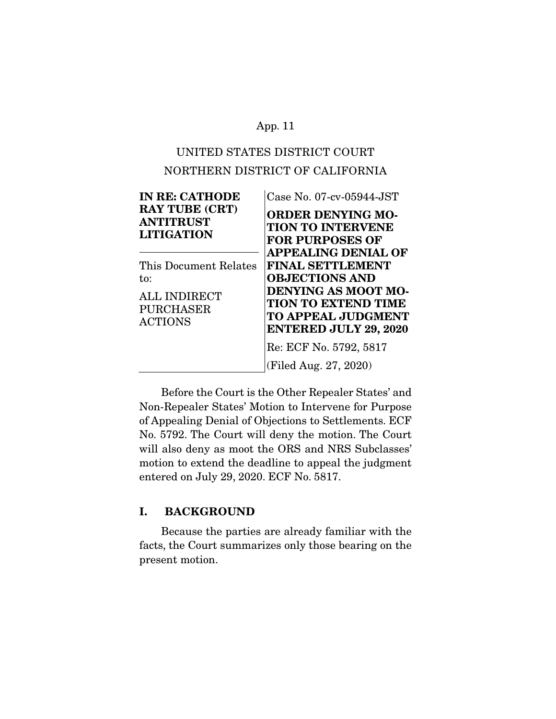# UNITED STATES DISTRICT COURT NORTHERN DISTRICT OF CALIFORNIA

| <b>IN RE: CATHODE</b>                                                                     | Case No. 07-cv-05944-JST                                                                                                                                                  |
|-------------------------------------------------------------------------------------------|---------------------------------------------------------------------------------------------------------------------------------------------------------------------------|
| <b>RAY TUBE (CRT)</b><br><b>ANTITRUST</b><br><b>LITIGATION</b>                            | <b>ORDER DENYING MO-</b><br><b>TION TO INTERVENE</b><br><b>FOR PURPOSES OF</b><br><b>APPEALING DENIAL OF</b>                                                              |
| This Document Relates<br>to:<br><b>ALL INDIRECT</b><br><b>PURCHASER</b><br><b>ACTIONS</b> | <b>FINAL SETTLEMENT</b><br><b>OBJECTIONS AND</b><br><b>DENYING AS MOOT MO-</b><br><b>TION TO EXTEND TIME</b><br><b>TO APPEAL JUDGMENT</b><br><b>ENTERED JULY 29, 2020</b> |
|                                                                                           | Re: ECF No. 5792, 5817                                                                                                                                                    |
|                                                                                           | (Filed Aug. 27, 2020)                                                                                                                                                     |

 Before the Court is the Other Repealer States' and Non-Repealer States' Motion to Intervene for Purpose of Appealing Denial of Objections to Settlements. ECF No. 5792. The Court will deny the motion. The Court will also deny as moot the ORS and NRS Subclasses' motion to extend the deadline to appeal the judgment entered on July 29, 2020. ECF No. 5817.

## **I. BACKGROUND**

 Because the parties are already familiar with the facts, the Court summarizes only those bearing on the present motion.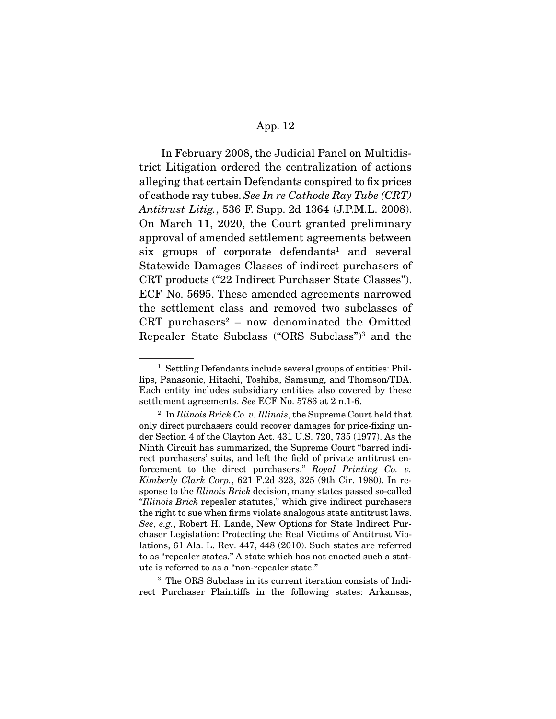In February 2008, the Judicial Panel on Multidistrict Litigation ordered the centralization of actions alleging that certain Defendants conspired to fix prices of cathode ray tubes. See In re Cathode Ray Tube (CRT) Antitrust Litig., 536 F. Supp. 2d 1364 (J.P.M.L. 2008). On March 11, 2020, the Court granted preliminary approval of amended settlement agreements between six groups of corporate defendants<sup>1</sup> and several Statewide Damages Classes of indirect purchasers of CRT products ("22 Indirect Purchaser State Classes"). ECF No. 5695. These amended agreements narrowed the settlement class and removed two subclasses of CRT purchasers<sup>2</sup> – now denominated the Omitted Repealer State Subclass ("ORS Subclass")3 and the

<sup>3</sup> The ORS Subclass in its current iteration consists of Indirect Purchaser Plaintiffs in the following states: Arkansas,

<sup>&</sup>lt;sup>1</sup> Settling Defendants include several groups of entities: Phillips, Panasonic, Hitachi, Toshiba, Samsung, and Thomson/TDA. Each entity includes subsidiary entities also covered by these settlement agreements. See ECF No. 5786 at 2 n.1-6.

 $2 \text{ In Illinois}$  Brick Co. v. Illinois, the Supreme Court held that only direct purchasers could recover damages for price-fixing under Section 4 of the Clayton Act. 431 U.S. 720, 735 (1977). As the Ninth Circuit has summarized, the Supreme Court "barred indirect purchasers' suits, and left the field of private antitrust enforcement to the direct purchasers." Royal Printing Co. v. Kimberly Clark Corp., 621 F.2d 323, 325 (9th Cir. 1980). In response to the *Illinois Brick* decision, many states passed so-called "Illinois Brick repealer statutes," which give indirect purchasers the right to sue when firms violate analogous state antitrust laws. See, e.g., Robert H. Lande, New Options for State Indirect Purchaser Legislation: Protecting the Real Victims of Antitrust Violations, 61 Ala. L. Rev. 447, 448 (2010). Such states are referred to as "repealer states." A state which has not enacted such a statute is referred to as a "non-repealer state."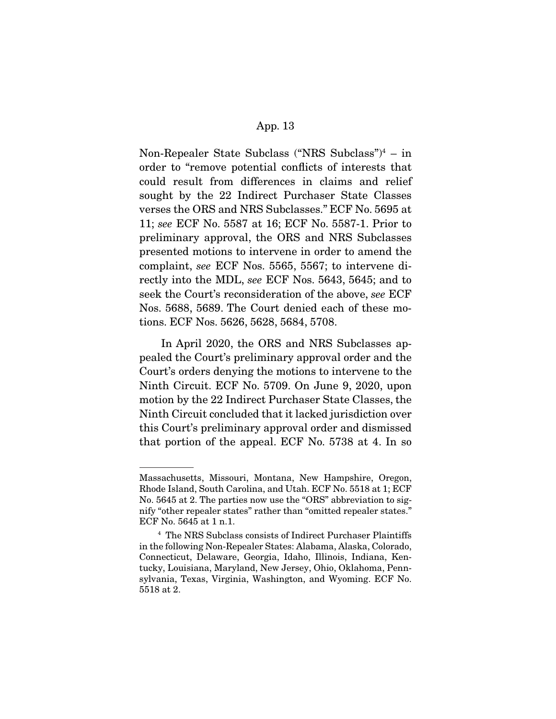Non-Repealer State Subclass ("NRS Subclass")4 – in order to "remove potential conflicts of interests that could result from differences in claims and relief sought by the 22 Indirect Purchaser State Classes verses the ORS and NRS Subclasses." ECF No. 5695 at 11; see ECF No. 5587 at 16; ECF No. 5587-1. Prior to preliminary approval, the ORS and NRS Subclasses presented motions to intervene in order to amend the complaint, see ECF Nos. 5565, 5567; to intervene directly into the MDL, see ECF Nos. 5643, 5645; and to seek the Court's reconsideration of the above, see ECF Nos. 5688, 5689. The Court denied each of these motions. ECF Nos. 5626, 5628, 5684, 5708.

 In April 2020, the ORS and NRS Subclasses appealed the Court's preliminary approval order and the Court's orders denying the motions to intervene to the Ninth Circuit. ECF No. 5709. On June 9, 2020, upon motion by the 22 Indirect Purchaser State Classes, the Ninth Circuit concluded that it lacked jurisdiction over this Court's preliminary approval order and dismissed that portion of the appeal. ECF No. 5738 at 4. In so

Massachusetts, Missouri, Montana, New Hampshire, Oregon, Rhode Island, South Carolina, and Utah. ECF No. 5518 at 1; ECF No. 5645 at 2. The parties now use the "ORS" abbreviation to signify "other repealer states" rather than "omitted repealer states." ECF No. 5645 at 1 n.1.

<sup>4</sup> The NRS Subclass consists of Indirect Purchaser Plaintiffs in the following Non-Repealer States: Alabama, Alaska, Colorado, Connecticut, Delaware, Georgia, Idaho, Illinois, Indiana, Kentucky, Louisiana, Maryland, New Jersey, Ohio, Oklahoma, Pennsylvania, Texas, Virginia, Washington, and Wyoming. ECF No. 5518 at 2.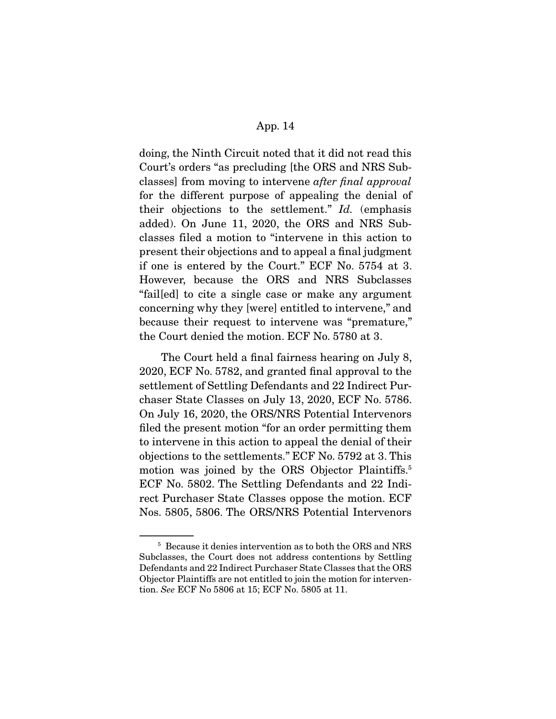doing, the Ninth Circuit noted that it did not read this Court's orders "as precluding [the ORS and NRS Subclasses] from moving to intervene after final approval for the different purpose of appealing the denial of their objections to the settlement."  $Id$ . (emphasis added). On June 11, 2020, the ORS and NRS Subclasses filed a motion to "intervene in this action to present their objections and to appeal a final judgment if one is entered by the Court." ECF No. 5754 at 3. However, because the ORS and NRS Subclasses "fail[ed] to cite a single case or make any argument concerning why they [were] entitled to intervene," and because their request to intervene was "premature," the Court denied the motion. ECF No. 5780 at 3.

 The Court held a final fairness hearing on July 8, 2020, ECF No. 5782, and granted final approval to the settlement of Settling Defendants and 22 Indirect Purchaser State Classes on July 13, 2020, ECF No. 5786. On July 16, 2020, the ORS/NRS Potential Intervenors filed the present motion "for an order permitting them to intervene in this action to appeal the denial of their objections to the settlements." ECF No. 5792 at 3. This motion was joined by the ORS Objector Plaintiffs.<sup>5</sup> ECF No. 5802. The Settling Defendants and 22 Indirect Purchaser State Classes oppose the motion. ECF Nos. 5805, 5806. The ORS/NRS Potential Intervenors

<sup>5</sup> Because it denies intervention as to both the ORS and NRS Subclasses, the Court does not address contentions by Settling Defendants and 22 Indirect Purchaser State Classes that the ORS Objector Plaintiffs are not entitled to join the motion for intervention. See ECF No 5806 at 15; ECF No. 5805 at 11.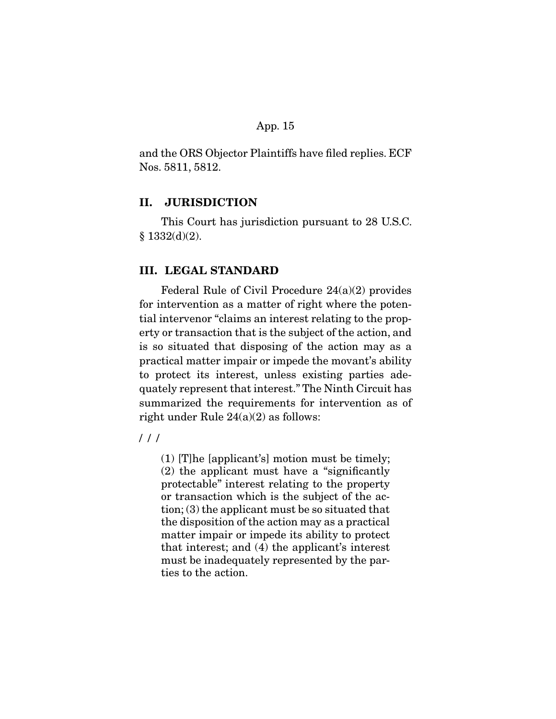and the ORS Objector Plaintiffs have filed replies. ECF Nos. 5811, 5812.

### **II. JURISDICTION**

 This Court has jurisdiction pursuant to 28 U.S.C.  $§ 1332(d)(2).$ 

## **III. LEGAL STANDARD**

 Federal Rule of Civil Procedure 24(a)(2) provides for intervention as a matter of right where the potential intervenor "claims an interest relating to the property or transaction that is the subject of the action, and is so situated that disposing of the action may as a practical matter impair or impede the movant's ability to protect its interest, unless existing parties adequately represent that interest." The Ninth Circuit has summarized the requirements for intervention as of right under Rule 24(a)(2) as follows:

/ / /

(1) [T]he [applicant's] motion must be timely; (2) the applicant must have a "significantly protectable" interest relating to the property or transaction which is the subject of the action; (3) the applicant must be so situated that the disposition of the action may as a practical matter impair or impede its ability to protect that interest; and (4) the applicant's interest must be inadequately represented by the parties to the action.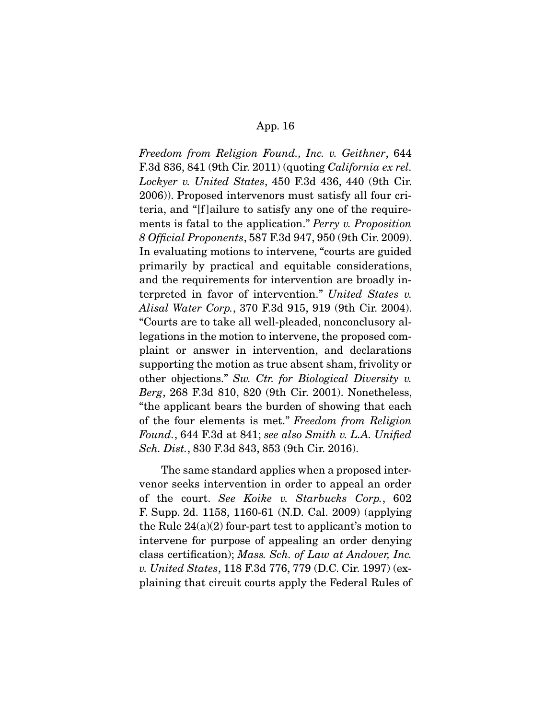Freedom from Religion Found., Inc. v. Geithner, 644 F.3d 836, 841 (9th Cir. 2011) (quoting California ex rel. Lockyer v. United States, 450 F.3d 436, 440 (9th Cir. 2006)). Proposed intervenors must satisfy all four criteria, and "[f ]ailure to satisfy any one of the requirements is fatal to the application." Perry v. Proposition 8 Official Proponents, 587 F.3d 947, 950 (9th Cir. 2009). In evaluating motions to intervene, "courts are guided primarily by practical and equitable considerations, and the requirements for intervention are broadly interpreted in favor of intervention." United States v. Alisal Water Corp., 370 F.3d 915, 919 (9th Cir. 2004). "Courts are to take all well-pleaded, nonconclusory allegations in the motion to intervene, the proposed complaint or answer in intervention, and declarations supporting the motion as true absent sham, frivolity or other objections." Sw. Ctr. for Biological Diversity v. Berg, 268 F.3d 810, 820 (9th Cir. 2001). Nonetheless, "the applicant bears the burden of showing that each of the four elements is met." Freedom from Religion Found., 644 F.3d at 841; see also Smith v. L.A. Unified Sch. Dist., 830 F.3d 843, 853 (9th Cir. 2016).

 The same standard applies when a proposed intervenor seeks intervention in order to appeal an order of the court. See Koike v. Starbucks Corp., 602 F. Supp. 2d. 1158, 1160-61 (N.D. Cal. 2009) (applying the Rule  $24(a)(2)$  four-part test to applicant's motion to intervene for purpose of appealing an order denying class certification); Mass. Sch. of Law at Andover, Inc. v. United States, 118 F.3d 776, 779 (D.C. Cir. 1997) (explaining that circuit courts apply the Federal Rules of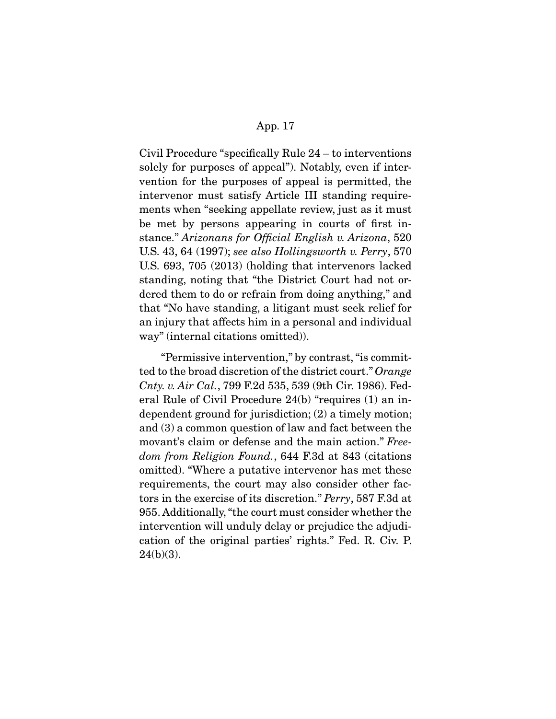Civil Procedure "specifically Rule 24 – to interventions solely for purposes of appeal"). Notably, even if intervention for the purposes of appeal is permitted, the intervenor must satisfy Article III standing requirements when "seeking appellate review, just as it must be met by persons appearing in courts of first instance." Arizonans for Official English v. Arizona, 520 U.S. 43, 64 (1997); see also Hollingsworth v. Perry, 570 U.S. 693, 705 (2013) (holding that intervenors lacked standing, noting that "the District Court had not ordered them to do or refrain from doing anything," and that "No have standing, a litigant must seek relief for an injury that affects him in a personal and individual way" (internal citations omitted)).

 "Permissive intervention," by contrast, "is committed to the broad discretion of the district court." Orange Cnty. v. Air Cal., 799 F.2d 535, 539 (9th Cir. 1986). Federal Rule of Civil Procedure 24(b) "requires (1) an independent ground for jurisdiction; (2) a timely motion; and (3) a common question of law and fact between the movant's claim or defense and the main action." Freedom from Religion Found., 644 F.3d at 843 (citations omitted). "Where a putative intervenor has met these requirements, the court may also consider other factors in the exercise of its discretion." Perry, 587 F.3d at 955. Additionally, "the court must consider whether the intervention will unduly delay or prejudice the adjudication of the original parties' rights." Fed. R. Civ. P.  $24(b)(3)$ .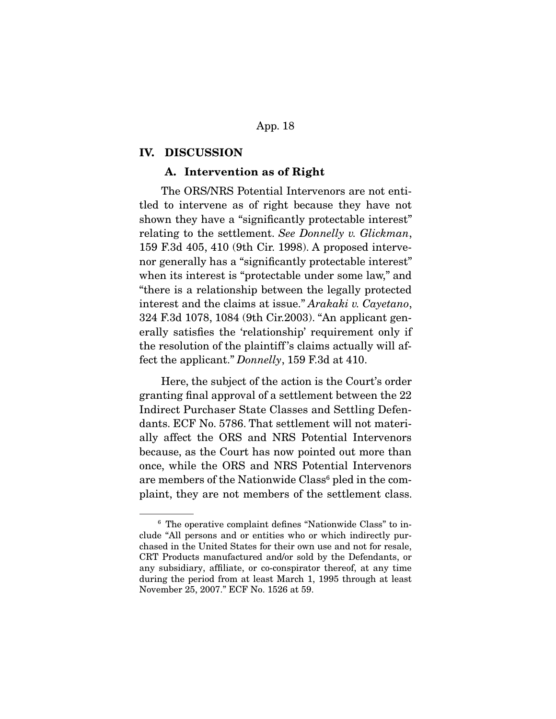#### **IV. DISCUSSION**

### **A. Intervention as of Right**

 The ORS/NRS Potential Intervenors are not entitled to intervene as of right because they have not shown they have a "significantly protectable interest" relating to the settlement. See Donnelly v. Glickman, 159 F.3d 405, 410 (9th Cir. 1998). A proposed intervenor generally has a "significantly protectable interest" when its interest is "protectable under some law," and "there is a relationship between the legally protected interest and the claims at issue." Arakaki v. Cayetano, 324 F.3d 1078, 1084 (9th Cir.2003). "An applicant generally satisfies the 'relationship' requirement only if the resolution of the plaintiff 's claims actually will affect the applicant." Donnelly, 159 F.3d at 410.

 Here, the subject of the action is the Court's order granting final approval of a settlement between the 22 Indirect Purchaser State Classes and Settling Defendants. ECF No. 5786. That settlement will not materially affect the ORS and NRS Potential Intervenors because, as the Court has now pointed out more than once, while the ORS and NRS Potential Intervenors are members of the Nationwide Class<sup>6</sup> pled in the complaint, they are not members of the settlement class.

<sup>6</sup> The operative complaint defines "Nationwide Class" to include "All persons and or entities who or which indirectly purchased in the United States for their own use and not for resale, CRT Products manufactured and/or sold by the Defendants, or any subsidiary, affiliate, or co-conspirator thereof, at any time during the period from at least March 1, 1995 through at least November 25, 2007." ECF No. 1526 at 59.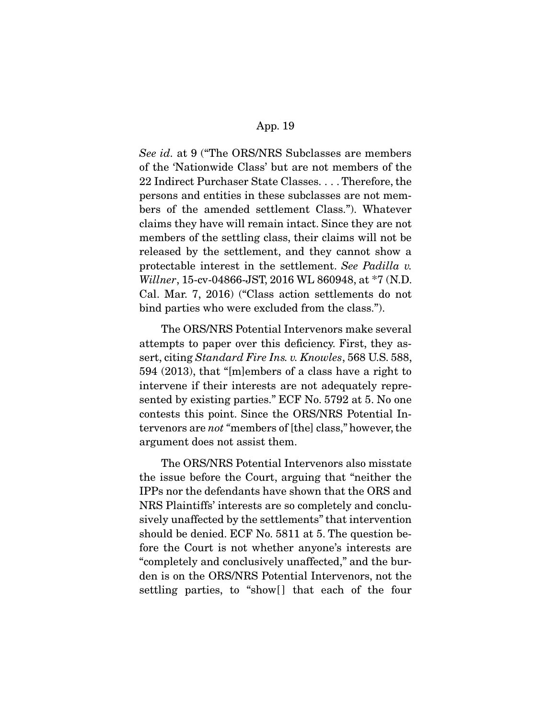See id. at 9 ("The ORS/NRS Subclasses are members") of the 'Nationwide Class' but are not members of the 22 Indirect Purchaser State Classes. . . . Therefore, the persons and entities in these subclasses are not members of the amended settlement Class."). Whatever claims they have will remain intact. Since they are not members of the settling class, their claims will not be released by the settlement, and they cannot show a protectable interest in the settlement. See Padilla v. Willner, 15-cv-04866-JST, 2016 WL 860948, at \*7 (N.D. Cal. Mar. 7, 2016) ("Class action settlements do not bind parties who were excluded from the class.").

 The ORS/NRS Potential Intervenors make several attempts to paper over this deficiency. First, they assert, citing Standard Fire Ins. v. Knowles, 568 U.S. 588, 594 (2013), that "[m]embers of a class have a right to intervene if their interests are not adequately represented by existing parties." ECF No. 5792 at 5. No one contests this point. Since the ORS/NRS Potential Intervenors are not "members of [the] class," however, the argument does not assist them.

 The ORS/NRS Potential Intervenors also misstate the issue before the Court, arguing that "neither the IPPs nor the defendants have shown that the ORS and NRS Plaintiffs' interests are so completely and conclusively unaffected by the settlements" that intervention should be denied. ECF No. 5811 at 5. The question before the Court is not whether anyone's interests are "completely and conclusively unaffected," and the burden is on the ORS/NRS Potential Intervenors, not the settling parties, to "show[] that each of the four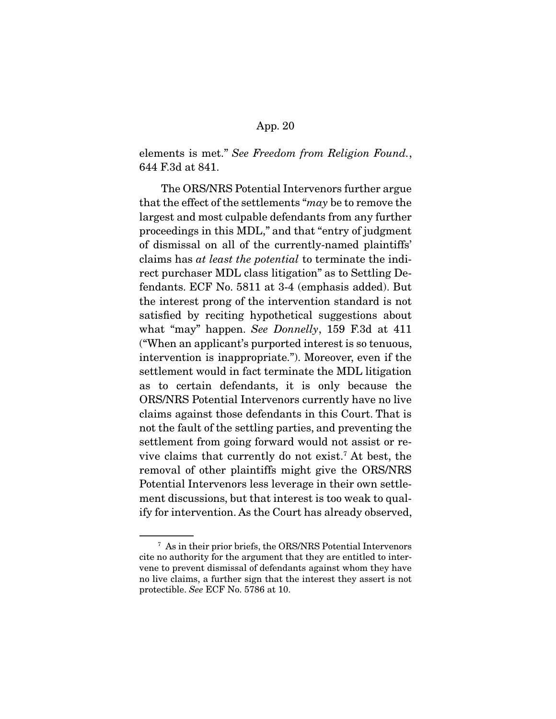elements is met." See Freedom from Religion Found., 644 F.3d at 841.

 The ORS/NRS Potential Intervenors further argue that the effect of the settlements "may be to remove the largest and most culpable defendants from any further proceedings in this MDL," and that "entry of judgment of dismissal on all of the currently-named plaintiffs' claims has at least the potential to terminate the indirect purchaser MDL class litigation" as to Settling Defendants. ECF No. 5811 at 3-4 (emphasis added). But the interest prong of the intervention standard is not satisfied by reciting hypothetical suggestions about what "may" happen. See Donnelly, 159 F.3d at 411 ("When an applicant's purported interest is so tenuous, intervention is inappropriate."). Moreover, even if the settlement would in fact terminate the MDL litigation as to certain defendants, it is only because the ORS/NRS Potential Intervenors currently have no live claims against those defendants in this Court. That is not the fault of the settling parties, and preventing the settlement from going forward would not assist or revive claims that currently do not exist.7 At best, the removal of other plaintiffs might give the ORS/NRS Potential Intervenors less leverage in their own settlement discussions, but that interest is too weak to qualify for intervention. As the Court has already observed,

<sup>7</sup> As in their prior briefs, the ORS/NRS Potential Intervenors cite no authority for the argument that they are entitled to intervene to prevent dismissal of defendants against whom they have no live claims, a further sign that the interest they assert is not protectible. See ECF No. 5786 at 10.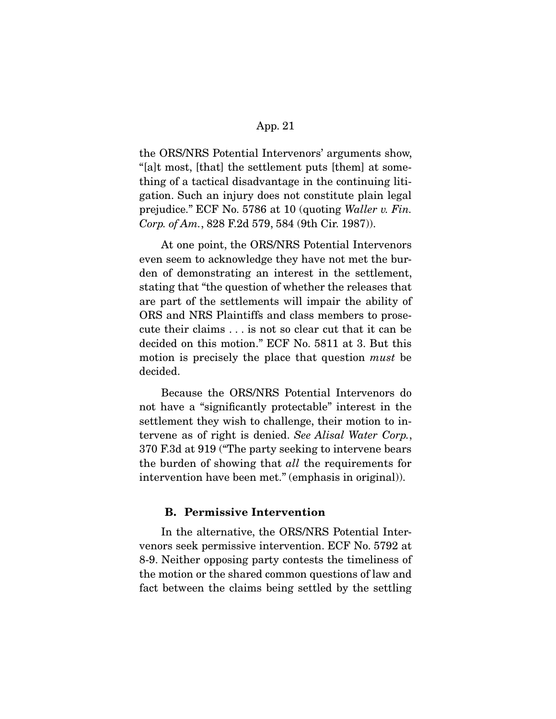the ORS/NRS Potential Intervenors' arguments show, "[a]t most, [that] the settlement puts [them] at something of a tactical disadvantage in the continuing litigation. Such an injury does not constitute plain legal prejudice." ECF No. 5786 at 10 (quoting Waller v. Fin. Corp. of Am., 828 F.2d 579, 584 (9th Cir. 1987)).

 At one point, the ORS/NRS Potential Intervenors even seem to acknowledge they have not met the burden of demonstrating an interest in the settlement, stating that "the question of whether the releases that are part of the settlements will impair the ability of ORS and NRS Plaintiffs and class members to prosecute their claims . . . is not so clear cut that it can be decided on this motion." ECF No. 5811 at 3. But this motion is precisely the place that question *must* be decided.

 Because the ORS/NRS Potential Intervenors do not have a "significantly protectable" interest in the settlement they wish to challenge, their motion to intervene as of right is denied. See Alisal Water Corp., 370 F.3d at 919 ("The party seeking to intervene bears the burden of showing that all the requirements for intervention have been met." (emphasis in original)).

#### **B. Permissive Intervention**

 In the alternative, the ORS/NRS Potential Intervenors seek permissive intervention. ECF No. 5792 at 8-9. Neither opposing party contests the timeliness of the motion or the shared common questions of law and fact between the claims being settled by the settling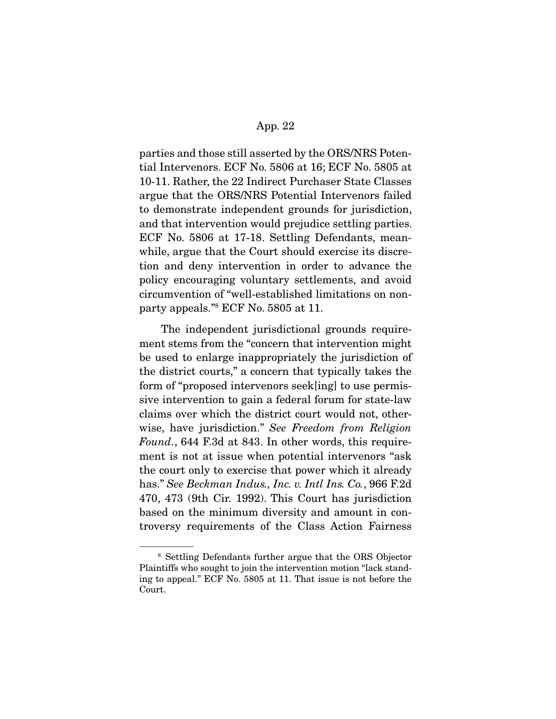parties and those still asserted by the ORS/NRS Potential Intervenors. ECF No. 5806 at 16; ECF No. 5805 at 10-11. Rather, the 22 Indirect Purchaser State Classes argue that the ORS/NRS Potential Intervenors failed to demonstrate independent grounds for jurisdiction, and that intervention would prejudice settling parties. ECF No. 5806 at 17-18. Settling Defendants, meanwhile, argue that the Court should exercise its discretion and deny intervention in order to advance the policy encouraging voluntary settlements, and avoid circumvention of "well-established limitations on nonparty appeals."8 ECF No. 5805 at 11.

 The independent jurisdictional grounds requirement stems from the "concern that intervention might be used to enlarge inappropriately the jurisdiction of the district courts," a concern that typically takes the form of "proposed intervenors seek[ing] to use permissive intervention to gain a federal forum for state-law claims over which the district court would not, otherwise, have jurisdiction." See Freedom from Religion Found., 644 F.3d at 843. In other words, this requirement is not at issue when potential intervenors "ask the court only to exercise that power which it already has." See Beckman Indus., Inc. v. Intl Ins. Co., 966 F.2d 470, 473 (9th Cir. 1992). This Court has jurisdiction based on the minimum diversity and amount in controversy requirements of the Class Action Fairness

<sup>8</sup> Settling Defendants further argue that the ORS Objector Plaintiffs who sought to join the intervention motion "lack standing to appeal." ECF No. 5805 at 11. That issue is not before the Court.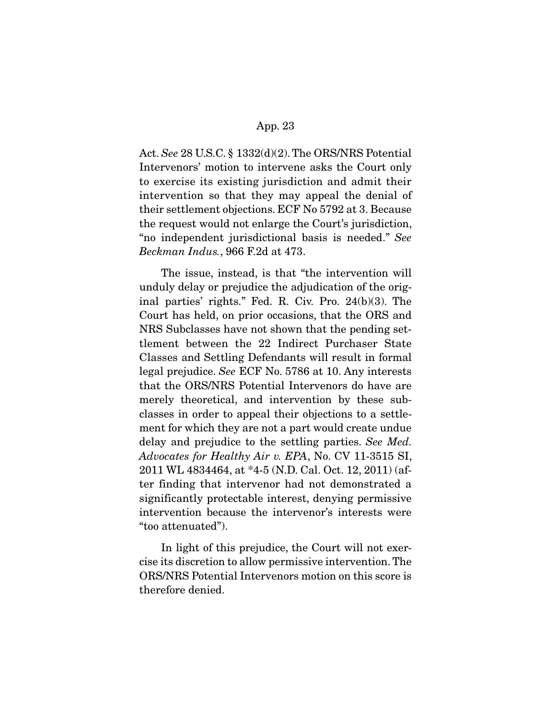Act. See 28 U.S.C. § 1332(d)(2). The ORS/NRS Potential Intervenors' motion to intervene asks the Court only to exercise its existing jurisdiction and admit their intervention so that they may appeal the denial of their settlement objections. ECF No 5792 at 3. Because the request would not enlarge the Court's jurisdiction, "no independent jurisdictional basis is needed." See Beckman Indus., 966 F.2d at 473.

 The issue, instead, is that "the intervention will unduly delay or prejudice the adjudication of the original parties' rights." Fed. R. Civ. Pro. 24(b)(3). The Court has held, on prior occasions, that the ORS and NRS Subclasses have not shown that the pending settlement between the 22 Indirect Purchaser State Classes and Settling Defendants will result in formal legal prejudice. See ECF No. 5786 at 10. Any interests that the ORS/NRS Potential Intervenors do have are merely theoretical, and intervention by these subclasses in order to appeal their objections to a settlement for which they are not a part would create undue delay and prejudice to the settling parties. See Med. Advocates for Healthy Air v. EPA, No. CV 11-3515 SI, 2011 WL 4834464, at \*4-5 (N.D. Cal. Oct. 12, 2011) (after finding that intervenor had not demonstrated a significantly protectable interest, denying permissive intervention because the intervenor's interests were "too attenuated").

 In light of this prejudice, the Court will not exercise its discretion to allow permissive intervention. The ORS/NRS Potential Intervenors motion on this score is therefore denied.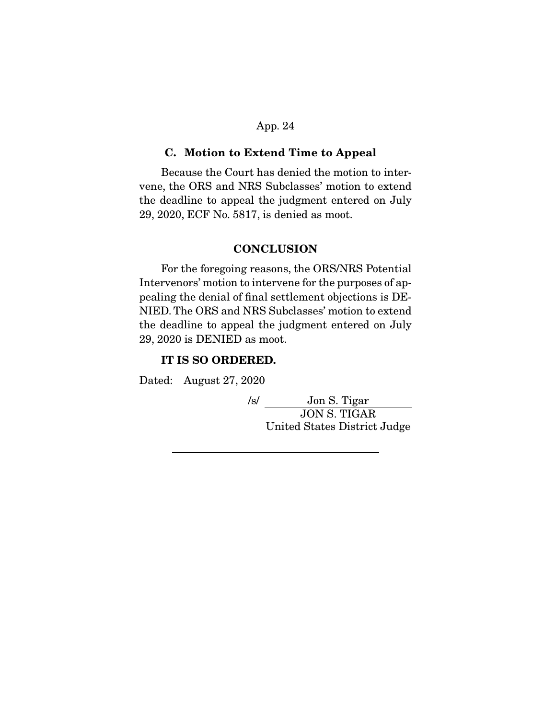#### **C. Motion to Extend Time to Appeal**

 Because the Court has denied the motion to intervene, the ORS and NRS Subclasses' motion to extend the deadline to appeal the judgment entered on July 29, 2020, ECF No. 5817, is denied as moot.

## **CONCLUSION**

 For the foregoing reasons, the ORS/NRS Potential Intervenors' motion to intervene for the purposes of appealing the denial of final settlement objections is DE-NIED. The ORS and NRS Subclasses' motion to extend the deadline to appeal the judgment entered on July 29, 2020 is DENIED as moot.

### **IT IS SO ORDERED.**

Dated: August 27, 2020

/s/ Jon S. Tigar JON S. TIGAR United States District Judge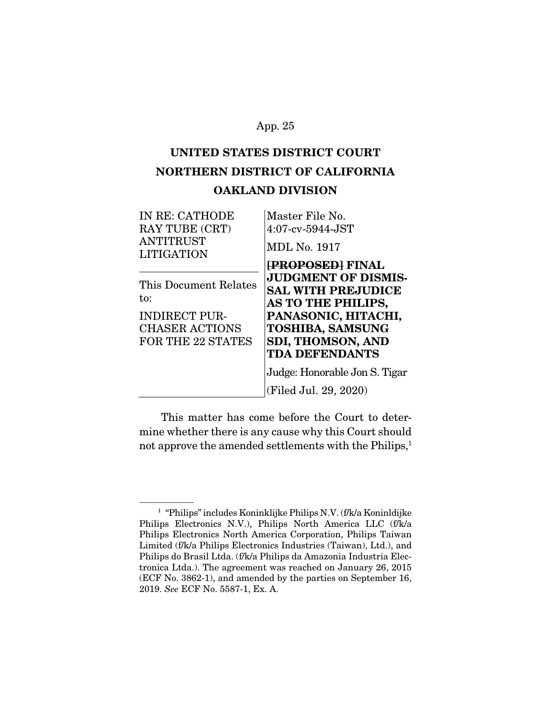# **UNITED STATES DISTRICT COURT NORTHERN DISTRICT OF CALIFORNIA OAKLAND DIVISION**

| IN RE: CATHODE                        | Master File No.               |
|---------------------------------------|-------------------------------|
| RAY TUBE (CRT)                        | $4:07$ -cv- $5944$ -JST       |
| <b>ANTITRUST</b><br><b>LITIGATION</b> | <b>MDL No. 1917</b>           |
|                                       | <b>[PROPOSED] FINAL</b>       |
| This Document Relates                 | <b>JUDGMENT OF DISMIS-</b>    |
| to:                                   | <b>SAL WITH PREJUDICE</b>     |
|                                       | <b>AS TO THE PHILIPS,</b>     |
| <b>INDIRECT PUR-</b>                  | PANASONIC, HITACHI,           |
| <b>CHASER ACTIONS</b>                 | <b>TOSHIBA, SAMSUNG</b>       |
| <b>FOR THE 22 STATES</b>              | <b>SDI, THOMSON, AND</b>      |
|                                       | <b>TDA DEFENDANTS</b>         |
|                                       | Judge: Honorable Jon S. Tigar |
|                                       | (Filed Jul. 29, 2020)         |

 This matter has come before the Court to determine whether there is any cause why this Court should not approve the amended settlements with the Philips,<sup>1</sup>

<sup>1</sup> "Philips" includes Koninklijke Philips N.V. (f/k/a Koninldijke Philips Electronics N.V.), Philips North America LLC (f/k/a Philips Electronics North America Corporation, Philips Taiwan Limited (f/k/a Philips Electronics Industries (Taiwan), Ltd.), and Philips do Brasil Ltda. (f/k/a Philips da Amazonia Industria Electronica Ltda.). The agreement was reached on January 26, 2015 (ECF No. 3862-1), and amended by the parties on September 16, 2019. See ECF No. 5587-1, Ex. A.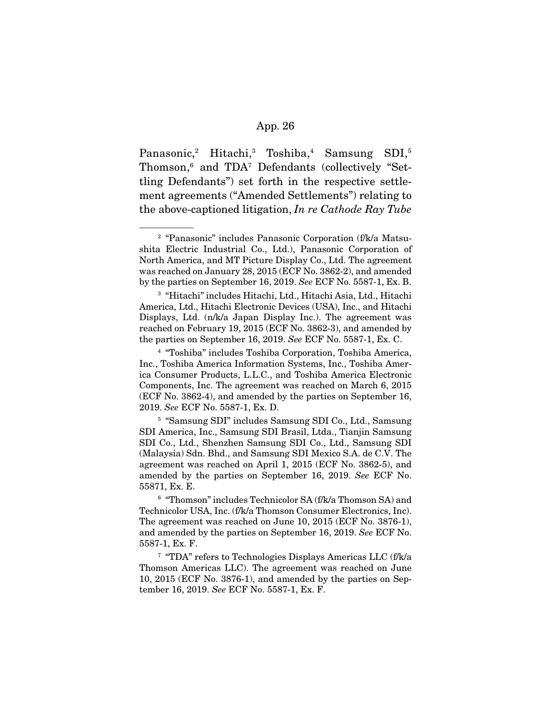Panasonic,<sup>2</sup> Hitachi,<sup>3</sup> Toshiba,<sup>4</sup> Samsung SDI,<sup>5</sup> Thomson,6 and TDA7 Defendants (collectively "Settling Defendants") set forth in the respective settlement agreements ("Amended Settlements") relating to the above-captioned litigation, In re Cathode Ray Tube

<sup>3</sup> "Hitachi" includes Hitachi, Ltd., Hitachi Asia, Ltd., Hitachi America, Ltd., Hitachi Electronic Devices (USA), Inc., and Hitachi Displays, Ltd. (n/k/a Japan Display Inc.). The agreement was reached on February 19, 2015 (ECF No. 3862-3), and amended by the parties on September 16, 2019. See ECF No. 5587-1, Ex. C.

<sup>5</sup> "Samsung SDI" includes Samsung SDI Co., Ltd., Samsung SDI America, Inc., Samsung SDI Brasil, Ltda., Tianjin Samsung SDI Co., Ltd., Shenzhen Samsung SDI Co., Ltd., Samsung SDI (Malaysia) Sdn. Bhd., and Samsung SDI Mexico S.A. de C.V. The agreement was reached on April 1, 2015 (ECF No. 3862-5), and amended by the parties on September 16, 2019. See ECF No. 55871, Ex. E.

 $^6$  "Thomson" includes Technicolor SA (f/k/a Thomson SA) and Technicolor USA, Inc. (f/k/a Thomson Consumer Electronics, Inc). The agreement was reached on June 10, 2015 (ECF No. 3876-1), and amended by the parties on September 16, 2019. See ECF No. 5587-1, Ex. F.

<sup>7</sup> "TDA" refers to Technologies Displays Americas LLC (f/k/a Thomson Americas LLC). The agreement was reached on June 10, 2015 (ECF No. 3876-1), and amended by the parties on September 16, 2019. See ECF No. 5587-1, Ex. F.

<sup>2</sup> "Panasonic" includes Panasonic Corporation (f/k/a Matsushita Electric Industrial Co., Ltd.), Panasonic Corporation of North America, and MT Picture Display Co., Ltd. The agreement was reached on January 28, 2015 (ECF No. 3862-2), and amended by the parties on September 16, 2019. See ECF No. 5587-1, Ex. B.

<sup>4</sup> "Toshiba" includes Toshiba Corporation, Toshiba America, Inc., Toshiba America Information Systems, Inc., Toshiba America Consumer Products, L.L.C., and Toshiba America Electronic Components, Inc. The agreement was reached on March 6, 2015 (ECF No. 3862-4), and amended by the parties on September 16, 2019. See ECF No. 5587-1, Ex. D.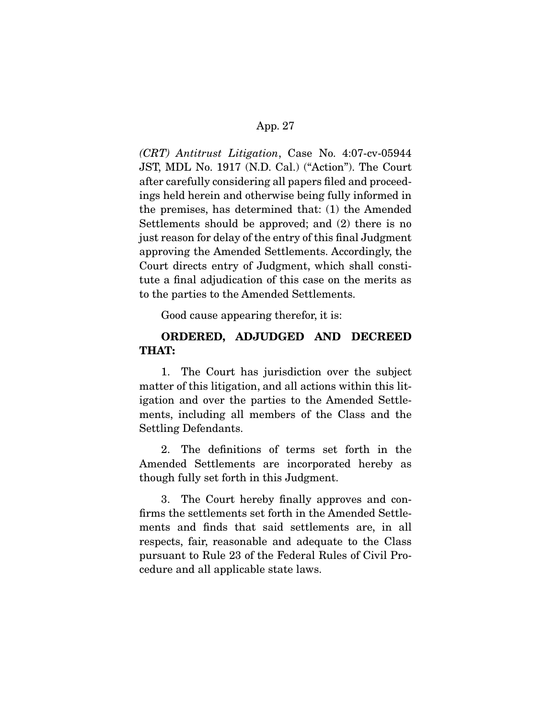(CRT) Antitrust Litigation, Case No. 4:07-cv-05944 JST, MDL No. 1917 (N.D. Cal.) ("Action"). The Court after carefully considering all papers filed and proceedings held herein and otherwise being fully informed in the premises, has determined that: (1) the Amended Settlements should be approved; and (2) there is no just reason for delay of the entry of this final Judgment approving the Amended Settlements. Accordingly, the Court directs entry of Judgment, which shall constitute a final adjudication of this case on the merits as to the parties to the Amended Settlements.

Good cause appearing therefor, it is:

## **ORDERED, ADJUDGED AND DECREED THAT:**

 1. The Court has jurisdiction over the subject matter of this litigation, and all actions within this litigation and over the parties to the Amended Settlements, including all members of the Class and the Settling Defendants.

 2. The definitions of terms set forth in the Amended Settlements are incorporated hereby as though fully set forth in this Judgment.

 3. The Court hereby finally approves and confirms the settlements set forth in the Amended Settlements and finds that said settlements are, in all respects, fair, reasonable and adequate to the Class pursuant to Rule 23 of the Federal Rules of Civil Procedure and all applicable state laws.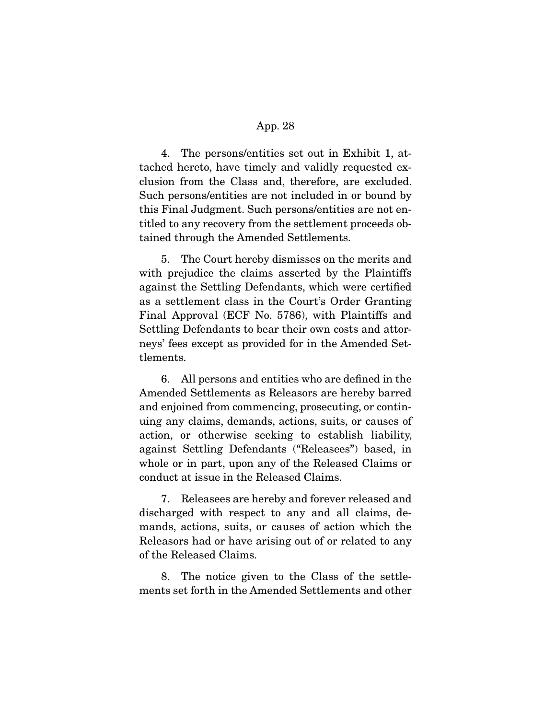4. The persons/entities set out in Exhibit 1, attached hereto, have timely and validly requested exclusion from the Class and, therefore, are excluded. Such persons/entities are not included in or bound by this Final Judgment. Such persons/entities are not entitled to any recovery from the settlement proceeds obtained through the Amended Settlements.

 5. The Court hereby dismisses on the merits and with prejudice the claims asserted by the Plaintiffs against the Settling Defendants, which were certified as a settlement class in the Court's Order Granting Final Approval (ECF No. 5786), with Plaintiffs and Settling Defendants to bear their own costs and attorneys' fees except as provided for in the Amended Settlements.

 6. All persons and entities who are defined in the Amended Settlements as Releasors are hereby barred and enjoined from commencing, prosecuting, or continuing any claims, demands, actions, suits, or causes of action, or otherwise seeking to establish liability, against Settling Defendants ("Releasees") based, in whole or in part, upon any of the Released Claims or conduct at issue in the Released Claims.

 7. Releasees are hereby and forever released and discharged with respect to any and all claims, demands, actions, suits, or causes of action which the Releasors had or have arising out of or related to any of the Released Claims.

 8. The notice given to the Class of the settlements set forth in the Amended Settlements and other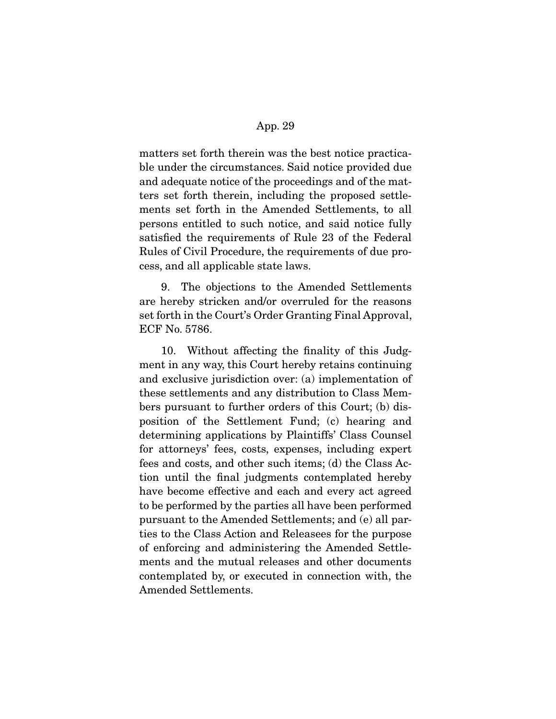matters set forth therein was the best notice practicable under the circumstances. Said notice provided due and adequate notice of the proceedings and of the matters set forth therein, including the proposed settlements set forth in the Amended Settlements, to all persons entitled to such notice, and said notice fully satisfied the requirements of Rule 23 of the Federal Rules of Civil Procedure, the requirements of due process, and all applicable state laws.

 9. The objections to the Amended Settlements are hereby stricken and/or overruled for the reasons set forth in the Court's Order Granting Final Approval, ECF No. 5786.

 10. Without affecting the finality of this Judgment in any way, this Court hereby retains continuing and exclusive jurisdiction over: (a) implementation of these settlements and any distribution to Class Members pursuant to further orders of this Court; (b) disposition of the Settlement Fund; (c) hearing and determining applications by Plaintiffs' Class Counsel for attorneys' fees, costs, expenses, including expert fees and costs, and other such items; (d) the Class Action until the final judgments contemplated hereby have become effective and each and every act agreed to be performed by the parties all have been performed pursuant to the Amended Settlements; and (e) all parties to the Class Action and Releasees for the purpose of enforcing and administering the Amended Settlements and the mutual releases and other documents contemplated by, or executed in connection with, the Amended Settlements.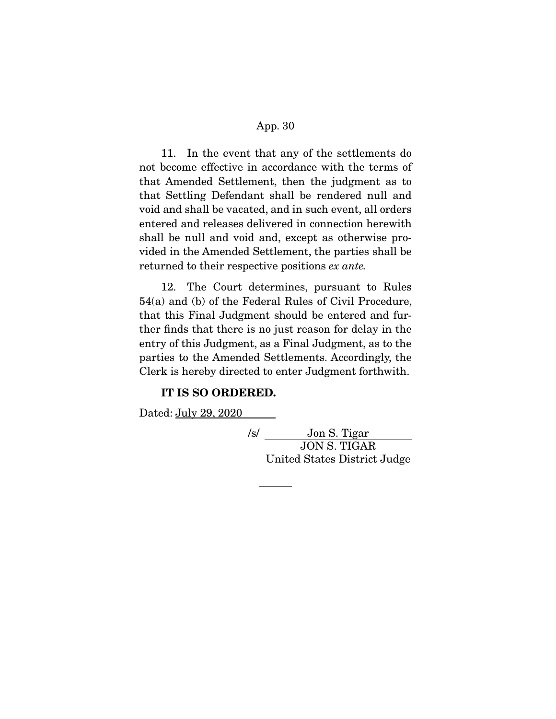11. In the event that any of the settlements do not become effective in accordance with the terms of that Amended Settlement, then the judgment as to that Settling Defendant shall be rendered null and void and shall be vacated, and in such event, all orders entered and releases delivered in connection herewith shall be null and void and, except as otherwise provided in the Amended Settlement, the parties shall be returned to their respective positions ex ante.

 12. The Court determines, pursuant to Rules 54(a) and (b) of the Federal Rules of Civil Procedure, that this Final Judgment should be entered and further finds that there is no just reason for delay in the entry of this Judgment, as a Final Judgment, as to the parties to the Amended Settlements. Accordingly, the Clerk is hereby directed to enter Judgment forthwith.

#### **IT IS SO ORDERED.**

Dated: July 29, 2020

/s/ Jon S. Tigar JON S. TIGAR United States District Judge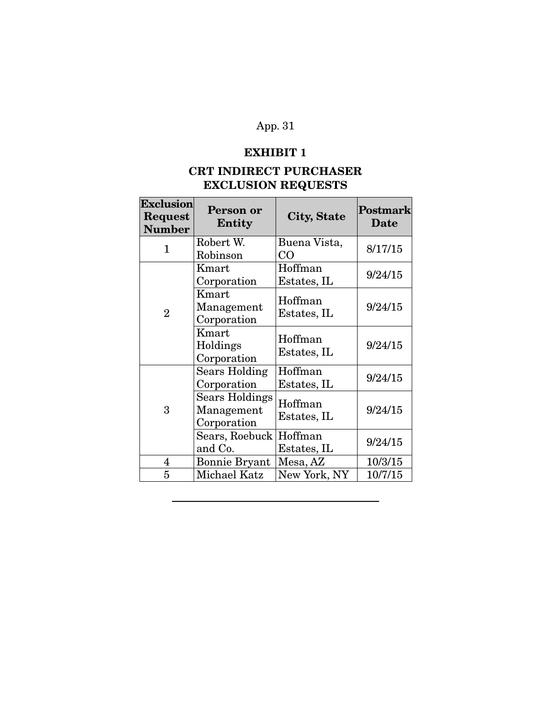# **EXHIBIT 1**

# **CRT INDIRECT PURCHASER EXCLUSION REQUESTS**

| <b>Exclusion</b><br>Request<br><b>Number</b> | Person or<br><b>Entity</b>                         | City, State            | Postmark<br><b>Date</b> |
|----------------------------------------------|----------------------------------------------------|------------------------|-------------------------|
| 1                                            | Robert W.<br>Robinson                              | Buena Vista,<br>CO     | 8/17/15                 |
|                                              | Kmart<br>Corporation                               | Hoffman<br>Estates, IL | 9/24/15                 |
| $\overline{2}$                               | Kmart<br>Management<br>Corporation                 | Hoffman<br>Estates, IL | 9/24/15                 |
|                                              | Kmart<br>Holdings<br>Corporation                   | Hoffman<br>Estates, IL | 9/24/15                 |
|                                              | <b>Sears Holding</b><br>Corporation                | Hoffman<br>Estates, IL | 9/24/15                 |
| 3                                            | <b>Sears Holdings</b><br>Management<br>Corporation | Hoffman<br>Estates, IL | 9/24/15                 |
|                                              | Sears, Roebuck<br>and Co.                          | Hoffman<br>Estates, IL | 9/24/15                 |
| $\overline{4}$                               | <b>Bonnie Bryant</b>                               | Mesa, AZ               | 10/3/15                 |
| 5                                            | Michael Katz                                       | New York, NY           | 10/7/15                 |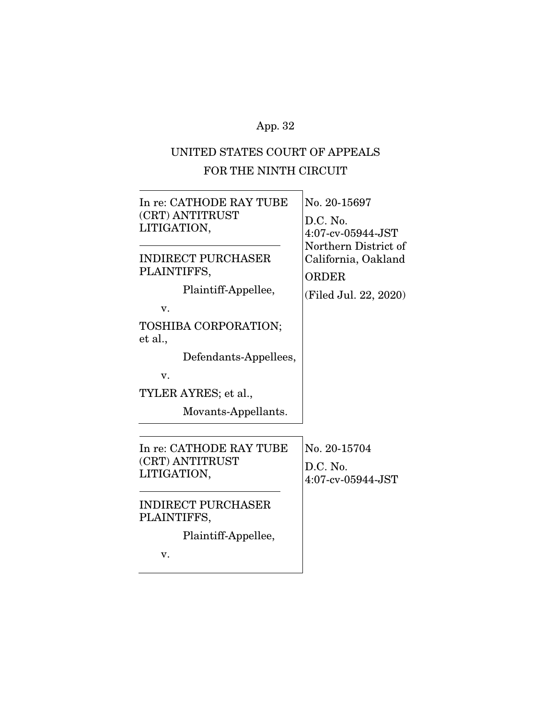# UNITED STATES COURT OF APPEALS FOR THE NINTH CIRCUIT

| In re: CATHODE RAY TUBE<br>(CRT) ANTITRUST<br>LITIGATION,             | No. 20-15697<br>D.C. No.<br>4:07-cv-05944-JST<br>Northern District of |  |
|-----------------------------------------------------------------------|-----------------------------------------------------------------------|--|
| INDIRECT PURCHASER<br>PLAINTIFFS,<br>Plaintiff-Appellee,<br>V.        | California, Oakland<br><b>ORDER</b><br>(Filed Jul. 22, 2020)          |  |
| TOSHIBA CORPORATION;<br>et al.,<br>Defendants-Appellees,<br>v.        |                                                                       |  |
| TYLER AYRES; et al.,<br>Movants-Appellants.                           |                                                                       |  |
| In re: CATHODE RAY TUBE<br>(CRT) ANTITRUST<br>LITIGATION,             | No. 20-15704<br>D.C. No.<br>$4:07$ -cv-05944-JST                      |  |
| <b>INDIRECT PURCHASER</b><br>PLAINTIFFS,<br>Plaintiff-Appellee,<br>v. |                                                                       |  |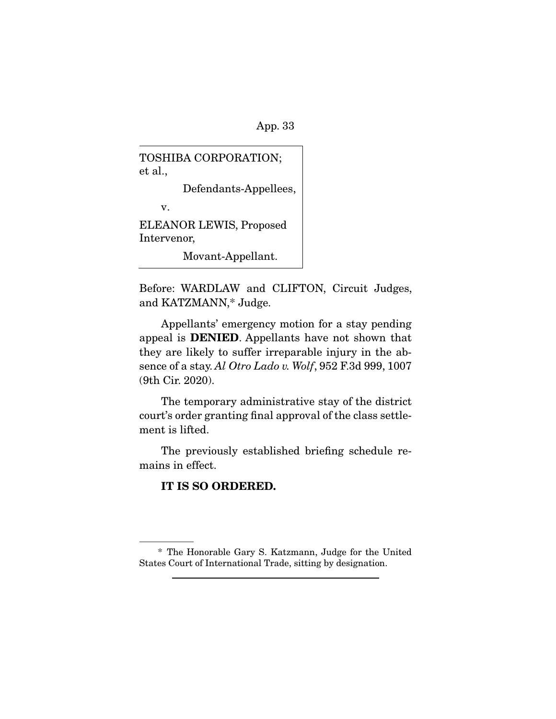TOSHIBA CORPORATION; et al.,

Defendants-Appellees,

v.

ELEANOR LEWIS, Proposed Intervenor,

Movant-Appellant.

Before: WARDLAW and CLIFTON, Circuit Judges, and KATZMANN,\* Judge.

 Appellants' emergency motion for a stay pending appeal is **DENIED**. Appellants have not shown that they are likely to suffer irreparable injury in the absence of a stay. Al Otro Lado v. Wolf, 952 F.3d 999, 1007 (9th Cir. 2020).

 The temporary administrative stay of the district court's order granting final approval of the class settlement is lifted.

 The previously established briefing schedule remains in effect.

# **IT IS SO ORDERED.**

 <sup>\*</sup> The Honorable Gary S. Katzmann, Judge for the United States Court of International Trade, sitting by designation.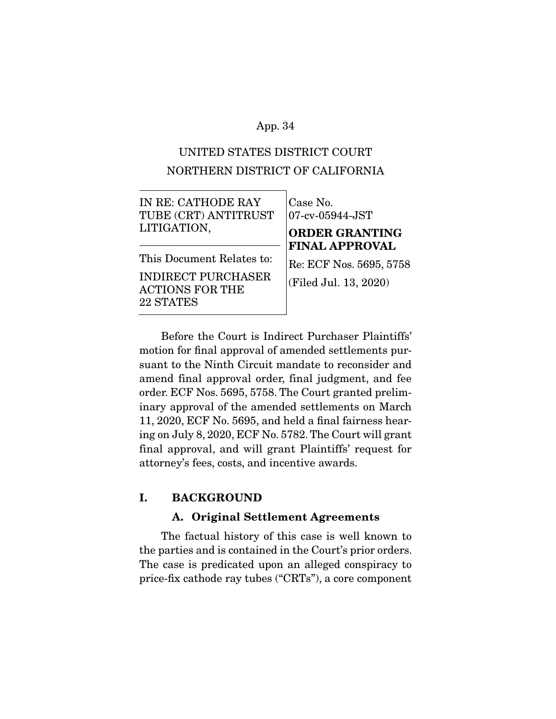# UNITED STATES DISTRICT COURT NORTHERN DISTRICT OF CALIFORNIA

| IN RE: CATHODE RAY                                                                            | Case No.                                                                  |  |
|-----------------------------------------------------------------------------------------------|---------------------------------------------------------------------------|--|
| TUBE (CRT) ANTITRUST                                                                          | $ 07$ -cv-05944-JST                                                       |  |
| LITIGATION,                                                                                   | <b>ORDER GRANTING</b>                                                     |  |
| This Document Relates to:<br><b>INDIRECT PURCHASER</b><br><b>ACTIONS FOR THE</b><br>22 STATES | <b>FINAL APPROVAL</b><br>Re: ECF Nos. 5695, 5758<br>(Filed Jul. 13, 2020) |  |

 Before the Court is Indirect Purchaser Plaintiffs' motion for final approval of amended settlements pursuant to the Ninth Circuit mandate to reconsider and amend final approval order, final judgment, and fee order. ECF Nos. 5695, 5758. The Court granted preliminary approval of the amended settlements on March 11, 2020, ECF No. 5695, and held a final fairness hearing on July 8, 2020, ECF No. 5782. The Court will grant final approval, and will grant Plaintiffs' request for attorney's fees, costs, and incentive awards.

## **I. BACKGROUND**

### **A. Original Settlement Agreements**

 The factual history of this case is well known to the parties and is contained in the Court's prior orders. The case is predicated upon an alleged conspiracy to price-fix cathode ray tubes ("CRTs"), a core component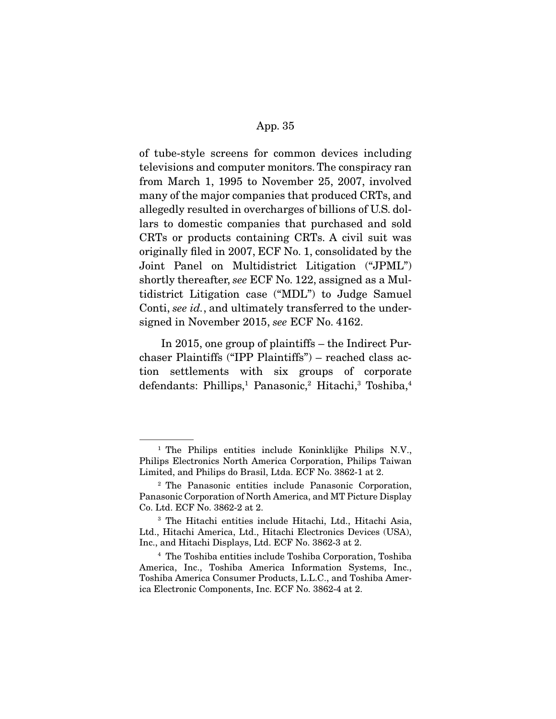of tube-style screens for common devices including televisions and computer monitors. The conspiracy ran from March 1, 1995 to November 25, 2007, involved many of the major companies that produced CRTs, and allegedly resulted in overcharges of billions of U.S. dollars to domestic companies that purchased and sold CRTs or products containing CRTs. A civil suit was originally filed in 2007, ECF No. 1, consolidated by the Joint Panel on Multidistrict Litigation ("JPML") shortly thereafter, see ECF No. 122, assigned as a Multidistrict Litigation case ("MDL") to Judge Samuel Conti, see id., and ultimately transferred to the undersigned in November 2015, see ECF No. 4162.

 In 2015, one group of plaintiffs – the Indirect Purchaser Plaintiffs ("IPP Plaintiffs") – reached class action settlements with six groups of corporate defendants: Phillips,<sup>1</sup> Panasonic,<sup>2</sup> Hitachi,<sup>3</sup> Toshiba,<sup>4</sup>

<sup>1</sup> The Philips entities include Koninklijke Philips N.V., Philips Electronics North America Corporation, Philips Taiwan Limited, and Philips do Brasil, Ltda. ECF No. 3862-1 at 2.

<sup>2</sup> The Panasonic entities include Panasonic Corporation, Panasonic Corporation of North America, and MT Picture Display Co. Ltd. ECF No. 3862-2 at 2.

<sup>3</sup> The Hitachi entities include Hitachi, Ltd., Hitachi Asia, Ltd., Hitachi America, Ltd., Hitachi Electronics Devices (USA), Inc., and Hitachi Displays, Ltd. ECF No. 3862-3 at 2.

<sup>4</sup> The Toshiba entities include Toshiba Corporation, Toshiba America, Inc., Toshiba America Information Systems, Inc., Toshiba America Consumer Products, L.L.C., and Toshiba America Electronic Components, Inc. ECF No. 3862-4 at 2.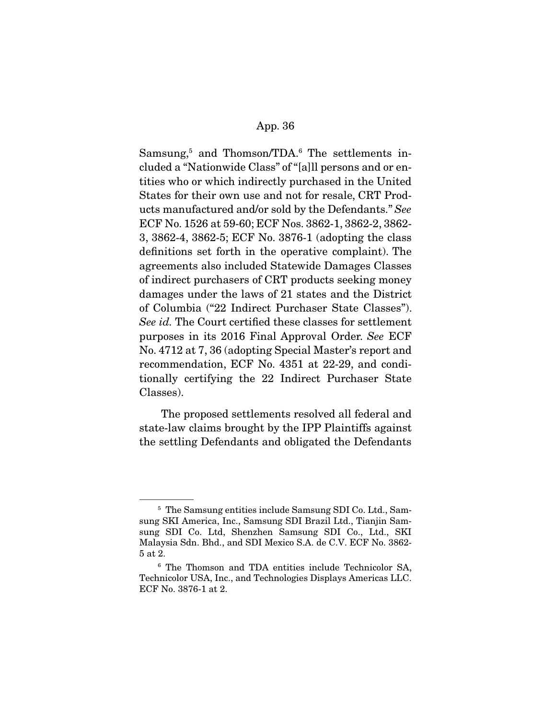Samsung,<sup>5</sup> and Thomson/TDA.<sup>6</sup> The settlements included a "Nationwide Class" of "[a]ll persons and or entities who or which indirectly purchased in the United States for their own use and not for resale, CRT Products manufactured and/or sold by the Defendants." See ECF No. 1526 at 59-60; ECF Nos. 3862-1, 3862-2, 3862- 3, 3862-4, 3862-5; ECF No. 3876-1 (adopting the class definitions set forth in the operative complaint). The agreements also included Statewide Damages Classes of indirect purchasers of CRT products seeking money damages under the laws of 21 states and the District of Columbia ("22 Indirect Purchaser State Classes"). See id. The Court certified these classes for settlement purposes in its 2016 Final Approval Order. See ECF No. 4712 at 7, 36 (adopting Special Master's report and recommendation, ECF No. 4351 at 22-29, and conditionally certifying the 22 Indirect Purchaser State Classes).

 The proposed settlements resolved all federal and state-law claims brought by the IPP Plaintiffs against the settling Defendants and obligated the Defendants

<sup>5</sup> The Samsung entities include Samsung SDI Co. Ltd., Samsung SKI America, Inc., Samsung SDI Brazil Ltd., Tianjin Samsung SDI Co. Ltd, Shenzhen Samsung SDI Co., Ltd., SKI Malaysia Sdn. Bhd., and SDI Mexico S.A. de C.V. ECF No. 3862- 5 at 2.

<sup>6</sup> The Thomson and TDA entities include Technicolor SA, Technicolor USA, Inc., and Technologies Displays Americas LLC. ECF No. 3876-1 at 2.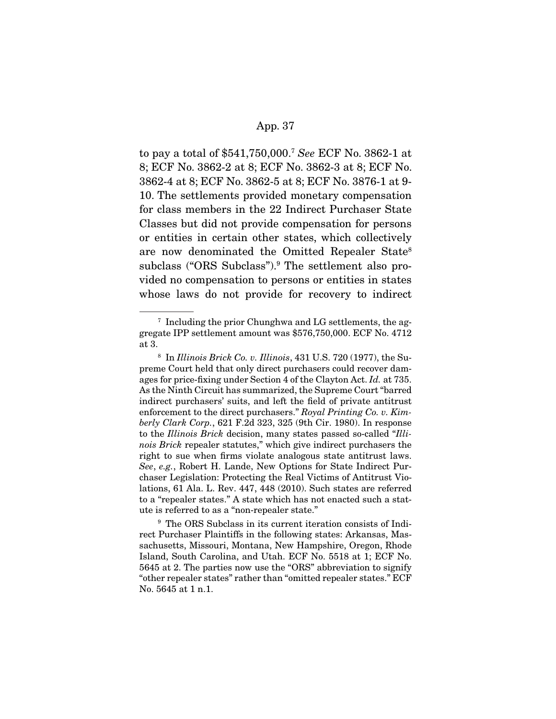to pay a total of \$541,750,000.7 See ECF No. 3862-1 at 8; ECF No. 3862-2 at 8; ECF No. 3862-3 at 8; ECF No. 3862-4 at 8; ECF No. 3862-5 at 8; ECF No. 3876-1 at 9- 10. The settlements provided monetary compensation for class members in the 22 Indirect Purchaser State Classes but did not provide compensation for persons or entities in certain other states, which collectively are now denominated the Omitted Repealer State8 subclass ("ORS Subclass").<sup>9</sup> The settlement also provided no compensation to persons or entities in states whose laws do not provide for recovery to indirect

 $7$  Including the prior Chunghwa and LG settlements, the aggregate IPP settlement amount was \$576,750,000. ECF No. 4712 at 3.

 $8$  In Illinois Brick Co. v. Illinois, 431 U.S. 720 (1977), the Supreme Court held that only direct purchasers could recover damages for price-fixing under Section 4 of the Clayton Act. Id. at 735. As the Ninth Circuit has summarized, the Supreme Court "barred indirect purchasers' suits, and left the field of private antitrust enforcement to the direct purchasers." Royal Printing Co. v. Kimberly Clark Corp., 621 F.2d 323, 325 (9th Cir. 1980). In response to the Illinois Brick decision, many states passed so-called "Illinois Brick repealer statutes," which give indirect purchasers the right to sue when firms violate analogous state antitrust laws. See, e.g., Robert H. Lande, New Options for State Indirect Purchaser Legislation: Protecting the Real Victims of Antitrust Violations, 61 Ala. L. Rev. 447, 448 (2010). Such states are referred to a "repealer states." A state which has not enacted such a statute is referred to as a "non-repealer state."

<sup>&</sup>lt;sup>9</sup> The ORS Subclass in its current iteration consists of Indirect Purchaser Plaintiffs in the following states: Arkansas, Massachusetts, Missouri, Montana, New Hampshire, Oregon, Rhode Island, South Carolina, and Utah. ECF No. 5518 at 1; ECF No. 5645 at 2. The parties now use the "ORS" abbreviation to signify "other repealer states" rather than "omitted repealer states." ECF No. 5645 at 1 n.1.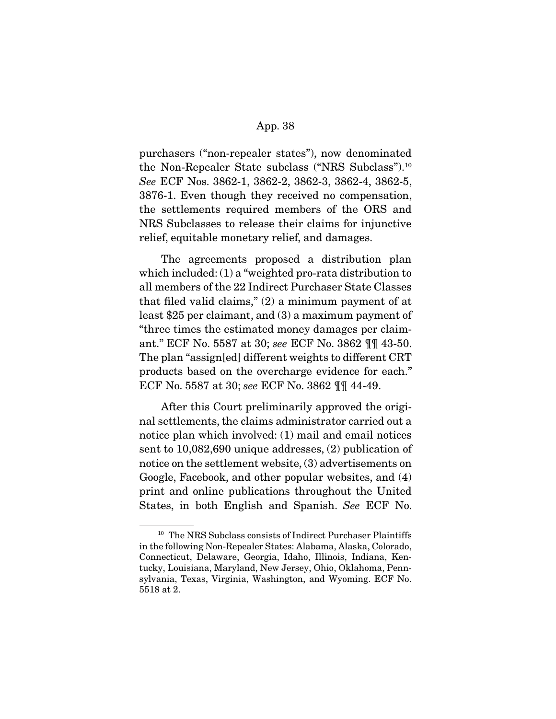purchasers ("non-repealer states"), now denominated the Non-Repealer State subclass ("NRS Subclass").10 See ECF Nos. 3862-1, 3862-2, 3862-3, 3862-4, 3862-5, 3876-1. Even though they received no compensation, the settlements required members of the ORS and NRS Subclasses to release their claims for injunctive relief, equitable monetary relief, and damages.

 The agreements proposed a distribution plan which included: (1) a "weighted pro-rata distribution to all members of the 22 Indirect Purchaser State Classes that filed valid claims," (2) a minimum payment of at least \$25 per claimant, and (3) a maximum payment of "three times the estimated money damages per claimant." ECF No. 5587 at 30; see ECF No. 3862 ¶¶ 43-50. The plan "assign[ed] different weights to different CRT products based on the overcharge evidence for each." ECF No. 5587 at 30; see ECF No. 3862 ¶¶ 44-49.

 After this Court preliminarily approved the original settlements, the claims administrator carried out a notice plan which involved: (1) mail and email notices sent to 10,082,690 unique addresses, (2) publication of notice on the settlement website, (3) advertisements on Google, Facebook, and other popular websites, and (4) print and online publications throughout the United States, in both English and Spanish. See ECF No.

<sup>&</sup>lt;sup>10</sup> The NRS Subclass consists of Indirect Purchaser Plaintiffs in the following Non-Repealer States: Alabama, Alaska, Colorado, Connecticut, Delaware, Georgia, Idaho, Illinois, Indiana, Kentucky, Louisiana, Maryland, New Jersey, Ohio, Oklahoma, Pennsylvania, Texas, Virginia, Washington, and Wyoming. ECF No. 5518 at 2.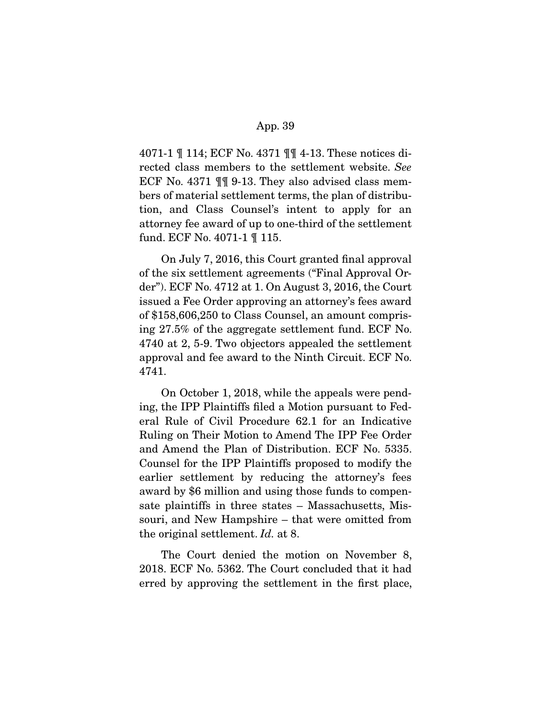4071-1 ¶ 114; ECF No. 4371 ¶¶ 4-13. These notices directed class members to the settlement website. See ECF No. 4371 ¶¶ 9-13. They also advised class members of material settlement terms, the plan of distribution, and Class Counsel's intent to apply for an attorney fee award of up to one-third of the settlement fund. ECF No. 4071-1 ¶ 115.

 On July 7, 2016, this Court granted final approval of the six settlement agreements ("Final Approval Order"). ECF No. 4712 at 1. On August 3, 2016, the Court issued a Fee Order approving an attorney's fees award of \$158,606,250 to Class Counsel, an amount comprising 27.5% of the aggregate settlement fund. ECF No. 4740 at 2, 5-9. Two objectors appealed the settlement approval and fee award to the Ninth Circuit. ECF No. 4741.

 On October 1, 2018, while the appeals were pending, the IPP Plaintiffs filed a Motion pursuant to Federal Rule of Civil Procedure 62.1 for an Indicative Ruling on Their Motion to Amend The IPP Fee Order and Amend the Plan of Distribution. ECF No. 5335. Counsel for the IPP Plaintiffs proposed to modify the earlier settlement by reducing the attorney's fees award by \$6 million and using those funds to compensate plaintiffs in three states – Massachusetts, Missouri, and New Hampshire – that were omitted from the original settlement. Id. at 8.

 The Court denied the motion on November 8, 2018. ECF No. 5362. The Court concluded that it had erred by approving the settlement in the first place,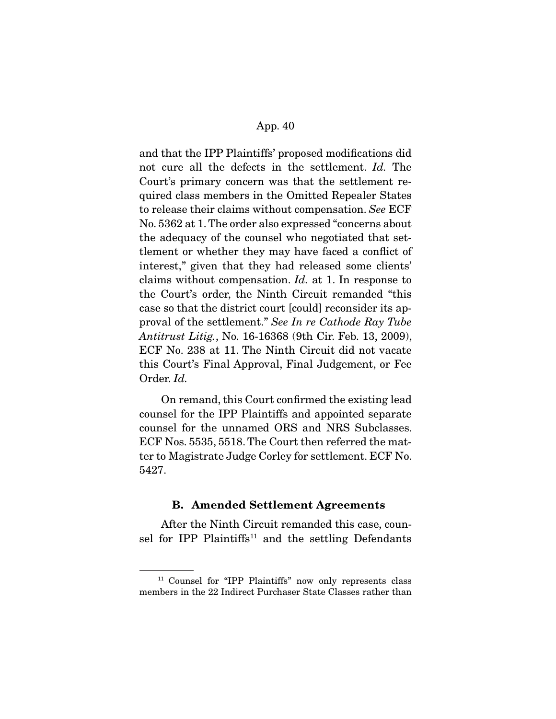and that the IPP Plaintiffs' proposed modifications did not cure all the defects in the settlement. Id. The Court's primary concern was that the settlement required class members in the Omitted Repealer States to release their claims without compensation. See ECF No. 5362 at 1. The order also expressed "concerns about the adequacy of the counsel who negotiated that settlement or whether they may have faced a conflict of interest," given that they had released some clients' claims without compensation. Id. at 1. In response to the Court's order, the Ninth Circuit remanded "this case so that the district court [could] reconsider its approval of the settlement." See In re Cathode Ray Tube Antitrust Litig., No. 16-16368 (9th Cir. Feb. 13, 2009), ECF No. 238 at 11. The Ninth Circuit did not vacate this Court's Final Approval, Final Judgement, or Fee Order. Id.

 On remand, this Court confirmed the existing lead counsel for the IPP Plaintiffs and appointed separate counsel for the unnamed ORS and NRS Subclasses. ECF Nos. 5535, 5518. The Court then referred the matter to Magistrate Judge Corley for settlement. ECF No. 5427.

### **B. Amended Settlement Agreements**

 After the Ninth Circuit remanded this case, counsel for IPP Plaintiffs<sup>11</sup> and the settling Defendants

<sup>11</sup> Counsel for "IPP Plaintiffs" now only represents class members in the 22 Indirect Purchaser State Classes rather than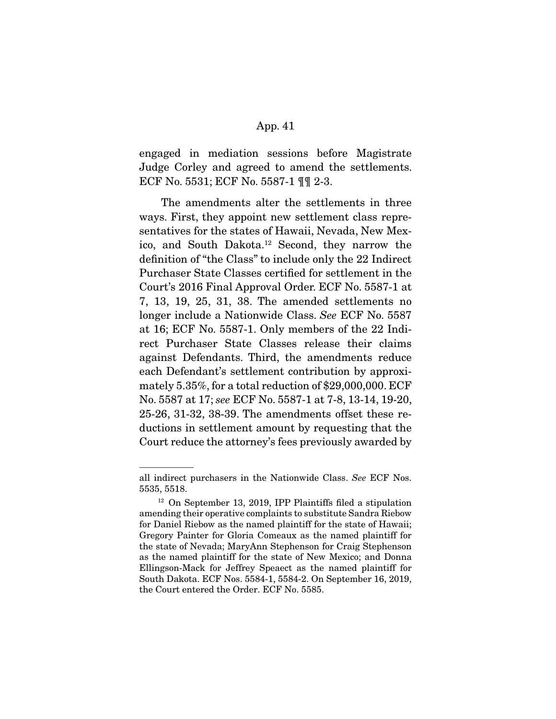engaged in mediation sessions before Magistrate Judge Corley and agreed to amend the settlements. ECF No. 5531; ECF No. 5587-1 ¶¶ 2-3.

 The amendments alter the settlements in three ways. First, they appoint new settlement class representatives for the states of Hawaii, Nevada, New Mexico, and South Dakota.12 Second, they narrow the definition of "the Class" to include only the 22 Indirect Purchaser State Classes certified for settlement in the Court's 2016 Final Approval Order. ECF No. 5587-1 at 7, 13, 19, 25, 31, 38. The amended settlements no longer include a Nationwide Class. See ECF No. 5587 at 16; ECF No. 5587-1. Only members of the 22 Indirect Purchaser State Classes release their claims against Defendants. Third, the amendments reduce each Defendant's settlement contribution by approximately 5.35%, for a total reduction of \$29,000,000. ECF No. 5587 at 17; see ECF No. 5587-1 at 7-8, 13-14, 19-20, 25-26, 31-32, 38-39. The amendments offset these reductions in settlement amount by requesting that the Court reduce the attorney's fees previously awarded by

all indirect purchasers in the Nationwide Class. See ECF Nos. 5535, 5518.

<sup>&</sup>lt;sup>12</sup> On September 13, 2019, IPP Plaintiffs filed a stipulation amending their operative complaints to substitute Sandra Riebow for Daniel Riebow as the named plaintiff for the state of Hawaii; Gregory Painter for Gloria Comeaux as the named plaintiff for the state of Nevada; MaryAnn Stephenson for Craig Stephenson as the named plaintiff for the state of New Mexico; and Donna Ellingson-Mack for Jeffrey Speaect as the named plaintiff for South Dakota. ECF Nos. 5584-1, 5584-2. On September 16, 2019, the Court entered the Order. ECF No. 5585.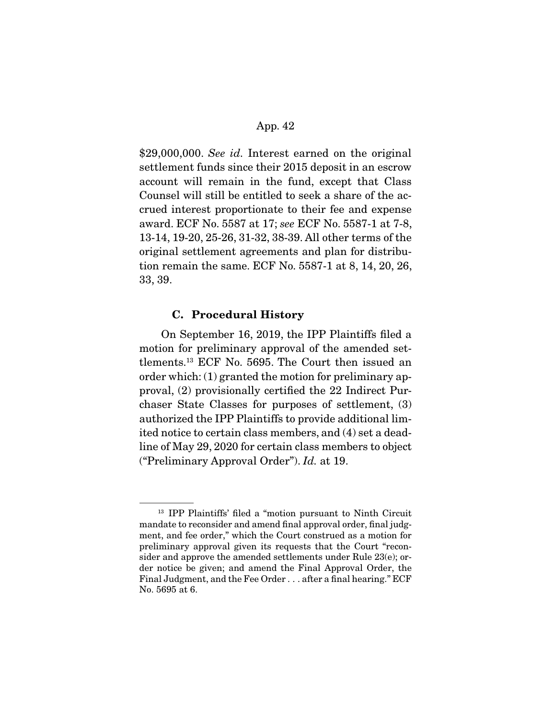\$29,000,000. See id. Interest earned on the original settlement funds since their 2015 deposit in an escrow account will remain in the fund, except that Class Counsel will still be entitled to seek a share of the accrued interest proportionate to their fee and expense award. ECF No. 5587 at 17; see ECF No. 5587-1 at 7-8, 13-14, 19-20, 25-26, 31-32, 38-39. All other terms of the original settlement agreements and plan for distribution remain the same. ECF No. 5587-1 at 8, 14, 20, 26, 33, 39.

## **C. Procedural History**

 On September 16, 2019, the IPP Plaintiffs filed a motion for preliminary approval of the amended settlements.13 ECF No. 5695. The Court then issued an order which: (1) granted the motion for preliminary approval, (2) provisionally certified the 22 Indirect Purchaser State Classes for purposes of settlement, (3) authorized the IPP Plaintiffs to provide additional limited notice to certain class members, and (4) set a deadline of May 29, 2020 for certain class members to object ("Preliminary Approval Order"). Id. at 19.

<sup>13</sup> IPP Plaintiffs' filed a "motion pursuant to Ninth Circuit mandate to reconsider and amend final approval order, final judgment, and fee order," which the Court construed as a motion for preliminary approval given its requests that the Court "reconsider and approve the amended settlements under Rule 23(e); order notice be given; and amend the Final Approval Order, the Final Judgment, and the Fee Order . . . after a final hearing." ECF No. 5695 at 6.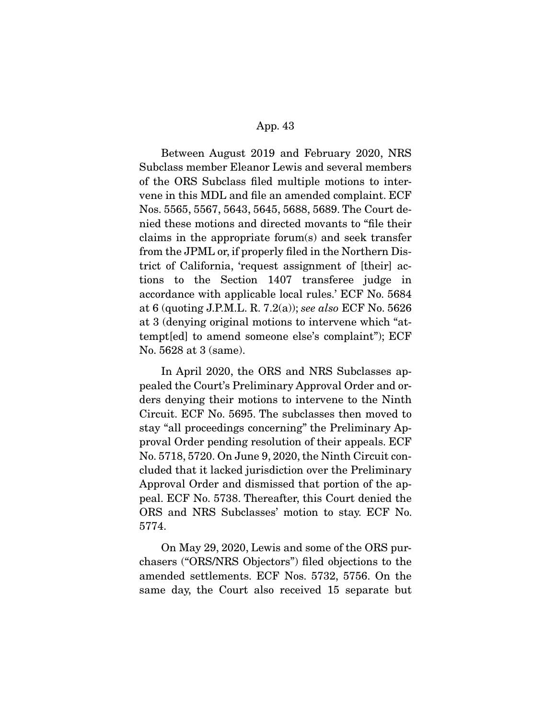Between August 2019 and February 2020, NRS Subclass member Eleanor Lewis and several members of the ORS Subclass filed multiple motions to intervene in this MDL and file an amended complaint. ECF Nos. 5565, 5567, 5643, 5645, 5688, 5689. The Court denied these motions and directed movants to "file their claims in the appropriate forum(s) and seek transfer from the JPML or, if properly filed in the Northern District of California, 'request assignment of [their] actions to the Section 1407 transferee judge in accordance with applicable local rules.' ECF No. 5684 at 6 (quoting J.P.M.L. R. 7.2(a)); see also ECF No. 5626 at 3 (denying original motions to intervene which "attempt[ed] to amend someone else's complaint"); ECF No. 5628 at 3 (same).

 In April 2020, the ORS and NRS Subclasses appealed the Court's Preliminary Approval Order and orders denying their motions to intervene to the Ninth Circuit. ECF No. 5695. The subclasses then moved to stay "all proceedings concerning" the Preliminary Approval Order pending resolution of their appeals. ECF No. 5718, 5720. On June 9, 2020, the Ninth Circuit concluded that it lacked jurisdiction over the Preliminary Approval Order and dismissed that portion of the appeal. ECF No. 5738. Thereafter, this Court denied the ORS and NRS Subclasses' motion to stay. ECF No. 5774.

 On May 29, 2020, Lewis and some of the ORS purchasers ("ORS/NRS Objectors") filed objections to the amended settlements. ECF Nos. 5732, 5756. On the same day, the Court also received 15 separate but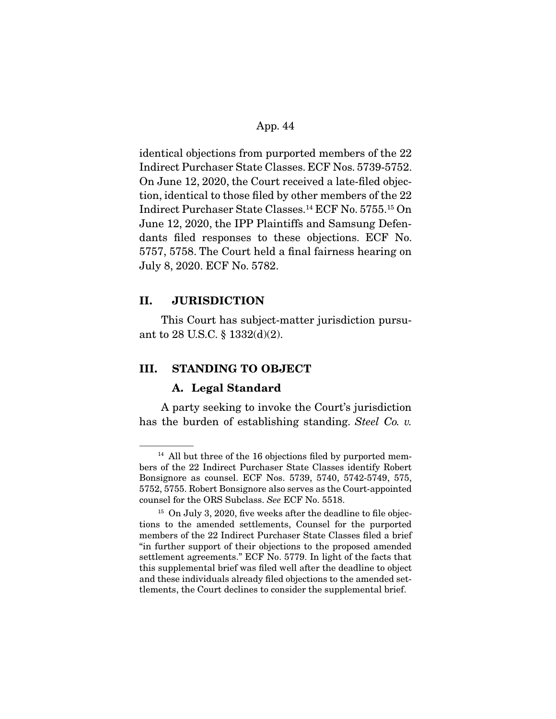identical objections from purported members of the 22 Indirect Purchaser State Classes. ECF Nos. 5739-5752. On June 12, 2020, the Court received a late-filed objection, identical to those filed by other members of the 22 Indirect Purchaser State Classes.14 ECF No. 5755.15 On June 12, 2020, the IPP Plaintiffs and Samsung Defendants filed responses to these objections. ECF No. 5757, 5758. The Court held a final fairness hearing on July 8, 2020. ECF No. 5782.

## **II. JURISDICTION**

 This Court has subject-matter jurisdiction pursuant to 28 U.S.C. § 1332(d)(2).

# **III. STANDING TO OBJECT**

#### **A. Legal Standard**

 A party seeking to invoke the Court's jurisdiction has the burden of establishing standing. Steel Co. v.

<sup>&</sup>lt;sup>14</sup> All but three of the 16 objections filed by purported members of the 22 Indirect Purchaser State Classes identify Robert Bonsignore as counsel. ECF Nos. 5739, 5740, 5742-5749, 575, 5752, 5755. Robert Bonsignore also serves as the Court-appointed counsel for the ORS Subclass. See ECF No. 5518.

<sup>&</sup>lt;sup>15</sup> On July 3, 2020, five weeks after the deadline to file objections to the amended settlements, Counsel for the purported members of the 22 Indirect Purchaser State Classes filed a brief "in further support of their objections to the proposed amended settlement agreements." ECF No. 5779. In light of the facts that this supplemental brief was filed well after the deadline to object and these individuals already filed objections to the amended settlements, the Court declines to consider the supplemental brief.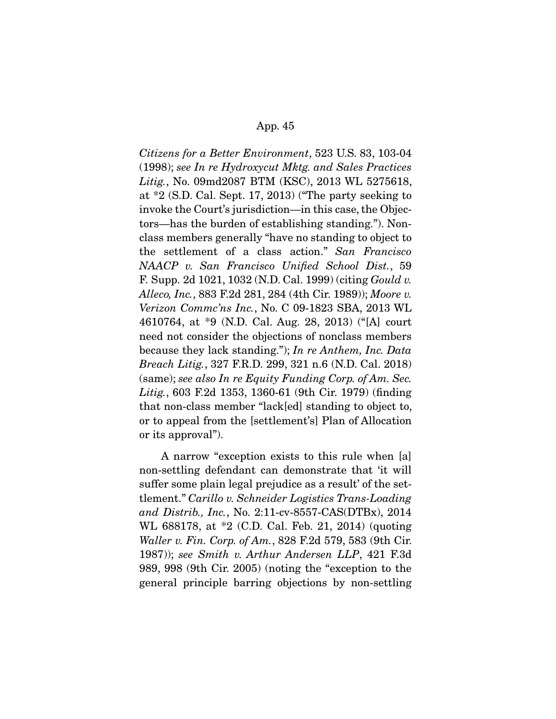Citizens for a Better Environment, 523 U.S. 83, 103-04 (1998); see In re Hydroxycut Mktg. and Sales Practices Litig., No. 09md2087 BTM (KSC), 2013 WL 5275618, at \*2 (S.D. Cal. Sept. 17, 2013) ("The party seeking to invoke the Court's jurisdiction—in this case, the Objectors—has the burden of establishing standing."). Nonclass members generally "have no standing to object to the settlement of a class action." San Francisco NAACP v. San Francisco Unified School Dist., 59 F. Supp. 2d 1021, 1032 (N.D. Cal. 1999) (citing Gould v. Alleco, Inc., 883 F.2d 281, 284 (4th Cir. 1989)); Moore v. Verizon Commc'ns Inc., No. C 09-1823 SBA, 2013 WL 4610764, at \*9 (N.D. Cal. Aug. 28, 2013) ("[A] court need not consider the objections of nonclass members because they lack standing."); In re Anthem, Inc. Data Breach Litig., 327 F.R.D. 299, 321 n.6 (N.D. Cal. 2018) (same); see also In re Equity Funding Corp. of Am. Sec. Litig., 603 F.2d 1353, 1360-61 (9th Cir. 1979) (finding that non-class member "lack[ed] standing to object to, or to appeal from the [settlement's] Plan of Allocation or its approval").

 A narrow "exception exists to this rule when [a] non-settling defendant can demonstrate that 'it will suffer some plain legal prejudice as a result' of the settlement." Carillo v. Schneider Logistics Trans-Loading and Distrib., Inc., No. 2:11-cv-8557-CAS(DTBx), 2014 WL 688178, at \*2 (C.D. Cal. Feb. 21, 2014) (quoting Waller v. Fin. Corp. of Am., 828 F.2d 579, 583 (9th Cir. 1987)); see Smith v. Arthur Andersen LLP, 421 F.3d 989, 998 (9th Cir. 2005) (noting the "exception to the general principle barring objections by non-settling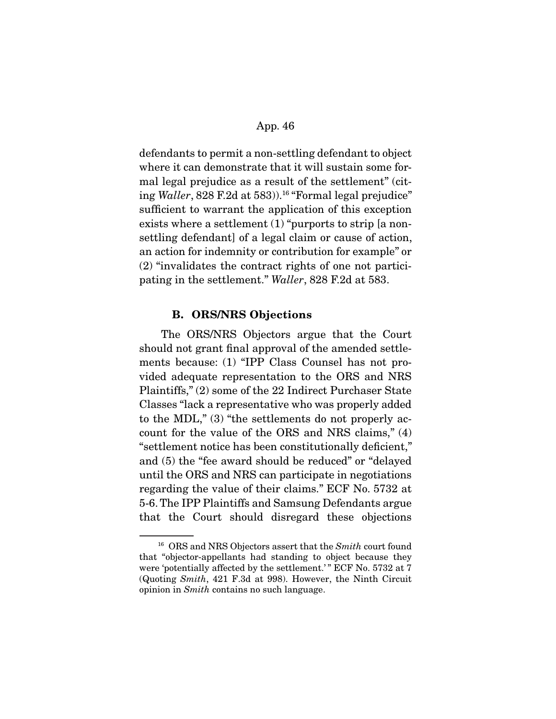defendants to permit a non-settling defendant to object where it can demonstrate that it will sustain some formal legal prejudice as a result of the settlement" (citing Waller, 828 F.2d at 583).<sup>16</sup> "Formal legal prejudice" sufficient to warrant the application of this exception exists where a settlement (1) "purports to strip [a nonsettling defendant] of a legal claim or cause of action, an action for indemnity or contribution for example" or (2) "invalidates the contract rights of one not participating in the settlement." Waller, 828 F.2d at 583.

## **B. ORS/NRS Objections**

 The ORS/NRS Objectors argue that the Court should not grant final approval of the amended settlements because: (1) "IPP Class Counsel has not provided adequate representation to the ORS and NRS Plaintiffs," (2) some of the 22 Indirect Purchaser State Classes "lack a representative who was properly added to the MDL," (3) "the settlements do not properly account for the value of the ORS and NRS claims," (4) "settlement notice has been constitutionally deficient," and (5) the "fee award should be reduced" or "delayed until the ORS and NRS can participate in negotiations regarding the value of their claims." ECF No. 5732 at 5-6. The IPP Plaintiffs and Samsung Defendants argue that the Court should disregard these objections

<sup>&</sup>lt;sup>16</sup> ORS and NRS Objectors assert that the *Smith* court found that "objector-appellants had standing to object because they were 'potentially affected by the settlement.'" ECF No. 5732 at 7 (Quoting Smith, 421 F.3d at 998). However, the Ninth Circuit opinion in Smith contains no such language.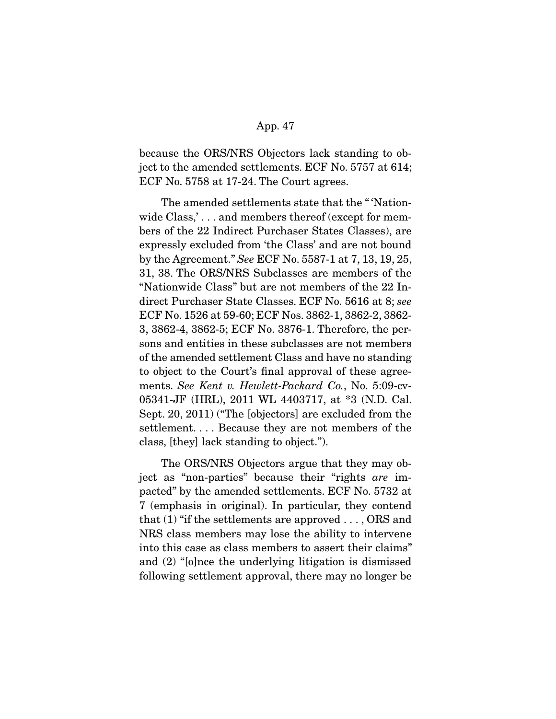because the ORS/NRS Objectors lack standing to object to the amended settlements. ECF No. 5757 at 614; ECF No. 5758 at 17-24. The Court agrees.

 The amended settlements state that the " 'Nationwide Class,'... and members thereof (except for members of the 22 Indirect Purchaser States Classes), are expressly excluded from 'the Class' and are not bound by the Agreement." See ECF No. 5587-1 at 7, 13, 19, 25, 31, 38. The ORS/NRS Subclasses are members of the "Nationwide Class" but are not members of the 22 Indirect Purchaser State Classes. ECF No. 5616 at 8; see ECF No. 1526 at 59-60; ECF Nos. 3862-1, 3862-2, 3862- 3, 3862-4, 3862-5; ECF No. 3876-1. Therefore, the persons and entities in these subclasses are not members of the amended settlement Class and have no standing to object to the Court's final approval of these agreements. See Kent v. Hewlett-Packard Co., No. 5:09-cv-05341-JF (HRL), 2011 WL 4403717, at \*3 (N.D. Cal. Sept. 20, 2011) ("The [objectors] are excluded from the settlement. . . . Because they are not members of the class, [they] lack standing to object.").

 The ORS/NRS Objectors argue that they may object as "non-parties" because their "rights are impacted" by the amended settlements. ECF No. 5732 at 7 (emphasis in original). In particular, they contend that  $(1)$  "if the settlements are approved ..., ORS and NRS class members may lose the ability to intervene into this case as class members to assert their claims" and (2) "[o]nce the underlying litigation is dismissed following settlement approval, there may no longer be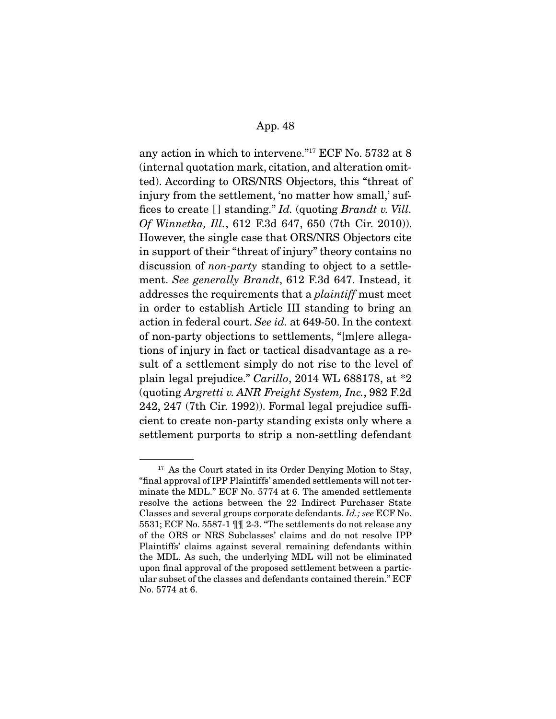any action in which to intervene."17 ECF No. 5732 at 8 (internal quotation mark, citation, and alteration omitted). According to ORS/NRS Objectors, this "threat of injury from the settlement, 'no matter how small,' suffices to create [] standing." Id. (quoting Brandt v. Vill.) Of Winnetka, Ill., 612 F.3d 647, 650 (7th Cir. 2010)). However, the single case that ORS/NRS Objectors cite in support of their "threat of injury" theory contains no discussion of non-party standing to object to a settlement. See generally Brandt, 612 F.3d 647. Instead, it addresses the requirements that a plaintiff must meet in order to establish Article III standing to bring an action in federal court. See id. at 649-50. In the context of non-party objections to settlements, "[m]ere allegations of injury in fact or tactical disadvantage as a result of a settlement simply do not rise to the level of plain legal prejudice." Carillo, 2014 WL 688178, at \*2 (quoting Argretti v. ANR Freight System, Inc., 982 F.2d 242, 247 (7th Cir. 1992)). Formal legal prejudice sufficient to create non-party standing exists only where a settlement purports to strip a non-settling defendant

<sup>&</sup>lt;sup>17</sup> As the Court stated in its Order Denying Motion to Stay, "final approval of IPP Plaintiffs' amended settlements will not terminate the MDL." ECF No. 5774 at 6. The amended settlements resolve the actions between the 22 Indirect Purchaser State Classes and several groups corporate defendants. Id.; see ECF No. 5531; ECF No. 5587-1 ¶¶ 2-3. "The settlements do not release any of the ORS or NRS Subclasses' claims and do not resolve IPP Plaintiffs' claims against several remaining defendants within the MDL. As such, the underlying MDL will not be eliminated upon final approval of the proposed settlement between a particular subset of the classes and defendants contained therein." ECF No. 5774 at 6.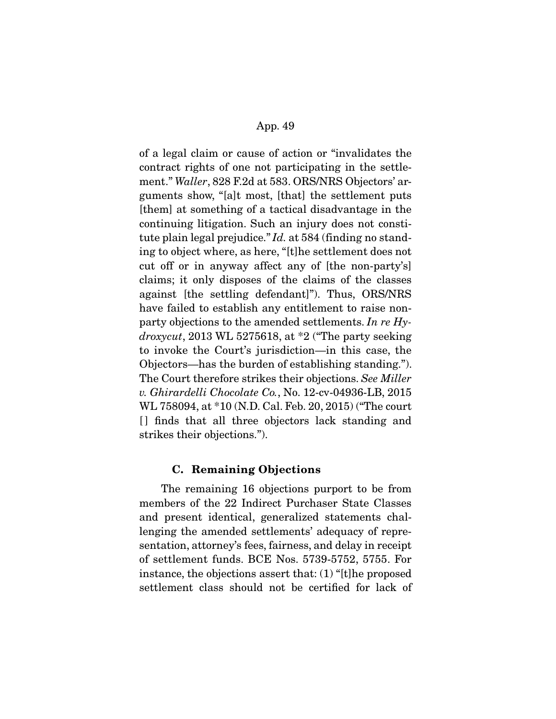of a legal claim or cause of action or "invalidates the contract rights of one not participating in the settlement." Waller, 828 F.2d at 583. ORS/NRS Objectors' arguments show, "[a]t most, [that] the settlement puts [them] at something of a tactical disadvantage in the continuing litigation. Such an injury does not constitute plain legal prejudice." Id. at 584 (finding no standing to object where, as here, "[t]he settlement does not cut off or in anyway affect any of [the non-party's] claims; it only disposes of the claims of the classes against [the settling defendant]"). Thus, ORS/NRS have failed to establish any entitlement to raise nonparty objections to the amended settlements. In re Hydroxycut, 2013 WL 5275618, at  $*2$  ("The party seeking") to invoke the Court's jurisdiction—in this case, the Objectors—has the burden of establishing standing."). The Court therefore strikes their objections. See Miller v. Ghirardelli Chocolate Co., No. 12-cv-04936-LB, 2015 WL 758094, at \*10 (N.D. Cal. Feb. 20, 2015) ("The court [ ] finds that all three objectors lack standing and strikes their objections.").

## **C. Remaining Objections**

 The remaining 16 objections purport to be from members of the 22 Indirect Purchaser State Classes and present identical, generalized statements challenging the amended settlements' adequacy of representation, attorney's fees, fairness, and delay in receipt of settlement funds. BCE Nos. 5739-5752, 5755. For instance, the objections assert that: (1) "[t]he proposed settlement class should not be certified for lack of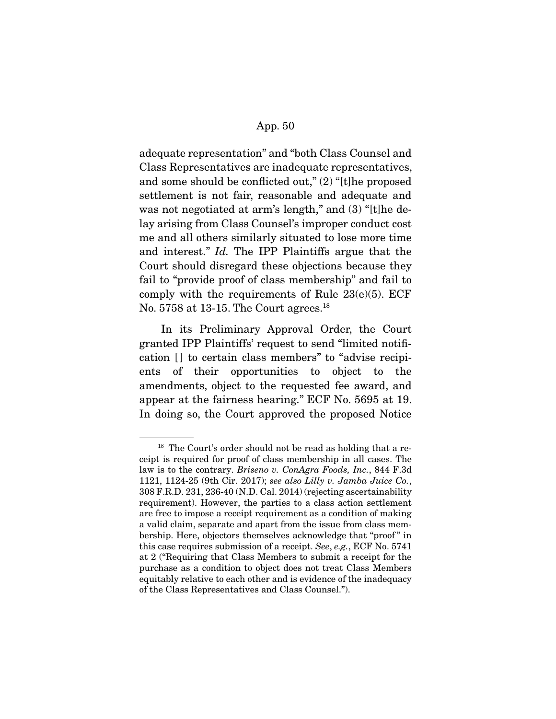adequate representation" and "both Class Counsel and Class Representatives are inadequate representatives, and some should be conflicted out," (2) "[t]he proposed settlement is not fair, reasonable and adequate and was not negotiated at arm's length," and (3) "[t]he delay arising from Class Counsel's improper conduct cost me and all others similarly situated to lose more time and interest." Id. The IPP Plaintiffs argue that the Court should disregard these objections because they fail to "provide proof of class membership" and fail to comply with the requirements of Rule  $23(e)(5)$ . ECF No. 5758 at 13-15. The Court agrees.<sup>18</sup>

 In its Preliminary Approval Order, the Court granted IPP Plaintiffs' request to send "limited notification [] to certain class members" to "advise recipients of their opportunities to object to the amendments, object to the requested fee award, and appear at the fairness hearing." ECF No. 5695 at 19. In doing so, the Court approved the proposed Notice

<sup>&</sup>lt;sup>18</sup> The Court's order should not be read as holding that a receipt is required for proof of class membership in all cases. The law is to the contrary. Briseno v. ConAgra Foods, Inc., 844 F.3d 1121, 1124-25 (9th Cir. 2017); see also Lilly v. Jamba Juice Co., 308 F.R.D. 231, 236-40 (N.D. Cal. 2014) (rejecting ascertainability requirement). However, the parties to a class action settlement are free to impose a receipt requirement as a condition of making a valid claim, separate and apart from the issue from class membership. Here, objectors themselves acknowledge that "proof " in this case requires submission of a receipt. See, e.g., ECF No. 5741 at 2 ("Requiring that Class Members to submit a receipt for the purchase as a condition to object does not treat Class Members equitably relative to each other and is evidence of the inadequacy of the Class Representatives and Class Counsel.").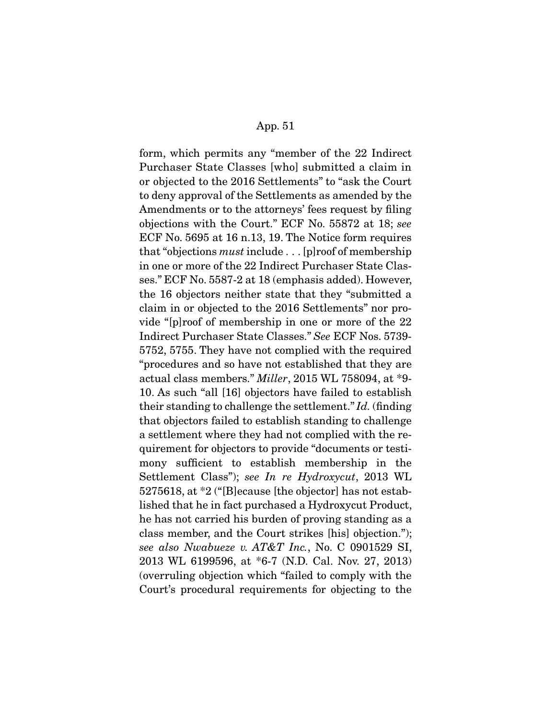form, which permits any "member of the 22 Indirect Purchaser State Classes [who] submitted a claim in or objected to the 2016 Settlements" to "ask the Court to deny approval of the Settlements as amended by the Amendments or to the attorneys' fees request by filing objections with the Court." ECF No. 55872 at 18; see ECF No. 5695 at 16 n.13, 19. The Notice form requires that "objections must include . . . [p]roof of membership in one or more of the 22 Indirect Purchaser State Classes." ECF No. 5587-2 at 18 (emphasis added). However, the 16 objectors neither state that they "submitted a claim in or objected to the 2016 Settlements" nor provide "[p]roof of membership in one or more of the 22 Indirect Purchaser State Classes." See ECF Nos. 5739- 5752, 5755. They have not complied with the required "procedures and so have not established that they are actual class members." Miller, 2015 WL 758094, at \*9- 10. As such "all [16] objectors have failed to establish their standing to challenge the settlement." Id. (finding that objectors failed to establish standing to challenge a settlement where they had not complied with the requirement for objectors to provide "documents or testimony sufficient to establish membership in the Settlement Class"); see In re Hydroxycut, 2013 WL 5275618, at \*2 ("[B]ecause [the objector] has not established that he in fact purchased a Hydroxycut Product, he has not carried his burden of proving standing as a class member, and the Court strikes [his] objection."); see also Nwabueze v. AT&T Inc., No. C 0901529 SI, 2013 WL 6199596, at \*6-7 (N.D. Cal. Nov. 27, 2013) (overruling objection which "failed to comply with the Court's procedural requirements for objecting to the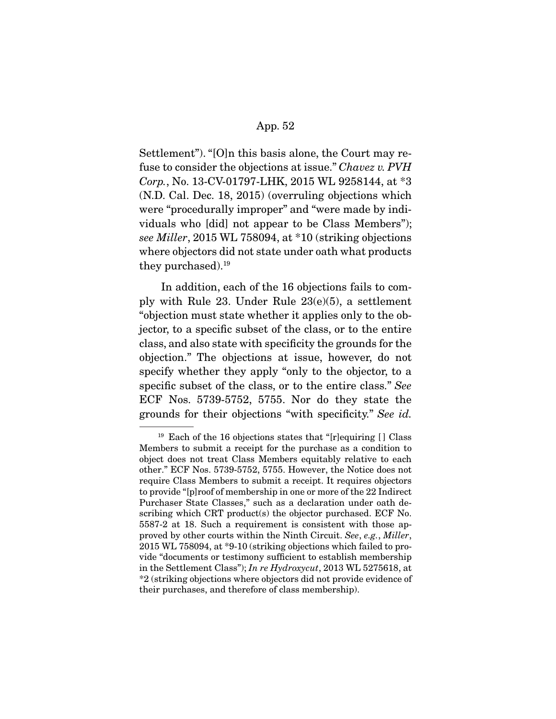Settlement"). "[O]n this basis alone, the Court may refuse to consider the objections at issue." Chavez v. PVH Corp., No. 13-CV-01797-LHK, 2015 WL 9258144, at \*3 (N.D. Cal. Dec. 18, 2015) (overruling objections which were "procedurally improper" and "were made by individuals who [did] not appear to be Class Members"); see Miller, 2015 WL 758094, at \*10 (striking objections where objectors did not state under oath what products they purchased).19

 In addition, each of the 16 objections fails to comply with Rule 23. Under Rule 23(e)(5), a settlement "objection must state whether it applies only to the objector, to a specific subset of the class, or to the entire class, and also state with specificity the grounds for the objection." The objections at issue, however, do not specify whether they apply "only to the objector, to a specific subset of the class, or to the entire class." See ECF Nos. 5739-5752, 5755. Nor do they state the grounds for their objections "with specificity." See id.

<sup>&</sup>lt;sup>19</sup> Each of the 16 objections states that "[r]equiring  $\lceil \cdot \rceil$  Class Members to submit a receipt for the purchase as a condition to object does not treat Class Members equitably relative to each other." ECF Nos. 5739-5752, 5755. However, the Notice does not require Class Members to submit a receipt. It requires objectors to provide "[p]roof of membership in one or more of the 22 Indirect Purchaser State Classes," such as a declaration under oath describing which CRT product(s) the objector purchased. ECF No. 5587-2 at 18. Such a requirement is consistent with those approved by other courts within the Ninth Circuit. See, e.g., Miller, 2015 WL 758094, at \*9-10 (striking objections which failed to provide "documents or testimony sufficient to establish membership in the Settlement Class"); In re Hydroxycut, 2013 WL 5275618, at \*2 (striking objections where objectors did not provide evidence of their purchases, and therefore of class membership).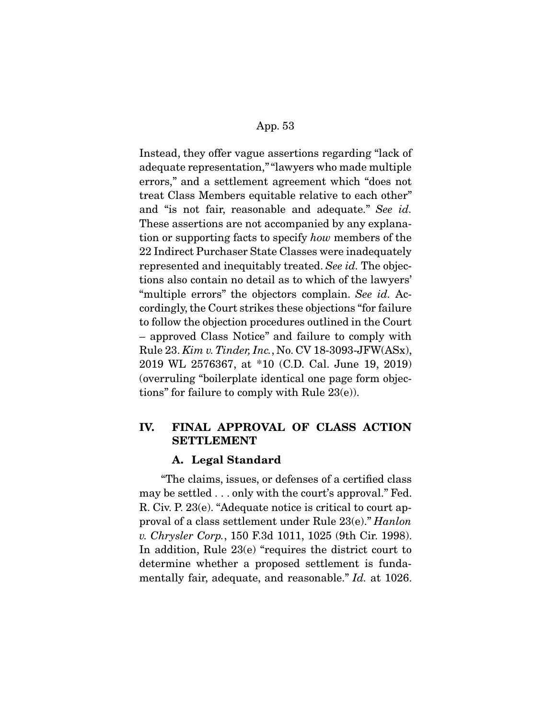Instead, they offer vague assertions regarding "lack of adequate representation," "lawyers who made multiple errors," and a settlement agreement which "does not treat Class Members equitable relative to each other" and "is not fair, reasonable and adequate." See id. These assertions are not accompanied by any explanation or supporting facts to specify how members of the 22 Indirect Purchaser State Classes were inadequately represented and inequitably treated. See id. The objections also contain no detail as to which of the lawyers' "multiple errors" the objectors complain. See id. Accordingly, the Court strikes these objections "for failure to follow the objection procedures outlined in the Court – approved Class Notice" and failure to comply with Rule 23. Kim v. Tinder, Inc., No. CV 18-3093-JFW(ASx), 2019 WL 2576367, at \*10 (C.D. Cal. June 19, 2019) (overruling "boilerplate identical one page form objections" for failure to comply with Rule 23(e)).

# **IV. FINAL APPROVAL OF CLASS ACTION SETTLEMENT**

## **A. Legal Standard**

 "The claims, issues, or defenses of a certified class may be settled . . . only with the court's approval." Fed. R. Civ. P. 23(e). "Adequate notice is critical to court approval of a class settlement under Rule 23(e)." Hanlon v. Chrysler Corp., 150 F.3d 1011, 1025 (9th Cir. 1998). In addition, Rule 23(e) "requires the district court to determine whether a proposed settlement is fundamentally fair, adequate, and reasonable." Id. at 1026.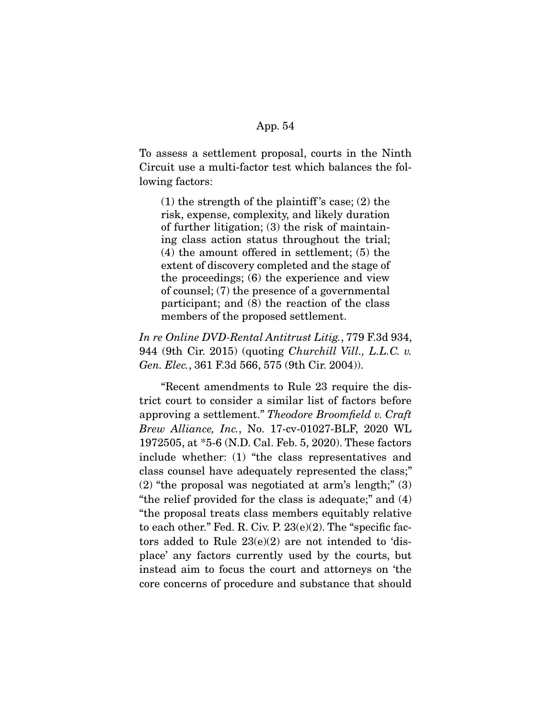To assess a settlement proposal, courts in the Ninth Circuit use a multi-factor test which balances the following factors:

 $(1)$  the strength of the plaintiff's case;  $(2)$  the risk, expense, complexity, and likely duration of further litigation; (3) the risk of maintaining class action status throughout the trial; (4) the amount offered in settlement; (5) the extent of discovery completed and the stage of the proceedings; (6) the experience and view of counsel; (7) the presence of a governmental participant; and (8) the reaction of the class members of the proposed settlement.

In re Online DVD-Rental Antitrust Litig., 779 F.3d 934, 944 (9th Cir. 2015) (quoting Churchill Vill., L.L.C. v. Gen. Elec., 361 F.3d 566, 575 (9th Cir. 2004)).

 "Recent amendments to Rule 23 require the district court to consider a similar list of factors before approving a settlement." Theodore Broomfield v. Craft Brew Alliance, Inc., No. 17-cv-01027-BLF, 2020 WL 1972505, at \*5-6 (N.D. Cal. Feb. 5, 2020). These factors include whether: (1) "the class representatives and class counsel have adequately represented the class;"  $(2)$  "the proposal was negotiated at arm's length;"  $(3)$ "the relief provided for the class is adequate;" and (4) "the proposal treats class members equitably relative to each other." Fed. R. Civ. P. 23(e)(2). The "specific factors added to Rule 23(e)(2) are not intended to 'displace' any factors currently used by the courts, but instead aim to focus the court and attorneys on 'the core concerns of procedure and substance that should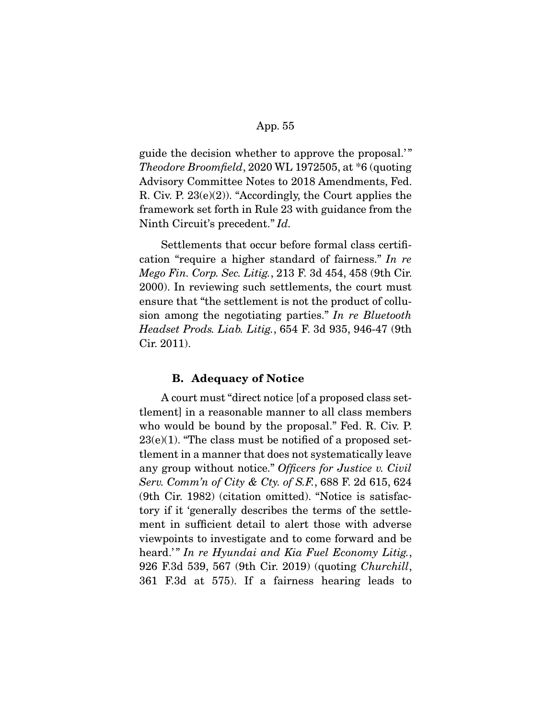guide the decision whether to approve the proposal.' " Theodore Broomfield, 2020 WL 1972505, at \*6 (quoting Advisory Committee Notes to 2018 Amendments, Fed. R. Civ. P. 23(e)(2)). "Accordingly, the Court applies the framework set forth in Rule 23 with guidance from the Ninth Circuit's precedent." Id.

 Settlements that occur before formal class certification "require a higher standard of fairness." In re Mego Fin. Corp. Sec. Litig., 213 F. 3d 454, 458 (9th Cir. 2000). In reviewing such settlements, the court must ensure that "the settlement is not the product of collusion among the negotiating parties." In re Bluetooth Headset Prods. Liab. Litig., 654 F. 3d 935, 946-47 (9th Cir. 2011).

## **B. Adequacy of Notice**

 A court must "direct notice [of a proposed class settlement] in a reasonable manner to all class members who would be bound by the proposal." Fed. R. Civ. P.  $23(e)(1)$ . "The class must be notified of a proposed settlement in a manner that does not systematically leave any group without notice." Officers for Justice v. Civil Serv. Comm'n of City & Cty. of S.F., 688 F. 2d 615, 624 (9th Cir. 1982) (citation omitted). "Notice is satisfactory if it 'generally describes the terms of the settlement in sufficient detail to alert those with adverse viewpoints to investigate and to come forward and be heard.'" In re Hyundai and Kia Fuel Economy Litig., 926 F.3d 539, 567 (9th Cir. 2019) (quoting Churchill, 361 F.3d at 575). If a fairness hearing leads to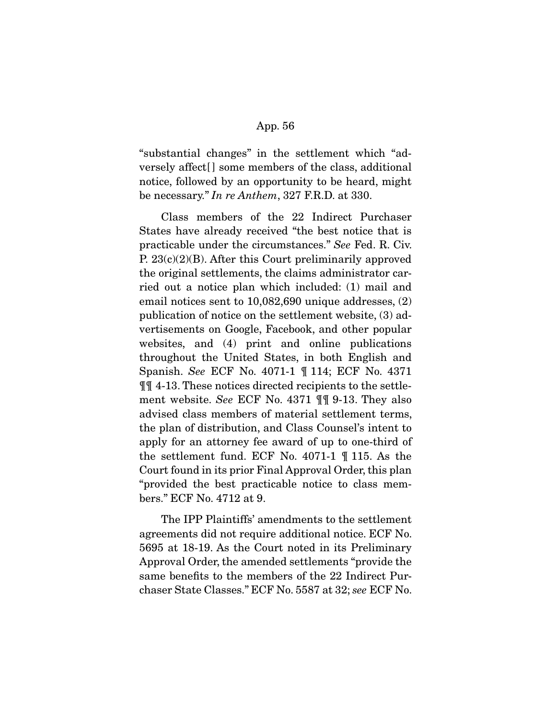"substantial changes" in the settlement which "adversely affect[ ] some members of the class, additional notice, followed by an opportunity to be heard, might be necessary." In re Anthem, 327 F.R.D. at 330.

 Class members of the 22 Indirect Purchaser States have already received "the best notice that is practicable under the circumstances." See Fed. R. Civ. P. 23(c)(2)(B). After this Court preliminarily approved the original settlements, the claims administrator carried out a notice plan which included: (1) mail and email notices sent to 10,082,690 unique addresses, (2) publication of notice on the settlement website, (3) advertisements on Google, Facebook, and other popular websites, and (4) print and online publications throughout the United States, in both English and Spanish. See ECF No. 4071-1 ¶ 114; ECF No. 4371 ¶¶ 4-13. These notices directed recipients to the settlement website. See ECF No. 4371 ¶¶ 9-13. They also advised class members of material settlement terms, the plan of distribution, and Class Counsel's intent to apply for an attorney fee award of up to one-third of the settlement fund. ECF No. 4071-1 ¶ 115. As the Court found in its prior Final Approval Order, this plan "provided the best practicable notice to class members." ECF No. 4712 at 9.

 The IPP Plaintiffs' amendments to the settlement agreements did not require additional notice. ECF No. 5695 at 18-19. As the Court noted in its Preliminary Approval Order, the amended settlements "provide the same benefits to the members of the 22 Indirect Purchaser State Classes." ECF No. 5587 at 32; see ECF No.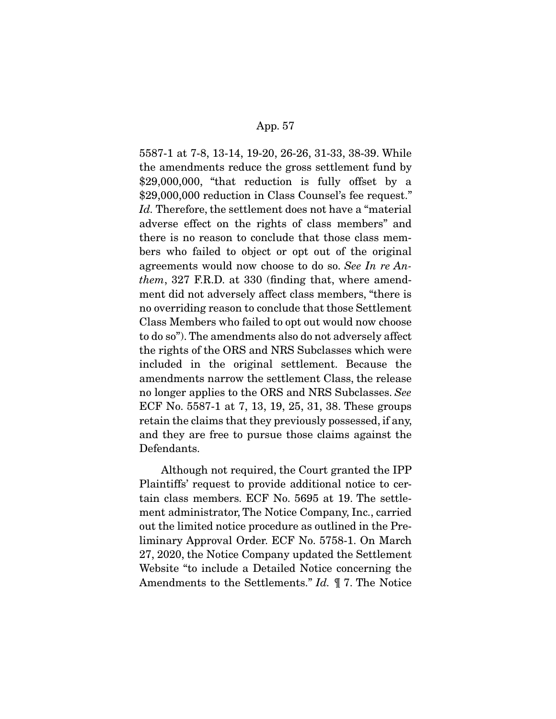5587-1 at 7-8, 13-14, 19-20, 26-26, 31-33, 38-39. While the amendments reduce the gross settlement fund by \$29,000,000, "that reduction is fully offset by a \$29,000,000 reduction in Class Counsel's fee request." Id. Therefore, the settlement does not have a "material" adverse effect on the rights of class members" and there is no reason to conclude that those class members who failed to object or opt out of the original agreements would now choose to do so. See In re Anthem, 327 F.R.D. at 330 (finding that, where amendment did not adversely affect class members, "there is no overriding reason to conclude that those Settlement Class Members who failed to opt out would now choose to do so"). The amendments also do not adversely affect the rights of the ORS and NRS Subclasses which were included in the original settlement. Because the amendments narrow the settlement Class, the release no longer applies to the ORS and NRS Subclasses. See ECF No. 5587-1 at 7, 13, 19, 25, 31, 38. These groups retain the claims that they previously possessed, if any, and they are free to pursue those claims against the Defendants.

 Although not required, the Court granted the IPP Plaintiffs' request to provide additional notice to certain class members. ECF No. 5695 at 19. The settlement administrator, The Notice Company, Inc., carried out the limited notice procedure as outlined in the Preliminary Approval Order. ECF No. 5758-1. On March 27, 2020, the Notice Company updated the Settlement Website "to include a Detailed Notice concerning the Amendments to the Settlements." Id.  $\mathbb{I}$  7. The Notice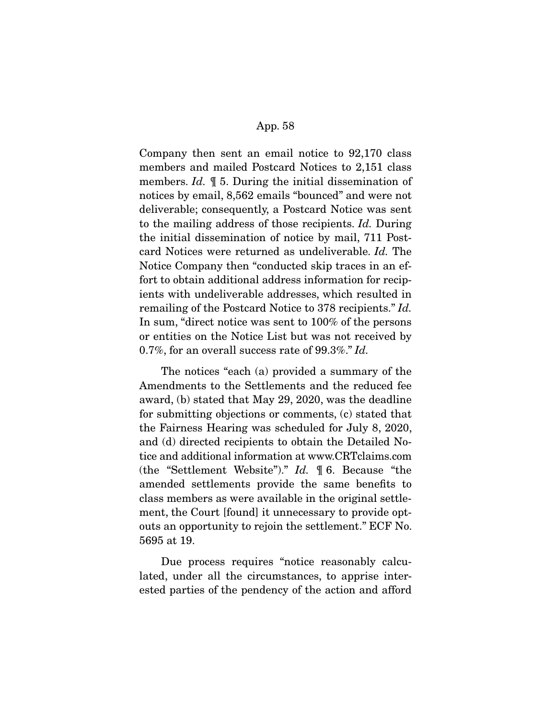Company then sent an email notice to 92,170 class members and mailed Postcard Notices to 2,151 class members. Id. ¶ 5. During the initial dissemination of notices by email, 8,562 emails "bounced" and were not deliverable; consequently, a Postcard Notice was sent to the mailing address of those recipients. Id. During the initial dissemination of notice by mail, 711 Postcard Notices were returned as undeliverable. Id. The Notice Company then "conducted skip traces in an effort to obtain additional address information for recipients with undeliverable addresses, which resulted in remailing of the Postcard Notice to 378 recipients." Id. In sum, "direct notice was sent to 100% of the persons or entities on the Notice List but was not received by 0.7%, for an overall success rate of 99.3%." Id.

 The notices "each (a) provided a summary of the Amendments to the Settlements and the reduced fee award, (b) stated that May 29, 2020, was the deadline for submitting objections or comments, (c) stated that the Fairness Hearing was scheduled for July 8, 2020, and (d) directed recipients to obtain the Detailed Notice and additional information at www.CRTclaims.com (the "Settlement Website")." Id. ¶ 6. Because "the amended settlements provide the same benefits to class members as were available in the original settlement, the Court [found] it unnecessary to provide optouts an opportunity to rejoin the settlement." ECF No. 5695 at 19.

 Due process requires "notice reasonably calculated, under all the circumstances, to apprise interested parties of the pendency of the action and afford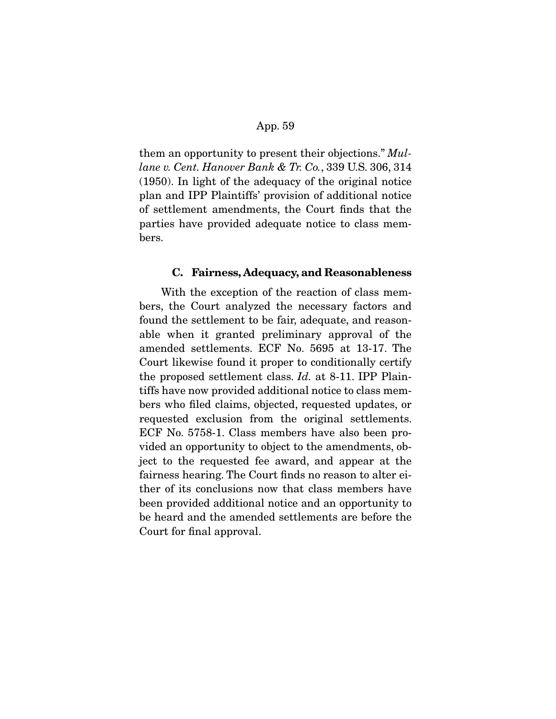them an opportunity to present their objections." Mullane v. Cent. Hanover Bank & Tr. Co., 339 U.S. 306, 314 (1950). In light of the adequacy of the original notice plan and IPP Plaintiffs' provision of additional notice of settlement amendments, the Court finds that the parties have provided adequate notice to class members.

#### **C. Fairness, Adequacy, and Reasonableness**

 With the exception of the reaction of class members, the Court analyzed the necessary factors and found the settlement to be fair, adequate, and reasonable when it granted preliminary approval of the amended settlements. ECF No. 5695 at 13-17. The Court likewise found it proper to conditionally certify the proposed settlement class. Id. at 8-11. IPP Plaintiffs have now provided additional notice to class members who filed claims, objected, requested updates, or requested exclusion from the original settlements. ECF No. 5758-1. Class members have also been provided an opportunity to object to the amendments, object to the requested fee award, and appear at the fairness hearing. The Court finds no reason to alter either of its conclusions now that class members have been provided additional notice and an opportunity to be heard and the amended settlements are before the Court for final approval.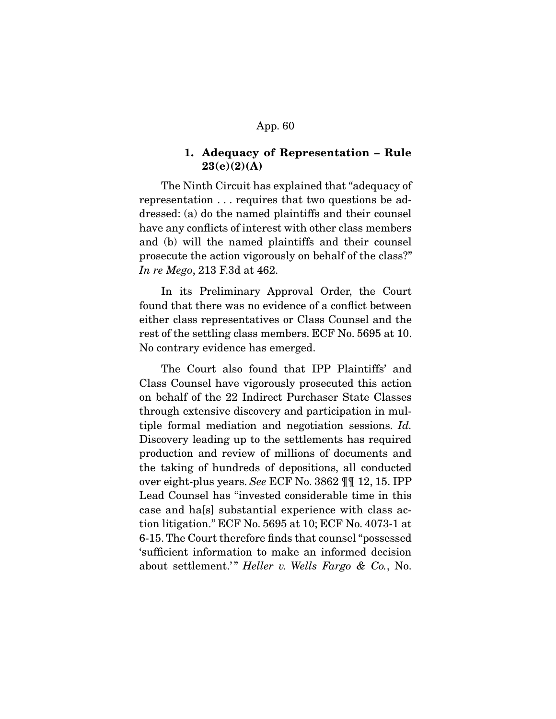## **1. Adequacy of Representation – Rule 23(e)(2)(A)**

 The Ninth Circuit has explained that "adequacy of representation . . . requires that two questions be addressed: (a) do the named plaintiffs and their counsel have any conflicts of interest with other class members and (b) will the named plaintiffs and their counsel prosecute the action vigorously on behalf of the class?" In re Mego, 213 F.3d at 462.

 In its Preliminary Approval Order, the Court found that there was no evidence of a conflict between either class representatives or Class Counsel and the rest of the settling class members. ECF No. 5695 at 10. No contrary evidence has emerged.

 The Court also found that IPP Plaintiffs' and Class Counsel have vigorously prosecuted this action on behalf of the 22 Indirect Purchaser State Classes through extensive discovery and participation in multiple formal mediation and negotiation sessions. Id. Discovery leading up to the settlements has required production and review of millions of documents and the taking of hundreds of depositions, all conducted over eight-plus years. See ECF No. 3862 ¶¶ 12, 15. IPP Lead Counsel has "invested considerable time in this case and ha[s] substantial experience with class action litigation." ECF No. 5695 at 10; ECF No. 4073-1 at 6-15. The Court therefore finds that counsel "possessed 'sufficient information to make an informed decision about settlement.'" Heller v. Wells Fargo & Co., No.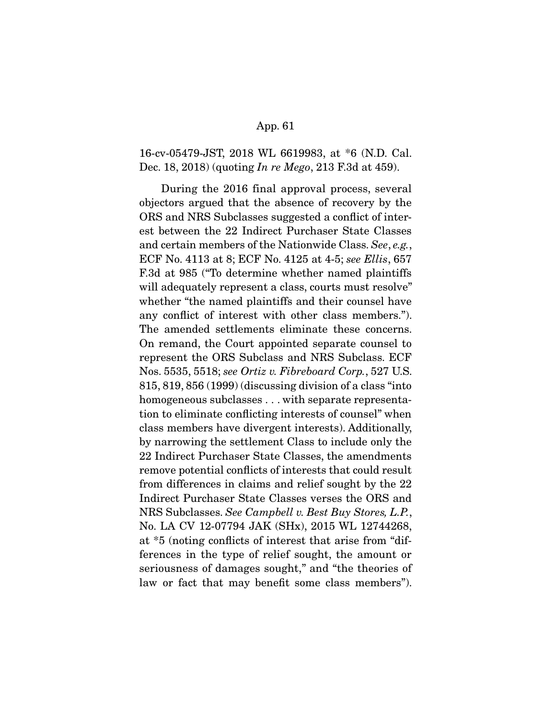16-cv-05479-JST, 2018 WL 6619983, at \*6 (N.D. Cal. Dec. 18, 2018) (quoting In re Mego, 213 F.3d at 459).

 During the 2016 final approval process, several objectors argued that the absence of recovery by the ORS and NRS Subclasses suggested a conflict of interest between the 22 Indirect Purchaser State Classes and certain members of the Nationwide Class. See, e.g., ECF No. 4113 at 8; ECF No. 4125 at 4-5; see Ellis, 657 F.3d at 985 ("To determine whether named plaintiffs will adequately represent a class, courts must resolve" whether "the named plaintiffs and their counsel have any conflict of interest with other class members."). The amended settlements eliminate these concerns. On remand, the Court appointed separate counsel to represent the ORS Subclass and NRS Subclass. ECF Nos. 5535, 5518; see Ortiz v. Fibreboard Corp., 527 U.S. 815, 819, 856 (1999) (discussing division of a class "into homogeneous subclasses . . . with separate representation to eliminate conflicting interests of counsel" when class members have divergent interests). Additionally, by narrowing the settlement Class to include only the 22 Indirect Purchaser State Classes, the amendments remove potential conflicts of interests that could result from differences in claims and relief sought by the 22 Indirect Purchaser State Classes verses the ORS and NRS Subclasses. See Campbell v. Best Buy Stores, L.P., No. LA CV 12-07794 JAK (SHx), 2015 WL 12744268, at \*5 (noting conflicts of interest that arise from "differences in the type of relief sought, the amount or seriousness of damages sought," and "the theories of law or fact that may benefit some class members").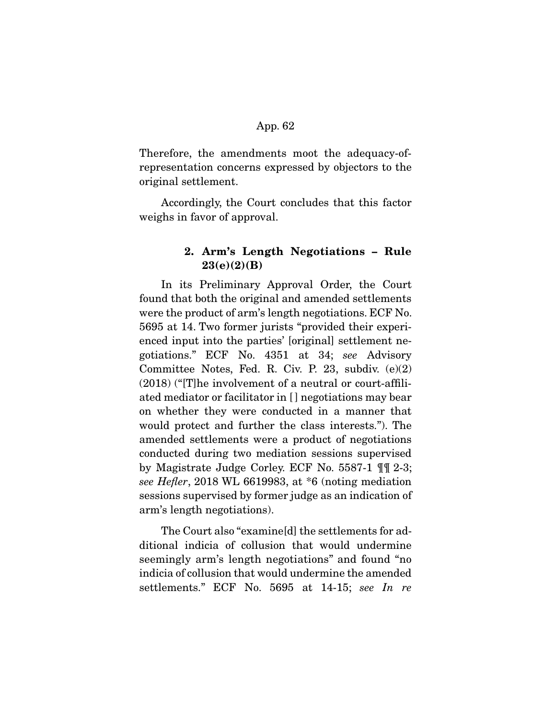Therefore, the amendments moot the adequacy-ofrepresentation concerns expressed by objectors to the original settlement.

 Accordingly, the Court concludes that this factor weighs in favor of approval.

# **2. Arm's Length Negotiations – Rule 23(e)(2)(B)**

 In its Preliminary Approval Order, the Court found that both the original and amended settlements were the product of arm's length negotiations. ECF No. 5695 at 14. Two former jurists "provided their experienced input into the parties' [original] settlement negotiations." ECF No. 4351 at 34; see Advisory Committee Notes, Fed. R. Civ. P. 23, subdiv. (e)(2) (2018) ("[T]he involvement of a neutral or court-affiliated mediator or facilitator in [ ] negotiations may bear on whether they were conducted in a manner that would protect and further the class interests."). The amended settlements were a product of negotiations conducted during two mediation sessions supervised by Magistrate Judge Corley. ECF No. 5587-1 ¶¶ 2-3; see Hefler, 2018 WL 6619983, at \*6 (noting mediation sessions supervised by former judge as an indication of arm's length negotiations).

 The Court also "examine[d] the settlements for additional indicia of collusion that would undermine seemingly arm's length negotiations" and found "no indicia of collusion that would undermine the amended settlements." ECF No. 5695 at 14-15; see In re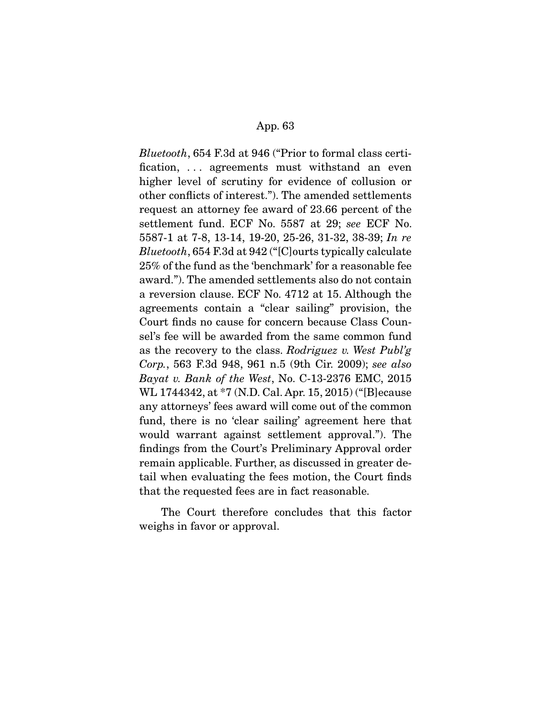Bluetooth, 654 F.3d at 946 ("Prior to formal class certification, . . . agreements must withstand an even higher level of scrutiny for evidence of collusion or other conflicts of interest."). The amended settlements request an attorney fee award of 23.66 percent of the settlement fund. ECF No. 5587 at 29; see ECF No. 5587-1 at 7-8, 13-14, 19-20, 25-26, 31-32, 38-39; In re Bluetooth, 654 F.3d at 942 ("[C]ourts typically calculate 25% of the fund as the 'benchmark' for a reasonable fee award."). The amended settlements also do not contain a reversion clause. ECF No. 4712 at 15. Although the agreements contain a "clear sailing" provision, the Court finds no cause for concern because Class Counsel's fee will be awarded from the same common fund as the recovery to the class. Rodriguez v. West Publ'g Corp., 563 F.3d 948, 961 n.5 (9th Cir. 2009); see also Bayat v. Bank of the West, No. C-13-2376 EMC, 2015 WL 1744342, at \*7 (N.D. Cal. Apr. 15, 2015) ("[B]ecause any attorneys' fees award will come out of the common fund, there is no 'clear sailing' agreement here that would warrant against settlement approval."). The findings from the Court's Preliminary Approval order remain applicable. Further, as discussed in greater detail when evaluating the fees motion, the Court finds that the requested fees are in fact reasonable.

 The Court therefore concludes that this factor weighs in favor or approval.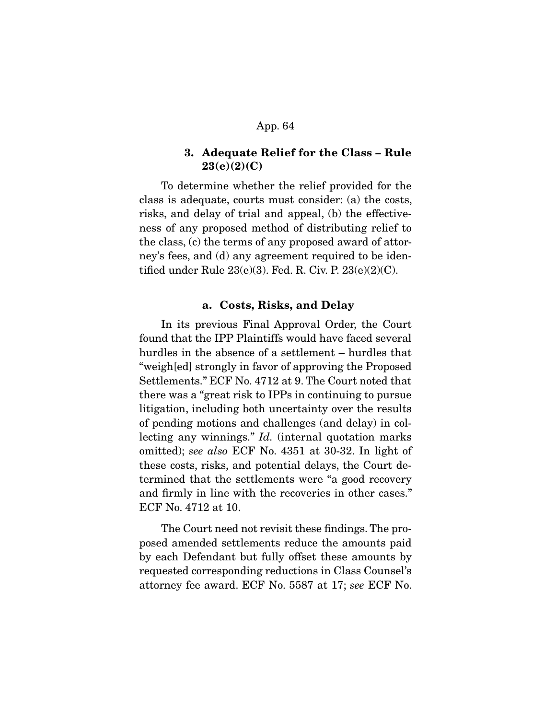## **3. Adequate Relief for the Class – Rule 23(e)(2)(C)**

 To determine whether the relief provided for the class is adequate, courts must consider: (a) the costs, risks, and delay of trial and appeal, (b) the effectiveness of any proposed method of distributing relief to the class, (c) the terms of any proposed award of attorney's fees, and (d) any agreement required to be identified under Rule  $23(e)(3)$ . Fed. R. Civ. P.  $23(e)(2)(C)$ .

## **a. Costs, Risks, and Delay**

 In its previous Final Approval Order, the Court found that the IPP Plaintiffs would have faced several hurdles in the absence of a settlement – hurdles that "weigh[ed] strongly in favor of approving the Proposed Settlements." ECF No. 4712 at 9. The Court noted that there was a "great risk to IPPs in continuing to pursue litigation, including both uncertainty over the results of pending motions and challenges (and delay) in collecting any winnings." *Id.* (internal quotation marks omitted); see also ECF No. 4351 at 30-32. In light of these costs, risks, and potential delays, the Court determined that the settlements were "a good recovery and firmly in line with the recoveries in other cases." ECF No. 4712 at 10.

 The Court need not revisit these findings. The proposed amended settlements reduce the amounts paid by each Defendant but fully offset these amounts by requested corresponding reductions in Class Counsel's attorney fee award. ECF No. 5587 at 17; see ECF No.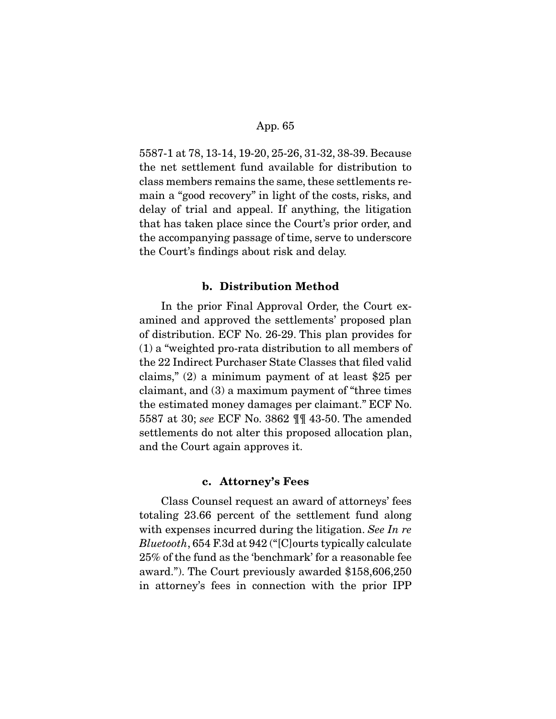5587-1 at 78, 13-14, 19-20, 25-26, 31-32, 38-39. Because the net settlement fund available for distribution to class members remains the same, these settlements remain a "good recovery" in light of the costs, risks, and delay of trial and appeal. If anything, the litigation that has taken place since the Court's prior order, and the accompanying passage of time, serve to underscore the Court's findings about risk and delay.

## **b. Distribution Method**

 In the prior Final Approval Order, the Court examined and approved the settlements' proposed plan of distribution. ECF No. 26-29. This plan provides for (1) a "weighted pro-rata distribution to all members of the 22 Indirect Purchaser State Classes that filed valid claims," (2) a minimum payment of at least \$25 per claimant, and (3) a maximum payment of "three times the estimated money damages per claimant." ECF No. 5587 at 30; see ECF No. 3862 ¶¶ 43-50. The amended settlements do not alter this proposed allocation plan, and the Court again approves it.

#### **c. Attorney's Fees**

 Class Counsel request an award of attorneys' fees totaling 23.66 percent of the settlement fund along with expenses incurred during the litigation. See In re Bluetooth, 654 F.3d at 942 ("[C]ourts typically calculate 25% of the fund as the 'benchmark' for a reasonable fee award."). The Court previously awarded \$158,606,250 in attorney's fees in connection with the prior IPP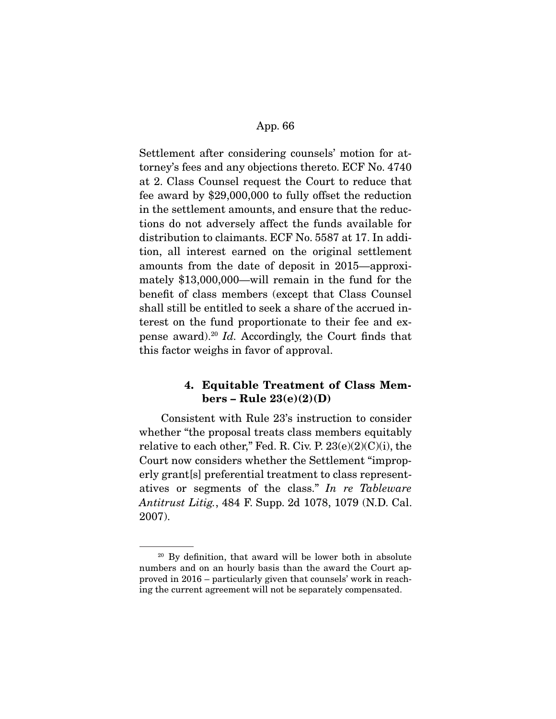Settlement after considering counsels' motion for attorney's fees and any objections thereto. ECF No. 4740 at 2. Class Counsel request the Court to reduce that fee award by \$29,000,000 to fully offset the reduction in the settlement amounts, and ensure that the reductions do not adversely affect the funds available for distribution to claimants. ECF No. 5587 at 17. In addition, all interest earned on the original settlement amounts from the date of deposit in 2015—approximately \$13,000,000—will remain in the fund for the benefit of class members (except that Class Counsel shall still be entitled to seek a share of the accrued interest on the fund proportionate to their fee and expense award).<sup>20</sup> Id. Accordingly, the Court finds that this factor weighs in favor of approval.

# **4. Equitable Treatment of Class Members – Rule 23(e)(2)(D)**

 Consistent with Rule 23's instruction to consider whether "the proposal treats class members equitably relative to each other," Fed. R. Civ. P.  $23(e)(2)(C)(i)$ , the Court now considers whether the Settlement "improperly grant[s] preferential treatment to class representatives or segments of the class." In re Tableware Antitrust Litig., 484 F. Supp. 2d 1078, 1079 (N.D. Cal. 2007).

 $20$  By definition, that award will be lower both in absolute numbers and on an hourly basis than the award the Court approved in 2016 – particularly given that counsels' work in reaching the current agreement will not be separately compensated.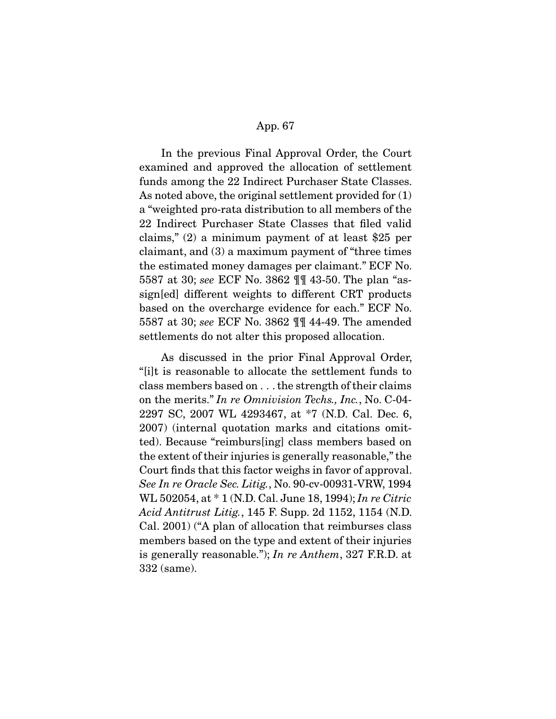In the previous Final Approval Order, the Court examined and approved the allocation of settlement funds among the 22 Indirect Purchaser State Classes. As noted above, the original settlement provided for (1) a "weighted pro-rata distribution to all members of the 22 Indirect Purchaser State Classes that filed valid claims," (2) a minimum payment of at least \$25 per claimant, and (3) a maximum payment of "three times the estimated money damages per claimant." ECF No. 5587 at 30; see ECF No. 3862 ¶¶ 43-50. The plan "assign[ed] different weights to different CRT products based on the overcharge evidence for each." ECF No. 5587 at 30; see ECF No. 3862 ¶¶ 44-49. The amended settlements do not alter this proposed allocation.

 As discussed in the prior Final Approval Order, "[i]t is reasonable to allocate the settlement funds to class members based on . . . the strength of their claims on the merits." In re Omnivision Techs., Inc., No. C-04- 2297 SC, 2007 WL 4293467, at \*7 (N.D. Cal. Dec. 6, 2007) (internal quotation marks and citations omitted). Because "reimburs[ing] class members based on the extent of their injuries is generally reasonable," the Court finds that this factor weighs in favor of approval. See In re Oracle Sec. Litig., No. 90-cv-00931-VRW, 1994 WL 502054, at \* 1 (N.D. Cal. June 18, 1994); In re Citric Acid Antitrust Litig., 145 F. Supp. 2d 1152, 1154 (N.D. Cal. 2001) ("A plan of allocation that reimburses class members based on the type and extent of their injuries is generally reasonable."); In re Anthem, 327 F.R.D. at 332 (same).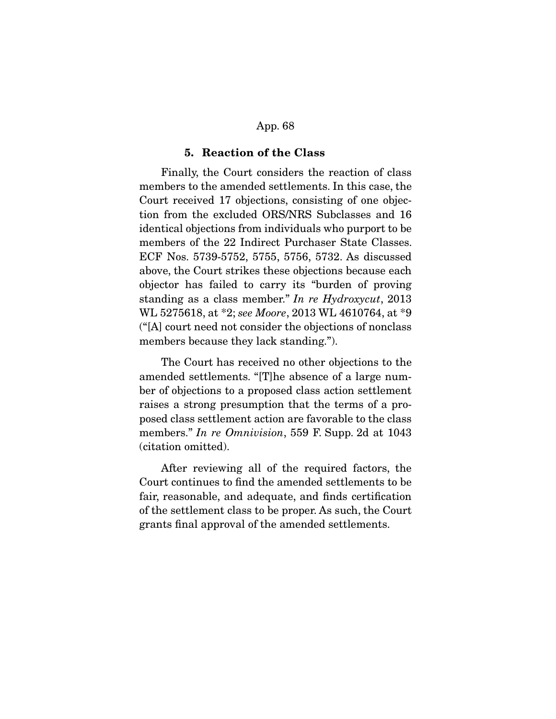## **5. Reaction of the Class**

 Finally, the Court considers the reaction of class members to the amended settlements. In this case, the Court received 17 objections, consisting of one objection from the excluded ORS/NRS Subclasses and 16 identical objections from individuals who purport to be members of the 22 Indirect Purchaser State Classes. ECF Nos. 5739-5752, 5755, 5756, 5732. As discussed above, the Court strikes these objections because each objector has failed to carry its "burden of proving standing as a class member." In re Hydroxycut, 2013 WL 5275618, at \*2; see Moore, 2013 WL 4610764, at \*9 ("[A] court need not consider the objections of nonclass members because they lack standing.").

 The Court has received no other objections to the amended settlements. "[T]he absence of a large number of objections to a proposed class action settlement raises a strong presumption that the terms of a proposed class settlement action are favorable to the class members." In re Omnivision, 559 F. Supp. 2d at 1043 (citation omitted).

 After reviewing all of the required factors, the Court continues to find the amended settlements to be fair, reasonable, and adequate, and finds certification of the settlement class to be proper. As such, the Court grants final approval of the amended settlements.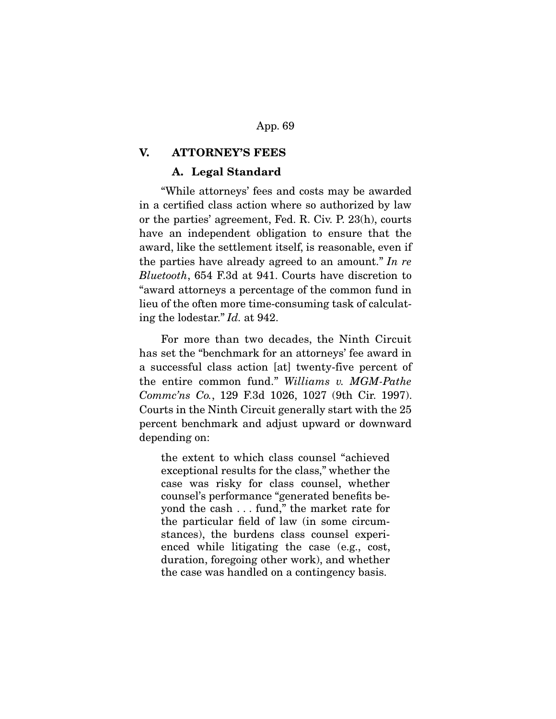## **V. ATTORNEY'S FEES**

## **A. Legal Standard**

 "While attorneys' fees and costs may be awarded in a certified class action where so authorized by law or the parties' agreement, Fed. R. Civ. P. 23(h), courts have an independent obligation to ensure that the award, like the settlement itself, is reasonable, even if the parties have already agreed to an amount." In re Bluetooth, 654 F.3d at 941. Courts have discretion to "award attorneys a percentage of the common fund in lieu of the often more time-consuming task of calculating the lodestar." Id. at 942.

 For more than two decades, the Ninth Circuit has set the "benchmark for an attorneys' fee award in a successful class action [at] twenty-five percent of the entire common fund." Williams v. MGM-Pathe Commc'ns Co., 129 F.3d 1026, 1027 (9th Cir. 1997). Courts in the Ninth Circuit generally start with the 25 percent benchmark and adjust upward or downward depending on:

the extent to which class counsel "achieved exceptional results for the class," whether the case was risky for class counsel, whether counsel's performance "generated benefits beyond the cash . . . fund," the market rate for the particular field of law (in some circumstances), the burdens class counsel experienced while litigating the case (e.g., cost, duration, foregoing other work), and whether the case was handled on a contingency basis.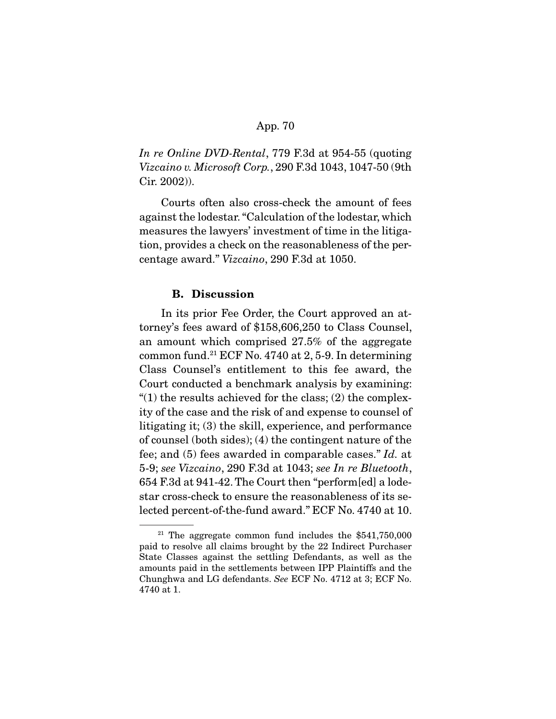In re Online DVD-Rental, 779 F.3d at 954-55 (quoting Vizcaino v. Microsoft Corp., 290 F.3d 1043, 1047-50 (9th Cir. 2002)).

 Courts often also cross-check the amount of fees against the lodestar. "Calculation of the lodestar, which measures the lawyers' investment of time in the litigation, provides a check on the reasonableness of the percentage award." Vizcaino, 290 F.3d at 1050.

## **B. Discussion**

 In its prior Fee Order, the Court approved an attorney's fees award of \$158,606,250 to Class Counsel, an amount which comprised 27.5% of the aggregate common fund.<sup>21</sup> ECF No. 4740 at 2, 5-9. In determining Class Counsel's entitlement to this fee award, the Court conducted a benchmark analysis by examining: " $(1)$  the results achieved for the class;  $(2)$  the complexity of the case and the risk of and expense to counsel of litigating it; (3) the skill, experience, and performance of counsel (both sides); (4) the contingent nature of the fee; and (5) fees awarded in comparable cases." Id. at 5-9; see Vizcaino, 290 F.3d at 1043; see In re Bluetooth, 654 F.3d at 941-42. The Court then "perform[ed] a lodestar cross-check to ensure the reasonableness of its selected percent-of-the-fund award." ECF No. 4740 at 10.

<sup>&</sup>lt;sup>21</sup> The aggregate common fund includes the  $$541,750,000$ paid to resolve all claims brought by the 22 Indirect Purchaser State Classes against the settling Defendants, as well as the amounts paid in the settlements between IPP Plaintiffs and the Chunghwa and LG defendants. See ECF No. 4712 at 3; ECF No. 4740 at 1.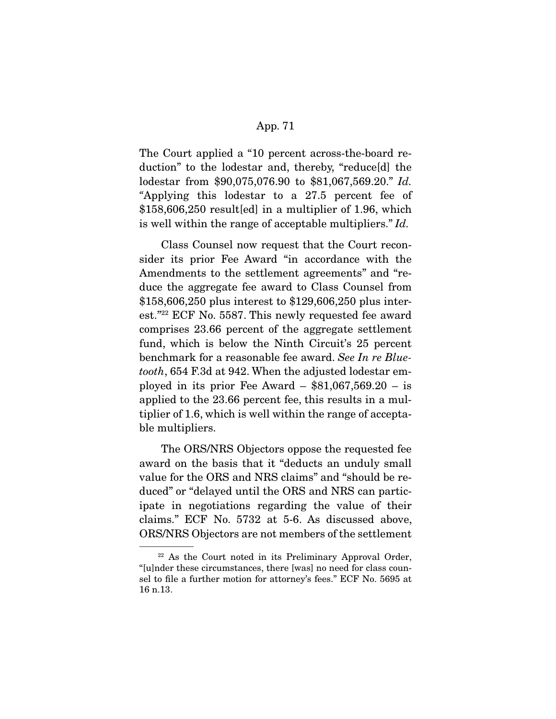The Court applied a "10 percent across-the-board reduction" to the lodestar and, thereby, "reduce[d] the lodestar from \$90,075,076.90 to \$81,067,569.20." Id. "Applying this lodestar to a 27.5 percent fee of \$158,606,250 result[ed] in a multiplier of 1.96, which is well within the range of acceptable multipliers." Id.

 Class Counsel now request that the Court reconsider its prior Fee Award "in accordance with the Amendments to the settlement agreements" and "reduce the aggregate fee award to Class Counsel from \$158,606,250 plus interest to \$129,606,250 plus interest."22 ECF No. 5587. This newly requested fee award comprises 23.66 percent of the aggregate settlement fund, which is below the Ninth Circuit's 25 percent benchmark for a reasonable fee award. See In re Bluetooth, 654 F.3d at 942. When the adjusted lodestar employed in its prior Fee Award –  $$81,067,569.20 - is$ applied to the 23.66 percent fee, this results in a multiplier of 1.6, which is well within the range of acceptable multipliers.

 The ORS/NRS Objectors oppose the requested fee award on the basis that it "deducts an unduly small value for the ORS and NRS claims" and "should be reduced" or "delayed until the ORS and NRS can participate in negotiations regarding the value of their claims." ECF No. 5732 at 5-6. As discussed above, ORS/NRS Objectors are not members of the settlement

<sup>22</sup> As the Court noted in its Preliminary Approval Order, "[u]nder these circumstances, there [was] no need for class counsel to file a further motion for attorney's fees." ECF No. 5695 at 16 n.13.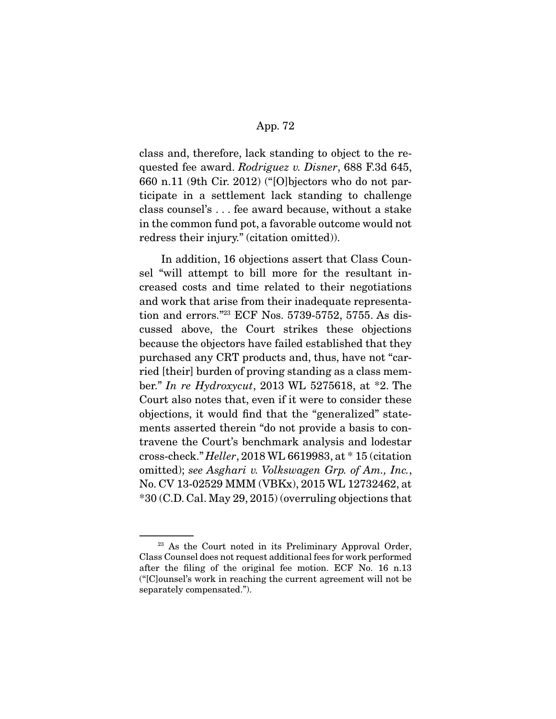class and, therefore, lack standing to object to the requested fee award. Rodriguez v. Disner, 688 F.3d 645, 660 n.11 (9th Cir. 2012) ("[O]bjectors who do not participate in a settlement lack standing to challenge class counsel's . . . fee award because, without a stake in the common fund pot, a favorable outcome would not redress their injury." (citation omitted)).

 In addition, 16 objections assert that Class Counsel "will attempt to bill more for the resultant increased costs and time related to their negotiations and work that arise from their inadequate representation and errors."23 ECF Nos. 5739-5752, 5755. As discussed above, the Court strikes these objections because the objectors have failed established that they purchased any CRT products and, thus, have not "carried [their] burden of proving standing as a class member." In re Hydroxycut, 2013 WL 5275618, at \*2. The Court also notes that, even if it were to consider these objections, it would find that the "generalized" statements asserted therein "do not provide a basis to contravene the Court's benchmark analysis and lodestar cross-check." Heller, 2018 WL 6619983, at \* 15 (citation omitted); see Asghari v. Volkswagen Grp. of Am., Inc., No. CV 13-02529 MMM (VBKx), 2015 WL 12732462, at \*30 (C.D. Cal. May 29, 2015) (overruling objections that

<sup>&</sup>lt;sup>23</sup> As the Court noted in its Preliminary Approval Order, Class Counsel does not request additional fees for work performed after the filing of the original fee motion. ECF No. 16 n.13 ("[C]ounsel's work in reaching the current agreement will not be separately compensated.").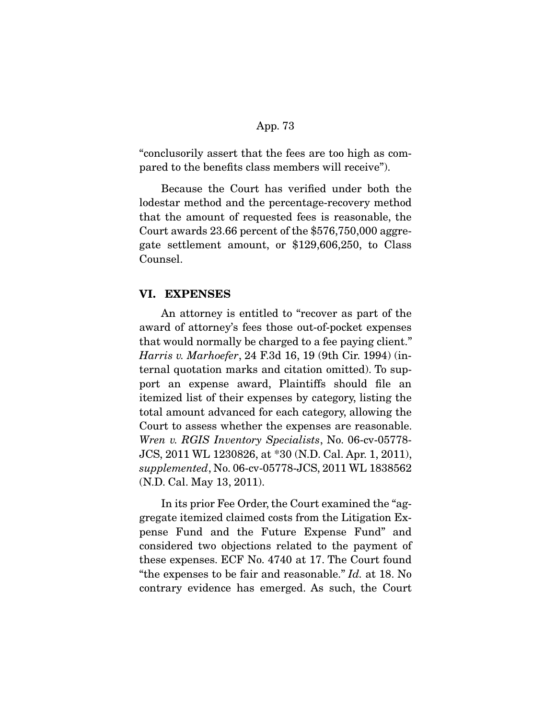"conclusorily assert that the fees are too high as compared to the benefits class members will receive").

 Because the Court has verified under both the lodestar method and the percentage-recovery method that the amount of requested fees is reasonable, the Court awards 23.66 percent of the \$576,750,000 aggregate settlement amount, or \$129,606,250, to Class Counsel.

## **VI. EXPENSES**

 An attorney is entitled to "recover as part of the award of attorney's fees those out-of-pocket expenses that would normally be charged to a fee paying client." Harris v. Marhoefer, 24 F.3d 16, 19 (9th Cir. 1994) (internal quotation marks and citation omitted). To support an expense award, Plaintiffs should file an itemized list of their expenses by category, listing the total amount advanced for each category, allowing the Court to assess whether the expenses are reasonable. Wren v. RGIS Inventory Specialists, No. 06-cv-05778- JCS, 2011 WL 1230826, at \*30 (N.D. Cal. Apr. 1, 2011), supplemented, No. 06-cv-05778-JCS, 2011 WL 1838562 (N.D. Cal. May 13, 2011).

 In its prior Fee Order, the Court examined the "aggregate itemized claimed costs from the Litigation Expense Fund and the Future Expense Fund" and considered two objections related to the payment of these expenses. ECF No. 4740 at 17. The Court found "the expenses to be fair and reasonable." Id. at 18. No contrary evidence has emerged. As such, the Court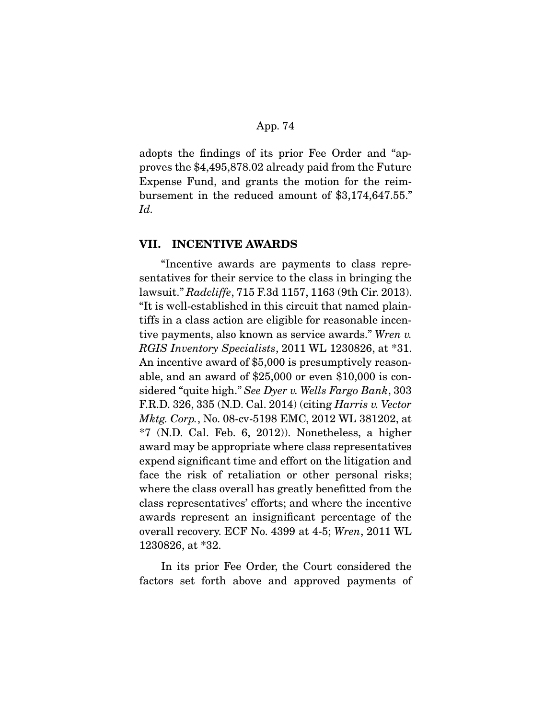adopts the findings of its prior Fee Order and "approves the \$4,495,878.02 already paid from the Future Expense Fund, and grants the motion for the reimbursement in the reduced amount of \$3,174,647.55." Id.

## **VII. INCENTIVE AWARDS**

 "Incentive awards are payments to class representatives for their service to the class in bringing the lawsuit." Radcliffe, 715 F.3d 1157, 1163 (9th Cir. 2013). "It is well-established in this circuit that named plaintiffs in a class action are eligible for reasonable incentive payments, also known as service awards." Wren v. RGIS Inventory Specialists, 2011 WL 1230826, at \*31. An incentive award of \$5,000 is presumptively reasonable, and an award of \$25,000 or even \$10,000 is considered "quite high." See Dyer v. Wells Fargo Bank, 303 F.R.D. 326, 335 (N.D. Cal. 2014) (citing Harris v. Vector Mktg. Corp., No. 08-cv-5198 EMC, 2012 WL 381202, at  $*7$  (N.D. Cal. Feb. 6, 2012)). Nonetheless, a higher award may be appropriate where class representatives expend significant time and effort on the litigation and face the risk of retaliation or other personal risks; where the class overall has greatly benefitted from the class representatives' efforts; and where the incentive awards represent an insignificant percentage of the overall recovery. ECF No. 4399 at 4-5; Wren, 2011 WL 1230826, at \*32.

 In its prior Fee Order, the Court considered the factors set forth above and approved payments of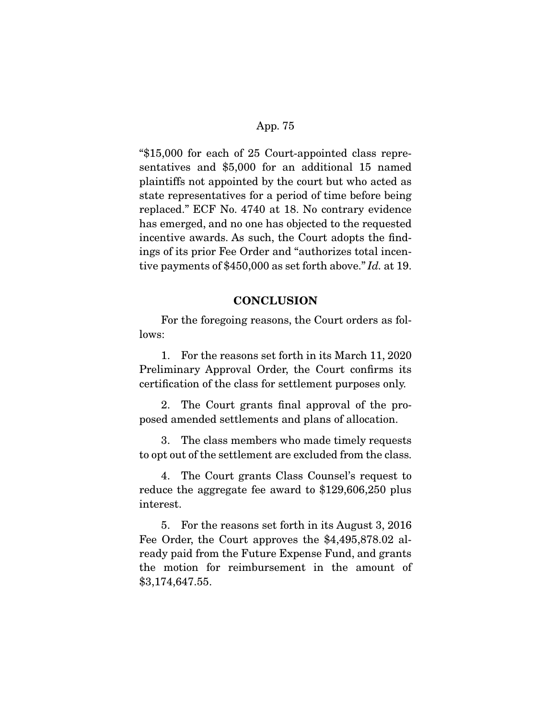"\$15,000 for each of 25 Court-appointed class representatives and \$5,000 for an additional 15 named plaintiffs not appointed by the court but who acted as state representatives for a period of time before being replaced." ECF No. 4740 at 18. No contrary evidence has emerged, and no one has objected to the requested incentive awards. As such, the Court adopts the findings of its prior Fee Order and "authorizes total incentive payments of \$450,000 as set forth above." Id. at 19.

## **CONCLUSION**

 For the foregoing reasons, the Court orders as follows:

 1. For the reasons set forth in its March 11, 2020 Preliminary Approval Order, the Court confirms its certification of the class for settlement purposes only.

 2. The Court grants final approval of the proposed amended settlements and plans of allocation.

 3. The class members who made timely requests to opt out of the settlement are excluded from the class.

 4. The Court grants Class Counsel's request to reduce the aggregate fee award to \$129,606,250 plus interest.

 5. For the reasons set forth in its August 3, 2016 Fee Order, the Court approves the \$4,495,878.02 already paid from the Future Expense Fund, and grants the motion for reimbursement in the amount of \$3,174,647.55.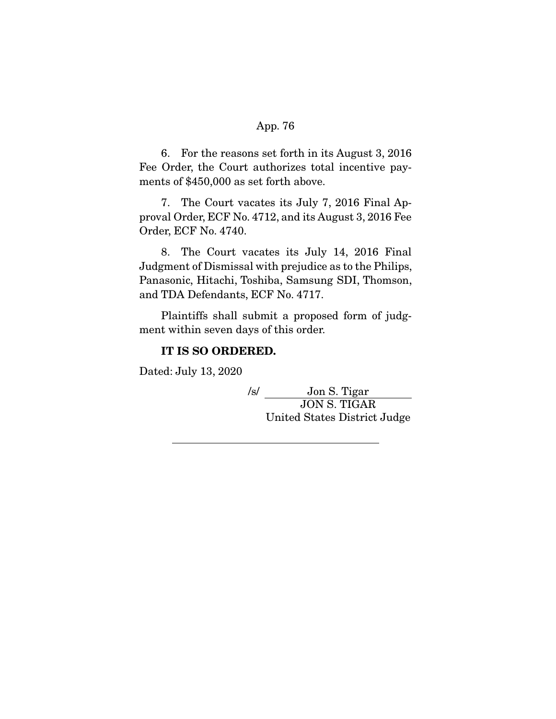6. For the reasons set forth in its August 3, 2016 Fee Order, the Court authorizes total incentive payments of \$450,000 as set forth above.

 7. The Court vacates its July 7, 2016 Final Approval Order, ECF No. 4712, and its August 3, 2016 Fee Order, ECF No. 4740.

 8. The Court vacates its July 14, 2016 Final Judgment of Dismissal with prejudice as to the Philips, Panasonic, Hitachi, Toshiba, Samsung SDI, Thomson, and TDA Defendants, ECF No. 4717.

 Plaintiffs shall submit a proposed form of judgment within seven days of this order.

## **IT IS SO ORDERED.**

Dated: July 13, 2020

/s/ Jon S. Tigar JON S. TIGAR United States District Judge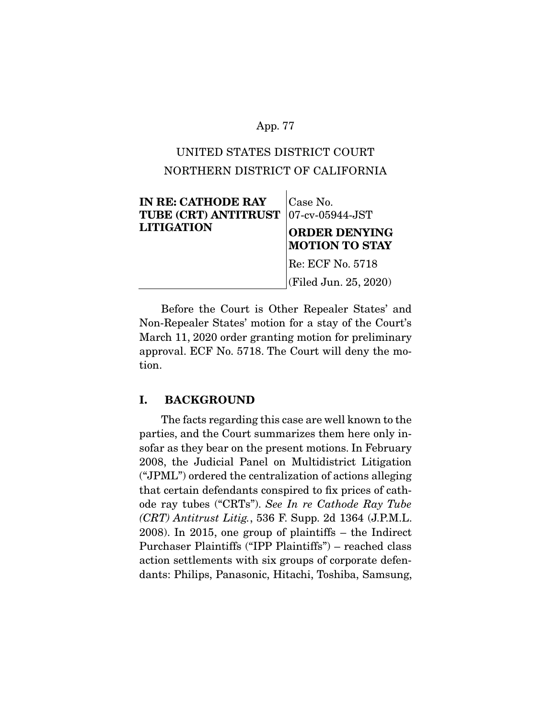# UNITED STATES DISTRICT COURT NORTHERN DISTRICT OF CALIFORNIA

| <b>IN RE: CATHODE RAY</b><br><b>TUBE (CRT) ANTITRUST</b><br><b>LITIGATION</b> | Case No.<br>$ 07$ -cv-05944-JST<br><b>ORDER DENYING</b><br><b>MOTION TO STAY</b> |
|-------------------------------------------------------------------------------|----------------------------------------------------------------------------------|
|                                                                               | Re: ECF No. 5718                                                                 |
|                                                                               | (Filed Jun. 25, 2020)                                                            |

 Before the Court is Other Repealer States' and Non-Repealer States' motion for a stay of the Court's March 11, 2020 order granting motion for preliminary approval. ECF No. 5718. The Court will deny the motion.

## **I. BACKGROUND**

 The facts regarding this case are well known to the parties, and the Court summarizes them here only insofar as they bear on the present motions. In February 2008, the Judicial Panel on Multidistrict Litigation ("JPML") ordered the centralization of actions alleging that certain defendants conspired to fix prices of cathode ray tubes ("CRTs"). See In re Cathode Ray Tube  $(CRT)$  Antitrust Litig., 536 F. Supp. 2d 1364 (J.P.M.L.) 2008). In 2015, one group of plaintiffs – the Indirect Purchaser Plaintiffs ("IPP Plaintiffs") – reached class action settlements with six groups of corporate defendants: Philips, Panasonic, Hitachi, Toshiba, Samsung,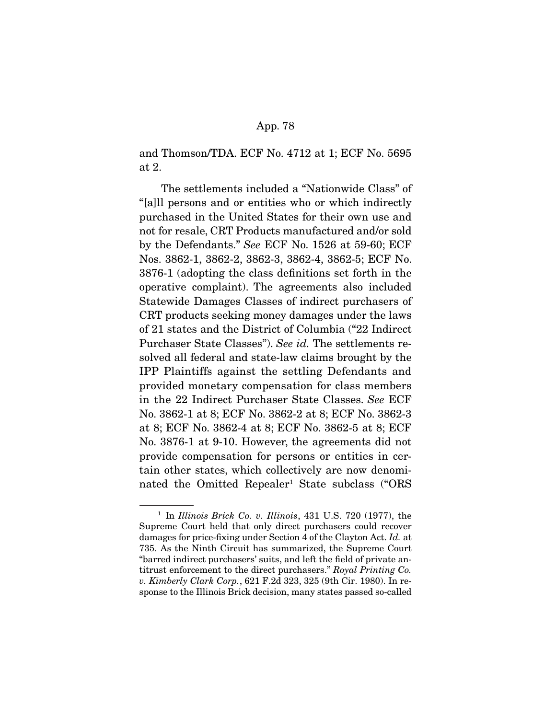and Thomson/TDA. ECF No. 4712 at 1; ECF No. 5695 at 2.

 The settlements included a "Nationwide Class" of "[a]ll persons and or entities who or which indirectly purchased in the United States for their own use and not for resale, CRT Products manufactured and/or sold by the Defendants." See ECF No. 1526 at 59-60; ECF Nos. 3862-1, 3862-2, 3862-3, 3862-4, 3862-5; ECF No. 3876-1 (adopting the class definitions set forth in the operative complaint). The agreements also included Statewide Damages Classes of indirect purchasers of CRT products seeking money damages under the laws of 21 states and the District of Columbia ("22 Indirect Purchaser State Classes"). See id. The settlements resolved all federal and state-law claims brought by the IPP Plaintiffs against the settling Defendants and provided monetary compensation for class members in the 22 Indirect Purchaser State Classes. See ECF No. 3862-1 at 8; ECF No. 3862-2 at 8; ECF No. 3862-3 at 8; ECF No. 3862-4 at 8; ECF No. 3862-5 at 8; ECF No. 3876-1 at 9-10. However, the agreements did not provide compensation for persons or entities in certain other states, which collectively are now denominated the Omitted Repealer<sup>1</sup> State subclass ("ORS

<sup>&</sup>lt;sup>1</sup> In Illinois Brick Co. v. Illinois,  $431$  U.S. 720 (1977), the Supreme Court held that only direct purchasers could recover damages for price-fixing under Section 4 of the Clayton Act. Id. at 735. As the Ninth Circuit has summarized, the Supreme Court "barred indirect purchasers' suits, and left the field of private antitrust enforcement to the direct purchasers." Royal Printing Co. v. Kimberly Clark Corp., 621 F.2d 323, 325 (9th Cir. 1980). In response to the Illinois Brick decision, many states passed so-called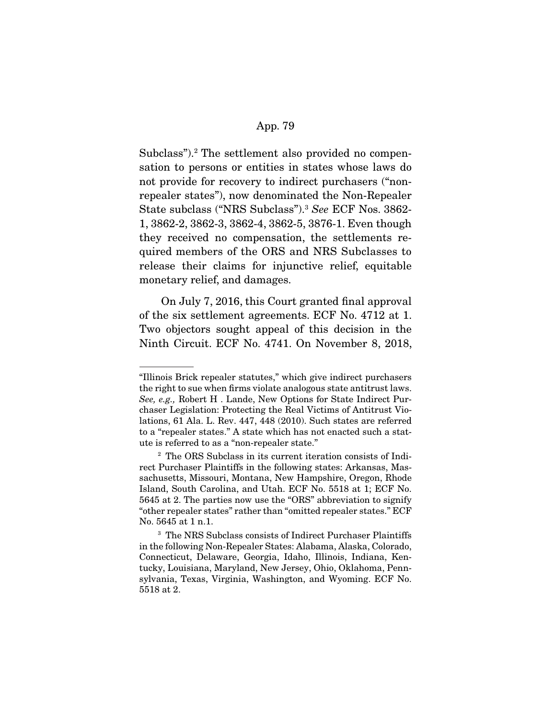Subclass").<sup>2</sup> The settlement also provided no compensation to persons or entities in states whose laws do not provide for recovery to indirect purchasers ("nonrepealer states"), now denominated the Non-Repealer State subclass ("NRS Subclass").3 See ECF Nos. 3862- 1, 3862-2, 3862-3, 3862-4, 3862-5, 3876-1. Even though they received no compensation, the settlements required members of the ORS and NRS Subclasses to release their claims for injunctive relief, equitable monetary relief, and damages.

 On July 7, 2016, this Court granted final approval of the six settlement agreements. ECF No. 4712 at 1. Two objectors sought appeal of this decision in the Ninth Circuit. ECF No. 4741. On November 8, 2018,

<sup>&</sup>quot;Illinois Brick repealer statutes," which give indirect purchasers the right to sue when firms violate analogous state antitrust laws. See, e.g., Robert H . Lande, New Options for State Indirect Purchaser Legislation: Protecting the Real Victims of Antitrust Violations, 61 Ala. L. Rev. 447, 448 (2010). Such states are referred to a "repealer states." A state which has not enacted such a statute is referred to as a "non-repealer state."

<sup>2</sup> The ORS Subclass in its current iteration consists of Indirect Purchaser Plaintiffs in the following states: Arkansas, Massachusetts, Missouri, Montana, New Hampshire, Oregon, Rhode Island, South Carolina, and Utah. ECF No. 5518 at 1; ECF No. 5645 at 2. The parties now use the "ORS" abbreviation to signify "other repealer states" rather than "omitted repealer states." ECF No. 5645 at 1 n.1.

<sup>3</sup> The NRS Subclass consists of Indirect Purchaser Plaintiffs in the following Non-Repealer States: Alabama, Alaska, Colorado, Connecticut, Delaware, Georgia, Idaho, Illinois, Indiana, Kentucky, Louisiana, Maryland, New Jersey, Ohio, Oklahoma, Pennsylvania, Texas, Virginia, Washington, and Wyoming. ECF No. 5518 at 2.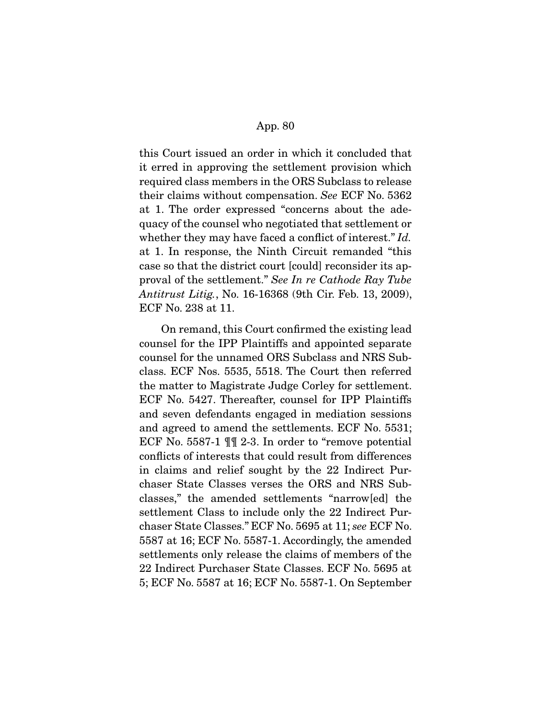this Court issued an order in which it concluded that it erred in approving the settlement provision which required class members in the ORS Subclass to release their claims without compensation. See ECF No. 5362 at 1. The order expressed "concerns about the adequacy of the counsel who negotiated that settlement or whether they may have faced a conflict of interest." Id. at 1. In response, the Ninth Circuit remanded "this case so that the district court [could] reconsider its approval of the settlement." See In re Cathode Ray Tube Antitrust Litig., No. 16-16368 (9th Cir. Feb. 13, 2009), ECF No. 238 at 11.

 On remand, this Court confirmed the existing lead counsel for the IPP Plaintiffs and appointed separate counsel for the unnamed ORS Subclass and NRS Subclass. ECF Nos. 5535, 5518. The Court then referred the matter to Magistrate Judge Corley for settlement. ECF No. 5427. Thereafter, counsel for IPP Plaintiffs and seven defendants engaged in mediation sessions and agreed to amend the settlements. ECF No. 5531; ECF No. 5587-1 ¶¶ 2-3. In order to "remove potential conflicts of interests that could result from differences in claims and relief sought by the 22 Indirect Purchaser State Classes verses the ORS and NRS Subclasses," the amended settlements "narrow[ed] the settlement Class to include only the 22 Indirect Purchaser State Classes." ECF No. 5695 at 11; see ECF No. 5587 at 16; ECF No. 5587-1. Accordingly, the amended settlements only release the claims of members of the 22 Indirect Purchaser State Classes. ECF No. 5695 at 5; ECF No. 5587 at 16; ECF No. 5587-1. On September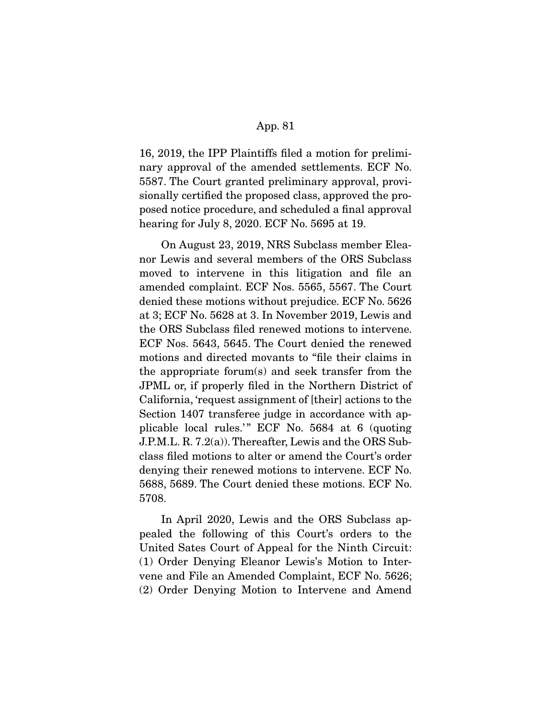16, 2019, the IPP Plaintiffs filed a motion for preliminary approval of the amended settlements. ECF No. 5587. The Court granted preliminary approval, provisionally certified the proposed class, approved the proposed notice procedure, and scheduled a final approval hearing for July 8, 2020. ECF No. 5695 at 19.

 On August 23, 2019, NRS Subclass member Eleanor Lewis and several members of the ORS Subclass moved to intervene in this litigation and file an amended complaint. ECF Nos. 5565, 5567. The Court denied these motions without prejudice. ECF No. 5626 at 3; ECF No. 5628 at 3. In November 2019, Lewis and the ORS Subclass filed renewed motions to intervene. ECF Nos. 5643, 5645. The Court denied the renewed motions and directed movants to "file their claims in the appropriate forum(s) and seek transfer from the JPML or, if properly filed in the Northern District of California, 'request assignment of [their] actions to the Section 1407 transferee judge in accordance with applicable local rules.'" ECF No.  $5684$  at 6 (quoting J.P.M.L. R. 7.2(a)). Thereafter, Lewis and the ORS Subclass filed motions to alter or amend the Court's order denying their renewed motions to intervene. ECF No. 5688, 5689. The Court denied these motions. ECF No. 5708.

 In April 2020, Lewis and the ORS Subclass appealed the following of this Court's orders to the United Sates Court of Appeal for the Ninth Circuit: (1) Order Denying Eleanor Lewis's Motion to Intervene and File an Amended Complaint, ECF No. 5626; (2) Order Denying Motion to Intervene and Amend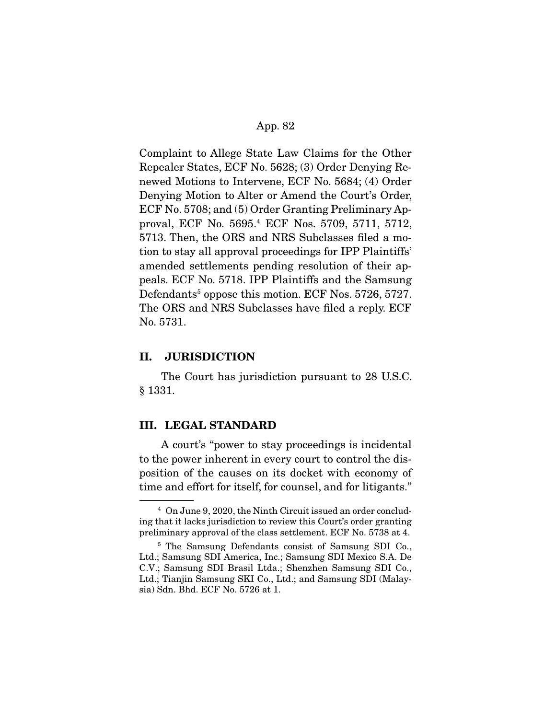Complaint to Allege State Law Claims for the Other Repealer States, ECF No. 5628; (3) Order Denying Renewed Motions to Intervene, ECF No. 5684; (4) Order Denying Motion to Alter or Amend the Court's Order, ECF No. 5708; and (5) Order Granting Preliminary Approval, ECF No. 5695.4 ECF Nos. 5709, 5711, 5712, 5713. Then, the ORS and NRS Subclasses filed a motion to stay all approval proceedings for IPP Plaintiffs' amended settlements pending resolution of their appeals. ECF No. 5718. IPP Plaintiffs and the Samsung Defendants<sup>5</sup> oppose this motion. ECF Nos. 5726, 5727. The ORS and NRS Subclasses have filed a reply. ECF No. 5731.

## **II. JURISDICTION**

 The Court has jurisdiction pursuant to 28 U.S.C. § 1331.

#### **III. LEGAL STANDARD**

 A court's "power to stay proceedings is incidental to the power inherent in every court to control the disposition of the causes on its docket with economy of time and effort for itself, for counsel, and for litigants."

<sup>4</sup> On June 9, 2020, the Ninth Circuit issued an order concluding that it lacks jurisdiction to review this Court's order granting preliminary approval of the class settlement. ECF No. 5738 at 4.

<sup>5</sup> The Samsung Defendants consist of Samsung SDI Co., Ltd.; Samsung SDI America, Inc.; Samsung SDI Mexico S.A. De C.V.; Samsung SDI Brasil Ltda.; Shenzhen Samsung SDI Co., Ltd.; Tianjin Samsung SKI Co., Ltd.; and Samsung SDI (Malaysia) Sdn. Bhd. ECF No. 5726 at 1.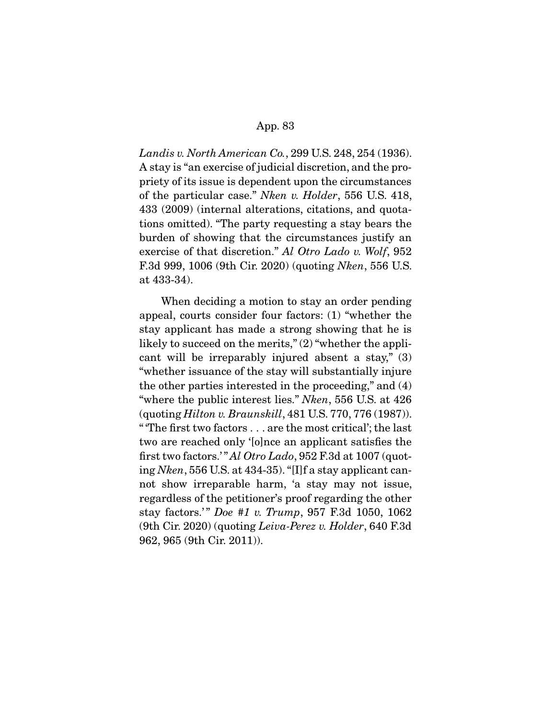Landis v. North American Co., 299 U.S. 248, 254 (1936). A stay is "an exercise of judicial discretion, and the propriety of its issue is dependent upon the circumstances of the particular case." Nken v. Holder, 556 U.S. 418, 433 (2009) (internal alterations, citations, and quotations omitted). "The party requesting a stay bears the burden of showing that the circumstances justify an exercise of that discretion." Al Otro Lado v. Wolf, 952 F.3d 999, 1006 (9th Cir. 2020) (quoting Nken, 556 U.S. at 433-34).

 When deciding a motion to stay an order pending appeal, courts consider four factors: (1) "whether the stay applicant has made a strong showing that he is likely to succeed on the merits," (2) "whether the applicant will be irreparably injured absent a stay," (3) "whether issuance of the stay will substantially injure the other parties interested in the proceeding," and (4) "where the public interest lies." Nken, 556 U.S. at 426 (quoting Hilton v. Braunskill, 481 U.S. 770, 776 (1987)). " 'The first two factors . . . are the most critical'; the last two are reached only '[o]nce an applicant satisfies the first two factors." Al Otro Lado, 952 F.3d at 1007 (quoting Nken, 556 U.S. at 434-35). "[I]f a stay applicant cannot show irreparable harm, 'a stay may not issue, regardless of the petitioner's proof regarding the other stay factors.'" Doe #1 v. Trump, 957 F.3d 1050, 1062 (9th Cir. 2020) (quoting Leiva-Perez v. Holder, 640 F.3d 962, 965 (9th Cir. 2011)).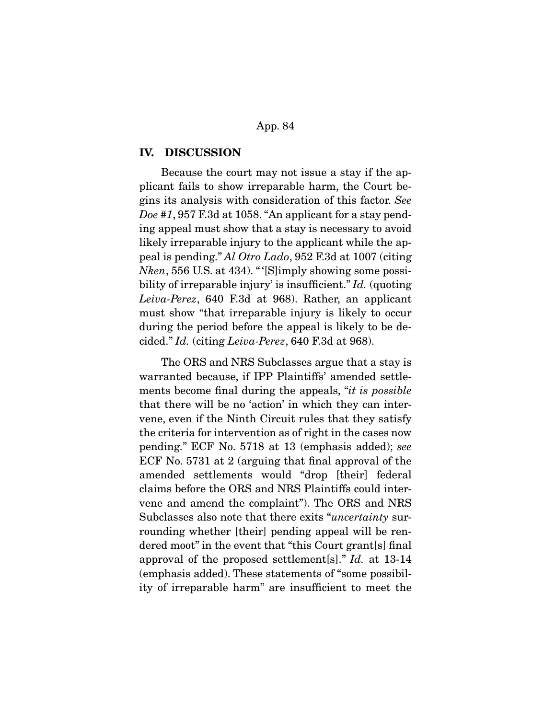#### **IV. DISCUSSION**

 Because the court may not issue a stay if the applicant fails to show irreparable harm, the Court begins its analysis with consideration of this factor. See Doe #1, 957 F.3d at 1058. "An applicant for a stay pending appeal must show that a stay is necessary to avoid likely irreparable injury to the applicant while the appeal is pending." Al Otro Lado, 952 F.3d at 1007 (citing Nken, 556 U.S. at 434). " '[S]imply showing some possibility of irreparable injury' is insufficient." Id. (quoting Leiva-Perez, 640 F.3d at 968). Rather, an applicant must show "that irreparable injury is likely to occur during the period before the appeal is likely to be decided." Id. (citing Leiva-Perez, 640 F.3d at 968).

 The ORS and NRS Subclasses argue that a stay is warranted because, if IPP Plaintiffs' amended settlements become final during the appeals, "it is possible that there will be no 'action' in which they can intervene, even if the Ninth Circuit rules that they satisfy the criteria for intervention as of right in the cases now pending." ECF No. 5718 at 13 (emphasis added); see ECF No. 5731 at 2 (arguing that final approval of the amended settlements would "drop [their] federal claims before the ORS and NRS Plaintiffs could intervene and amend the complaint"). The ORS and NRS Subclasses also note that there exits "uncertainty surrounding whether [their] pending appeal will be rendered moot" in the event that "this Court grant[s] final approval of the proposed settlement[s]." Id. at 13-14 (emphasis added). These statements of "some possibility of irreparable harm" are insufficient to meet the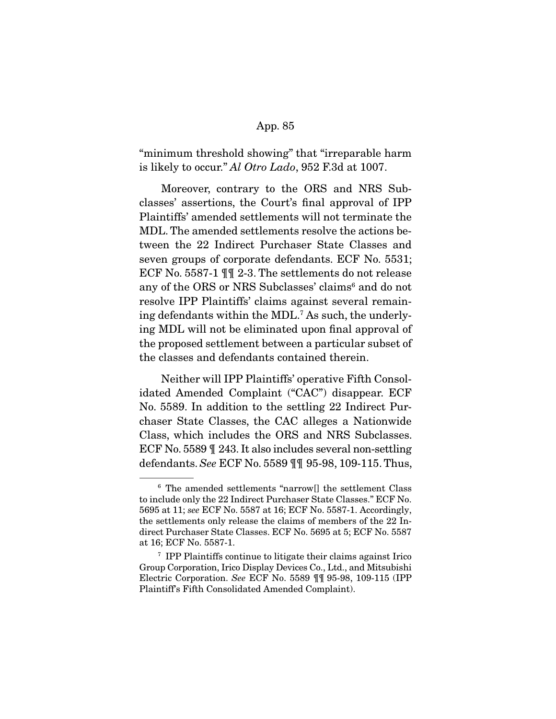"minimum threshold showing" that "irreparable harm is likely to occur." Al Otro Lado, 952 F.3d at 1007.

 Moreover, contrary to the ORS and NRS Subclasses' assertions, the Court's final approval of IPP Plaintiffs' amended settlements will not terminate the MDL. The amended settlements resolve the actions between the 22 Indirect Purchaser State Classes and seven groups of corporate defendants. ECF No. 5531; ECF No. 5587-1 ¶¶ 2-3. The settlements do not release any of the ORS or NRS Subclasses' claims<sup>6</sup> and do not resolve IPP Plaintiffs' claims against several remaining defendants within the MDL.7 As such, the underlying MDL will not be eliminated upon final approval of the proposed settlement between a particular subset of the classes and defendants contained therein.

 Neither will IPP Plaintiffs' operative Fifth Consolidated Amended Complaint ("CAC") disappear. ECF No. 5589. In addition to the settling 22 Indirect Purchaser State Classes, the CAC alleges a Nationwide Class, which includes the ORS and NRS Subclasses. ECF No. 5589 ¶ 243. It also includes several non-settling defendants. See ECF No. 5589 ¶¶ 95-98, 109-115. Thus,

<sup>6</sup> The amended settlements "narrow[] the settlement Class to include only the 22 Indirect Purchaser State Classes." ECF No. 5695 at 11; see ECF No. 5587 at 16; ECF No. 5587-1. Accordingly, the settlements only release the claims of members of the 22 Indirect Purchaser State Classes. ECF No. 5695 at 5; ECF No. 5587 at 16; ECF No. 5587-1.

<sup>7</sup> IPP Plaintiffs continue to litigate their claims against Irico Group Corporation, Irico Display Devices Co., Ltd., and Mitsubishi Electric Corporation. See ECF No. 5589 ¶¶ 95-98, 109-115 (IPP Plaintiff's Fifth Consolidated Amended Complaint).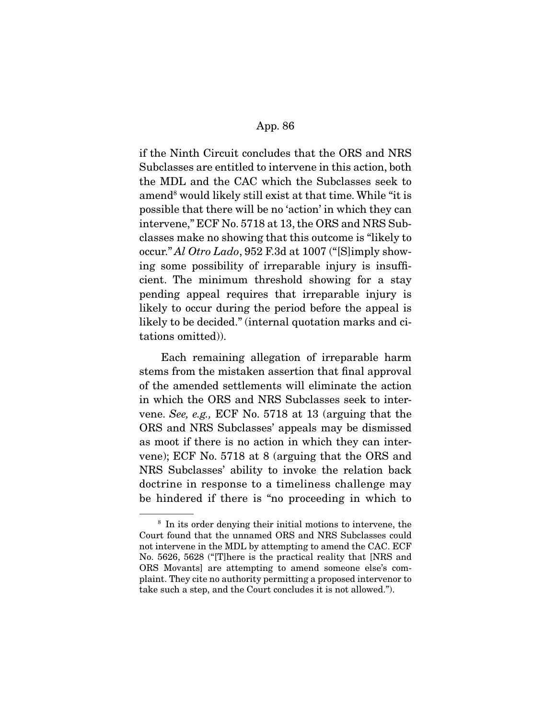if the Ninth Circuit concludes that the ORS and NRS Subclasses are entitled to intervene in this action, both the MDL and the CAC which the Subclasses seek to amend<sup>8</sup> would likely still exist at that time. While "it is possible that there will be no 'action' in which they can intervene," ECF No. 5718 at 13, the ORS and NRS Subclasses make no showing that this outcome is "likely to occur." Al Otro Lado, 952 F.3d at 1007 ("[S]imply showing some possibility of irreparable injury is insufficient. The minimum threshold showing for a stay pending appeal requires that irreparable injury is likely to occur during the period before the appeal is likely to be decided." (internal quotation marks and citations omitted)).

 Each remaining allegation of irreparable harm stems from the mistaken assertion that final approval of the amended settlements will eliminate the action in which the ORS and NRS Subclasses seek to intervene. See, e.g., ECF No. 5718 at 13 (arguing that the ORS and NRS Subclasses' appeals may be dismissed as moot if there is no action in which they can intervene); ECF No. 5718 at 8 (arguing that the ORS and NRS Subclasses' ability to invoke the relation back doctrine in response to a timeliness challenge may be hindered if there is "no proceeding in which to

<sup>8</sup> In its order denying their initial motions to intervene, the Court found that the unnamed ORS and NRS Subclasses could not intervene in the MDL by attempting to amend the CAC. ECF No. 5626, 5628 ("[T]here is the practical reality that [NRS and ORS Movants] are attempting to amend someone else's complaint. They cite no authority permitting a proposed intervenor to take such a step, and the Court concludes it is not allowed.").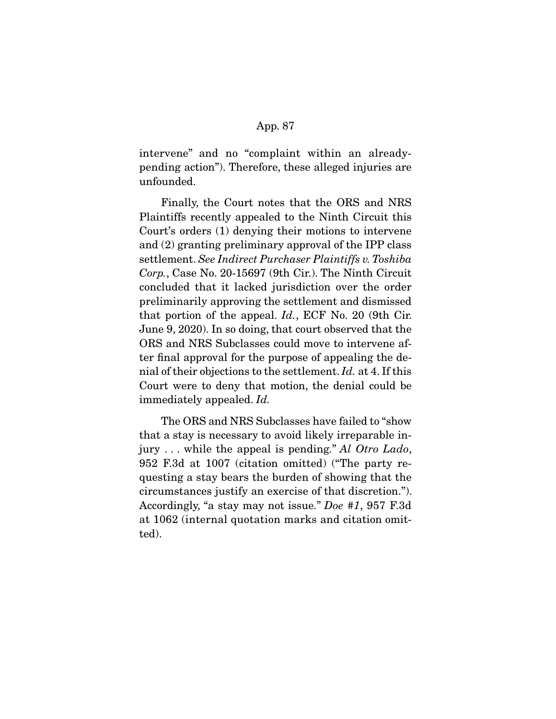intervene" and no "complaint within an alreadypending action"). Therefore, these alleged injuries are unfounded.

 Finally, the Court notes that the ORS and NRS Plaintiffs recently appealed to the Ninth Circuit this Court's orders (1) denying their motions to intervene and (2) granting preliminary approval of the IPP class settlement. See Indirect Purchaser Plaintiffs v. Toshiba Corp., Case No. 20-15697 (9th Cir.). The Ninth Circuit concluded that it lacked jurisdiction over the order preliminarily approving the settlement and dismissed that portion of the appeal. Id., ECF No. 20 (9th Cir. June 9, 2020). In so doing, that court observed that the ORS and NRS Subclasses could move to intervene after final approval for the purpose of appealing the denial of their objections to the settlement. Id. at 4. If this Court were to deny that motion, the denial could be immediately appealed. Id.

 The ORS and NRS Subclasses have failed to "show that a stay is necessary to avoid likely irreparable injury  $\ldots$  while the appeal is pending." Al Otro Lado, 952 F.3d at 1007 (citation omitted) ("The party requesting a stay bears the burden of showing that the circumstances justify an exercise of that discretion."). Accordingly, "a stay may not issue." Doe #1, 957 F.3d at 1062 (internal quotation marks and citation omitted).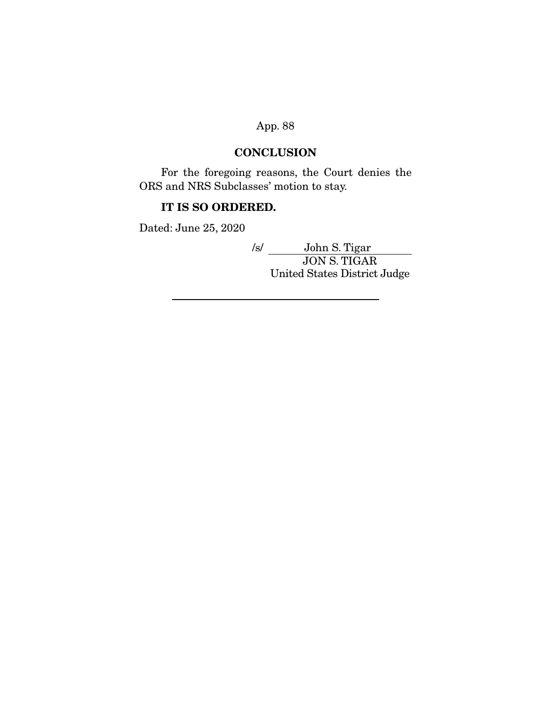## **CONCLUSION**

 For the foregoing reasons, the Court denies the ORS and NRS Subclasses' motion to stay.

## **IT IS SO ORDERED.**

Dated: June 25, 2020

/s/ John S. Tigar JON S. TIGAR United States District Judge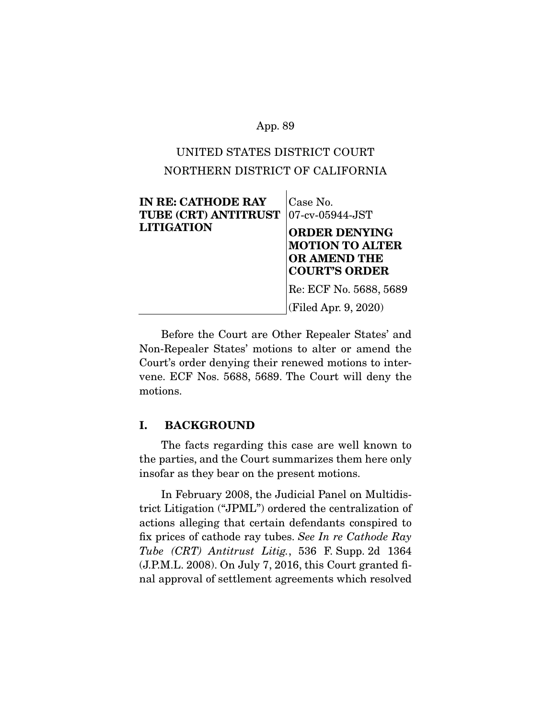# UNITED STATES DISTRICT COURT NORTHERN DISTRICT OF CALIFORNIA

| <b>IN RE: CATHODE RAY</b><br>TUBE (CRT) ANTITRUST<br><b>LITIGATION</b> | Case No.<br>$ 07$ -cv-05944-JST<br><b>ORDER DENYING</b><br><b>MOTION TO ALTER</b><br><b>OR AMEND THE</b><br><b>COURT'S ORDER</b> |
|------------------------------------------------------------------------|----------------------------------------------------------------------------------------------------------------------------------|
|                                                                        | Re: ECF No. 5688, 5689<br>(Filed Apr. 9, 2020)                                                                                   |

 Before the Court are Other Repealer States' and Non-Repealer States' motions to alter or amend the Court's order denying their renewed motions to intervene. ECF Nos. 5688, 5689. The Court will deny the motions.

## **I. BACKGROUND**

 The facts regarding this case are well known to the parties, and the Court summarizes them here only insofar as they bear on the present motions.

 In February 2008, the Judicial Panel on Multidistrict Litigation ("JPML") ordered the centralization of actions alleging that certain defendants conspired to fix prices of cathode ray tubes. See In re Cathode Ray Tube (CRT) Antitrust Litig., 536 F. Supp. 2d 1364 (J.P.M.L. 2008). On July 7, 2016, this Court granted final approval of settlement agreements which resolved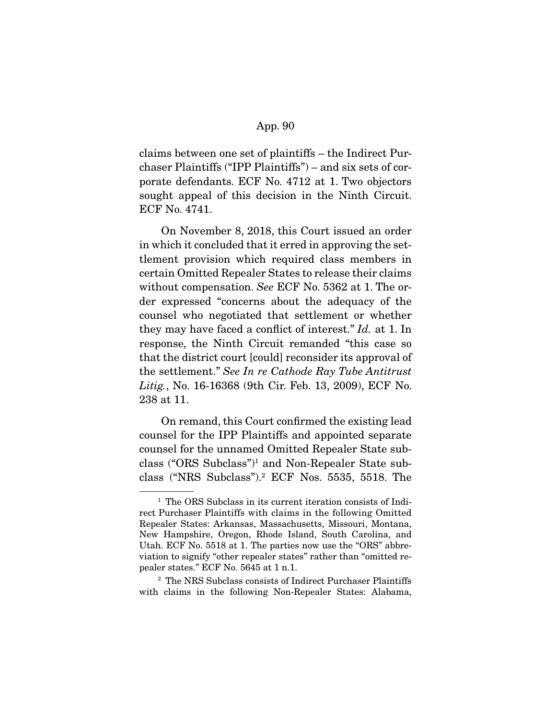claims between one set of plaintiffs – the Indirect Purchaser Plaintiffs ("IPP Plaintiffs") – and six sets of corporate defendants. ECF No. 4712 at 1. Two objectors sought appeal of this decision in the Ninth Circuit. ECF No. 4741.

 On November 8, 2018, this Court issued an order in which it concluded that it erred in approving the settlement provision which required class members in certain Omitted Repealer States to release their claims without compensation. See ECF No. 5362 at 1. The order expressed "concerns about the adequacy of the counsel who negotiated that settlement or whether they may have faced a conflict of interest." Id. at 1. In response, the Ninth Circuit remanded "this case so that the district court [could] reconsider its approval of the settlement." See In re Cathode Ray Tube Antitrust Litig., No. 16-16368 (9th Cir. Feb. 13, 2009), ECF No. 238 at 11.

 On remand, this Court confirmed the existing lead counsel for the IPP Plaintiffs and appointed separate counsel for the unnamed Omitted Repealer State subclass ("ORS Subclass")1 and Non-Repealer State subclass ("NRS Subclass").2 ECF Nos. 5535, 5518. The

<sup>&</sup>lt;sup>1</sup> The ORS Subclass in its current iteration consists of Indirect Purchaser Plaintiffs with claims in the following Omitted Repealer States: Arkansas, Massachusetts, Missouri, Montana, New Hampshire, Oregon, Rhode Island, South Carolina, and Utah. ECF No. 5518 at 1. The parties now use the "ORS" abbreviation to signify "other repealer states" rather than "omitted repealer states." ECF No. 5645 at 1 n.1.

<sup>2</sup> The NRS Subclass consists of Indirect Purchaser Plaintiffs with claims in the following Non-Repealer States: Alabama,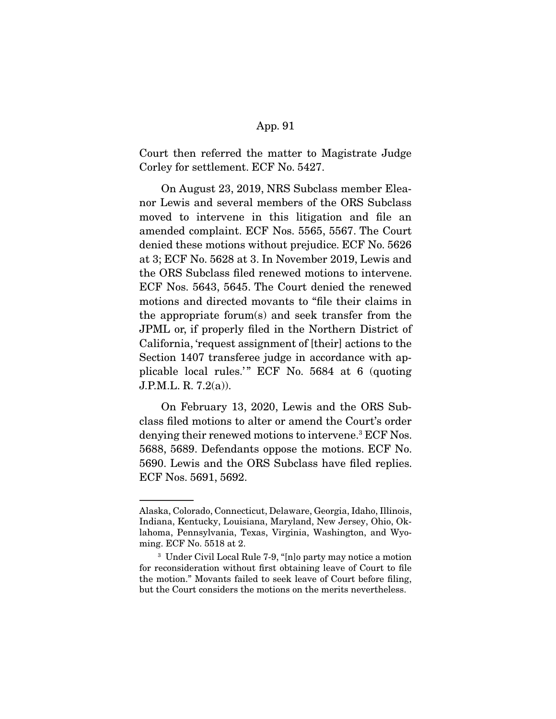Court then referred the matter to Magistrate Judge Corley for settlement. ECF No. 5427.

 On August 23, 2019, NRS Subclass member Eleanor Lewis and several members of the ORS Subclass moved to intervene in this litigation and file an amended complaint. ECF Nos. 5565, 5567. The Court denied these motions without prejudice. ECF No. 5626 at 3; ECF No. 5628 at 3. In November 2019, Lewis and the ORS Subclass filed renewed motions to intervene. ECF Nos. 5643, 5645. The Court denied the renewed motions and directed movants to "file their claims in the appropriate forum(s) and seek transfer from the JPML or, if properly filed in the Northern District of California, 'request assignment of [their] actions to the Section 1407 transferee judge in accordance with applicable local rules."  $ECF$  No. 5684 at 6 (quoting J.P.M.L. R. 7.2(a)).

 On February 13, 2020, Lewis and the ORS Subclass filed motions to alter or amend the Court's order denying their renewed motions to intervene.3 ECF Nos. 5688, 5689. Defendants oppose the motions. ECF No. 5690. Lewis and the ORS Subclass have filed replies. ECF Nos. 5691, 5692.

Alaska, Colorado, Connecticut, Delaware, Georgia, Idaho, Illinois, Indiana, Kentucky, Louisiana, Maryland, New Jersey, Ohio, Oklahoma, Pennsylvania, Texas, Virginia, Washington, and Wyoming. ECF No. 5518 at 2.

<sup>3</sup> Under Civil Local Rule 7-9, "[n]o party may notice a motion for reconsideration without first obtaining leave of Court to file the motion." Movants failed to seek leave of Court before filing, but the Court considers the motions on the merits nevertheless.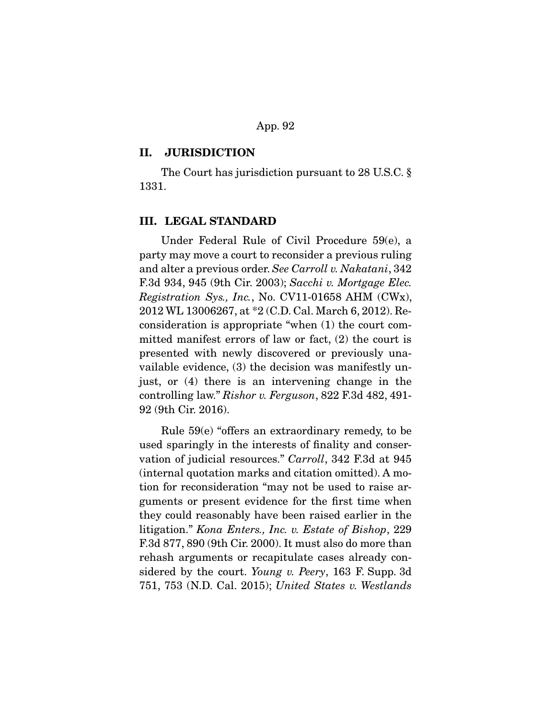#### **II. JURISDICTION**

 The Court has jurisdiction pursuant to 28 U.S.C. § 1331.

## **III. LEGAL STANDARD**

 Under Federal Rule of Civil Procedure 59(e), a party may move a court to reconsider a previous ruling and alter a previous order. See Carroll v. Nakatani, 342 F.3d 934, 945 (9th Cir. 2003); Sacchi v. Mortgage Elec. Registration Sys., Inc., No. CV11-01658 AHM (CWx), 2012 WL 13006267, at \*2 (C.D. Cal. March 6, 2012). Reconsideration is appropriate "when (1) the court committed manifest errors of law or fact, (2) the court is presented with newly discovered or previously unavailable evidence, (3) the decision was manifestly unjust, or (4) there is an intervening change in the controlling law." Rishor v. Ferguson, 822 F.3d 482, 491- 92 (9th Cir. 2016).

 Rule 59(e) "offers an extraordinary remedy, to be used sparingly in the interests of finality and conservation of judicial resources." Carroll, 342 F.3d at 945 (internal quotation marks and citation omitted). A motion for reconsideration "may not be used to raise arguments or present evidence for the first time when they could reasonably have been raised earlier in the litigation." Kona Enters., Inc. v. Estate of Bishop, 229 F.3d 877, 890 (9th Cir. 2000). It must also do more than rehash arguments or recapitulate cases already considered by the court. Young v. Peery, 163 F. Supp. 3d 751, 753 (N.D. Cal. 2015); United States v. Westlands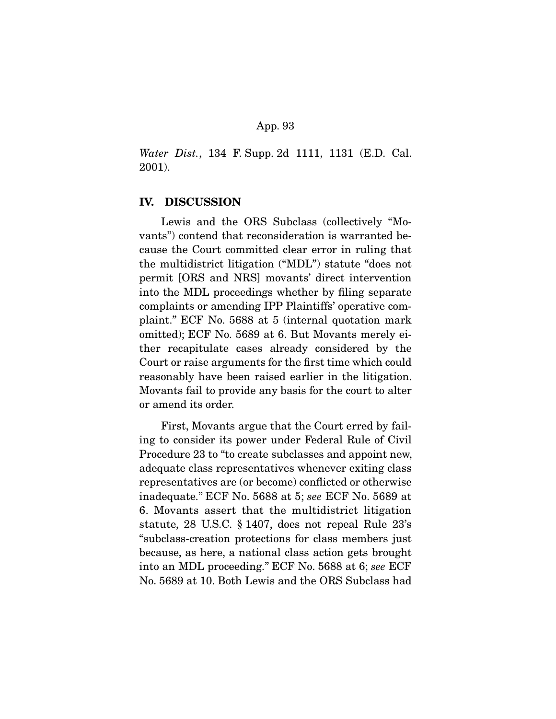Water Dist., 134 F. Supp. 2d 1111, 1131 (E.D. Cal.) 2001).

## **IV. DISCUSSION**

 Lewis and the ORS Subclass (collectively "Movants") contend that reconsideration is warranted because the Court committed clear error in ruling that the multidistrict litigation ("MDL") statute "does not permit [ORS and NRS] movants' direct intervention into the MDL proceedings whether by filing separate complaints or amending IPP Plaintiffs' operative complaint." ECF No. 5688 at 5 (internal quotation mark omitted); ECF No. 5689 at 6. But Movants merely either recapitulate cases already considered by the Court or raise arguments for the first time which could reasonably have been raised earlier in the litigation. Movants fail to provide any basis for the court to alter or amend its order.

 First, Movants argue that the Court erred by failing to consider its power under Federal Rule of Civil Procedure 23 to "to create subclasses and appoint new, adequate class representatives whenever exiting class representatives are (or become) conflicted or otherwise inadequate." ECF No. 5688 at 5; see ECF No. 5689 at 6. Movants assert that the multidistrict litigation statute, 28 U.S.C. § 1407, does not repeal Rule 23's "subclass-creation protections for class members just because, as here, a national class action gets brought into an MDL proceeding." ECF No. 5688 at 6; see ECF No. 5689 at 10. Both Lewis and the ORS Subclass had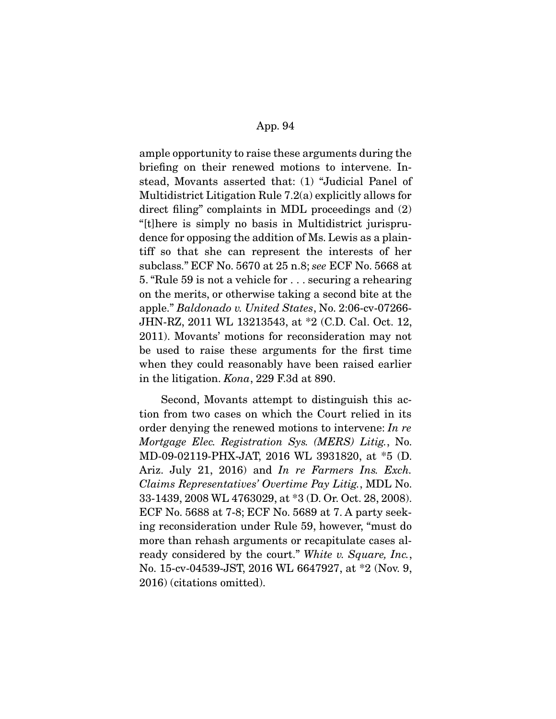ample opportunity to raise these arguments during the briefing on their renewed motions to intervene. Instead, Movants asserted that: (1) "Judicial Panel of Multidistrict Litigation Rule 7.2(a) explicitly allows for direct filing" complaints in MDL proceedings and (2) "[t]here is simply no basis in Multidistrict jurisprudence for opposing the addition of Ms. Lewis as a plaintiff so that she can represent the interests of her subclass." ECF No. 5670 at 25 n.8; see ECF No. 5668 at 5. "Rule 59 is not a vehicle for . . . securing a rehearing on the merits, or otherwise taking a second bite at the apple." Baldonado v. United States, No. 2:06-cv-07266- JHN-RZ, 2011 WL 13213543, at \*2 (C.D. Cal. Oct. 12, 2011). Movants' motions for reconsideration may not be used to raise these arguments for the first time when they could reasonably have been raised earlier in the litigation. Kona, 229 F.3d at 890.

 Second, Movants attempt to distinguish this action from two cases on which the Court relied in its order denying the renewed motions to intervene: In re Mortgage Elec. Registration Sys. (MERS) Litig., No. MD-09-02119-PHX-JAT, 2016 WL 3931820, at \*5 (D. Ariz. July 21, 2016) and In re Farmers Ins. Exch. Claims Representatives' Overtime Pay Litig., MDL No. 33-1439, 2008 WL 4763029, at \*3 (D. Or. Oct. 28, 2008). ECF No. 5688 at 7-8; ECF No. 5689 at 7. A party seeking reconsideration under Rule 59, however, "must do more than rehash arguments or recapitulate cases already considered by the court." White v. Square, Inc., No. 15-cv-04539-JST, 2016 WL 6647927, at \*2 (Nov. 9, 2016) (citations omitted).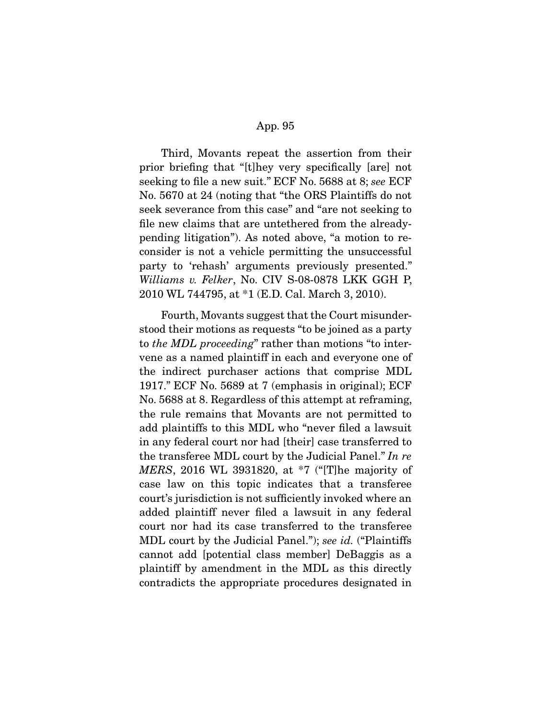Third, Movants repeat the assertion from their prior briefing that "[t]hey very specifically [are] not seeking to file a new suit." ECF No. 5688 at 8; see ECF No. 5670 at 24 (noting that "the ORS Plaintiffs do not seek severance from this case" and "are not seeking to file new claims that are untethered from the alreadypending litigation"). As noted above, "a motion to reconsider is not a vehicle permitting the unsuccessful party to 'rehash' arguments previously presented." Williams v. Felker, No. CIV S-08-0878 LKK GGH P, 2010 WL 744795, at \*1 (E.D. Cal. March 3, 2010).

 Fourth, Movants suggest that the Court misunderstood their motions as requests "to be joined as a party to the MDL proceeding" rather than motions "to intervene as a named plaintiff in each and everyone one of the indirect purchaser actions that comprise MDL 1917." ECF No. 5689 at 7 (emphasis in original); ECF No. 5688 at 8. Regardless of this attempt at reframing, the rule remains that Movants are not permitted to add plaintiffs to this MDL who "never filed a lawsuit in any federal court nor had [their] case transferred to the transferee MDL court by the Judicial Panel." In re MERS, 2016 WL 3931820, at \*7 ("[T]he majority of case law on this topic indicates that a transferee court's jurisdiction is not sufficiently invoked where an added plaintiff never filed a lawsuit in any federal court nor had its case transferred to the transferee MDL court by the Judicial Panel."); see id. ("Plaintiffs cannot add [potential class member] DeBaggis as a plaintiff by amendment in the MDL as this directly contradicts the appropriate procedures designated in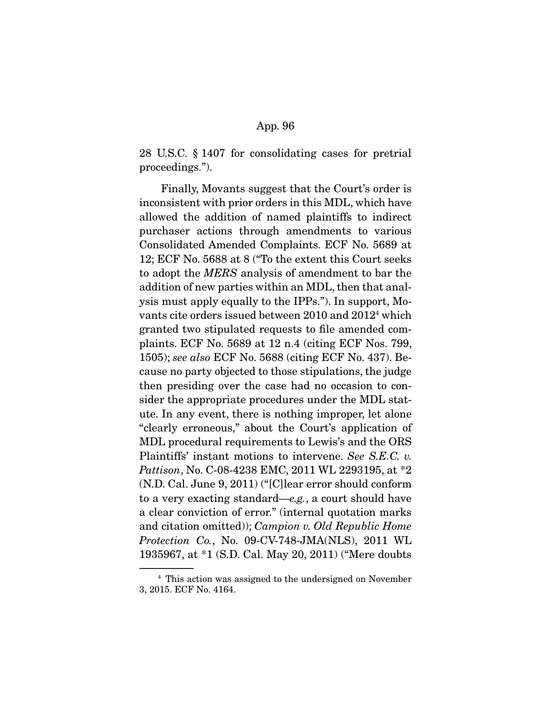28 U.S.C. § 1407 for consolidating cases for pretrial proceedings.").

 Finally, Movants suggest that the Court's order is inconsistent with prior orders in this MDL, which have allowed the addition of named plaintiffs to indirect purchaser actions through amendments to various Consolidated Amended Complaints. ECF No. 5689 at 12; ECF No. 5688 at 8 ("To the extent this Court seeks to adopt the MERS analysis of amendment to bar the addition of new parties within an MDL, then that analysis must apply equally to the IPPs."). In support, Movants cite orders issued between 2010 and 20124 which granted two stipulated requests to file amended complaints. ECF No. 5689 at 12 n.4 (citing ECF Nos. 799, 1505); see also ECF No. 5688 (citing ECF No. 437). Because no party objected to those stipulations, the judge then presiding over the case had no occasion to consider the appropriate procedures under the MDL statute. In any event, there is nothing improper, let alone "clearly erroneous," about the Court's application of MDL procedural requirements to Lewis's and the ORS Plaintiffs' instant motions to intervene. See S.E.C. v. Pattison, No. C-08-4238 EMC, 2011 WL 2293195, at \*2 (N.D. Cal. June 9, 2011) ("[C]lear error should conform to a very exacting standard—e.g., a court should have a clear conviction of error." (internal quotation marks and citation omitted)); Campion v. Old Republic Home Protection Co., No. 09-CV-748-JMA(NLS), 2011 WL 1935967, at \*1 (S.D. Cal. May 20, 2011) ("Mere doubts

<sup>4</sup> This action was assigned to the undersigned on November 3, 2015. ECF No. 4164.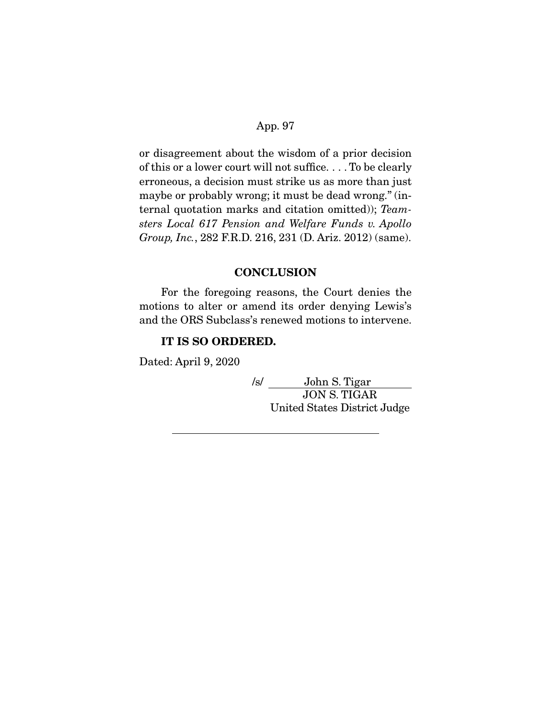or disagreement about the wisdom of a prior decision of this or a lower court will not suffice. . . . To be clearly erroneous, a decision must strike us as more than just maybe or probably wrong; it must be dead wrong." (internal quotation marks and citation omitted)); Teamsters Local 617 Pension and Welfare Funds v. Apollo Group, Inc., 282 F.R.D. 216, 231 (D. Ariz. 2012) (same).

## **CONCLUSION**

 For the foregoing reasons, the Court denies the motions to alter or amend its order denying Lewis's and the ORS Subclass's renewed motions to intervene.

## **IT IS SO ORDERED.**

Dated: April 9, 2020

/s/ John S. Tigar JON S. TIGAR United States District Judge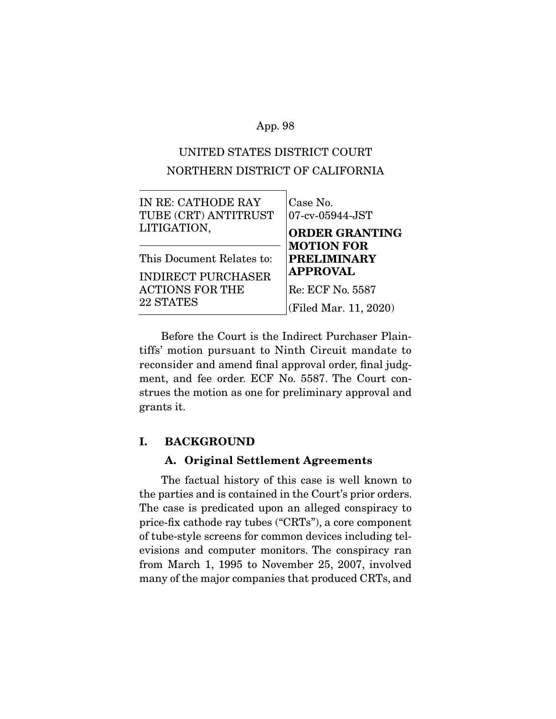# UNITED STATES DISTRICT COURT NORTHERN DISTRICT OF CALIFORNIA

| IN RE: CATHODE RAY<br>TUBE (CRT) ANTITRUST<br>LITIGATION, | Case No.<br>07-cv-05944-JST<br><b>ORDER GRANTING</b><br><b>MOTION FOR</b> |
|-----------------------------------------------------------|---------------------------------------------------------------------------|
| This Document Relates to:                                 | <b>PRELIMINARY</b>                                                        |
| <b>INDIRECT PURCHASER</b>                                 | <b>APPROVAL</b>                                                           |
| ACTIONS FOR THE                                           | Re: ECF No. 5587                                                          |
| 22 STATES                                                 | (Filed Mar. 11, 2020)                                                     |
|                                                           |                                                                           |

 Before the Court is the Indirect Purchaser Plaintiffs' motion pursuant to Ninth Circuit mandate to reconsider and amend final approval order, final judgment, and fee order. ECF No. 5587. The Court construes the motion as one for preliminary approval and grants it.

## **I. BACKGROUND**

## **A. Original Settlement Agreements**

 The factual history of this case is well known to the parties and is contained in the Court's prior orders. The case is predicated upon an alleged conspiracy to price-fix cathode ray tubes ("CRTs"), a core component of tube-style screens for common devices including televisions and computer monitors. The conspiracy ran from March 1, 1995 to November 25, 2007, involved many of the major companies that produced CRTs, and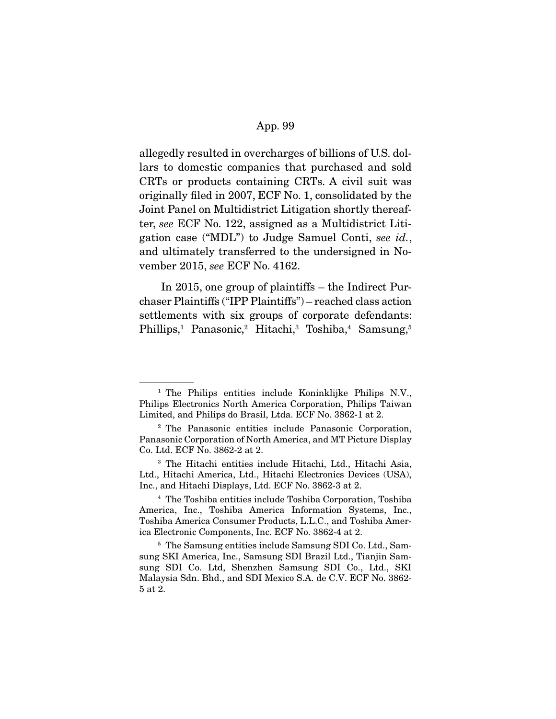allegedly resulted in overcharges of billions of U.S. dollars to domestic companies that purchased and sold CRTs or products containing CRTs. A civil suit was originally filed in 2007, ECF No. 1, consolidated by the Joint Panel on Multidistrict Litigation shortly thereafter, see ECF No. 122, assigned as a Multidistrict Litigation case ("MDL") to Judge Samuel Conti, see id., and ultimately transferred to the undersigned in November 2015, see ECF No. 4162.

 In 2015, one group of plaintiffs – the Indirect Purchaser Plaintiffs ("IPP Plaintiffs") – reached class action settlements with six groups of corporate defendants: Phillips,<sup>1</sup> Panasonic,<sup>2</sup> Hitachi,<sup>3</sup> Toshiba,<sup>4</sup> Samsung,<sup>5</sup>

<sup>1</sup> The Philips entities include Koninklijke Philips N.V., Philips Electronics North America Corporation, Philips Taiwan Limited, and Philips do Brasil, Ltda. ECF No. 3862-1 at 2.

<sup>2</sup> The Panasonic entities include Panasonic Corporation, Panasonic Corporation of North America, and MT Picture Display Co. Ltd. ECF No. 3862-2 at 2.

<sup>3</sup> The Hitachi entities include Hitachi, Ltd., Hitachi Asia, Ltd., Hitachi America, Ltd., Hitachi Electronics Devices (USA), Inc., and Hitachi Displays, Ltd. ECF No. 3862-3 at 2.

<sup>4</sup> The Toshiba entities include Toshiba Corporation, Toshiba America, Inc., Toshiba America Information Systems, Inc., Toshiba America Consumer Products, L.L.C., and Toshiba America Electronic Components, Inc. ECF No. 3862-4 at 2.

<sup>5</sup> The Samsung entities include Samsung SDI Co. Ltd., Samsung SKI America, Inc., Samsung SDI Brazil Ltd., Tianjin Samsung SDI Co. Ltd, Shenzhen Samsung SDI Co., Ltd., SKI Malaysia Sdn. Bhd., and SDI Mexico S.A. de C.V. ECF No. 3862- 5 at 2.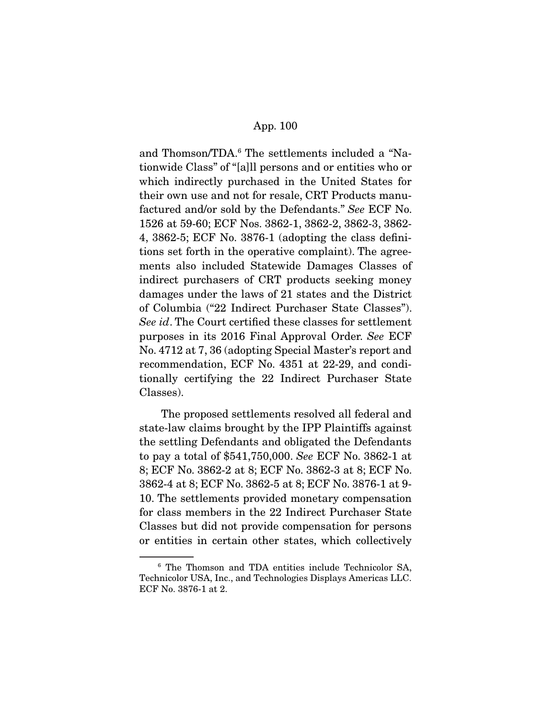and Thomson/TDA.<sup>6</sup> The settlements included a "Nationwide Class" of "[a]ll persons and or entities who or which indirectly purchased in the United States for their own use and not for resale, CRT Products manufactured and/or sold by the Defendants." See ECF No. 1526 at 59-60; ECF Nos. 3862-1, 3862-2, 3862-3, 3862- 4, 3862-5; ECF No. 3876-1 (adopting the class definitions set forth in the operative complaint). The agreements also included Statewide Damages Classes of indirect purchasers of CRT products seeking money damages under the laws of 21 states and the District of Columbia ("22 Indirect Purchaser State Classes"). See id. The Court certified these classes for settlement purposes in its 2016 Final Approval Order. See ECF No. 4712 at 7, 36 (adopting Special Master's report and recommendation, ECF No. 4351 at 22-29, and conditionally certifying the 22 Indirect Purchaser State Classes).

 The proposed settlements resolved all federal and state-law claims brought by the IPP Plaintiffs against the settling Defendants and obligated the Defendants to pay a total of \$541,750,000. See ECF No. 3862-1 at 8; ECF No. 3862-2 at 8; ECF No. 3862-3 at 8; ECF No. 3862-4 at 8; ECF No. 3862-5 at 8; ECF No. 3876-1 at 9- 10. The settlements provided monetary compensation for class members in the 22 Indirect Purchaser State Classes but did not provide compensation for persons or entities in certain other states, which collectively

<sup>6</sup> The Thomson and TDA entities include Technicolor SA, Technicolor USA, Inc., and Technologies Displays Americas LLC. ECF No. 3876-1 at 2.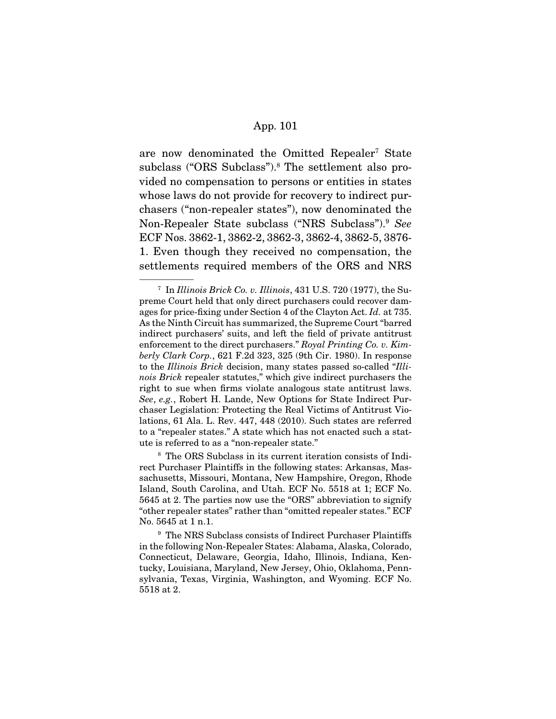are now denominated the Omitted Repealer<sup>7</sup> State subclass ("ORS Subclass").8 The settlement also provided no compensation to persons or entities in states whose laws do not provide for recovery to indirect purchasers ("non-repealer states"), now denominated the Non-Repealer State subclass ("NRS Subclass").<sup>9</sup> See ECF Nos. 3862-1, 3862-2, 3862-3, 3862-4, 3862-5, 3876- 1. Even though they received no compensation, the settlements required members of the ORS and NRS

 $7$  In Illinois Brick Co. v. Illinois, 431 U.S. 720 (1977), the Supreme Court held that only direct purchasers could recover damages for price-fixing under Section 4 of the Clayton Act. Id. at 735. As the Ninth Circuit has summarized, the Supreme Court "barred indirect purchasers' suits, and left the field of private antitrust enforcement to the direct purchasers." Royal Printing Co. v. Kimberly Clark Corp., 621 F.2d 323, 325 (9th Cir. 1980). In response to the Illinois Brick decision, many states passed so-called "Illinois Brick repealer statutes," which give indirect purchasers the right to sue when firms violate analogous state antitrust laws. See, e.g., Robert H. Lande, New Options for State Indirect Purchaser Legislation: Protecting the Real Victims of Antitrust Violations, 61 Ala. L. Rev. 447, 448 (2010). Such states are referred to a "repealer states." A state which has not enacted such a statute is referred to as a "non-repealer state."

<sup>8</sup> The ORS Subclass in its current iteration consists of Indirect Purchaser Plaintiffs in the following states: Arkansas, Massachusetts, Missouri, Montana, New Hampshire, Oregon, Rhode Island, South Carolina, and Utah. ECF No. 5518 at 1; ECF No. 5645 at 2. The parties now use the "ORS" abbreviation to signify "other repealer states" rather than "omitted repealer states." ECF No. 5645 at 1 n.1.

<sup>&</sup>lt;sup>9</sup> The NRS Subclass consists of Indirect Purchaser Plaintiffs in the following Non-Repealer States: Alabama, Alaska, Colorado, Connecticut, Delaware, Georgia, Idaho, Illinois, Indiana, Kentucky, Louisiana, Maryland, New Jersey, Ohio, Oklahoma, Pennsylvania, Texas, Virginia, Washington, and Wyoming. ECF No. 5518 at 2.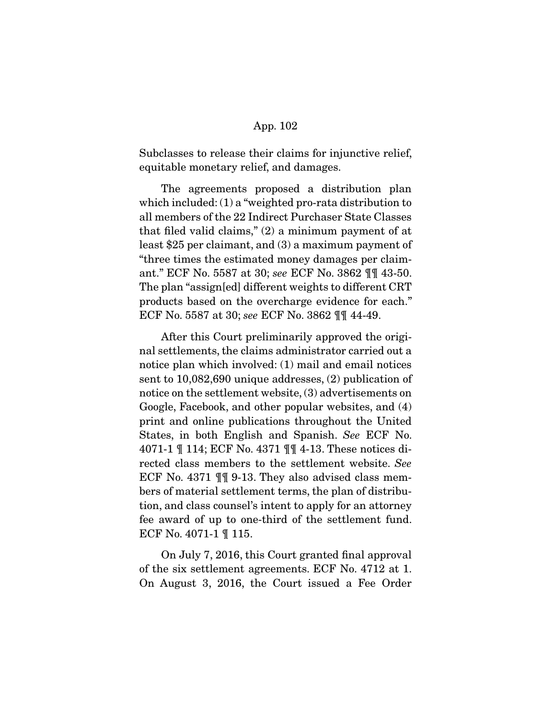Subclasses to release their claims for injunctive relief, equitable monetary relief, and damages.

 The agreements proposed a distribution plan which included: (1) a "weighted pro-rata distribution to all members of the 22 Indirect Purchaser State Classes that filed valid claims," (2) a minimum payment of at least \$25 per claimant, and (3) a maximum payment of "three times the estimated money damages per claimant." ECF No. 5587 at 30; see ECF No. 3862 ¶¶ 43-50. The plan "assign[ed] different weights to different CRT products based on the overcharge evidence for each." ECF No. 5587 at 30; see ECF No. 3862 ¶¶ 44-49.

 After this Court preliminarily approved the original settlements, the claims administrator carried out a notice plan which involved: (1) mail and email notices sent to 10,082,690 unique addresses, (2) publication of notice on the settlement website, (3) advertisements on Google, Facebook, and other popular websites, and (4) print and online publications throughout the United States, in both English and Spanish. See ECF No. 4071-1 ¶ 114; ECF No. 4371 ¶¶ 4-13. These notices directed class members to the settlement website. See ECF No. 4371 ¶¶ 9-13. They also advised class members of material settlement terms, the plan of distribution, and class counsel's intent to apply for an attorney fee award of up to one-third of the settlement fund. ECF No. 4071-1 ¶ 115.

 On July 7, 2016, this Court granted final approval of the six settlement agreements. ECF No. 4712 at 1. On August 3, 2016, the Court issued a Fee Order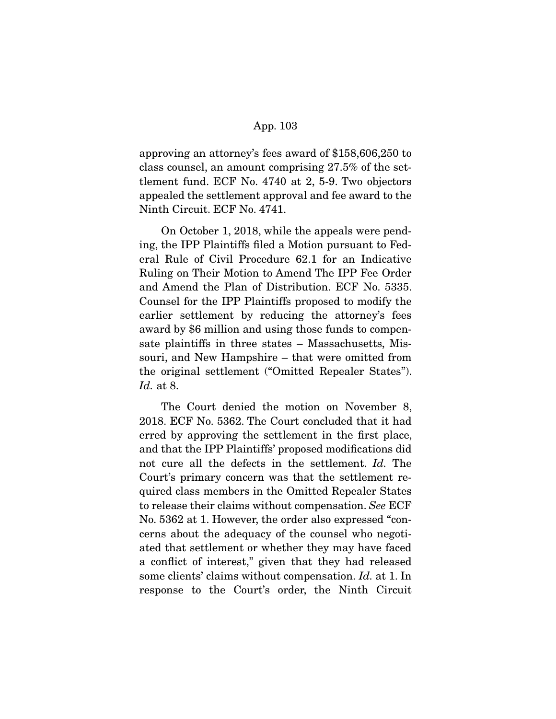approving an attorney's fees award of \$158,606,250 to class counsel, an amount comprising 27.5% of the settlement fund. ECF No. 4740 at 2, 5-9. Two objectors appealed the settlement approval and fee award to the Ninth Circuit. ECF No. 4741.

 On October 1, 2018, while the appeals were pending, the IPP Plaintiffs filed a Motion pursuant to Federal Rule of Civil Procedure 62.1 for an Indicative Ruling on Their Motion to Amend The IPP Fee Order and Amend the Plan of Distribution. ECF No. 5335. Counsel for the IPP Plaintiffs proposed to modify the earlier settlement by reducing the attorney's fees award by \$6 million and using those funds to compensate plaintiffs in three states – Massachusetts, Missouri, and New Hampshire – that were omitted from the original settlement ("Omitted Repealer States"). Id. at 8.

 The Court denied the motion on November 8, 2018. ECF No. 5362. The Court concluded that it had erred by approving the settlement in the first place, and that the IPP Plaintiffs' proposed modifications did not cure all the defects in the settlement. Id. The Court's primary concern was that the settlement required class members in the Omitted Repealer States to release their claims without compensation. See ECF No. 5362 at 1. However, the order also expressed "concerns about the adequacy of the counsel who negotiated that settlement or whether they may have faced a conflict of interest," given that they had released some clients' claims without compensation. Id. at 1. In response to the Court's order, the Ninth Circuit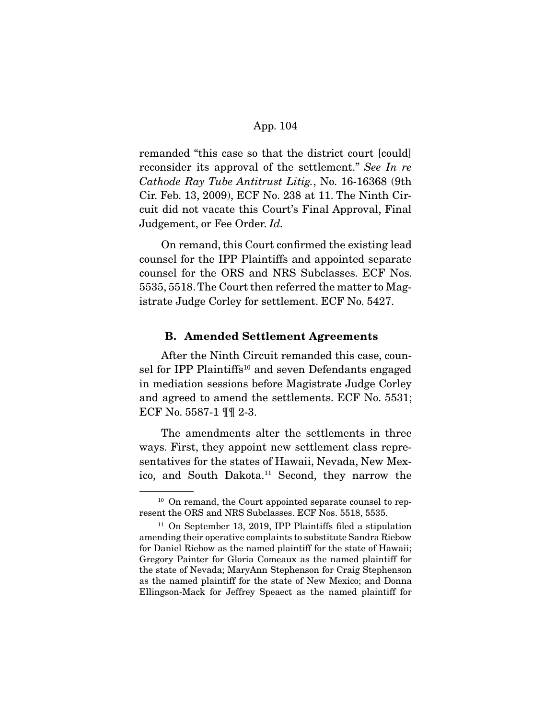remanded "this case so that the district court [could] reconsider its approval of the settlement." See In re Cathode Ray Tube Antitrust Litig., No. 16-16368 (9th Cir. Feb. 13, 2009), ECF No. 238 at 11. The Ninth Circuit did not vacate this Court's Final Approval, Final Judgement, or Fee Order. Id.

 On remand, this Court confirmed the existing lead counsel for the IPP Plaintiffs and appointed separate counsel for the ORS and NRS Subclasses. ECF Nos. 5535, 5518. The Court then referred the matter to Magistrate Judge Corley for settlement. ECF No. 5427.

## **B. Amended Settlement Agreements**

 After the Ninth Circuit remanded this case, counsel for IPP Plaintiffs<sup>10</sup> and seven Defendants engaged in mediation sessions before Magistrate Judge Corley and agreed to amend the settlements. ECF No. 5531; ECF No. 5587-1 ¶¶ 2-3.

 The amendments alter the settlements in three ways. First, they appoint new settlement class representatives for the states of Hawaii, Nevada, New Mexico, and South Dakota.11 Second, they narrow the

<sup>&</sup>lt;sup>10</sup> On remand, the Court appointed separate counsel to represent the ORS and NRS Subclasses. ECF Nos. 5518, 5535.

 $11$  On September 13, 2019, IPP Plaintiffs filed a stipulation amending their operative complaints to substitute Sandra Riebow for Daniel Riebow as the named plaintiff for the state of Hawaii; Gregory Painter for Gloria Comeaux as the named plaintiff for the state of Nevada; MaryAnn Stephenson for Craig Stephenson as the named plaintiff for the state of New Mexico; and Donna Ellingson-Mack for Jeffrey Speaect as the named plaintiff for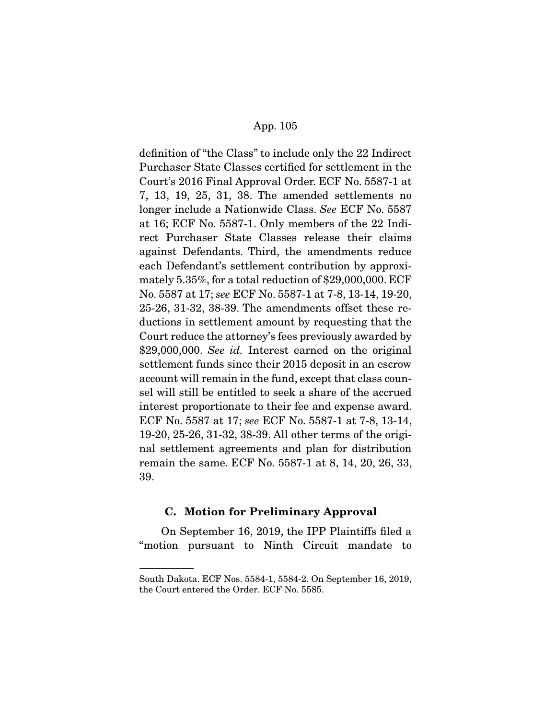definition of "the Class" to include only the 22 Indirect Purchaser State Classes certified for settlement in the Court's 2016 Final Approval Order. ECF No. 5587-1 at 7, 13, 19, 25, 31, 38. The amended settlements no longer include a Nationwide Class. See ECF No. 5587 at 16; ECF No. 5587-1. Only members of the 22 Indirect Purchaser State Classes release their claims against Defendants. Third, the amendments reduce each Defendant's settlement contribution by approximately 5.35%, for a total reduction of \$29,000,000. ECF No. 5587 at 17; see ECF No. 5587-1 at 7-8, 13-14, 19-20, 25-26, 31-32, 38-39. The amendments offset these reductions in settlement amount by requesting that the Court reduce the attorney's fees previously awarded by \$29,000,000. See id. Interest earned on the original settlement funds since their 2015 deposit in an escrow account will remain in the fund, except that class counsel will still be entitled to seek a share of the accrued interest proportionate to their fee and expense award. ECF No. 5587 at 17; see ECF No. 5587-1 at 7-8, 13-14, 19-20, 25-26, 31-32, 38-39. All other terms of the original settlement agreements and plan for distribution remain the same. ECF No. 5587-1 at 8, 14, 20, 26, 33, 39.

## **C. Motion for Preliminary Approval**

 On September 16, 2019, the IPP Plaintiffs filed a "motion pursuant to Ninth Circuit mandate to

South Dakota. ECF Nos. 5584-1, 5584-2. On September 16, 2019, the Court entered the Order. ECF No. 5585.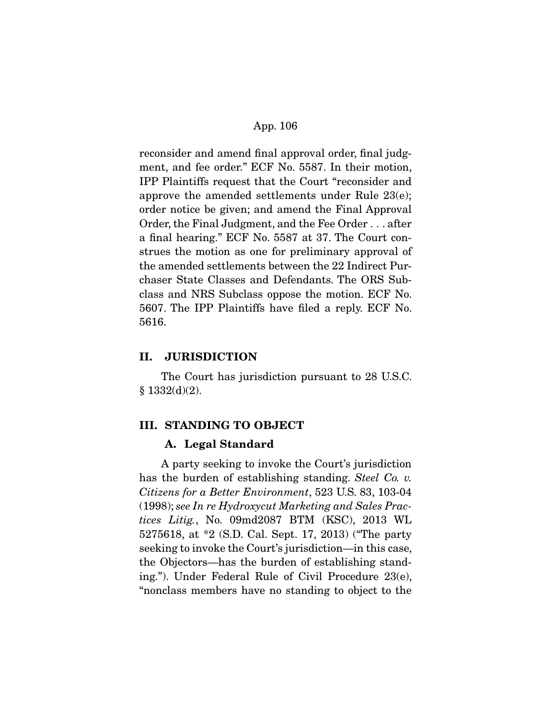reconsider and amend final approval order, final judgment, and fee order." ECF No. 5587. In their motion, IPP Plaintiffs request that the Court "reconsider and approve the amended settlements under Rule 23(e); order notice be given; and amend the Final Approval Order, the Final Judgment, and the Fee Order . . . after a final hearing." ECF No. 5587 at 37. The Court construes the motion as one for preliminary approval of the amended settlements between the 22 Indirect Purchaser State Classes and Defendants. The ORS Subclass and NRS Subclass oppose the motion. ECF No. 5607. The IPP Plaintiffs have filed a reply. ECF No. 5616.

## **II. JURISDICTION**

 The Court has jurisdiction pursuant to 28 U.S.C. § 1332(d)(2).

## **III. STANDING TO OBJECT**

## **A. Legal Standard**

 A party seeking to invoke the Court's jurisdiction has the burden of establishing standing. Steel Co. v. Citizens for a Better Environment, 523 U.S. 83, 103-04 (1998); see In re Hydroxycut Marketing and Sales Practices Litig., No. 09md2087 BTM (KSC), 2013 WL 5275618, at \*2 (S.D. Cal. Sept. 17, 2013) ("The party seeking to invoke the Court's jurisdiction—in this case, the Objectors—has the burden of establishing standing."). Under Federal Rule of Civil Procedure 23(e), "nonclass members have no standing to object to the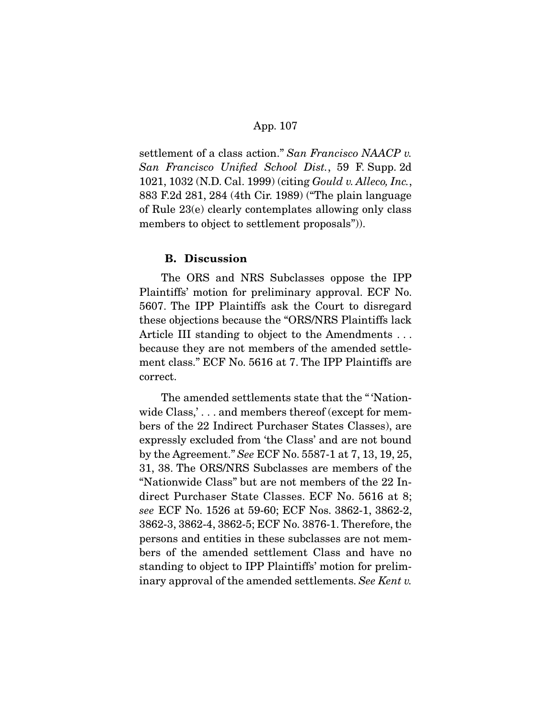settlement of a class action." San Francisco NAACP v. San Francisco Unified School Dist., 59 F. Supp. 2d 1021, 1032 (N.D. Cal. 1999) (citing Gould v. Alleco, Inc., 883 F.2d 281, 284 (4th Cir. 1989) ("The plain language of Rule 23(e) clearly contemplates allowing only class members to object to settlement proposals")).

#### **B. Discussion**

 The ORS and NRS Subclasses oppose the IPP Plaintiffs' motion for preliminary approval. ECF No. 5607. The IPP Plaintiffs ask the Court to disregard these objections because the "ORS/NRS Plaintiffs lack Article III standing to object to the Amendments . . . because they are not members of the amended settlement class." ECF No. 5616 at 7. The IPP Plaintiffs are correct.

 The amended settlements state that the " 'Nationwide Class,'... and members thereof (except for members of the 22 Indirect Purchaser States Classes), are expressly excluded from 'the Class' and are not bound by the Agreement." See ECF No. 5587-1 at 7, 13, 19, 25, 31, 38. The ORS/NRS Subclasses are members of the "Nationwide Class" but are not members of the 22 Indirect Purchaser State Classes. ECF No. 5616 at 8; see ECF No. 1526 at 59-60; ECF Nos. 3862-1, 3862-2, 3862-3, 3862-4, 3862-5; ECF No. 3876-1. Therefore, the persons and entities in these subclasses are not members of the amended settlement Class and have no standing to object to IPP Plaintiffs' motion for preliminary approval of the amended settlements. See Kent v.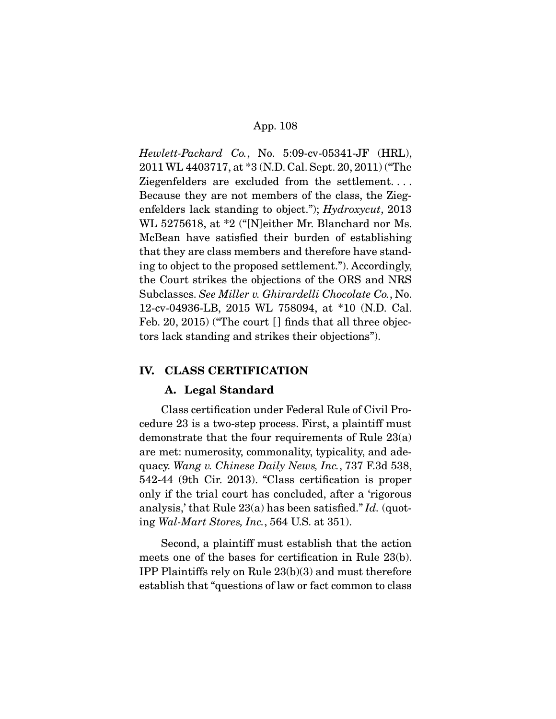Hewlett-Packard Co., No. 5:09-cv-05341-JF (HRL), 2011 WL 4403717, at \*3 (N.D. Cal. Sept. 20, 2011) ("The Ziegenfelders are excluded from the settlement. . . . Because they are not members of the class, the Ziegenfelders lack standing to object."); Hydroxycut, 2013 WL 5275618, at \*2 ("[N]either Mr. Blanchard nor Ms. McBean have satisfied their burden of establishing that they are class members and therefore have standing to object to the proposed settlement."). Accordingly, the Court strikes the objections of the ORS and NRS Subclasses. See Miller v. Ghirardelli Chocolate Co., No. 12-cv-04936-LB, 2015 WL 758094, at \*10 (N.D. Cal. Feb. 20, 2015) ("The court [] finds that all three objectors lack standing and strikes their objections").

## **IV. CLASS CERTIFICATION**

## **A. Legal Standard**

 Class certification under Federal Rule of Civil Procedure 23 is a two-step process. First, a plaintiff must demonstrate that the four requirements of Rule 23(a) are met: numerosity, commonality, typicality, and adequacy. Wang v. Chinese Daily News, Inc., 737 F.3d 538, 542-44 (9th Cir. 2013). "Class certification is proper only if the trial court has concluded, after a 'rigorous analysis,' that Rule  $23(a)$  has been satisfied." Id. (quoting Wal-Mart Stores, Inc., 564 U.S. at 351).

 Second, a plaintiff must establish that the action meets one of the bases for certification in Rule 23(b). IPP Plaintiffs rely on Rule 23(b)(3) and must therefore establish that "questions of law or fact common to class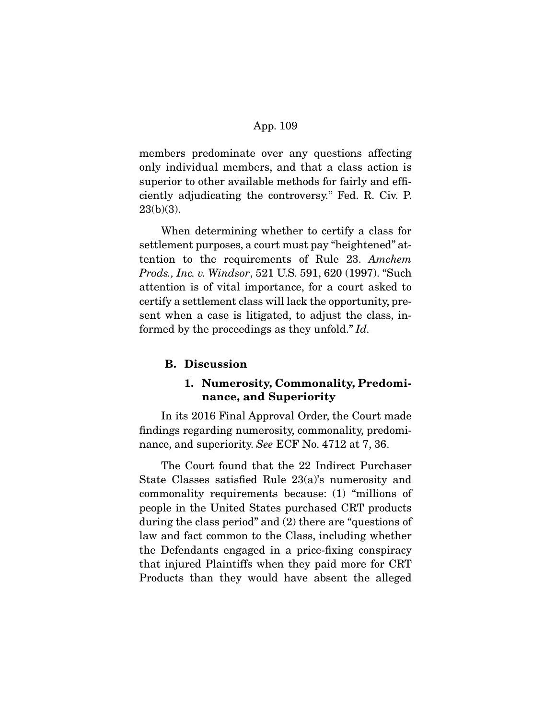members predominate over any questions affecting only individual members, and that a class action is superior to other available methods for fairly and efficiently adjudicating the controversy." Fed. R. Civ. P.  $23(b)(3)$ .

 When determining whether to certify a class for settlement purposes, a court must pay "heightened" attention to the requirements of Rule 23. Amchem Prods., Inc. v. Windsor, 521 U.S. 591, 620 (1997). "Such attention is of vital importance, for a court asked to certify a settlement class will lack the opportunity, present when a case is litigated, to adjust the class, informed by the proceedings as they unfold." Id.

### **B. Discussion**

# **1. Numerosity, Commonality, Predominance, and Superiority**

 In its 2016 Final Approval Order, the Court made findings regarding numerosity, commonality, predominance, and superiority. See ECF No. 4712 at 7, 36.

 The Court found that the 22 Indirect Purchaser State Classes satisfied Rule 23(a)'s numerosity and commonality requirements because: (1) "millions of people in the United States purchased CRT products during the class period" and (2) there are "questions of law and fact common to the Class, including whether the Defendants engaged in a price-fixing conspiracy that injured Plaintiffs when they paid more for CRT Products than they would have absent the alleged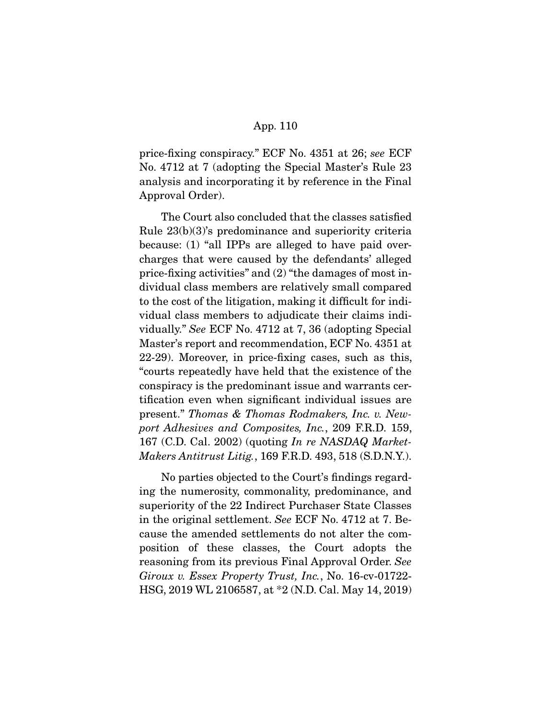price-fixing conspiracy." ECF No. 4351 at 26; see ECF No. 4712 at 7 (adopting the Special Master's Rule 23 analysis and incorporating it by reference in the Final Approval Order).

 The Court also concluded that the classes satisfied Rule 23(b)(3)'s predominance and superiority criteria because: (1) "all IPPs are alleged to have paid overcharges that were caused by the defendants' alleged price-fixing activities" and (2) "the damages of most individual class members are relatively small compared to the cost of the litigation, making it difficult for individual class members to adjudicate their claims individually." See ECF No. 4712 at 7, 36 (adopting Special Master's report and recommendation, ECF No. 4351 at 22-29). Moreover, in price-fixing cases, such as this, "courts repeatedly have held that the existence of the conspiracy is the predominant issue and warrants certification even when significant individual issues are present." Thomas & Thomas Rodmakers, Inc. v. Newport Adhesives and Composites, Inc., 209 F.R.D. 159, 167 (C.D. Cal. 2002) (quoting In re NASDAQ Market-Makers Antitrust Litig., 169 F.R.D. 493, 518 (S.D.N.Y.).

 No parties objected to the Court's findings regarding the numerosity, commonality, predominance, and superiority of the 22 Indirect Purchaser State Classes in the original settlement. See ECF No. 4712 at 7. Because the amended settlements do not alter the composition of these classes, the Court adopts the reasoning from its previous Final Approval Order. See Giroux v. Essex Property Trust, Inc., No. 16-cv-01722- HSG, 2019 WL 2106587, at \*2 (N.D. Cal. May 14, 2019)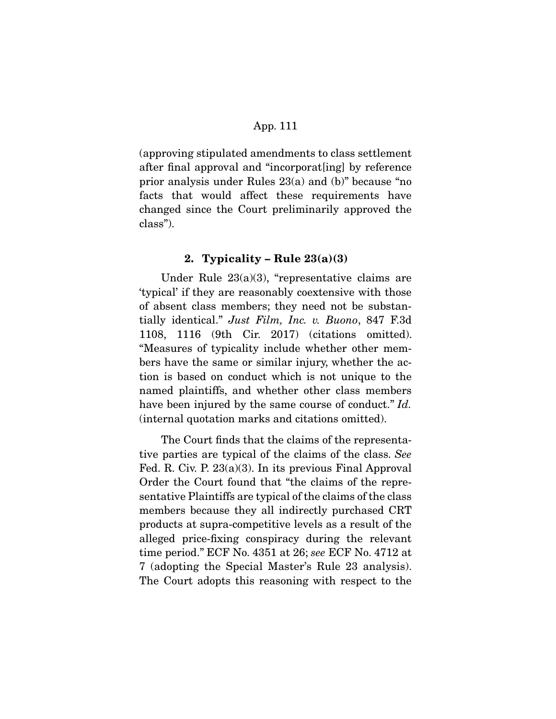(approving stipulated amendments to class settlement after final approval and "incorporat[ing] by reference prior analysis under Rules 23(a) and (b)" because "no facts that would affect these requirements have changed since the Court preliminarily approved the class").

## **2. Typicality – Rule 23(a)(3)**

 Under Rule 23(a)(3), "representative claims are 'typical' if they are reasonably coextensive with those of absent class members; they need not be substantially identical." Just Film, Inc. v. Buono, 847 F.3d 1108, 1116 (9th Cir. 2017) (citations omitted). "Measures of typicality include whether other members have the same or similar injury, whether the action is based on conduct which is not unique to the named plaintiffs, and whether other class members have been injured by the same course of conduct." Id. (internal quotation marks and citations omitted).

 The Court finds that the claims of the representative parties are typical of the claims of the class. See Fed. R. Civ. P. 23(a)(3). In its previous Final Approval Order the Court found that "the claims of the representative Plaintiffs are typical of the claims of the class members because they all indirectly purchased CRT products at supra-competitive levels as a result of the alleged price-fixing conspiracy during the relevant time period." ECF No. 4351 at 26; see ECF No. 4712 at 7 (adopting the Special Master's Rule 23 analysis). The Court adopts this reasoning with respect to the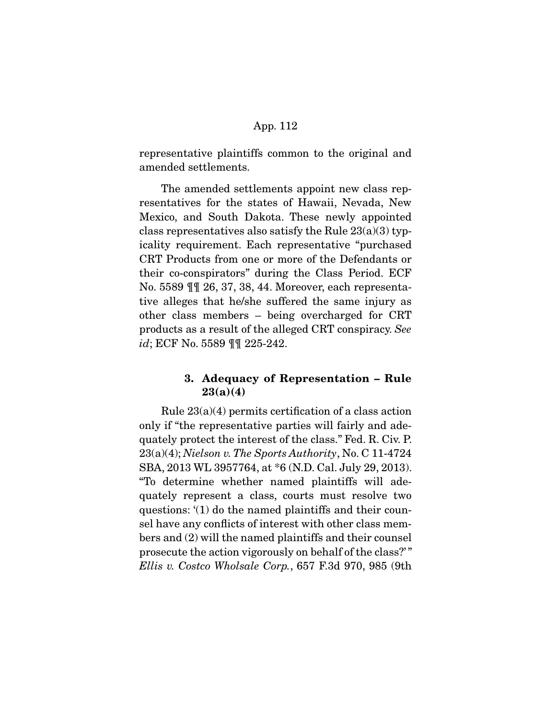representative plaintiffs common to the original and amended settlements.

 The amended settlements appoint new class representatives for the states of Hawaii, Nevada, New Mexico, and South Dakota. These newly appointed class representatives also satisfy the Rule  $23(a)(3)$  typicality requirement. Each representative "purchased CRT Products from one or more of the Defendants or their co-conspirators" during the Class Period. ECF No. 5589 ¶¶ 26, 37, 38, 44. Moreover, each representative alleges that he/she suffered the same injury as other class members – being overcharged for CRT products as a result of the alleged CRT conspiracy. See id; ECF No. 5589 ¶¶ 225-242.

# **3. Adequacy of Representation – Rule 23(a)(4)**

 Rule 23(a)(4) permits certification of a class action only if "the representative parties will fairly and adequately protect the interest of the class." Fed. R. Civ. P.  $23(a)(4)$ ; Nielson v. The Sports Authority, No. C 11-4724 SBA, 2013 WL 3957764, at \*6 (N.D. Cal. July 29, 2013). "To determine whether named plaintiffs will adequately represent a class, courts must resolve two questions: '(1) do the named plaintiffs and their counsel have any conflicts of interest with other class members and (2) will the named plaintiffs and their counsel prosecute the action vigorously on behalf of the class?' " Ellis v. Costco Wholsale Corp., 657 F.3d 970, 985 (9th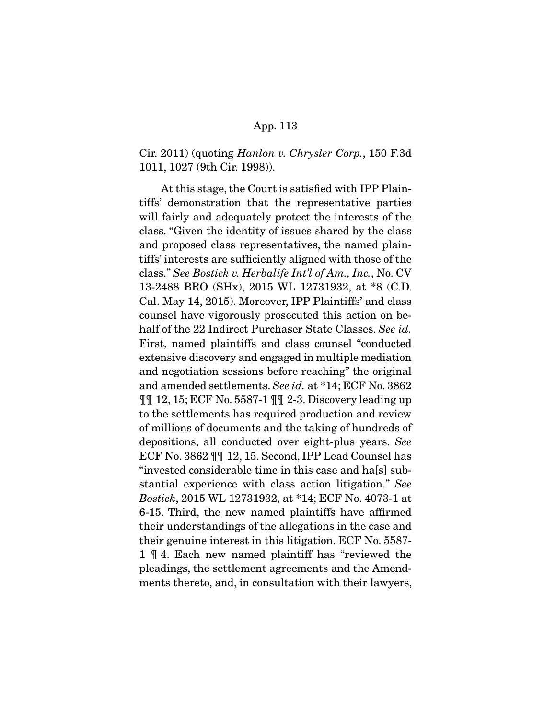Cir. 2011) (quoting Hanlon v. Chrysler Corp., 150 F.3d 1011, 1027 (9th Cir. 1998)).

 At this stage, the Court is satisfied with IPP Plaintiffs' demonstration that the representative parties will fairly and adequately protect the interests of the class. "Given the identity of issues shared by the class and proposed class representatives, the named plaintiffs' interests are sufficiently aligned with those of the class." See Bostick v. Herbalife Int'l of Am., Inc., No. CV 13-2488 BRO (SHx), 2015 WL 12731932, at \*8 (C.D. Cal. May 14, 2015). Moreover, IPP Plaintiffs' and class counsel have vigorously prosecuted this action on behalf of the 22 Indirect Purchaser State Classes. See id. First, named plaintiffs and class counsel "conducted extensive discovery and engaged in multiple mediation and negotiation sessions before reaching" the original and amended settlements. See id. at \*14; ECF No. 3862 ¶¶ 12, 15; ECF No. 5587-1 ¶¶ 2-3. Discovery leading up to the settlements has required production and review of millions of documents and the taking of hundreds of depositions, all conducted over eight-plus years. See ECF No. 3862 ¶¶ 12, 15. Second, IPP Lead Counsel has "invested considerable time in this case and ha[s] substantial experience with class action litigation." See Bostick, 2015 WL 12731932, at \*14; ECF No. 4073-1 at 6-15. Third, the new named plaintiffs have affirmed their understandings of the allegations in the case and their genuine interest in this litigation. ECF No. 5587- 1 ¶ 4. Each new named plaintiff has "reviewed the pleadings, the settlement agreements and the Amendments thereto, and, in consultation with their lawyers,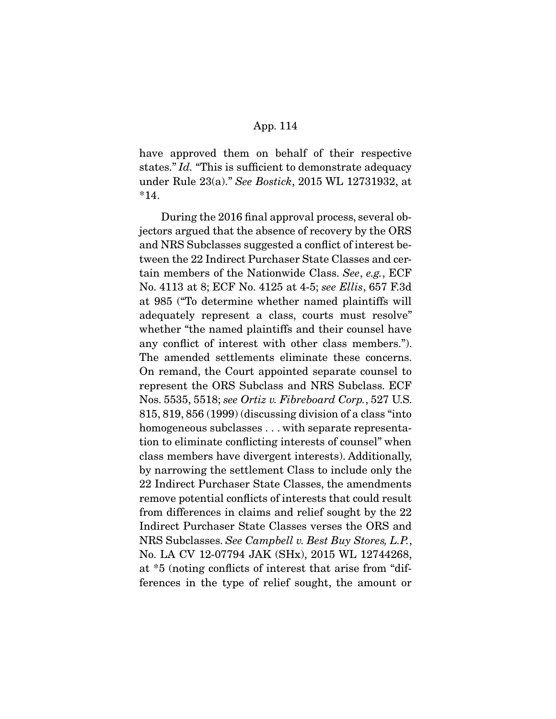have approved them on behalf of their respective states." Id. "This is sufficient to demonstrate adequacy under Rule 23(a)." See Bostick, 2015 WL 12731932, at \*14.

 During the 2016 final approval process, several objectors argued that the absence of recovery by the ORS and NRS Subclasses suggested a conflict of interest between the 22 Indirect Purchaser State Classes and certain members of the Nationwide Class. See, e.g., ECF No. 4113 at 8; ECF No. 4125 at 4-5; see Ellis, 657 F.3d at 985 ("To determine whether named plaintiffs will adequately represent a class, courts must resolve" whether "the named plaintiffs and their counsel have any conflict of interest with other class members."). The amended settlements eliminate these concerns. On remand, the Court appointed separate counsel to represent the ORS Subclass and NRS Subclass. ECF Nos. 5535, 5518; see Ortiz v. Fibreboard Corp., 527 U.S. 815, 819, 856 (1999) (discussing division of a class "into homogeneous subclasses . . . with separate representation to eliminate conflicting interests of counsel" when class members have divergent interests). Additionally, by narrowing the settlement Class to include only the 22 Indirect Purchaser State Classes, the amendments remove potential conflicts of interests that could result from differences in claims and relief sought by the 22 Indirect Purchaser State Classes verses the ORS and NRS Subclasses. See Campbell v. Best Buy Stores, L.P., No. LA CV 12-07794 JAK (SHx), 2015 WL 12744268, at \*5 (noting conflicts of interest that arise from "differences in the type of relief sought, the amount or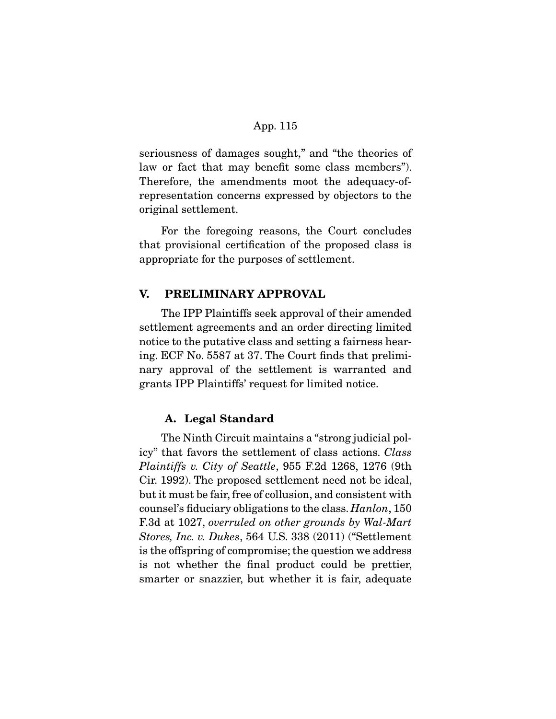seriousness of damages sought," and "the theories of law or fact that may benefit some class members"). Therefore, the amendments moot the adequacy-ofrepresentation concerns expressed by objectors to the original settlement.

 For the foregoing reasons, the Court concludes that provisional certification of the proposed class is appropriate for the purposes of settlement.

# **V. PRELIMINARY APPROVAL**

 The IPP Plaintiffs seek approval of their amended settlement agreements and an order directing limited notice to the putative class and setting a fairness hearing. ECF No. 5587 at 37. The Court finds that preliminary approval of the settlement is warranted and grants IPP Plaintiffs' request for limited notice.

# **A. Legal Standard**

 The Ninth Circuit maintains a "strong judicial policy" that favors the settlement of class actions. Class Plaintiffs v. City of Seattle, 955 F.2d 1268, 1276 (9th Cir. 1992). The proposed settlement need not be ideal, but it must be fair, free of collusion, and consistent with counsel's fiduciary obligations to the class. Hanlon, 150 F.3d at 1027, overruled on other grounds by Wal-Mart Stores, Inc. v. Dukes, 564 U.S. 338 (2011) ("Settlement is the offspring of compromise; the question we address is not whether the final product could be prettier, smarter or snazzier, but whether it is fair, adequate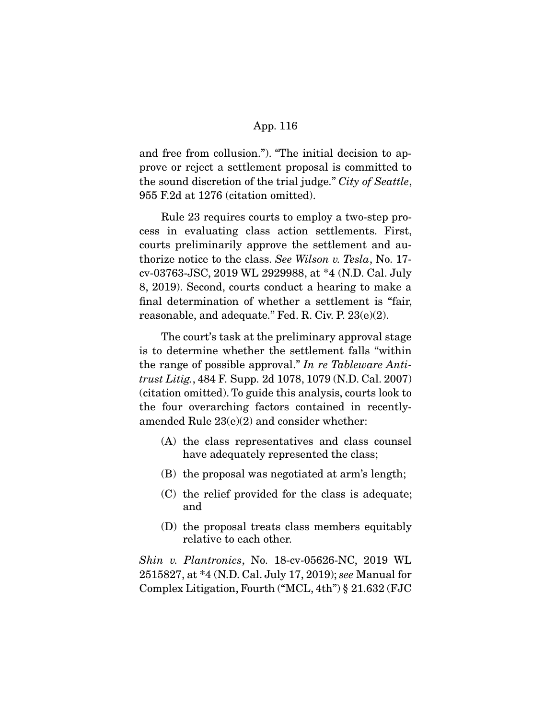and free from collusion."). "The initial decision to approve or reject a settlement proposal is committed to the sound discretion of the trial judge." City of Seattle, 955 F.2d at 1276 (citation omitted).

 Rule 23 requires courts to employ a two-step process in evaluating class action settlements. First, courts preliminarily approve the settlement and authorize notice to the class. See Wilson v. Tesla, No. 17 cv-03763-JSC, 2019 WL 2929988, at \*4 (N.D. Cal. July 8, 2019). Second, courts conduct a hearing to make a final determination of whether a settlement is "fair, reasonable, and adequate." Fed. R. Civ. P. 23(e)(2).

 The court's task at the preliminary approval stage is to determine whether the settlement falls "within the range of possible approval." In re Tableware Antitrust Litig., 484 F. Supp. 2d 1078, 1079 (N.D. Cal. 2007) (citation omitted). To guide this analysis, courts look to the four overarching factors contained in recentlyamended Rule 23(e)(2) and consider whether:

- (A) the class representatives and class counsel have adequately represented the class;
- (B) the proposal was negotiated at arm's length;
- (C) the relief provided for the class is adequate; and
- (D) the proposal treats class members equitably relative to each other.

Shin v. Plantronics, No. 18-cv-05626-NC, 2019 WL 2515827, at \*4 (N.D. Cal. July 17, 2019); see Manual for Complex Litigation, Fourth ("MCL, 4th") § 21.632 (FJC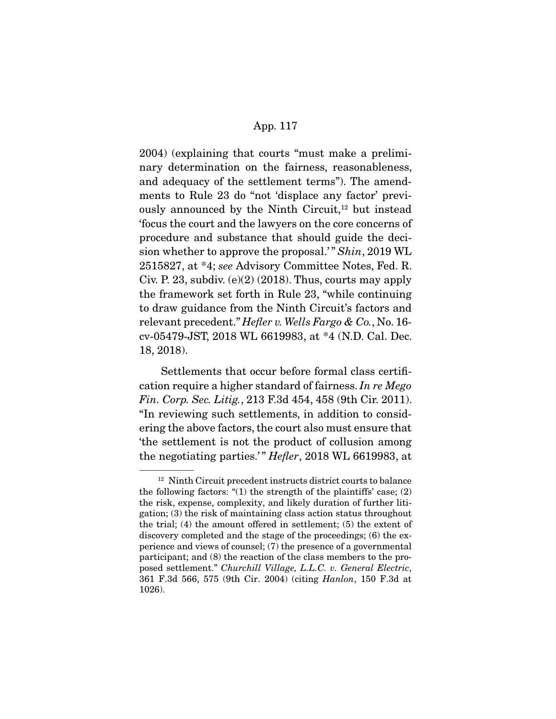2004) (explaining that courts "must make a preliminary determination on the fairness, reasonableness, and adequacy of the settlement terms"). The amendments to Rule 23 do "not 'displace any factor' previously announced by the Ninth Circuit,<sup>12</sup> but instead 'focus the court and the lawyers on the core concerns of procedure and substance that should guide the decision whether to approve the proposal.'" Shin, 2019 WL 2515827, at \*4; see Advisory Committee Notes, Fed. R. Civ. P. 23, subdiv.  $(e)(2)$  (2018). Thus, courts may apply the framework set forth in Rule 23, "while continuing to draw guidance from the Ninth Circuit's factors and relevant precedent." Hefler v. Wells Fargo & Co., No. 16cv-05479-JST, 2018 WL 6619983, at \*4 (N.D. Cal. Dec. 18, 2018).

 Settlements that occur before formal class certification require a higher standard of fairness. In re Mego Fin. Corp. Sec. Litig., 213 F.3d 454, 458 (9th Cir. 2011). "In reviewing such settlements, in addition to considering the above factors, the court also must ensure that 'the settlement is not the product of collusion among the negotiating parties.'" *Hefler*, 2018 WL 6619983, at

<sup>12</sup> Ninth Circuit precedent instructs district courts to balance the following factors: "(1) the strength of the plaintiffs' case; (2) the risk, expense, complexity, and likely duration of further litigation; (3) the risk of maintaining class action status throughout the trial; (4) the amount offered in settlement; (5) the extent of discovery completed and the stage of the proceedings; (6) the experience and views of counsel; (7) the presence of a governmental participant; and (8) the reaction of the class members to the proposed settlement." Churchill Village, L.L.C. v. General Electric, 361 F.3d 566, 575 (9th Cir. 2004) (citing Hanlon, 150 F.3d at 1026).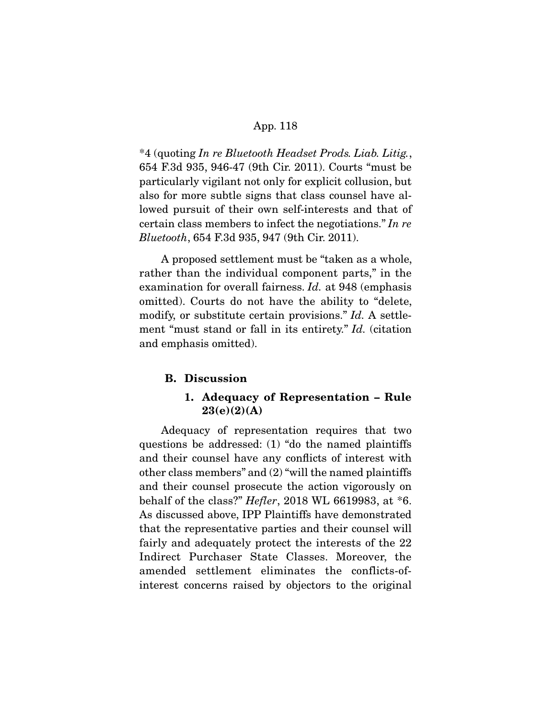\*4 (quoting In re Bluetooth Headset Prods. Liab. Litig., 654 F.3d 935, 946-47 (9th Cir. 2011). Courts "must be particularly vigilant not only for explicit collusion, but also for more subtle signs that class counsel have allowed pursuit of their own self-interests and that of certain class members to infect the negotiations." In re Bluetooth, 654 F.3d 935, 947 (9th Cir. 2011).

 A proposed settlement must be "taken as a whole, rather than the individual component parts," in the examination for overall fairness. Id. at 948 (emphasis omitted). Courts do not have the ability to "delete, modify, or substitute certain provisions." Id. A settlement "must stand or fall in its entirety." Id. (citation and emphasis omitted).

#### **B. Discussion**

# **1. Adequacy of Representation – Rule 23(e)(2)(A)**

 Adequacy of representation requires that two questions be addressed: (1) "do the named plaintiffs and their counsel have any conflicts of interest with other class members" and (2) "will the named plaintiffs and their counsel prosecute the action vigorously on behalf of the class?" Hefler, 2018 WL 6619983, at \*6. As discussed above, IPP Plaintiffs have demonstrated that the representative parties and their counsel will fairly and adequately protect the interests of the 22 Indirect Purchaser State Classes. Moreover, the amended settlement eliminates the conflicts-ofinterest concerns raised by objectors to the original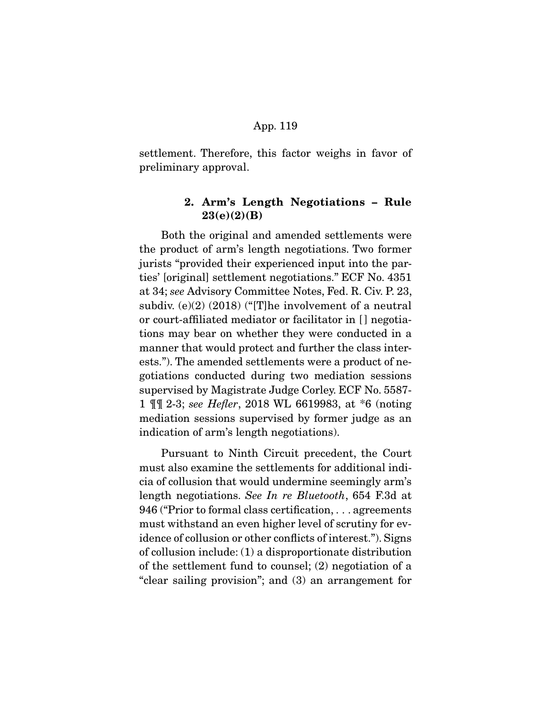settlement. Therefore, this factor weighs in favor of preliminary approval.

# **2. Arm's Length Negotiations – Rule 23(e)(2)(B)**

 Both the original and amended settlements were the product of arm's length negotiations. Two former jurists "provided their experienced input into the parties' [original] settlement negotiations." ECF No. 4351 at 34; see Advisory Committee Notes, Fed. R. Civ. P. 23, subdiv. (e)(2) (2018) ("[T]he involvement of a neutral or court-affiliated mediator or facilitator in [ ] negotiations may bear on whether they were conducted in a manner that would protect and further the class interests."). The amended settlements were a product of negotiations conducted during two mediation sessions supervised by Magistrate Judge Corley. ECF No. 5587- 1 ¶¶ 2-3; see Hefler, 2018 WL 6619983, at \*6 (noting mediation sessions supervised by former judge as an indication of arm's length negotiations).

 Pursuant to Ninth Circuit precedent, the Court must also examine the settlements for additional indicia of collusion that would undermine seemingly arm's length negotiations. See In re Bluetooth, 654 F.3d at 946 ("Prior to formal class certification, . . . agreements must withstand an even higher level of scrutiny for evidence of collusion or other conflicts of interest."). Signs of collusion include: (1) a disproportionate distribution of the settlement fund to counsel; (2) negotiation of a "clear sailing provision"; and (3) an arrangement for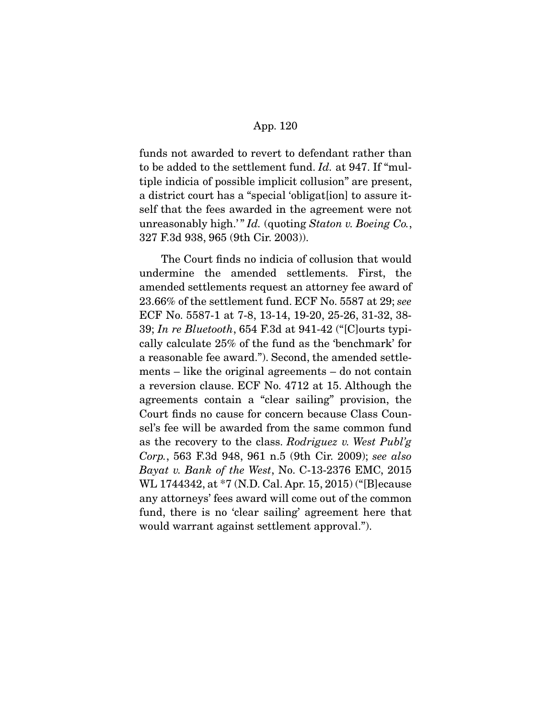funds not awarded to revert to defendant rather than to be added to the settlement fund. Id. at 947. If "multiple indicia of possible implicit collusion" are present, a district court has a "special 'obligat[ion] to assure itself that the fees awarded in the agreement were not unreasonably high.'"  $Id.$  (quoting Staton v. Boeing Co., 327 F.3d 938, 965 (9th Cir. 2003)).

 The Court finds no indicia of collusion that would undermine the amended settlements. First, the amended settlements request an attorney fee award of 23.66% of the settlement fund. ECF No. 5587 at 29; see ECF No. 5587-1 at 7-8, 13-14, 19-20, 25-26, 31-32, 38- 39; In re Bluetooth, 654 F.3d at 941-42 ("[C]ourts typically calculate 25% of the fund as the 'benchmark' for a reasonable fee award."). Second, the amended settlements – like the original agreements – do not contain a reversion clause. ECF No. 4712 at 15. Although the agreements contain a "clear sailing" provision, the Court finds no cause for concern because Class Counsel's fee will be awarded from the same common fund as the recovery to the class. Rodriguez v. West Publ'g Corp., 563 F.3d 948, 961 n.5 (9th Cir. 2009); see also Bayat v. Bank of the West, No. C-13-2376 EMC, 2015 WL 1744342, at \*7 (N.D. Cal. Apr. 15, 2015) ("[B]ecause any attorneys' fees award will come out of the common fund, there is no 'clear sailing' agreement here that would warrant against settlement approval.").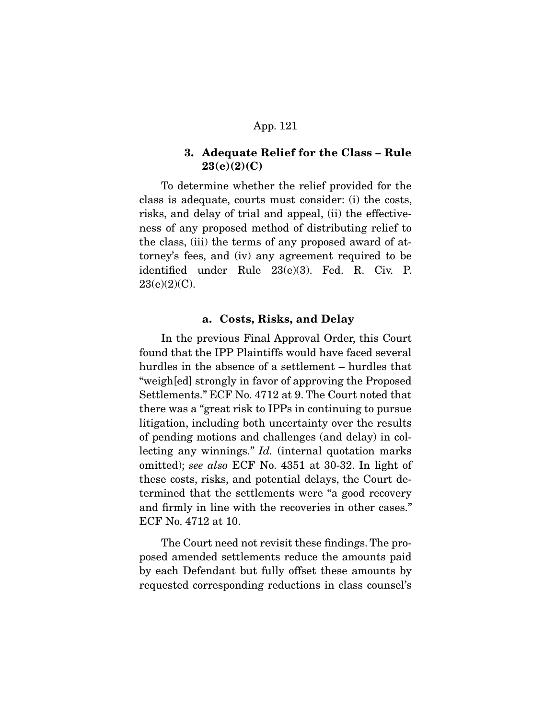# **3. Adequate Relief for the Class – Rule 23(e)(2)(C)**

 To determine whether the relief provided for the class is adequate, courts must consider: (i) the costs, risks, and delay of trial and appeal, (ii) the effectiveness of any proposed method of distributing relief to the class, (iii) the terms of any proposed award of attorney's fees, and (iv) any agreement required to be identified under Rule 23(e)(3). Fed. R. Civ. P. 23(e)(2)(C).

## **a. Costs, Risks, and Delay**

 In the previous Final Approval Order, this Court found that the IPP Plaintiffs would have faced several hurdles in the absence of a settlement – hurdles that "weigh[ed] strongly in favor of approving the Proposed Settlements." ECF No. 4712 at 9. The Court noted that there was a "great risk to IPPs in continuing to pursue litigation, including both uncertainty over the results of pending motions and challenges (and delay) in collecting any winnings." Id. (internal quotation marks omitted); see also ECF No. 4351 at 30-32. In light of these costs, risks, and potential delays, the Court determined that the settlements were "a good recovery and firmly in line with the recoveries in other cases." ECF No. 4712 at 10.

 The Court need not revisit these findings. The proposed amended settlements reduce the amounts paid by each Defendant but fully offset these amounts by requested corresponding reductions in class counsel's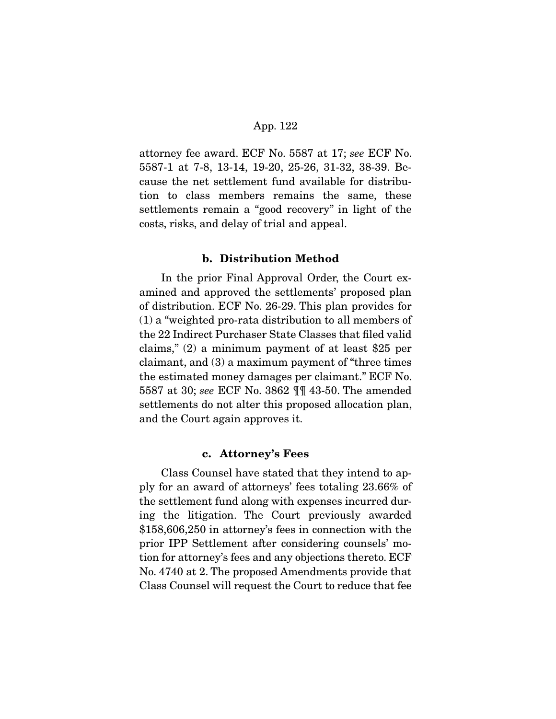attorney fee award. ECF No. 5587 at 17; see ECF No. 5587-1 at 7-8, 13-14, 19-20, 25-26, 31-32, 38-39. Because the net settlement fund available for distribution to class members remains the same, these settlements remain a "good recovery" in light of the costs, risks, and delay of trial and appeal.

### **b. Distribution Method**

 In the prior Final Approval Order, the Court examined and approved the settlements' proposed plan of distribution. ECF No. 26-29. This plan provides for (1) a "weighted pro-rata distribution to all members of the 22 Indirect Purchaser State Classes that filed valid claims," (2) a minimum payment of at least \$25 per claimant, and (3) a maximum payment of "three times the estimated money damages per claimant." ECF No. 5587 at 30; see ECF No. 3862 ¶¶ 43-50. The amended settlements do not alter this proposed allocation plan, and the Court again approves it.

### **c. Attorney's Fees**

 Class Counsel have stated that they intend to apply for an award of attorneys' fees totaling 23.66% of the settlement fund along with expenses incurred during the litigation. The Court previously awarded \$158,606,250 in attorney's fees in connection with the prior IPP Settlement after considering counsels' motion for attorney's fees and any objections thereto. ECF No. 4740 at 2. The proposed Amendments provide that Class Counsel will request the Court to reduce that fee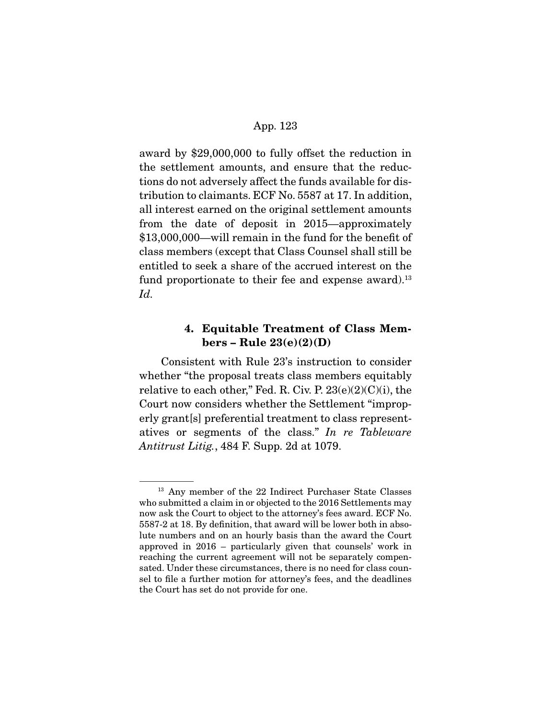award by \$29,000,000 to fully offset the reduction in the settlement amounts, and ensure that the reductions do not adversely affect the funds available for distribution to claimants. ECF No. 5587 at 17. In addition, all interest earned on the original settlement amounts from the date of deposit in 2015—approximately \$13,000,000—will remain in the fund for the benefit of class members (except that Class Counsel shall still be entitled to seek a share of the accrued interest on the fund proportionate to their fee and expense award).<sup>13</sup> Id.

# **4. Equitable Treatment of Class Members – Rule 23(e)(2)(D)**

 Consistent with Rule 23's instruction to consider whether "the proposal treats class members equitably relative to each other," Fed. R. Civ. P.  $23(e)(2)(C)(i)$ , the Court now considers whether the Settlement "improperly grant[s] preferential treatment to class representatives or segments of the class." In re Tableware Antitrust Litig., 484 F. Supp. 2d at 1079.

<sup>13</sup> Any member of the 22 Indirect Purchaser State Classes who submitted a claim in or objected to the 2016 Settlements may now ask the Court to object to the attorney's fees award. ECF No. 5587-2 at 18. By definition, that award will be lower both in absolute numbers and on an hourly basis than the award the Court approved in 2016 – particularly given that counsels' work in reaching the current agreement will not be separately compensated. Under these circumstances, there is no need for class counsel to file a further motion for attorney's fees, and the deadlines the Court has set do not provide for one.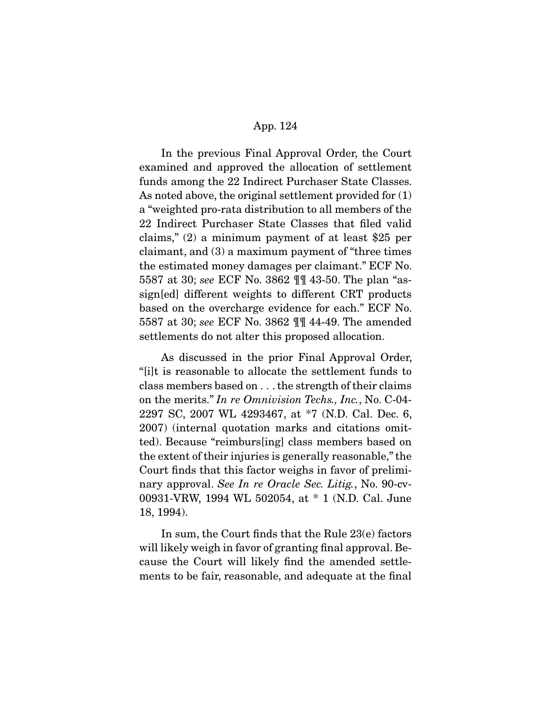In the previous Final Approval Order, the Court examined and approved the allocation of settlement funds among the 22 Indirect Purchaser State Classes. As noted above, the original settlement provided for (1) a "weighted pro-rata distribution to all members of the 22 Indirect Purchaser State Classes that filed valid claims," (2) a minimum payment of at least \$25 per claimant, and (3) a maximum payment of "three times the estimated money damages per claimant." ECF No. 5587 at 30; see ECF No. 3862 ¶¶ 43-50. The plan "assign[ed] different weights to different CRT products based on the overcharge evidence for each." ECF No. 5587 at 30; see ECF No. 3862 ¶¶ 44-49. The amended settlements do not alter this proposed allocation.

 As discussed in the prior Final Approval Order, "[i]t is reasonable to allocate the settlement funds to class members based on . . . the strength of their claims on the merits." In re Omnivision Techs., Inc., No. C-04- 2297 SC, 2007 WL 4293467, at \*7 (N.D. Cal. Dec. 6, 2007) (internal quotation marks and citations omitted). Because "reimburs[ing] class members based on the extent of their injuries is generally reasonable," the Court finds that this factor weighs in favor of preliminary approval. See In re Oracle Sec. Litig., No. 90-cv-00931-VRW, 1994 WL 502054, at \* 1 (N.D. Cal. June 18, 1994).

 In sum, the Court finds that the Rule 23(e) factors will likely weigh in favor of granting final approval. Because the Court will likely find the amended settlements to be fair, reasonable, and adequate at the final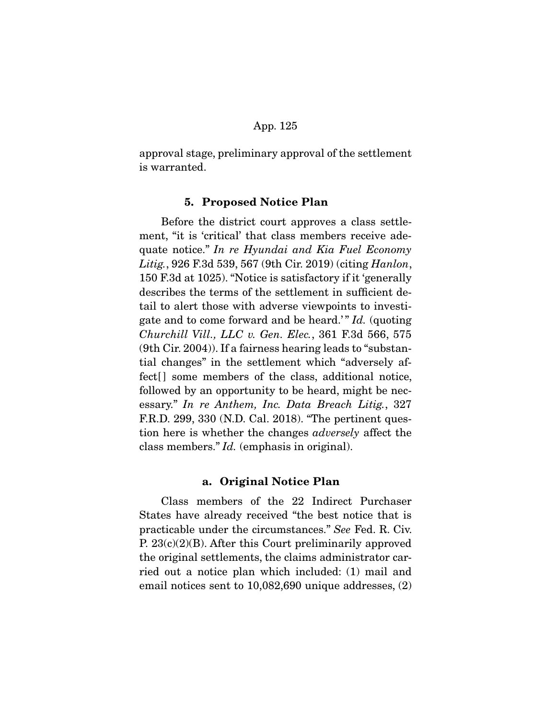approval stage, preliminary approval of the settlement is warranted.

### **5. Proposed Notice Plan**

 Before the district court approves a class settlement, "it is 'critical' that class members receive adequate notice." In re Hyundai and Kia Fuel Economy Litig., 926 F.3d 539, 567 (9th Cir. 2019) (citing *Hanlon*, 150 F.3d at 1025). "Notice is satisfactory if it 'generally describes the terms of the settlement in sufficient detail to alert those with adverse viewpoints to investigate and to come forward and be heard." Id. (quoting Churchill Vill., LLC v. Gen. Elec., 361 F.3d 566, 575 (9th Cir. 2004)). If a fairness hearing leads to "substantial changes" in the settlement which "adversely affect<sup>[]</sup> some members of the class, additional notice, followed by an opportunity to be heard, might be necessary." In re Anthem, Inc. Data Breach Litig., 327 F.R.D. 299, 330 (N.D. Cal. 2018). "The pertinent question here is whether the changes adversely affect the class members." Id. (emphasis in original).

### **a. Original Notice Plan**

 Class members of the 22 Indirect Purchaser States have already received "the best notice that is practicable under the circumstances." See Fed. R. Civ. P. 23(c)(2)(B). After this Court preliminarily approved the original settlements, the claims administrator carried out a notice plan which included: (1) mail and email notices sent to 10,082,690 unique addresses, (2)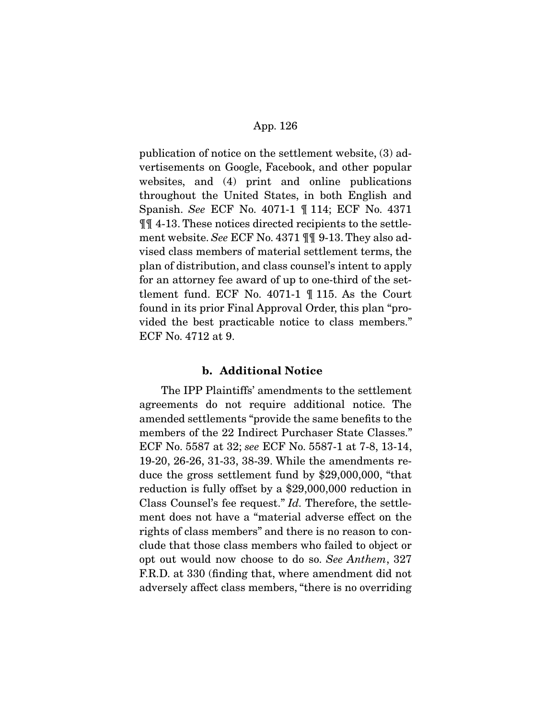publication of notice on the settlement website, (3) advertisements on Google, Facebook, and other popular websites, and (4) print and online publications throughout the United States, in both English and Spanish. See ECF No. 4071-1 ¶ 114; ECF No. 4371 ¶¶ 4-13. These notices directed recipients to the settlement website. See ECF No. 4371 ¶¶ 9-13. They also advised class members of material settlement terms, the plan of distribution, and class counsel's intent to apply for an attorney fee award of up to one-third of the settlement fund. ECF No. 4071-1 ¶ 115. As the Court found in its prior Final Approval Order, this plan "provided the best practicable notice to class members." ECF No. 4712 at 9.

# **b. Additional Notice**

 The IPP Plaintiffs' amendments to the settlement agreements do not require additional notice. The amended settlements "provide the same benefits to the members of the 22 Indirect Purchaser State Classes." ECF No. 5587 at 32; see ECF No. 5587-1 at 7-8, 13-14, 19-20, 26-26, 31-33, 38-39. While the amendments reduce the gross settlement fund by \$29,000,000, "that reduction is fully offset by a \$29,000,000 reduction in Class Counsel's fee request." Id. Therefore, the settlement does not have a "material adverse effect on the rights of class members" and there is no reason to conclude that those class members who failed to object or opt out would now choose to do so. See Anthem, 327 F.R.D. at 330 (finding that, where amendment did not adversely affect class members, "there is no overriding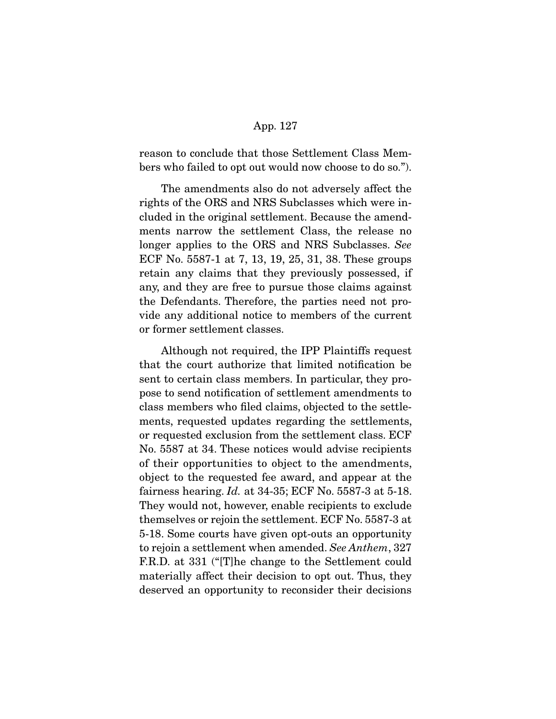reason to conclude that those Settlement Class Members who failed to opt out would now choose to do so.").

 The amendments also do not adversely affect the rights of the ORS and NRS Subclasses which were included in the original settlement. Because the amendments narrow the settlement Class, the release no longer applies to the ORS and NRS Subclasses. See ECF No. 5587-1 at 7, 13, 19, 25, 31, 38. These groups retain any claims that they previously possessed, if any, and they are free to pursue those claims against the Defendants. Therefore, the parties need not provide any additional notice to members of the current or former settlement classes.

 Although not required, the IPP Plaintiffs request that the court authorize that limited notification be sent to certain class members. In particular, they propose to send notification of settlement amendments to class members who filed claims, objected to the settlements, requested updates regarding the settlements, or requested exclusion from the settlement class. ECF No. 5587 at 34. These notices would advise recipients of their opportunities to object to the amendments, object to the requested fee award, and appear at the fairness hearing. Id. at  $34-35$ ; ECF No.  $5587-3$  at  $5-18$ . They would not, however, enable recipients to exclude themselves or rejoin the settlement. ECF No. 5587-3 at 5-18. Some courts have given opt-outs an opportunity to rejoin a settlement when amended. See Anthem, 327 F.R.D. at 331 ("[T]he change to the Settlement could materially affect their decision to opt out. Thus, they deserved an opportunity to reconsider their decisions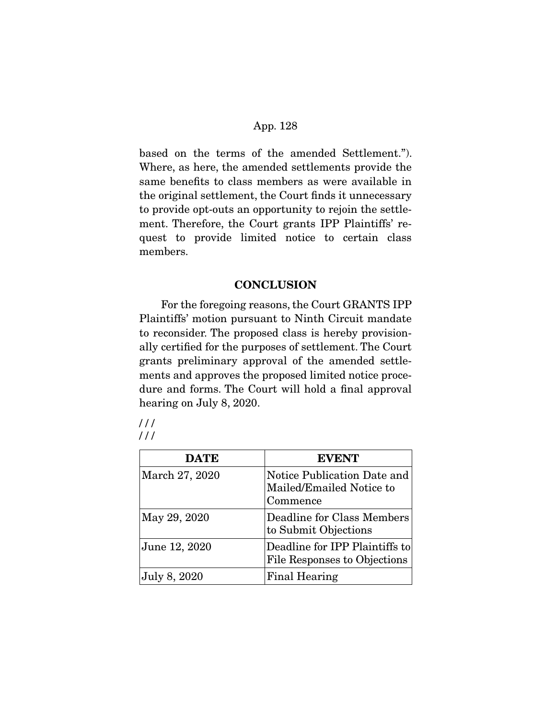based on the terms of the amended Settlement."). Where, as here, the amended settlements provide the same benefits to class members as were available in the original settlement, the Court finds it unnecessary to provide opt-outs an opportunity to rejoin the settlement. Therefore, the Court grants IPP Plaintiffs' request to provide limited notice to certain class members.

# **CONCLUSION**

 For the foregoing reasons, the Court GRANTS IPP Plaintiffs' motion pursuant to Ninth Circuit mandate to reconsider. The proposed class is hereby provisionally certified for the purposes of settlement. The Court grants preliminary approval of the amended settlements and approves the proposed limited notice procedure and forms. The Court will hold a final approval hearing on July 8, 2020.

| 111 |  |
|-----|--|
| 111 |  |

| <b>DATE</b>    | <b>EVENT</b>                                                        |
|----------------|---------------------------------------------------------------------|
| March 27, 2020 | Notice Publication Date and<br>Mailed/Emailed Notice to<br>Commence |
| May 29, 2020   | Deadline for Class Members<br>to Submit Objections                  |
| June 12, 2020  | Deadline for IPP Plaintiffs to<br>File Responses to Objections      |
| July 8, 2020   | Final Hearing                                                       |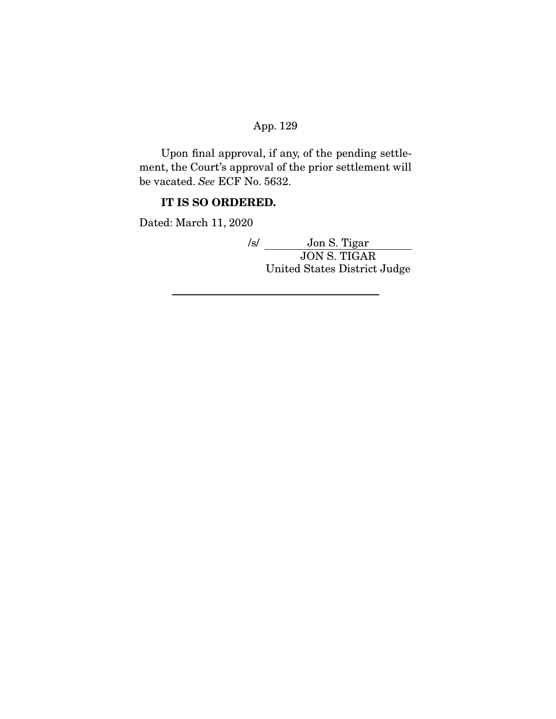Upon final approval, if any, of the pending settlement, the Court's approval of the prior settlement will be vacated. See ECF No. 5632.

# **IT IS SO ORDERED.**

Dated: March 11, 2020

/s/ Jon S. Tigar JON S. TIGAR United States District Judge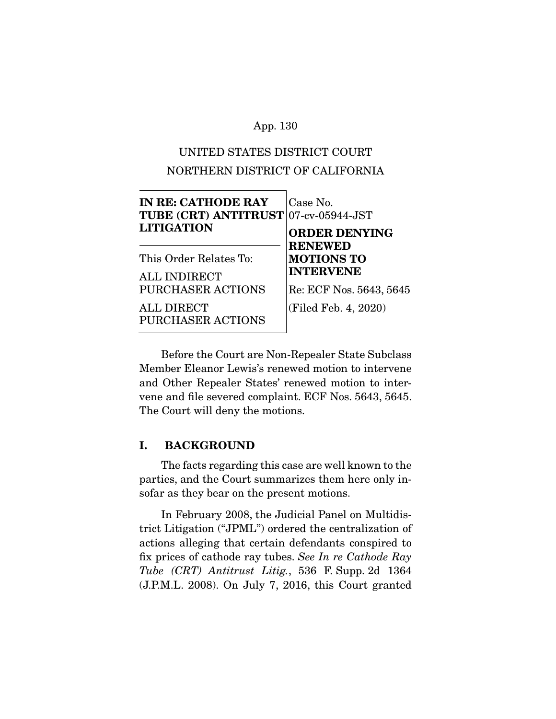# UNITED STATES DISTRICT COURT NORTHERN DISTRICT OF CALIFORNIA

| <b>IN RE: CATHODE RAY</b><br>TUBE (CRT) ANTITRUST 07-cv-05944-JST<br><b>LITIGATION</b> | Case No.<br><b>ORDER DENYING</b>                        |
|----------------------------------------------------------------------------------------|---------------------------------------------------------|
| This Order Relates To:<br><b>ALL INDIRECT</b>                                          | <b>RENEWED</b><br><b>MOTIONS TO</b><br><b>INTERVENE</b> |
| <b>PURCHASER ACTIONS</b>                                                               | Re: ECF Nos. 5643, 5645                                 |
| ALL DIRECT<br>PURCHASER ACTIONS                                                        | (Filed Feb. 4, 2020)                                    |

 Before the Court are Non-Repealer State Subclass Member Eleanor Lewis's renewed motion to intervene and Other Repealer States' renewed motion to intervene and file severed complaint. ECF Nos. 5643, 5645. The Court will deny the motions.

# **I. BACKGROUND**

 The facts regarding this case are well known to the parties, and the Court summarizes them here only insofar as they bear on the present motions.

 In February 2008, the Judicial Panel on Multidistrict Litigation ("JPML") ordered the centralization of actions alleging that certain defendants conspired to fix prices of cathode ray tubes. See In re Cathode Ray Tube (CRT) Antitrust Litig., 536 F. Supp. 2d 1364 (J.P.M.L. 2008). On July 7, 2016, this Court granted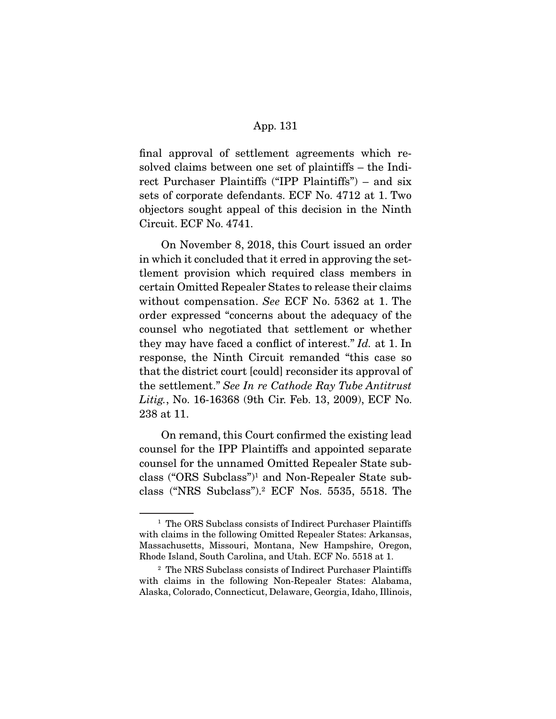final approval of settlement agreements which resolved claims between one set of plaintiffs – the Indirect Purchaser Plaintiffs ("IPP Plaintiffs") – and six sets of corporate defendants. ECF No. 4712 at 1. Two objectors sought appeal of this decision in the Ninth Circuit. ECF No. 4741.

 On November 8, 2018, this Court issued an order in which it concluded that it erred in approving the settlement provision which required class members in certain Omitted Repealer States to release their claims without compensation. See ECF No. 5362 at 1. The order expressed "concerns about the adequacy of the counsel who negotiated that settlement or whether they may have faced a conflict of interest." Id. at 1. In response, the Ninth Circuit remanded "this case so that the district court [could] reconsider its approval of the settlement." See In re Cathode Ray Tube Antitrust Litig., No. 16-16368 (9th Cir. Feb. 13, 2009), ECF No. 238 at 11.

 On remand, this Court confirmed the existing lead counsel for the IPP Plaintiffs and appointed separate counsel for the unnamed Omitted Repealer State subclass ("ORS Subclass")1 and Non-Repealer State subclass ("NRS Subclass").2 ECF Nos. 5535, 5518. The

<sup>&</sup>lt;sup>1</sup> The ORS Subclass consists of Indirect Purchaser Plaintiffs with claims in the following Omitted Repealer States: Arkansas, Massachusetts, Missouri, Montana, New Hampshire, Oregon, Rhode Island, South Carolina, and Utah. ECF No. 5518 at 1.

<sup>2</sup> The NRS Subclass consists of Indirect Purchaser Plaintiffs with claims in the following Non-Repealer States: Alabama, Alaska, Colorado, Connecticut, Delaware, Georgia, Idaho, Illinois,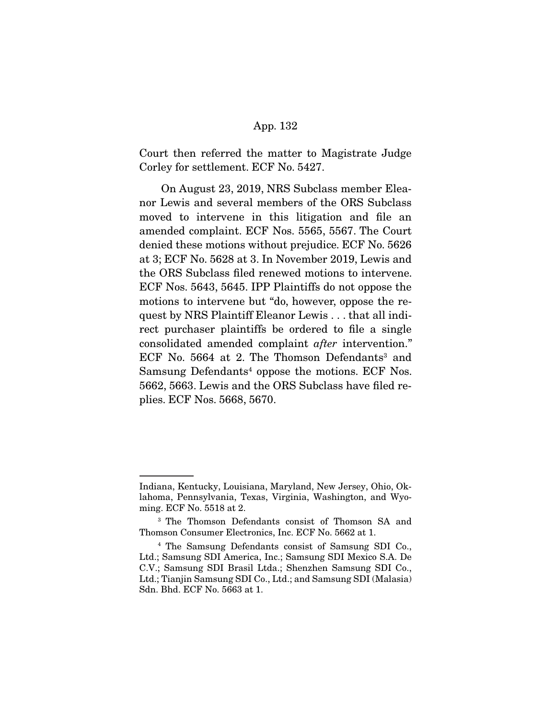Court then referred the matter to Magistrate Judge Corley for settlement. ECF No. 5427.

 On August 23, 2019, NRS Subclass member Eleanor Lewis and several members of the ORS Subclass moved to intervene in this litigation and file an amended complaint. ECF Nos. 5565, 5567. The Court denied these motions without prejudice. ECF No. 5626 at 3; ECF No. 5628 at 3. In November 2019, Lewis and the ORS Subclass filed renewed motions to intervene. ECF Nos. 5643, 5645. IPP Plaintiffs do not oppose the motions to intervene but "do, however, oppose the request by NRS Plaintiff Eleanor Lewis . . . that all indirect purchaser plaintiffs be ordered to file a single consolidated amended complaint after intervention." ECF No. 5664 at 2. The Thomson Defendants<sup>3</sup> and Samsung Defendants<sup>4</sup> oppose the motions. ECF Nos. 5662, 5663. Lewis and the ORS Subclass have filed replies. ECF Nos. 5668, 5670.

Indiana, Kentucky, Louisiana, Maryland, New Jersey, Ohio, Oklahoma, Pennsylvania, Texas, Virginia, Washington, and Wyoming. ECF No. 5518 at 2.

<sup>3</sup> The Thomson Defendants consist of Thomson SA and Thomson Consumer Electronics, Inc. ECF No. 5662 at 1.

<sup>4</sup> The Samsung Defendants consist of Samsung SDI Co., Ltd.; Samsung SDI America, Inc.; Samsung SDI Mexico S.A. De C.V.; Samsung SDI Brasil Ltda.; Shenzhen Samsung SDI Co., Ltd.; Tianjin Samsung SDI Co., Ltd.; and Samsung SDI (Malasia) Sdn. Bhd. ECF No. 5663 at 1.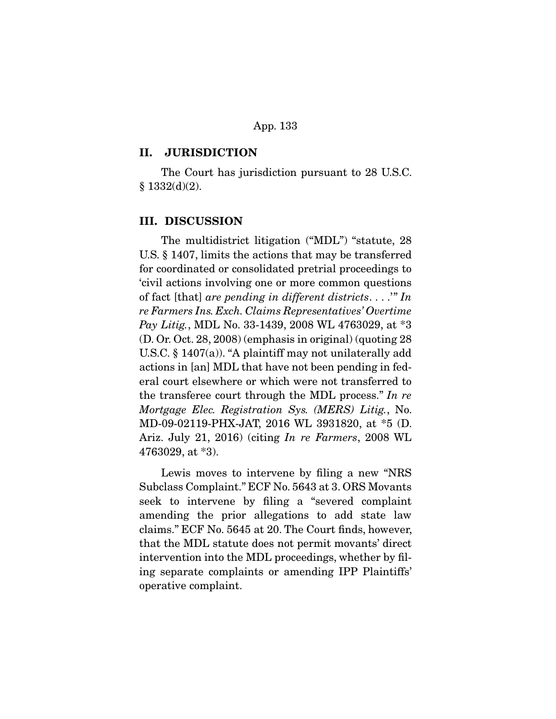### **II. JURISDICTION**

 The Court has jurisdiction pursuant to 28 U.S.C.  $§ 1332(d)(2).$ 

### **III. DISCUSSION**

 The multidistrict litigation ("MDL") "statute, 28 U.S. § 1407, limits the actions that may be transferred for coordinated or consolidated pretrial proceedings to 'civil actions involving one or more common questions of fact [that] are pending in different districts...." In re Farmers Ins. Exch. Claims Representatives' Overtime Pay Litig., MDL No. 33-1439, 2008 WL 4763029, at \*3 (D. Or. Oct. 28, 2008) (emphasis in original) (quoting 28 U.S.C. § 1407(a)). "A plaintiff may not unilaterally add actions in [an] MDL that have not been pending in federal court elsewhere or which were not transferred to the transferee court through the MDL process." In re Mortgage Elec. Registration Sys. (MERS) Litig., No. MD-09-02119-PHX-JAT, 2016 WL 3931820, at \*5 (D. Ariz. July 21, 2016) (citing In re Farmers, 2008 WL 4763029, at \*3).

 Lewis moves to intervene by filing a new "NRS Subclass Complaint." ECF No. 5643 at 3. ORS Movants seek to intervene by filing a "severed complaint amending the prior allegations to add state law claims." ECF No. 5645 at 20. The Court finds, however, that the MDL statute does not permit movants' direct intervention into the MDL proceedings, whether by filing separate complaints or amending IPP Plaintiffs' operative complaint.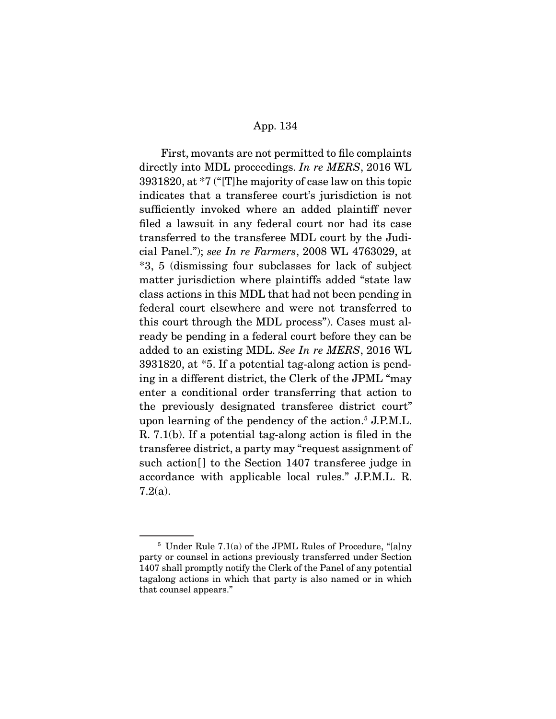First, movants are not permitted to file complaints directly into MDL proceedings. In re MERS, 2016 WL 3931820, at \*7 ("[T]he majority of case law on this topic indicates that a transferee court's jurisdiction is not sufficiently invoked where an added plaintiff never filed a lawsuit in any federal court nor had its case transferred to the transferee MDL court by the Judicial Panel."); see In re Farmers, 2008 WL 4763029, at \*3, 5 (dismissing four subclasses for lack of subject matter jurisdiction where plaintiffs added "state law class actions in this MDL that had not been pending in federal court elsewhere and were not transferred to this court through the MDL process"). Cases must already be pending in a federal court before they can be added to an existing MDL. See In re MERS, 2016 WL 3931820, at \*5. If a potential tag-along action is pending in a different district, the Clerk of the JPML "may enter a conditional order transferring that action to the previously designated transferee district court" upon learning of the pendency of the action.5 J.P.M.L. R. 7.1(b). If a potential tag-along action is filed in the transferee district, a party may "request assignment of such action<sup>[]</sup> to the Section 1407 transferee judge in accordance with applicable local rules." J.P.M.L. R. 7.2(a).

 $5$  Under Rule 7.1(a) of the JPML Rules of Procedure, "[a]ny party or counsel in actions previously transferred under Section 1407 shall promptly notify the Clerk of the Panel of any potential tagalong actions in which that party is also named or in which that counsel appears."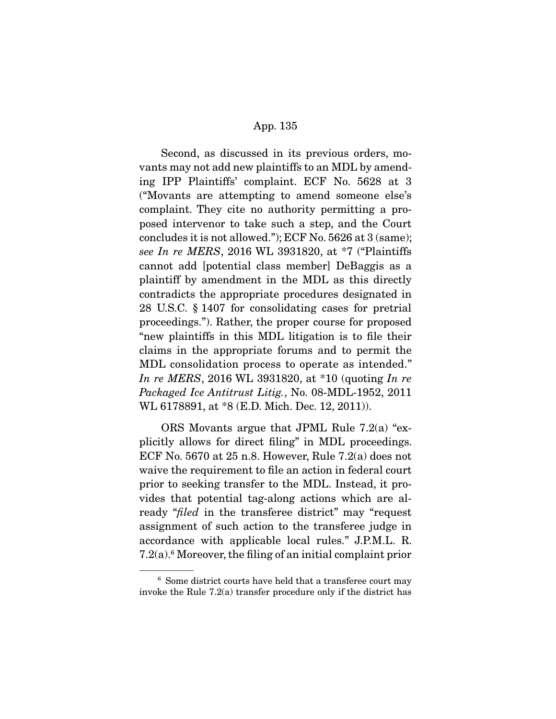Second, as discussed in its previous orders, movants may not add new plaintiffs to an MDL by amending IPP Plaintiffs' complaint. ECF No. 5628 at 3 ("Movants are attempting to amend someone else's complaint. They cite no authority permitting a proposed intervenor to take such a step, and the Court concludes it is not allowed."); ECF No. 5626 at 3 (same); see In re MERS, 2016 WL 3931820, at \*7 ("Plaintiffs cannot add [potential class member] DeBaggis as a plaintiff by amendment in the MDL as this directly contradicts the appropriate procedures designated in 28 U.S.C. § 1407 for consolidating cases for pretrial proceedings."). Rather, the proper course for proposed "new plaintiffs in this MDL litigation is to file their claims in the appropriate forums and to permit the MDL consolidation process to operate as intended." In re MERS, 2016 WL 3931820, at \*10 (quoting In re Packaged Ice Antitrust Litig., No. 08-MDL-1952, 2011 WL 6178891, at \*8 (E.D. Mich. Dec. 12, 2011)).

 ORS Movants argue that JPML Rule 7.2(a) "explicitly allows for direct filing" in MDL proceedings. ECF No. 5670 at  $25$  n.8. However, Rule 7.2(a) does not waive the requirement to file an action in federal court prior to seeking transfer to the MDL. Instead, it provides that potential tag-along actions which are already "filed in the transferee district" may "request assignment of such action to the transferee judge in accordance with applicable local rules." J.P.M.L. R. 7.2(a).6 Moreover, the filing of an initial complaint prior

<sup>6</sup> Some district courts have held that a transferee court may invoke the Rule 7.2(a) transfer procedure only if the district has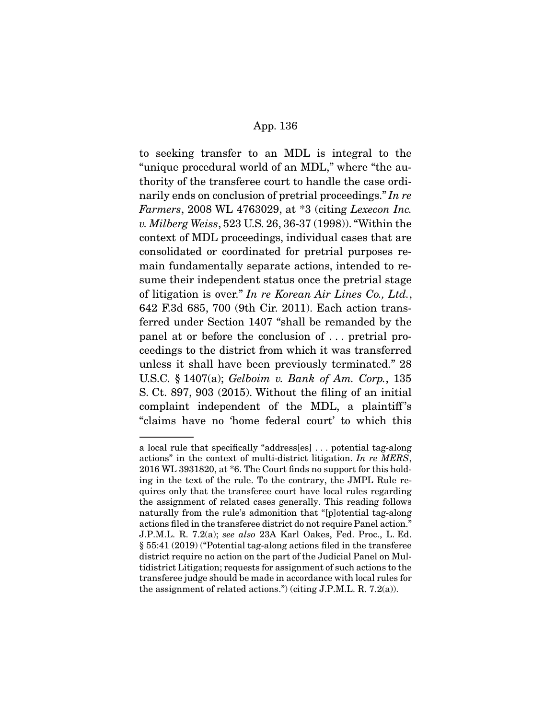to seeking transfer to an MDL is integral to the "unique procedural world of an MDL," where "the authority of the transferee court to handle the case ordinarily ends on conclusion of pretrial proceedings." In re Farmers, 2008 WL 4763029, at \*3 (citing Lexecon Inc. v. Milberg Weiss, 523 U.S. 26, 36-37 (1998)). "Within the context of MDL proceedings, individual cases that are consolidated or coordinated for pretrial purposes remain fundamentally separate actions, intended to resume their independent status once the pretrial stage of litigation is over." In re Korean Air Lines Co., Ltd., 642 F.3d 685, 700 (9th Cir. 2011). Each action transferred under Section 1407 "shall be remanded by the panel at or before the conclusion of . . . pretrial proceedings to the district from which it was transferred unless it shall have been previously terminated." 28 U.S.C. § 1407(a); Gelboim v. Bank of Am. Corp., 135 S. Ct. 897, 903 (2015). Without the filing of an initial complaint independent of the MDL, a plaintiff's "claims have no 'home federal court' to which this

a local rule that specifically "address[es] . . . potential tag-along actions" in the context of multi-district litigation. In re MERS, 2016 WL 3931820, at \*6. The Court finds no support for this holding in the text of the rule. To the contrary, the JMPL Rule requires only that the transferee court have local rules regarding the assignment of related cases generally. This reading follows naturally from the rule's admonition that "[p]otential tag-along actions filed in the transferee district do not require Panel action." J.P.M.L. R. 7.2(a); see also 23A Karl Oakes, Fed. Proc., L. Ed. § 55:41 (2019) ("Potential tag-along actions filed in the transferee district require no action on the part of the Judicial Panel on Multidistrict Litigation; requests for assignment of such actions to the transferee judge should be made in accordance with local rules for the assignment of related actions.") (citing J.P.M.L. R. 7.2(a)).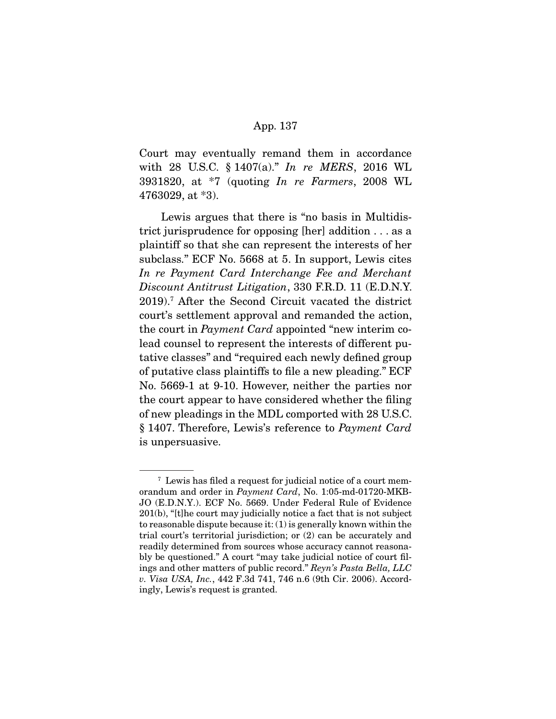Court may eventually remand them in accordance with 28 U.S.C. § 1407(a)." In re MERS, 2016 WL 3931820, at \*7 (quoting In re Farmers, 2008 WL 4763029, at \*3).

 Lewis argues that there is "no basis in Multidistrict jurisprudence for opposing [her] addition . . . as a plaintiff so that she can represent the interests of her subclass." ECF No. 5668 at 5. In support, Lewis cites In re Payment Card Interchange Fee and Merchant Discount Antitrust Litigation, 330 F.R.D. 11 (E.D.N.Y. 2019).7 After the Second Circuit vacated the district court's settlement approval and remanded the action, the court in Payment Card appointed "new interim colead counsel to represent the interests of different putative classes" and "required each newly defined group of putative class plaintiffs to file a new pleading." ECF No. 5669-1 at 9-10. However, neither the parties nor the court appear to have considered whether the filing of new pleadings in the MDL comported with 28 U.S.C. § 1407. Therefore, Lewis's reference to Payment Card is unpersuasive.

<sup>7</sup> Lewis has filed a request for judicial notice of a court memorandum and order in Payment Card, No. 1:05-md-01720-MKB-JO (E.D.N.Y.). ECF No. 5669. Under Federal Rule of Evidence 201(b), "[t]he court may judicially notice a fact that is not subject to reasonable dispute because it: (1) is generally known within the trial court's territorial jurisdiction; or (2) can be accurately and readily determined from sources whose accuracy cannot reasonably be questioned." A court "may take judicial notice of court filings and other matters of public record." Reyn's Pasta Bella, LLC v. Visa USA, Inc., 442 F.3d 741, 746 n.6 (9th Cir. 2006). Accordingly, Lewis's request is granted.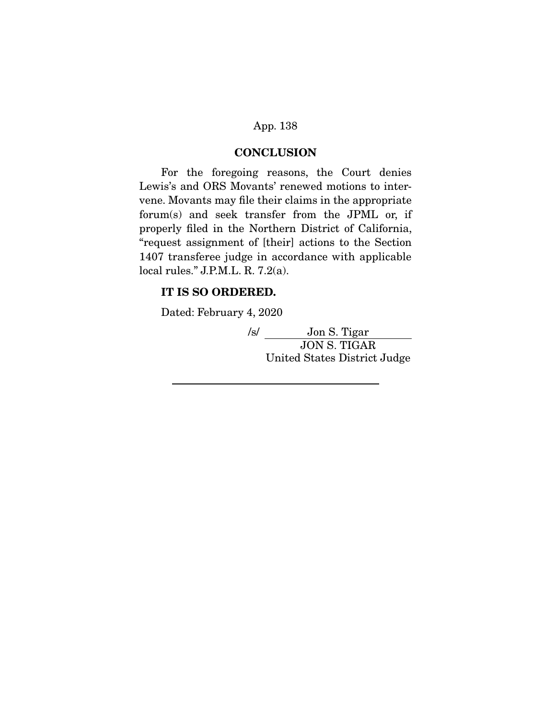### **CONCLUSION**

 For the foregoing reasons, the Court denies Lewis's and ORS Movants' renewed motions to intervene. Movants may file their claims in the appropriate forum(s) and seek transfer from the JPML or, if properly filed in the Northern District of California, "request assignment of [their] actions to the Section 1407 transferee judge in accordance with applicable local rules." J.P.M.L. R. 7.2(a).

# **IT IS SO ORDERED.**

Dated: February 4, 2020

/s/ Jon S. Tigar JON S. TIGAR United States District Judge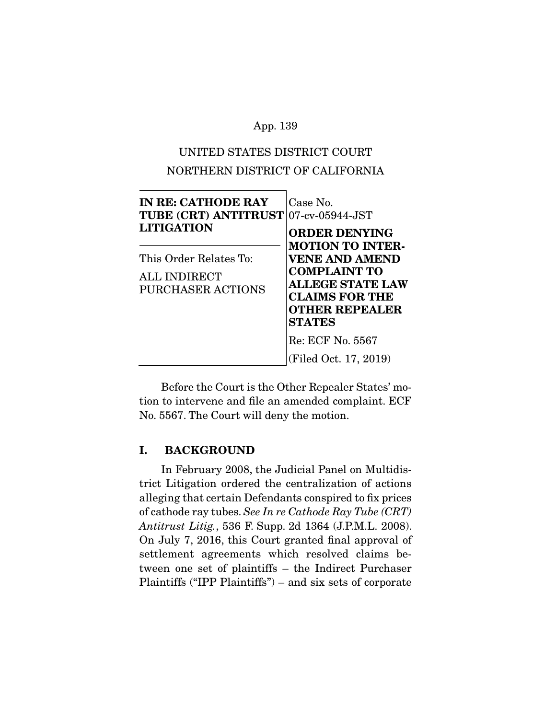# UNITED STATES DISTRICT COURT NORTHERN DISTRICT OF CALIFORNIA

| <b>IN RE: CATHODE RAY</b><br><b>TUBE (CRT) ANTITRUST 07-cv-05944-JST</b><br><b>LITIGATION</b> | Case No.<br><b>ORDER DENYING</b>                                                                                                                                      |
|-----------------------------------------------------------------------------------------------|-----------------------------------------------------------------------------------------------------------------------------------------------------------------------|
| This Order Relates To:<br>ALL INDIRECT<br>PURCHASER ACTIONS                                   | <b>MOTION TO INTER-</b><br><b>VENE AND AMEND</b><br><b>COMPLAINT TO</b><br><b>ALLEGE STATE LAW</b><br><b>CLAIMS FOR THE</b><br><b>OTHER REPEALER</b><br><b>STATES</b> |
|                                                                                               | Re: ECF No. 5567<br>(Filed Oct. 17, 2019)                                                                                                                             |

 Before the Court is the Other Repealer States' motion to intervene and file an amended complaint. ECF No. 5567. The Court will deny the motion.

# **I. BACKGROUND**

 In February 2008, the Judicial Panel on Multidistrict Litigation ordered the centralization of actions alleging that certain Defendants conspired to fix prices of cathode ray tubes. See In re Cathode Ray Tube (CRT) Antitrust Litig., 536 F. Supp. 2d 1364 (J.P.M.L. 2008). On July 7, 2016, this Court granted final approval of settlement agreements which resolved claims between one set of plaintiffs – the Indirect Purchaser Plaintiffs ("IPP Plaintiffs") – and six sets of corporate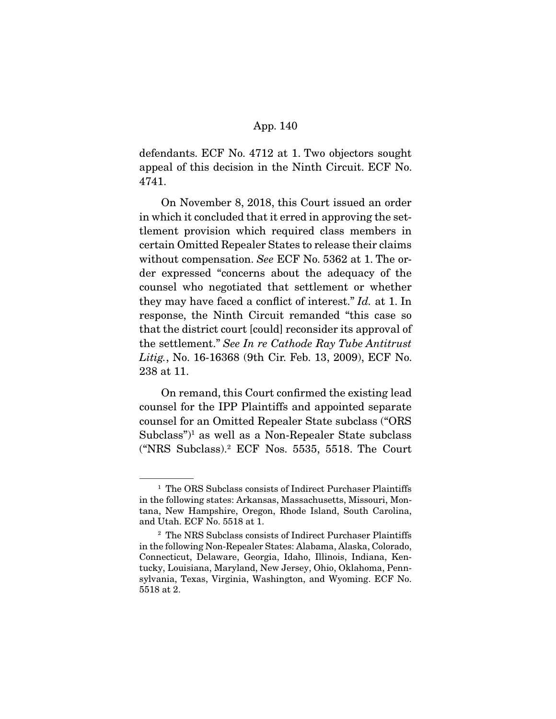defendants. ECF No. 4712 at 1. Two objectors sought appeal of this decision in the Ninth Circuit. ECF No. 4741.

 On November 8, 2018, this Court issued an order in which it concluded that it erred in approving the settlement provision which required class members in certain Omitted Repealer States to release their claims without compensation. See ECF No. 5362 at 1. The order expressed "concerns about the adequacy of the counsel who negotiated that settlement or whether they may have faced a conflict of interest." Id. at 1. In response, the Ninth Circuit remanded "this case so that the district court [could] reconsider its approval of the settlement." See In re Cathode Ray Tube Antitrust Litig., No. 16-16368 (9th Cir. Feb. 13, 2009), ECF No. 238 at 11.

 On remand, this Court confirmed the existing lead counsel for the IPP Plaintiffs and appointed separate counsel for an Omitted Repealer State subclass ("ORS Subclass")<sup>1</sup> as well as a Non-Repealer State subclass ("NRS Subclass).2 ECF Nos. 5535, 5518. The Court

<sup>&</sup>lt;sup>1</sup> The ORS Subclass consists of Indirect Purchaser Plaintiffs in the following states: Arkansas, Massachusetts, Missouri, Montana, New Hampshire, Oregon, Rhode Island, South Carolina, and Utah. ECF No. 5518 at 1.

<sup>2</sup> The NRS Subclass consists of Indirect Purchaser Plaintiffs in the following Non-Repealer States: Alabama, Alaska, Colorado, Connecticut, Delaware, Georgia, Idaho, Illinois, Indiana, Kentucky, Louisiana, Maryland, New Jersey, Ohio, Oklahoma, Pennsylvania, Texas, Virginia, Washington, and Wyoming. ECF No. 5518 at 2.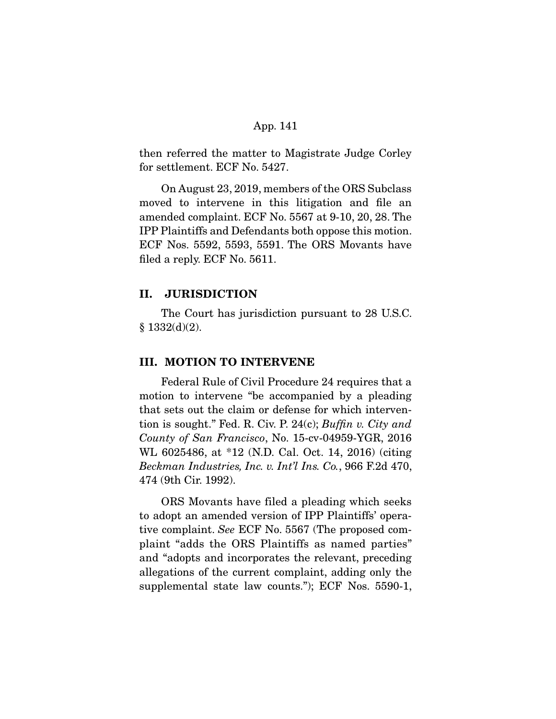then referred the matter to Magistrate Judge Corley for settlement. ECF No. 5427.

 On August 23, 2019, members of the ORS Subclass moved to intervene in this litigation and file an amended complaint. ECF No. 5567 at 9-10, 20, 28. The IPP Plaintiffs and Defendants both oppose this motion. ECF Nos. 5592, 5593, 5591. The ORS Movants have filed a reply. ECF No. 5611.

## **II. JURISDICTION**

 The Court has jurisdiction pursuant to 28 U.S.C.  $§ 1332(d)(2).$ 

### **III. MOTION TO INTERVENE**

 Federal Rule of Civil Procedure 24 requires that a motion to intervene "be accompanied by a pleading that sets out the claim or defense for which intervention is sought." Fed. R. Civ. P. 24(c); Buffin v. City and County of San Francisco, No. 15-cv-04959-YGR, 2016 WL 6025486, at \*12 (N.D. Cal. Oct. 14, 2016) (citing Beckman Industries, Inc. v. Int'l Ins. Co., 966 F.2d 470, 474 (9th Cir. 1992).

 ORS Movants have filed a pleading which seeks to adopt an amended version of IPP Plaintiffs' operative complaint. See ECF No. 5567 (The proposed complaint "adds the ORS Plaintiffs as named parties" and "adopts and incorporates the relevant, preceding allegations of the current complaint, adding only the supplemental state law counts."); ECF Nos. 5590-1,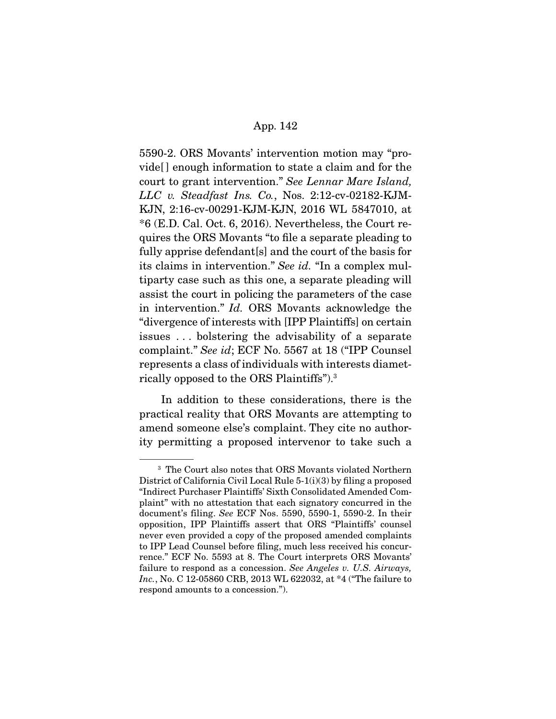5590-2. ORS Movants' intervention motion may "provide[ ] enough information to state a claim and for the court to grant intervention." See Lennar Mare Island, LLC v. Steadfast Ins. Co., Nos. 2:12-cv-02182-KJM-KJN, 2:16-cv-00291-KJM-KJN, 2016 WL 5847010, at \*6 (E.D. Cal. Oct. 6, 2016). Nevertheless, the Court requires the ORS Movants "to file a separate pleading to fully apprise defendant[s] and the court of the basis for its claims in intervention." See id. "In a complex multiparty case such as this one, a separate pleading will assist the court in policing the parameters of the case in intervention." Id. ORS Movants acknowledge the "divergence of interests with [IPP Plaintiffs] on certain issues . . . bolstering the advisability of a separate complaint." See id; ECF No. 5567 at 18 ("IPP Counsel represents a class of individuals with interests diametrically opposed to the ORS Plaintiffs").3

 In addition to these considerations, there is the practical reality that ORS Movants are attempting to amend someone else's complaint. They cite no authority permitting a proposed intervenor to take such a

<sup>3</sup> The Court also notes that ORS Movants violated Northern District of California Civil Local Rule 5-1(i)(3) by filing a proposed "Indirect Purchaser Plaintiffs' Sixth Consolidated Amended Complaint" with no attestation that each signatory concurred in the document's filing. See ECF Nos. 5590, 5590-1, 5590-2. In their opposition, IPP Plaintiffs assert that ORS "Plaintiffs' counsel never even provided a copy of the proposed amended complaints to IPP Lead Counsel before filing, much less received his concurrence." ECF No. 5593 at 8. The Court interprets ORS Movants' failure to respond as a concession. See Angeles v. U.S. Airways, Inc., No. C 12-05860 CRB, 2013 WL 622032, at \*4 ("The failure to respond amounts to a concession.").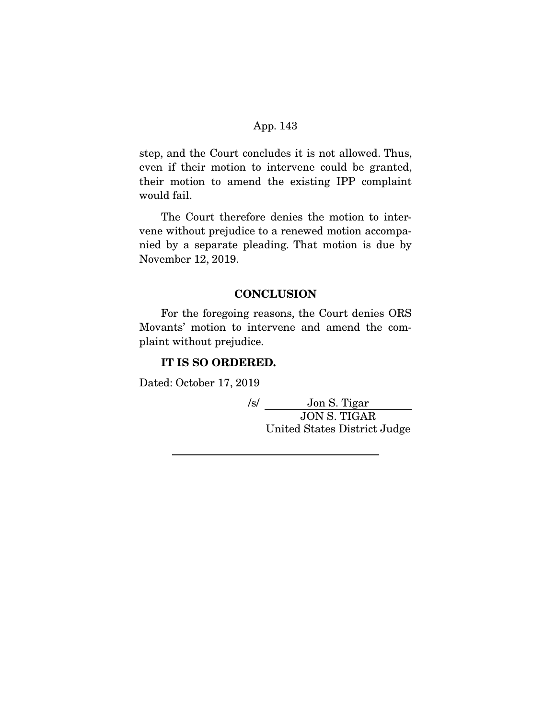step, and the Court concludes it is not allowed. Thus, even if their motion to intervene could be granted, their motion to amend the existing IPP complaint would fail.

 The Court therefore denies the motion to intervene without prejudice to a renewed motion accompanied by a separate pleading. That motion is due by November 12, 2019.

### **CONCLUSION**

 For the foregoing reasons, the Court denies ORS Movants' motion to intervene and amend the complaint without prejudice.

## **IT IS SO ORDERED.**

Dated: October 17, 2019

/s/ Jon S. Tigar JON S. TIGAR United States District Judge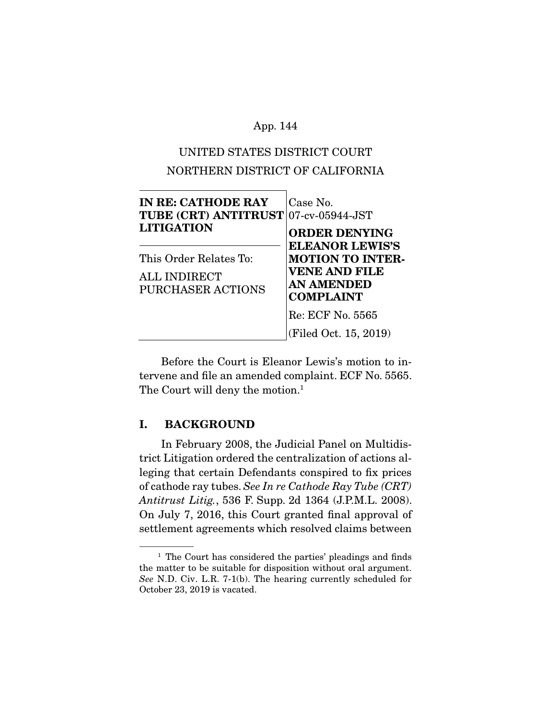# UNITED STATES DISTRICT COURT NORTHERN DISTRICT OF CALIFORNIA

| <b>IN RE: CATHODE RAY</b><br><b>TUBE (CRT) ANTITRUST 07-cv-05944-JST</b><br><b>LITIGATION</b> | Case No.<br><b>ORDER DENYING</b>                                                                                   |
|-----------------------------------------------------------------------------------------------|--------------------------------------------------------------------------------------------------------------------|
| This Order Relates To:<br>ALL INDIRECT<br><b>PURCHASER ACTIONS</b>                            | <b>ELEANOR LEWIS'S</b><br><b>MOTION TO INTER-</b><br><b>VENE AND FILE</b><br><b>AN AMENDED</b><br><b>COMPLAINT</b> |
|                                                                                               | Re: ECF No. 5565<br>(Filed Oct. 15, 2019)                                                                          |

 Before the Court is Eleanor Lewis's motion to intervene and file an amended complaint. ECF No. 5565. The Court will deny the motion.<sup>1</sup>

# **I. BACKGROUND**

 In February 2008, the Judicial Panel on Multidistrict Litigation ordered the centralization of actions alleging that certain Defendants conspired to fix prices of cathode ray tubes. See In re Cathode Ray Tube (CRT) Antitrust Litig., 536 F. Supp. 2d 1364 (J.P.M.L. 2008). On July 7, 2016, this Court granted final approval of settlement agreements which resolved claims between

<sup>&</sup>lt;sup>1</sup> The Court has considered the parties' pleadings and finds the matter to be suitable for disposition without oral argument. See N.D. Civ. L.R. 7-1(b). The hearing currently scheduled for October 23, 2019 is vacated.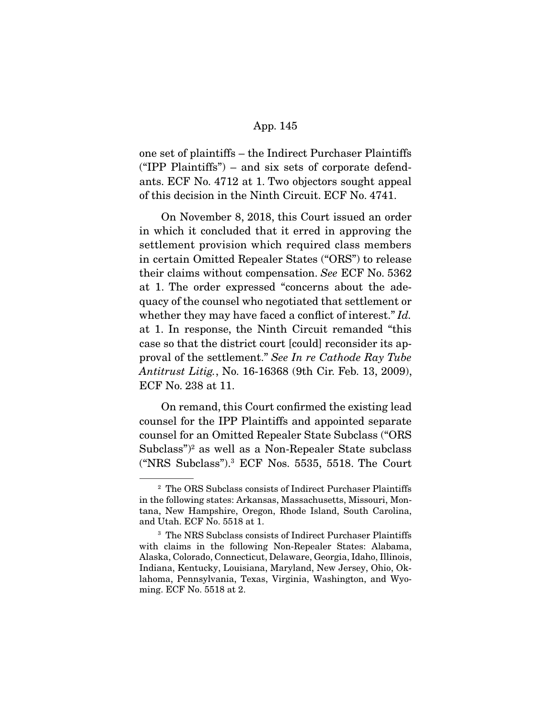one set of plaintiffs – the Indirect Purchaser Plaintiffs ("IPP Plaintiffs") – and six sets of corporate defendants. ECF No. 4712 at 1. Two objectors sought appeal of this decision in the Ninth Circuit. ECF No. 4741.

 On November 8, 2018, this Court issued an order in which it concluded that it erred in approving the settlement provision which required class members in certain Omitted Repealer States ("ORS") to release their claims without compensation. See ECF No. 5362 at 1. The order expressed "concerns about the adequacy of the counsel who negotiated that settlement or whether they may have faced a conflict of interest." Id. at 1. In response, the Ninth Circuit remanded "this case so that the district court [could] reconsider its approval of the settlement." See In re Cathode Ray Tube Antitrust Litig., No. 16-16368 (9th Cir. Feb. 13, 2009), ECF No. 238 at 11.

 On remand, this Court confirmed the existing lead counsel for the IPP Plaintiffs and appointed separate counsel for an Omitted Repealer State Subclass ("ORS Subclass")2 as well as a Non-Repealer State subclass ("NRS Subclass").3 ECF Nos. 5535, 5518. The Court

<sup>&</sup>lt;sup>2</sup> The ORS Subclass consists of Indirect Purchaser Plaintiffs in the following states: Arkansas, Massachusetts, Missouri, Montana, New Hampshire, Oregon, Rhode Island, South Carolina, and Utah. ECF No. 5518 at 1.

<sup>3</sup> The NRS Subclass consists of Indirect Purchaser Plaintiffs with claims in the following Non-Repealer States: Alabama, Alaska, Colorado, Connecticut, Delaware, Georgia, Idaho, Illinois, Indiana, Kentucky, Louisiana, Maryland, New Jersey, Ohio, Oklahoma, Pennsylvania, Texas, Virginia, Washington, and Wyoming. ECF No. 5518 at 2.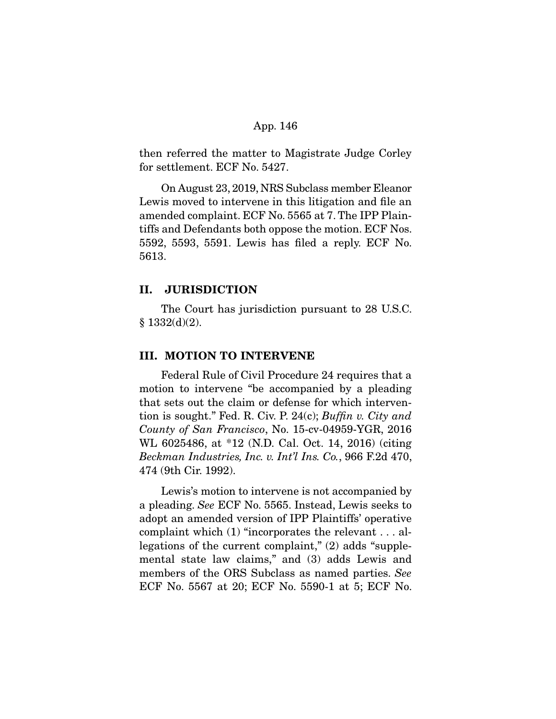then referred the matter to Magistrate Judge Corley for settlement. ECF No. 5427.

 On August 23, 2019, NRS Subclass member Eleanor Lewis moved to intervene in this litigation and file an amended complaint. ECF No. 5565 at 7. The IPP Plaintiffs and Defendants both oppose the motion. ECF Nos. 5592, 5593, 5591. Lewis has filed a reply. ECF No. 5613.

### **II. JURISDICTION**

 The Court has jurisdiction pursuant to 28 U.S.C.  $§ 1332(d)(2).$ 

### **III. MOTION TO INTERVENE**

 Federal Rule of Civil Procedure 24 requires that a motion to intervene "be accompanied by a pleading that sets out the claim or defense for which intervention is sought." Fed. R. Civ. P. 24(c); Buffin v. City and County of San Francisco, No. 15-cv-04959-YGR, 2016 WL 6025486, at \*12 (N.D. Cal. Oct. 14, 2016) (citing Beckman Industries, Inc. v. Int'l Ins. Co., 966 F.2d 470, 474 (9th Cir. 1992).

 Lewis's motion to intervene is not accompanied by a pleading. See ECF No. 5565. Instead, Lewis seeks to adopt an amended version of IPP Plaintiffs' operative complaint which (1) "incorporates the relevant . . . allegations of the current complaint," (2) adds "supplemental state law claims," and (3) adds Lewis and members of the ORS Subclass as named parties. See ECF No. 5567 at 20; ECF No. 5590-1 at 5; ECF No.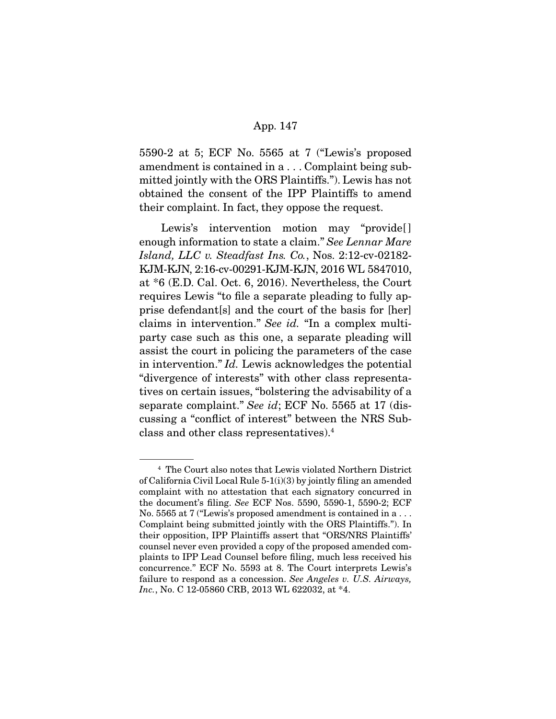5590-2 at 5; ECF No. 5565 at 7 ("Lewis's proposed amendment is contained in a . . . Complaint being submitted jointly with the ORS Plaintiffs."). Lewis has not obtained the consent of the IPP Plaintiffs to amend their complaint. In fact, they oppose the request.

Lewis's intervention motion may "provide[] enough information to state a claim." See Lennar Mare Island, LLC v. Steadfast Ins. Co., Nos. 2:12-cv-02182- KJM-KJN, 2:16-cv-00291-KJM-KJN, 2016 WL 5847010, at \*6 (E.D. Cal. Oct. 6, 2016). Nevertheless, the Court requires Lewis "to file a separate pleading to fully apprise defendant[s] and the court of the basis for [her] claims in intervention." See id. "In a complex multiparty case such as this one, a separate pleading will assist the court in policing the parameters of the case in intervention." Id. Lewis acknowledges the potential "divergence of interests" with other class representatives on certain issues, "bolstering the advisability of a separate complaint." See id; ECF No. 5565 at 17 (discussing a "conflict of interest" between the NRS Subclass and other class representatives).4

<sup>4</sup> The Court also notes that Lewis violated Northern District of California Civil Local Rule 5-1(i)(3) by jointly filing an amended complaint with no attestation that each signatory concurred in the document's filing. See ECF Nos. 5590, 5590-1, 5590-2; ECF No. 5565 at 7 ("Lewis's proposed amendment is contained in a . . . Complaint being submitted jointly with the ORS Plaintiffs."). In their opposition, IPP Plaintiffs assert that "ORS/NRS Plaintiffs' counsel never even provided a copy of the proposed amended complaints to IPP Lead Counsel before filing, much less received his concurrence." ECF No. 5593 at 8. The Court interprets Lewis's failure to respond as a concession. See Angeles v. U.S. Airways, Inc., No. C 12-05860 CRB, 2013 WL 622032, at \*4.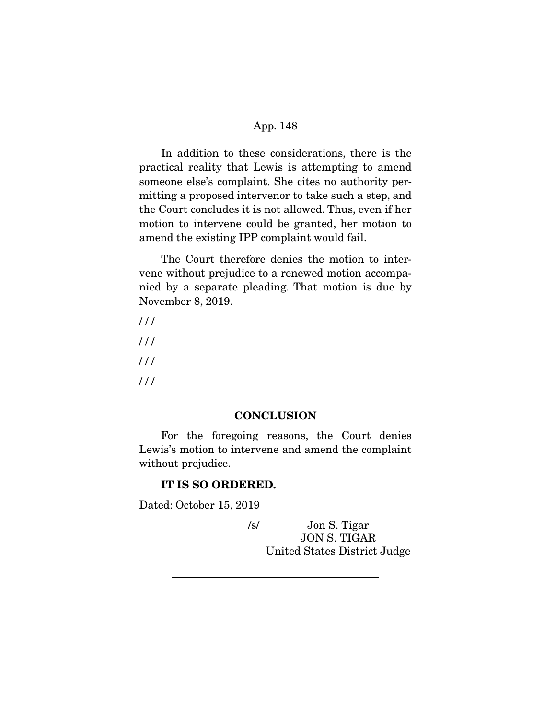In addition to these considerations, there is the practical reality that Lewis is attempting to amend someone else's complaint. She cites no authority permitting a proposed intervenor to take such a step, and the Court concludes it is not allowed. Thus, even if her motion to intervene could be granted, her motion to amend the existing IPP complaint would fail.

 The Court therefore denies the motion to intervene without prejudice to a renewed motion accompanied by a separate pleading. That motion is due by November 8, 2019.

### **CONCLUSION**

 For the foregoing reasons, the Court denies Lewis's motion to intervene and amend the complaint without prejudice.

### **IT IS SO ORDERED.**

Dated: October 15, 2019

/s/ Jon S. Tigar JON S. TIGAR United States District Judge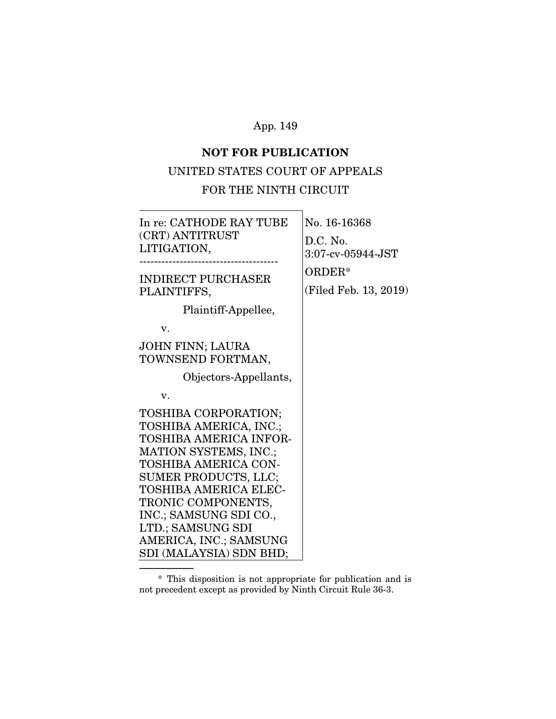## **NOT FOR PUBLICATION**

### UNITED STATES COURT OF APPEALS

### FOR THE NINTH CIRCUIT

| In re: CATHODE RAY TUBE<br>(CRT) ANTITRUST<br>LITIGATION,                                                                                                                                                                                                                                                   | No. 16-16368<br>$D.C.$ No.<br>$3:07$ -cv-05944-JST<br>ORDER*<br>(Filed Feb. 13, 2019) |
|-------------------------------------------------------------------------------------------------------------------------------------------------------------------------------------------------------------------------------------------------------------------------------------------------------------|---------------------------------------------------------------------------------------|
| <b>INDIRECT PURCHASER</b><br>PLAINTIFFS,<br>Plaintiff-Appellee,<br>v.<br>JOHN FINN; LAURA<br>TOWNSEND FORTMAN,                                                                                                                                                                                              |                                                                                       |
| Objectors-Appellants,<br>v.                                                                                                                                                                                                                                                                                 |                                                                                       |
| TOSHIBA CORPORATION;<br>TOSHIBA AMERICA, INC.;<br>TOSHIBA AMERICA INFOR-<br><b>MATION SYSTEMS, INC.;</b><br>TOSHIBA AMERICA CON-<br>SUMER PRODUCTS, LLC;<br>TOSHIBA AMERICA ELEC-<br>TRONIC COMPONENTS,<br>INC.; SAMSUNG SDI CO.,<br>LTD.; SAMSUNG SDI<br>AMERICA, INC.; SAMSUNG<br>SDI (MALAYSIA) SDN BHD; |                                                                                       |

 <sup>\*</sup> This disposition is not appropriate for publication and is not precedent except as provided by Ninth Circuit Rule 36-3.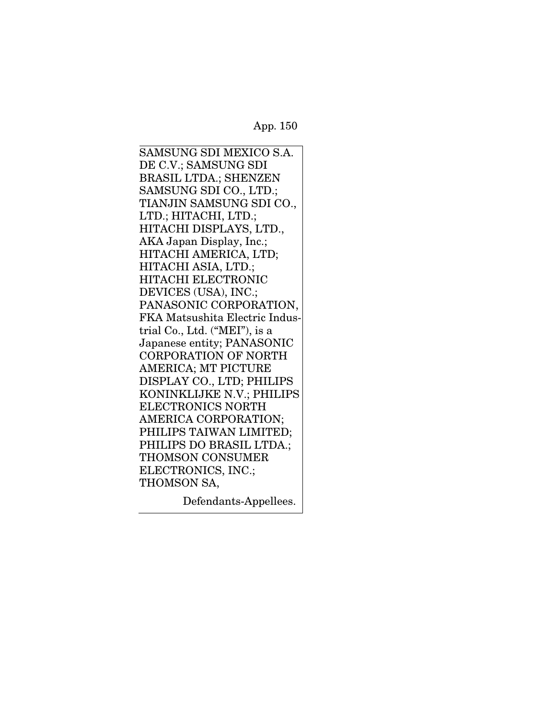SAMSUNG SDI MEXICO S.A. DE C.V.; SAMSUNG SDI BRASIL LTDA.; SHENZEN SAMSUNG SDI CO., LTD.; TIANJIN SAMSUNG SDI CO., LTD.; HITACHI, LTD.; HITACHI DISPLAYS, LTD., AKA Japan Display, Inc.; HITACHI AMERICA, LTD; HITACHI ASIA, LTD.; HITACHI ELECTRONIC DEVICES (USA), INC.; PANASONIC CORPORATION, FKA Matsushita Electric Industrial Co., Ltd. ("MEI"), is a Japanese entity; PANASONIC CORPORATION OF NORTH AMERICA; MT PICTURE DISPLAY CO., LTD; PHILIPS KONINKLIJKE N.V.; PHILIPS ELECTRONICS NORTH AMERICA CORPORATION; PHILIPS TAIWAN LIMITED; PHILIPS DO BRASIL LTDA.; THOMSON CONSUMER ELECTRONICS, INC.; THOMSON SA,

Defendants-Appellees.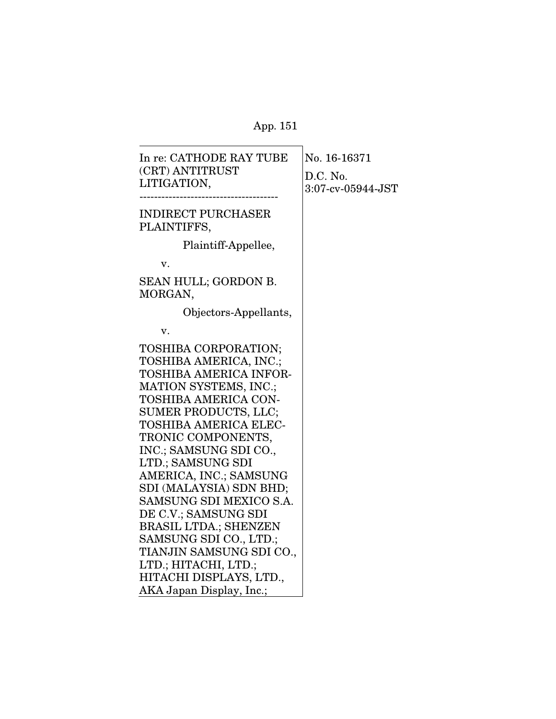| In re: CATHODE RAY TUBE<br>(CRT) ANTITRUST<br>LITIGATION,                                                                                                                                                                                                                                                                                                                                                                                                                                                      | No. 16-16371<br>D.C. No.<br>3:07-cv-05944-JST |
|----------------------------------------------------------------------------------------------------------------------------------------------------------------------------------------------------------------------------------------------------------------------------------------------------------------------------------------------------------------------------------------------------------------------------------------------------------------------------------------------------------------|-----------------------------------------------|
| <b>INDIRECT PURCHASER</b><br>PLAINTIFFS,                                                                                                                                                                                                                                                                                                                                                                                                                                                                       |                                               |
| Plaintiff-Appellee,                                                                                                                                                                                                                                                                                                                                                                                                                                                                                            |                                               |
| v.                                                                                                                                                                                                                                                                                                                                                                                                                                                                                                             |                                               |
| SEAN HULL; GORDON B.<br>MORGAN,                                                                                                                                                                                                                                                                                                                                                                                                                                                                                |                                               |
| Objectors-Appellants,                                                                                                                                                                                                                                                                                                                                                                                                                                                                                          |                                               |
| v.                                                                                                                                                                                                                                                                                                                                                                                                                                                                                                             |                                               |
| TOSHIBA CORPORATION;<br>TOSHIBA AMERICA, INC.;<br>TOSHIBA AMERICA INFOR-<br>MATION SYSTEMS, INC.;<br><b>TOSHIBA AMERICA CON-</b><br>SUMER PRODUCTS, LLC;<br><b>TOSHIBA AMERICA ELEC-</b><br>TRONIC COMPONENTS,<br>INC.; SAMSUNG SDI CO.,<br>LTD.; SAMSUNG SDI<br>AMERICA, INC.; SAMSUNG<br>SDI (MALAYSIA) SDN BHD;<br>SAMSUNG SDI MEXICO S.A.<br>DE C.V.; SAMSUNG SDI<br><b>BRASIL LTDA.; SHENZEN</b><br>SAMSUNG SDI CO., LTD.;<br>TIANJIN SAMSUNG SDI CO.,<br>LTD.; HITACHI, LTD.;<br>HITACHI DISPLAYS, LTD., |                                               |
| AKA Japan Display, Inc.;                                                                                                                                                                                                                                                                                                                                                                                                                                                                                       |                                               |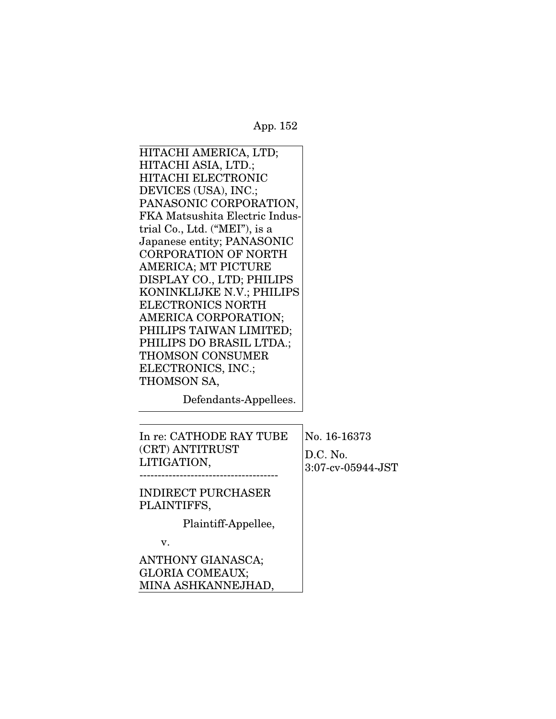HITACHI AMERICA, LTD; HITACHI ASIA, LTD.; HITACHI ELECTRONIC DEVICES (USA), INC.; PANASONIC CORPORATION, FKA Matsushita Electric Industrial Co., Ltd. ("MEI"), is a Japanese entity; PANASONIC CORPORATION OF NORTH AMERICA; MT PICTURE DISPLAY CO., LTD; PHILIPS KONINKLIJKE N.V.; PHILIPS ELECTRONICS NORTH AMERICA CORPORATION; PHILIPS TAIWAN LIMITED; PHILIPS DO BRASIL LTDA.; THOMSON CONSUMER ELECTRONICS, INC.; THOMSON SA,

Defendants-Appellees.

MINA ASHKANNEJHAD,

| In re: CATHODE RAY TUBE<br>(CRT) ANTITRUST<br>LITIGATION, | No. 16-16373<br>D.C. No.<br>3:07-cv-05944-JST |
|-----------------------------------------------------------|-----------------------------------------------|
| <b>INDIRECT PURCHASER</b><br>PLAINTIFFS,                  |                                               |
| Plaintiff-Appellee,                                       |                                               |
| $\mathbf{V}$ .                                            |                                               |
| ANTHONY GIANASCA;<br><b>GLORIA COMEAUX;</b>               |                                               |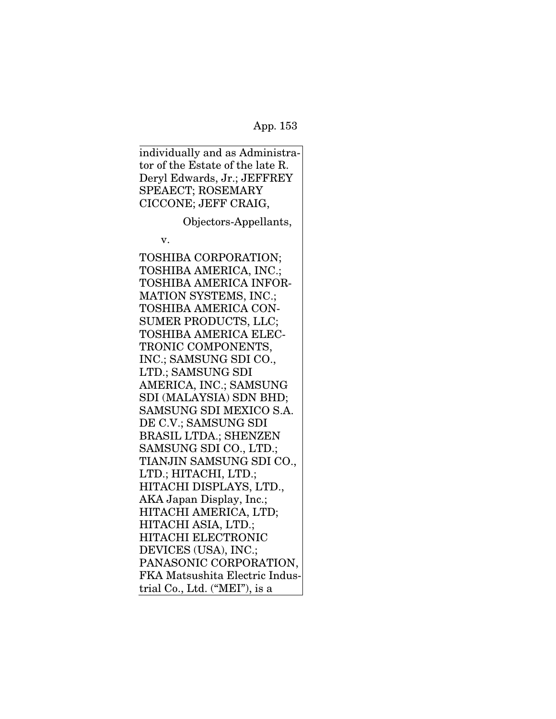individually and as Administrator of the Estate of the late R. Deryl Edwards, Jr.; JEFFREY SPEAECT; ROSEMARY CICCONE; JEFF CRAIG,

Objectors-Appellants,

v.

TOSHIBA CORPORATION; TOSHIBA AMERICA, INC.; TOSHIBA AMERICA INFOR-MATION SYSTEMS, INC.; TOSHIBA AMERICA CON-SUMER PRODUCTS, LLC; TOSHIBA AMERICA ELEC-TRONIC COMPONENTS, INC.; SAMSUNG SDI CO., LTD.; SAMSUNG SDI AMERICA, INC.; SAMSUNG SDI (MALAYSIA) SDN BHD; SAMSUNG SDI MEXICO S.A. DE C.V.; SAMSUNG SDI BRASIL LTDA.; SHENZEN SAMSUNG SDI CO., LTD.; TIANJIN SAMSUNG SDI CO., LTD.; HITACHI, LTD.; HITACHI DISPLAYS, LTD., AKA Japan Display, Inc.; HITACHI AMERICA, LTD; HITACHI ASIA, LTD.; HITACHI ELECTRONIC DEVICES (USA), INC.; PANASONIC CORPORATION, FKA Matsushita Electric Industrial Co., Ltd. ("MEI"), is a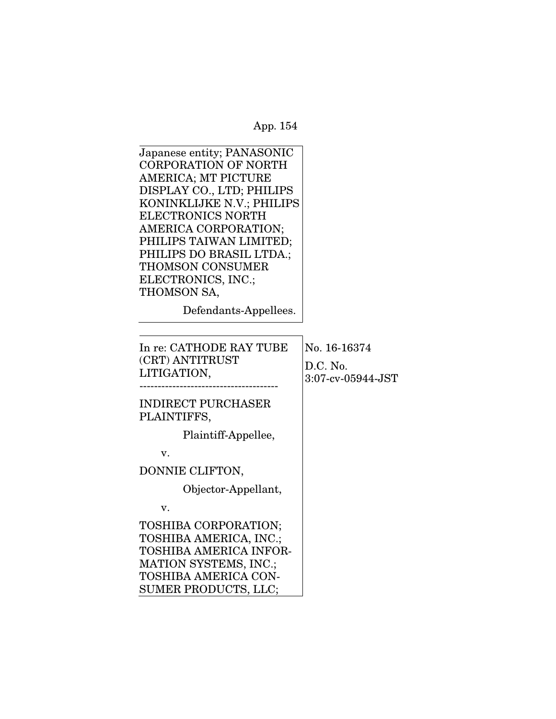| Japanese entity; PANASONIC  |
|-----------------------------|
| <b>CORPORATION OF NORTH</b> |
| <b>AMERICA; MT PICTURE</b>  |
| DISPLAY CO., LTD; PHILIPS   |
| KONINKLIJKE N.V.; PHILIPS   |
| <b>ELECTRONICS NORTH</b>    |
| AMERICA CORPORATION;        |
| PHILIPS TAIWAN LIMITED;     |
| PHILIPS DO BRASIL LTDA.;    |
| <b>THOMSON CONSUMER</b>     |
| ELECTRONICS, INC.;          |
| THOMSON SA,                 |
|                             |

SUMER PRODUCTS, LLC;

Defendants-Appellees.

| In re: CATHODE RAY TUBE<br>(CRT) ANTITRUST<br>LITIGATION,                                                                                      | No. 16-16374<br>$D.C.$ No.<br>$3:07$ -cv-05944-JST |
|------------------------------------------------------------------------------------------------------------------------------------------------|----------------------------------------------------|
| <b>INDIRECT PURCHASER</b><br>PLAINTIFFS,                                                                                                       |                                                    |
| Plaintiff-Appellee,                                                                                                                            |                                                    |
| v.                                                                                                                                             |                                                    |
| DONNIE CLIFTON,                                                                                                                                |                                                    |
| Objector-Appellant,                                                                                                                            |                                                    |
| v.                                                                                                                                             |                                                    |
| <b>TOSHIBA CORPORATION;</b><br>TOSHIBA AMERICA, INC.;<br><b>TOSHIBA AMERICA INFOR-</b><br>MATION SYSTEMS, INC.;<br><b>TOSHIBA AMERICA CON-</b> |                                                    |
|                                                                                                                                                |                                                    |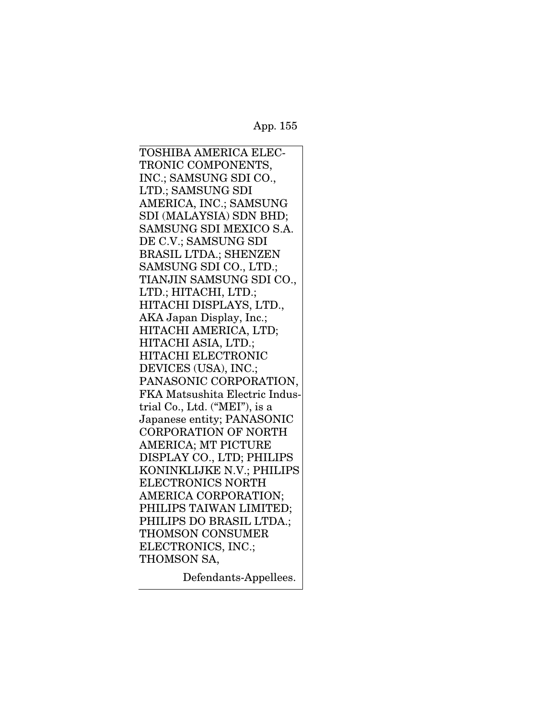TOSHIBA AMERICA ELEC-TRONIC COMPONENTS, INC.; SAMSUNG SDI CO., LTD.; SAMSUNG SDI AMERICA, INC.; SAMSUNG SDI (MALAYSIA) SDN BHD; SAMSUNG SDI MEXICO S.A. DE C.V.; SAMSUNG SDI BRASIL LTDA.; SHENZEN SAMSUNG SDI CO., LTD.; TIANJIN SAMSUNG SDI CO., LTD.; HITACHI, LTD.; HITACHI DISPLAYS, LTD., AKA Japan Display, Inc.; HITACHI AMERICA, LTD; HITACHI ASIA, LTD.; HITACHI ELECTRONIC DEVICES (USA), INC.; PANASONIC CORPORATION, FKA Matsushita Electric Industrial Co., Ltd. ("MEI"), is a Japanese entity; PANASONIC CORPORATION OF NORTH AMERICA; MT PICTURE DISPLAY CO., LTD; PHILIPS KONINKLIJKE N.V.; PHILIPS ELECTRONICS NORTH AMERICA CORPORATION; PHILIPS TAIWAN LIMITED; PHILIPS DO BRASIL LTDA.; THOMSON CONSUMER ELECTRONICS, INC.; THOMSON SA,

Defendants-Appellees.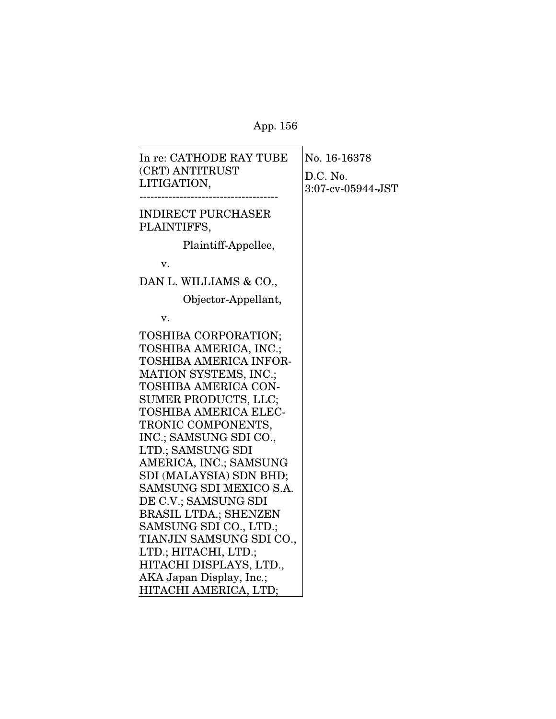$\overline{\phantom{a}}$ 

| In re: CATHODE RAY TUBE       | No. 16-16378      |
|-------------------------------|-------------------|
| (CRT) ANTITRUST               | D.C. No.          |
| LITIGATION,                   | 3:07-cv-05944-JST |
|                               |                   |
| <b>INDIRECT PURCHASER</b>     |                   |
| PLAINTIFFS,                   |                   |
| Plaintiff-Appellee,           |                   |
| v.                            |                   |
| DAN L. WILLIAMS & CO.,        |                   |
| Objector-Appellant,           |                   |
| v.                            |                   |
| TOSHIBA CORPORATION;          |                   |
| TOSHIBA AMERICA, INC.;        |                   |
| <b>TOSHIBA AMERICA INFOR-</b> |                   |
| MATION SYSTEMS, INC.;         |                   |
| TOSHIBA AMERICA CON-          |                   |
| SUMER PRODUCTS, LLC;          |                   |
| <b>TOSHIBA AMERICA ELEC-</b>  |                   |
| TRONIC COMPONENTS,            |                   |
| INC.; SAMSUNG SDI CO.,        |                   |
| LTD.; SAMSUNG SDI             |                   |
| AMERICA, INC.; SAMSUNG        |                   |
| SDI (MALAYSIA) SDN BHD;       |                   |
| SAMSUNG SDI MEXICO S.A.       |                   |
| DE C.V.; SAMSUNG SDI          |                   |
| <b>BRASIL LTDA.; SHENZEN</b>  |                   |
| SAMSUNG SDI CO., LTD.;        |                   |
| TIANJIN SAMSUNG SDI CO.,      |                   |
| LTD.; HITACHI, LTD.;          |                   |
| HITACHI DISPLAYS, LTD.,       |                   |
| AKA Japan Display, Inc.;      |                   |
| HITACHI AMERICA, LTD;         |                   |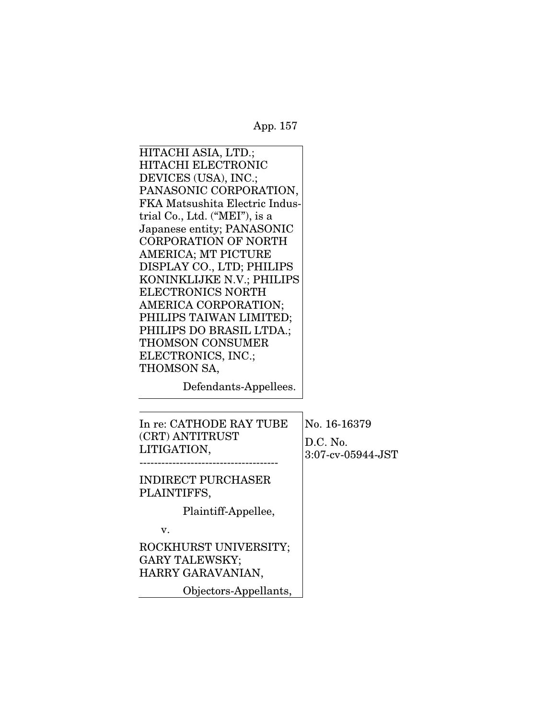HITACHI ASIA, LTD.; HITACHI ELECTRONIC DEVICES (USA), INC.; PANASONIC CORPORATION, FKA Matsushita Electric Industrial Co., Ltd. ("MEI"), is a Japanese entity; PANASONIC CORPORATION OF NORTH AMERICA; MT PICTURE DISPLAY CO., LTD; PHILIPS KONINKLIJKE N.V.; PHILIPS ELECTRONICS NORTH AMERICA CORPORATION; PHILIPS TAIWAN LIMITED; PHILIPS DO BRASIL LTDA.; THOMSON CONSUMER ELECTRONICS, INC.; THOMSON SA,

Defendants-Appellees.

| In re: CATHODE RAY TUBE<br>(CRT) ANTITRUST<br>LITIGATION,           | No. 16-16379<br>D.C. No.<br>3:07-cv-05944-JST |
|---------------------------------------------------------------------|-----------------------------------------------|
| <b>INDIRECT PURCHASER</b><br>PLAINTIFFS,                            |                                               |
| Plaintiff-Appellee,                                                 |                                               |
| v.                                                                  |                                               |
| ROCKHURST UNIVERSITY;<br><b>GARY TALEWSKY;</b><br>HARRY GARAVANIAN, |                                               |
| Objectors-Appellants,                                               |                                               |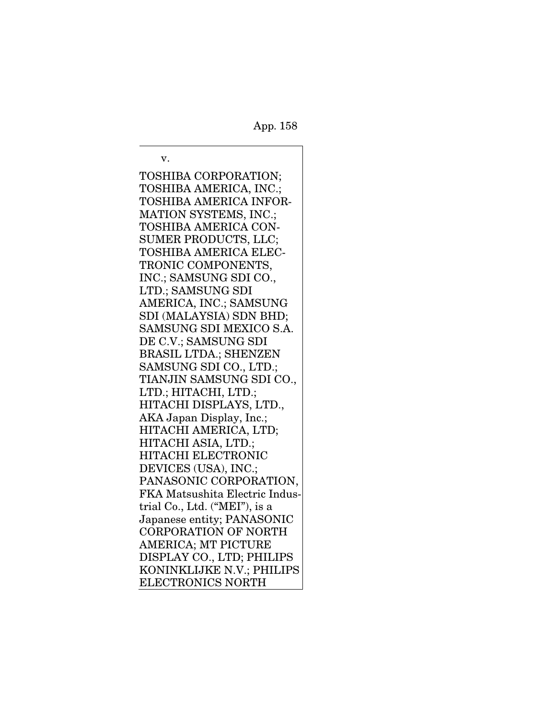v. TOSHIBA CORPORATION; TOSHIBA AMERICA, INC.; TOSHIBA AMERICA INFOR-MATION SYSTEMS, INC.; TOSHIBA AMERICA CON-SUMER PRODUCTS, LLC; TOSHIBA AMERICA ELEC-TRONIC COMPONENTS, INC.; SAMSUNG SDI CO., LTD.; SAMSUNG SDI AMERICA, INC.; SAMSUNG SDI (MALAYSIA) SDN BHD; SAMSUNG SDI MEXICO S.A. DE C.V.; SAMSUNG SDI BRASIL LTDA.; SHENZEN SAMSUNG SDI CO., LTD.; TIANJIN SAMSUNG SDI CO., LTD.; HITACHI, LTD.; HITACHI DISPLAYS, LTD., AKA Japan Display, Inc.; HITACHI AMERICA, LTD; HITACHI ASIA, LTD.; HITACHI ELECTRONIC DEVICES (USA), INC.; PANASONIC CORPORATION, FKA Matsushita Electric Industrial Co., Ltd. ("MEI"), is a Japanese entity; PANASONIC CORPORATION OF NORTH AMERICA; MT PICTURE DISPLAY CO., LTD; PHILIPS KONINKLIJKE N.V.; PHILIPS ELECTRONICS NORTH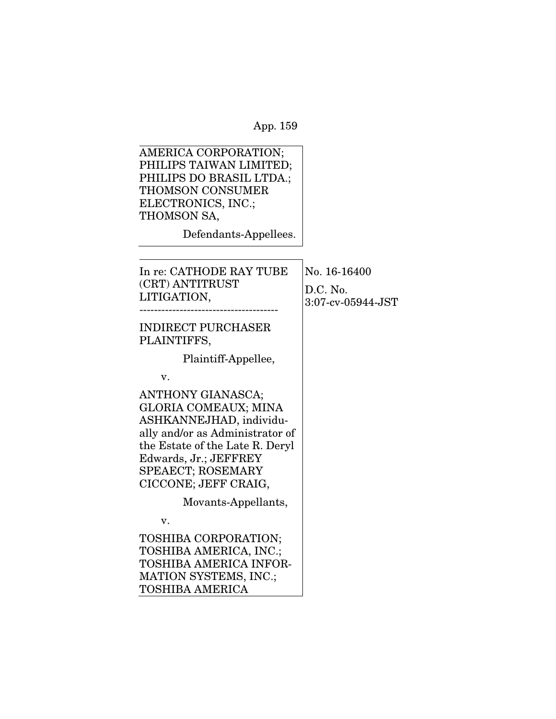| AMERICA CORPORATION;<br>PHILIPS TAIWAN LIMITED;<br>PHILIPS DO BRASIL LTDA.;<br><b>THOMSON CONSUMER</b><br>ELECTRONICS, INC.;<br>THOMSON SA,<br>Defendants-Appellees.                                                           |                                               |
|--------------------------------------------------------------------------------------------------------------------------------------------------------------------------------------------------------------------------------|-----------------------------------------------|
|                                                                                                                                                                                                                                |                                               |
| In re: CATHODE RAY TUBE<br>(CRT) ANTITRUST<br>LITIGATION,                                                                                                                                                                      | No. 16-16400<br>D.C. No.<br>3:07-cv-05944-JST |
| <b>INDIRECT PURCHASER</b><br>PLAINTIFFS,                                                                                                                                                                                       |                                               |
| Plaintiff-Appellee,                                                                                                                                                                                                            |                                               |
| v.                                                                                                                                                                                                                             |                                               |
| ANTHONY GIANASCA;<br><b>GLORIA COMEAUX; MINA</b><br>ASHKANNEJHAD, individu-<br>ally and/or as Administrator of<br>the Estate of the Late R. Deryl<br>Edwards, Jr.; JEFFREY<br><b>SPEAECT; ROSEMARY</b><br>CICCONE; JEFF CRAIG, |                                               |
| Movants-Appellants,                                                                                                                                                                                                            |                                               |
| v.                                                                                                                                                                                                                             |                                               |
| TOSHIBA CORPORATION;<br>TOSHIBA AMERICA, INC.;<br>TOSHIBA AMERICA INFOR-<br><b>MATION SYSTEMS, INC.;</b><br><b>TOSHIBA AMERICA</b>                                                                                             |                                               |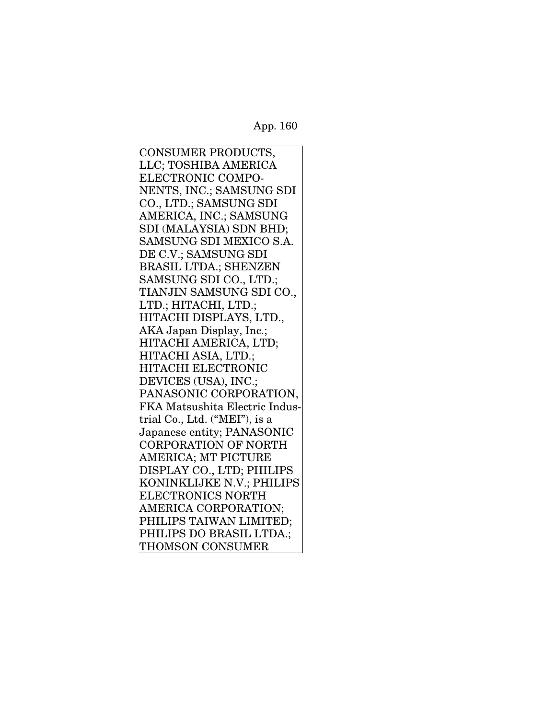CONSUMER PRODUCTS, LLC; TOSHIBA AMERICA ELECTRONIC COMPO-NENTS, INC.; SAMSUNG SDI CO., LTD.; SAMSUNG SDI AMERICA, INC.; SAMSUNG SDI (MALAYSIA) SDN BHD; SAMSUNG SDI MEXICO S.A. DE C.V.; SAMSUNG SDI BRASIL LTDA.; SHENZEN SAMSUNG SDI CO., LTD.; TIANJIN SAMSUNG SDI CO., LTD.; HITACHI, LTD.; HITACHI DISPLAYS, LTD., AKA Japan Display, Inc.; HITACHI AMERICA, LTD; HITACHI ASIA, LTD.; HITACHI ELECTRONIC DEVICES (USA), INC.; PANASONIC CORPORATION, FKA Matsushita Electric Industrial Co., Ltd. ("MEI"), is a Japanese entity; PANASONIC CORPORATION OF NORTH AMERICA; MT PICTURE DISPLAY CO., LTD; PHILIPS KONINKLIJKE N.V.; PHILIPS ELECTRONICS NORTH AMERICA CORPORATION; PHILIPS TAIWAN LIMITED; PHILIPS DO BRASIL LTDA.; THOMSON CONSUMER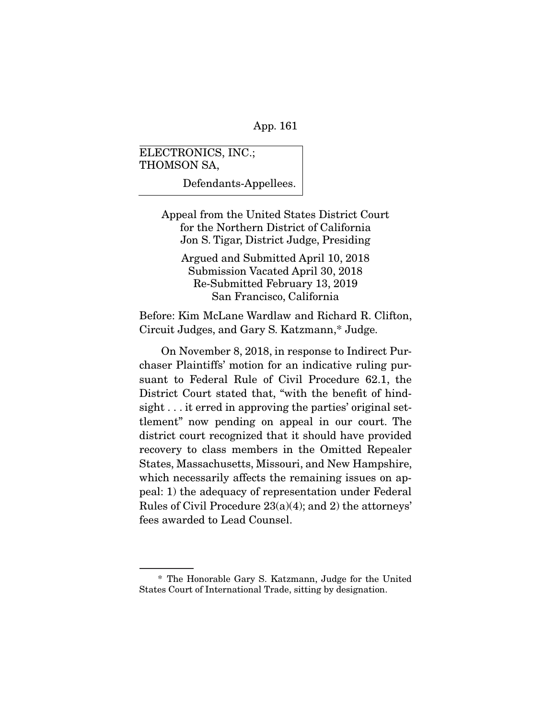ELECTRONICS, INC.; THOMSON SA,

Defendants-Appellees.

Appeal from the United States District Court for the Northern District of California Jon S. Tigar, District Judge, Presiding

Argued and Submitted April 10, 2018 Submission Vacated April 30, 2018 Re-Submitted February 13, 2019 San Francisco, California

Before: Kim McLane Wardlaw and Richard R. Clifton, Circuit Judges, and Gary S. Katzmann,\* Judge.

 On November 8, 2018, in response to Indirect Purchaser Plaintiffs' motion for an indicative ruling pursuant to Federal Rule of Civil Procedure 62.1, the District Court stated that, "with the benefit of hindsight . . . it erred in approving the parties' original settlement" now pending on appeal in our court. The district court recognized that it should have provided recovery to class members in the Omitted Repealer States, Massachusetts, Missouri, and New Hampshire, which necessarily affects the remaining issues on appeal: 1) the adequacy of representation under Federal Rules of Civil Procedure 23(a)(4); and 2) the attorneys' fees awarded to Lead Counsel.

 <sup>\*</sup> The Honorable Gary S. Katzmann, Judge for the United States Court of International Trade, sitting by designation.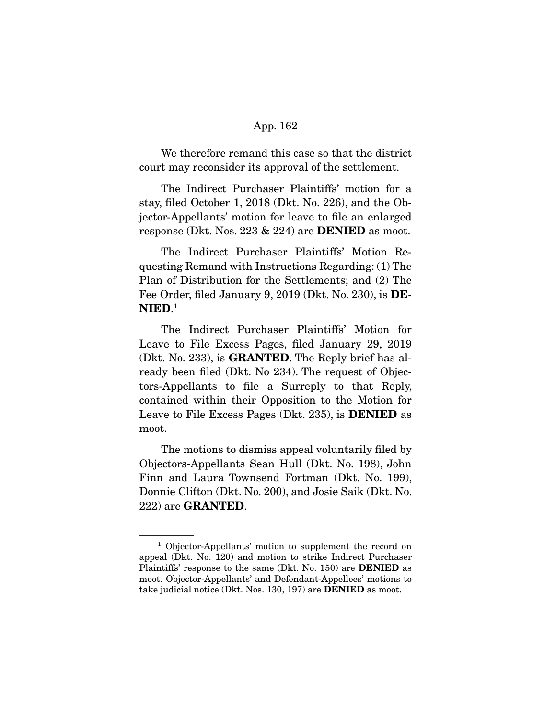We therefore remand this case so that the district court may reconsider its approval of the settlement.

 The Indirect Purchaser Plaintiffs' motion for a stay, filed October 1, 2018 (Dkt. No. 226), and the Objector-Appellants' motion for leave to file an enlarged response (Dkt. Nos. 223 & 224) are **DENIED** as moot.

 The Indirect Purchaser Plaintiffs' Motion Requesting Remand with Instructions Regarding: (1) The Plan of Distribution for the Settlements; and (2) The Fee Order, filed January 9, 2019 (Dkt. No. 230), is **DE-NIED**. 1

 The Indirect Purchaser Plaintiffs' Motion for Leave to File Excess Pages, filed January 29, 2019 (Dkt. No. 233), is **GRANTED**. The Reply brief has already been filed (Dkt. No 234). The request of Objectors-Appellants to file a Surreply to that Reply, contained within their Opposition to the Motion for Leave to File Excess Pages (Dkt. 235), is **DENIED** as moot.

 The motions to dismiss appeal voluntarily filed by Objectors-Appellants Sean Hull (Dkt. No. 198), John Finn and Laura Townsend Fortman (Dkt. No. 199), Donnie Clifton (Dkt. No. 200), and Josie Saik (Dkt. No. 222) are **GRANTED**.

<sup>&</sup>lt;sup>1</sup> Objector-Appellants' motion to supplement the record on appeal (Dkt. No. 120) and motion to strike Indirect Purchaser Plaintiffs' response to the same (Dkt. No. 150) are **DENIED** as moot. Objector-Appellants' and Defendant-Appellees' motions to take judicial notice (Dkt. Nos. 130, 197) are **DENIED** as moot.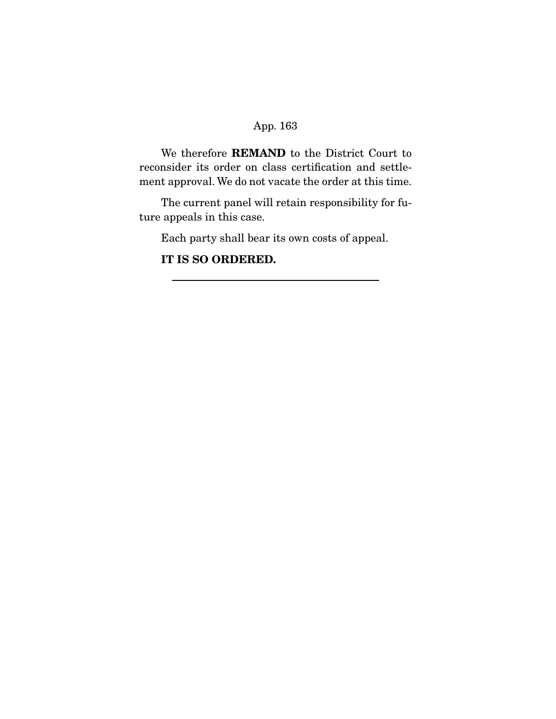We therefore **REMAND** to the District Court to reconsider its order on class certification and settlement approval. We do not vacate the order at this time.

 The current panel will retain responsibility for future appeals in this case.

Each party shall bear its own costs of appeal.

**IT IS SO ORDERED.**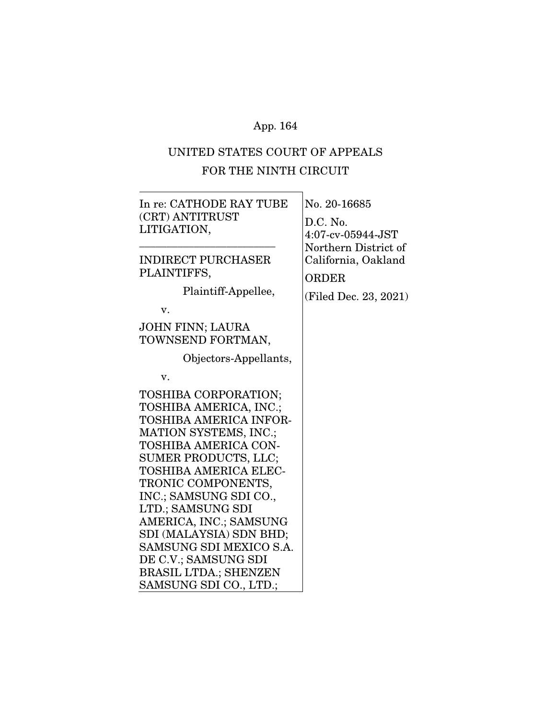# UNITED STATES COURT OF APPEALS FOR THE NINTH CIRCUIT

| In re: CATHODE RAY TUBE<br>(CRT) ANTITRUST<br>LITIGATION,                                                                                                                                                                                                                                                                                                                                                         | No. 20-16685<br>D.C. No.<br>$4:07$ -cv-05944-JST                                     |
|-------------------------------------------------------------------------------------------------------------------------------------------------------------------------------------------------------------------------------------------------------------------------------------------------------------------------------------------------------------------------------------------------------------------|--------------------------------------------------------------------------------------|
| <b>INDIRECT PURCHASER</b><br>PLAINTIFFS,<br>Plaintiff-Appellee,<br>v.                                                                                                                                                                                                                                                                                                                                             | Northern District of<br>California, Oakland<br><b>ORDER</b><br>(Filed Dec. 23, 2021) |
| <b>JOHN FINN; LAURA</b><br>TOWNSEND FORTMAN,                                                                                                                                                                                                                                                                                                                                                                      |                                                                                      |
| Objectors-Appellants,                                                                                                                                                                                                                                                                                                                                                                                             |                                                                                      |
| V.                                                                                                                                                                                                                                                                                                                                                                                                                |                                                                                      |
| TOSHIBA CORPORATION;<br>TOSHIBA AMERICA, INC.;<br>TOSHIBA AMERICA INFOR-<br>MATION SYSTEMS, INC.;<br>TOSHIBA AMERICA CON-<br>SUMER PRODUCTS, LLC;<br>TOSHIBA AMERICA ELEC-<br>TRONIC COMPONENTS,<br>INC.; SAMSUNG SDI CO.,<br>LTD.; SAMSUNG SDI<br>AMERICA, INC.; SAMSUNG<br>SDI (MALAYSIA) SDN BHD;<br>SAMSUNG SDI MEXICO S.A.<br>DE C.V.; SAMSUNG SDI<br><b>BRASIL LTDA.; SHENZEN</b><br>SAMSUNG SDI CO., LTD.; |                                                                                      |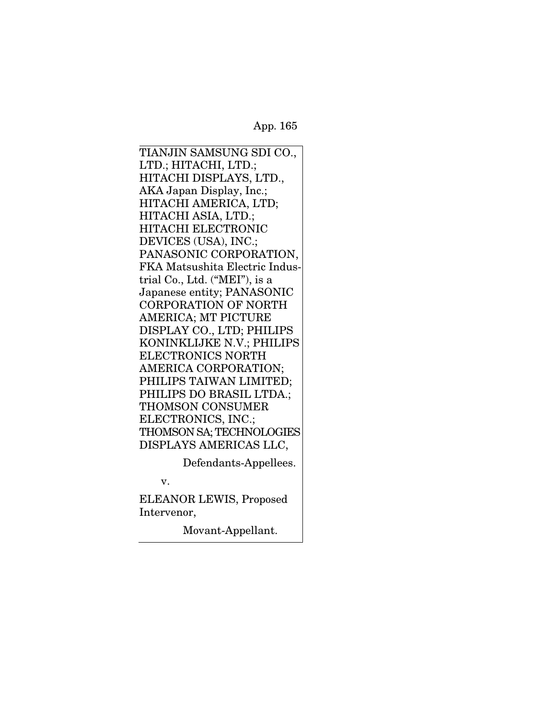TIANJIN SAMSUNG SDI CO., LTD.; HITACHI, LTD.; HITACHI DISPLAYS, LTD., AKA Japan Display, Inc.; HITACHI AMERICA, LTD; HITACHI ASIA, LTD.; HITACHI ELECTRONIC DEVICES (USA), INC.; PANASONIC CORPORATION, FKA Matsushita Electric Industrial Co., Ltd. ("MEI"), is a Japanese entity; PANASONIC CORPORATION OF NORTH AMERICA; MT PICTURE DISPLAY CO., LTD; PHILIPS KONINKLIJKE N.V.; PHILIPS ELECTRONICS NORTH AMERICA CORPORATION; PHILIPS TAIWAN LIMITED; PHILIPS DO BRASIL LTDA.; THOMSON CONSUMER ELECTRONICS, INC.; THOMSON SA; TECHNOLOGIES DISPLAYS AMERICAS LLC,

Defendants-Appellees.

v.

ELEANOR LEWIS, Proposed Intervenor,

Movant-Appellant.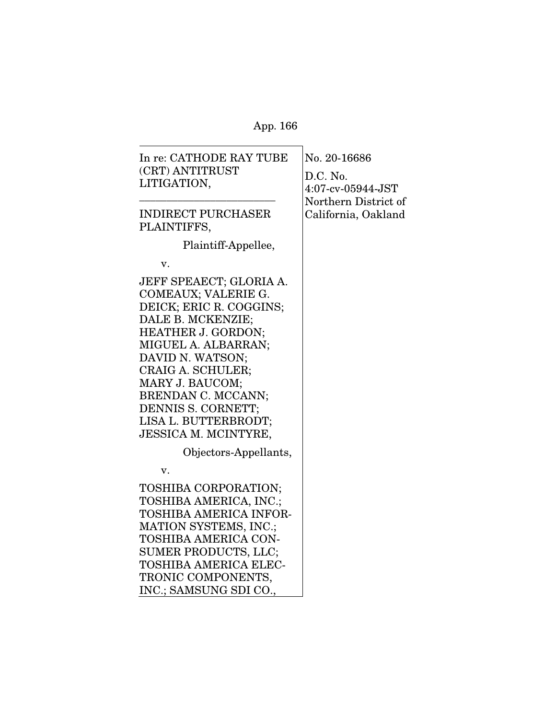| In re: CATHODE RAY TUBE<br>(CRT) ANTITRUST<br>LITIGATION,                                                                                                                                                                                                                                                         | No. 20-16686<br>D.C. No.<br>4:07-cv-05944-JST<br>Northern District of |
|-------------------------------------------------------------------------------------------------------------------------------------------------------------------------------------------------------------------------------------------------------------------------------------------------------------------|-----------------------------------------------------------------------|
| <b>INDIRECT PURCHASER</b><br>PLAINTIFFS,                                                                                                                                                                                                                                                                          | California, Oakland                                                   |
| Plaintiff-Appellee,                                                                                                                                                                                                                                                                                               |                                                                       |
| v.                                                                                                                                                                                                                                                                                                                |                                                                       |
| JEFF SPEAECT; GLORIA A.<br>COMEAUX; VALERIE G.<br>DEICK; ERIC R. COGGINS;<br>DALE B. MCKENZIE;<br><b>HEATHER J. GORDON;</b><br>MIGUEL A. ALBARRAN;<br>DAVID N. WATSON;<br>CRAIG A. SCHULER;<br>MARY J. BAUCOM;<br>BRENDAN C. MCCANN;<br>DENNIS S. CORNETT;<br>LISA L. BUTTERBRODT;<br><b>JESSICA M. MCINTYRE,</b> |                                                                       |
| Objectors-Appellants,                                                                                                                                                                                                                                                                                             |                                                                       |
| v.                                                                                                                                                                                                                                                                                                                |                                                                       |
| TOSHIBA CORPORATION;<br>TOSHIBA AMERICA, INC.;<br>TOSHIBA AMERICA INFOR-<br><b>MATION SYSTEMS, INC.;</b><br>TOSHIBA AMERICA CON-                                                                                                                                                                                  |                                                                       |
| SUMER PRODUCTS, LLC;<br><b>TOSHIBA AMERICA ELEC-</b>                                                                                                                                                                                                                                                              |                                                                       |
| TRONIC COMPONENTS,                                                                                                                                                                                                                                                                                                |                                                                       |
| INC.; SAMSUNG SDI CO.,                                                                                                                                                                                                                                                                                            |                                                                       |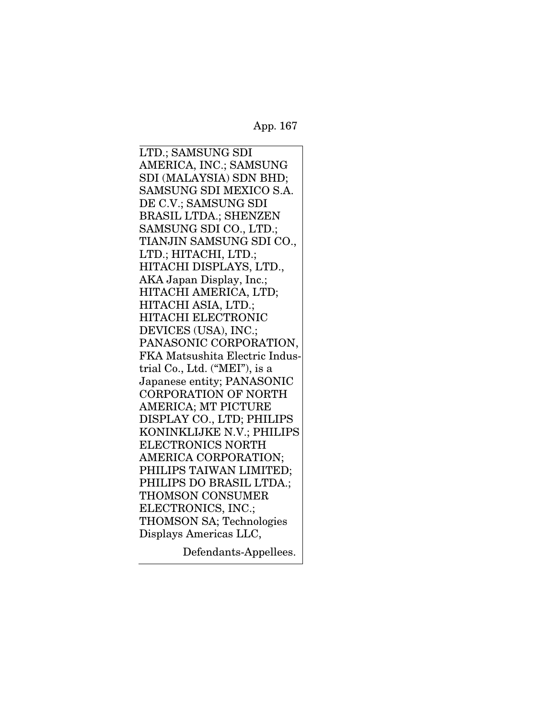LTD.; SAMSUNG SDI AMERICA, INC.; SAMSUNG SDI (MALAYSIA) SDN BHD; SAMSUNG SDI MEXICO S.A. DE C.V.; SAMSUNG SDI BRASIL LTDA.; SHENZEN SAMSUNG SDI CO., LTD.; TIANJIN SAMSUNG SDI CO., LTD.; HITACHI, LTD.; HITACHI DISPLAYS, LTD., AKA Japan Display, Inc.; HITACHI AMERICA, LTD; HITACHI ASIA, LTD.; HITACHI ELECTRONIC DEVICES (USA), INC.; PANASONIC CORPORATION, FKA Matsushita Electric Industrial Co., Ltd. ("MEI"), is a Japanese entity; PANASONIC CORPORATION OF NORTH AMERICA; MT PICTURE DISPLAY CO., LTD; PHILIPS KONINKLIJKE N.V.; PHILIPS ELECTRONICS NORTH AMERICA CORPORATION; PHILIPS TAIWAN LIMITED; PHILIPS DO BRASIL LTDA.; THOMSON CONSUMER ELECTRONICS, INC.; THOMSON SA; Technologies Displays Americas LLC,

Defendants-Appellees.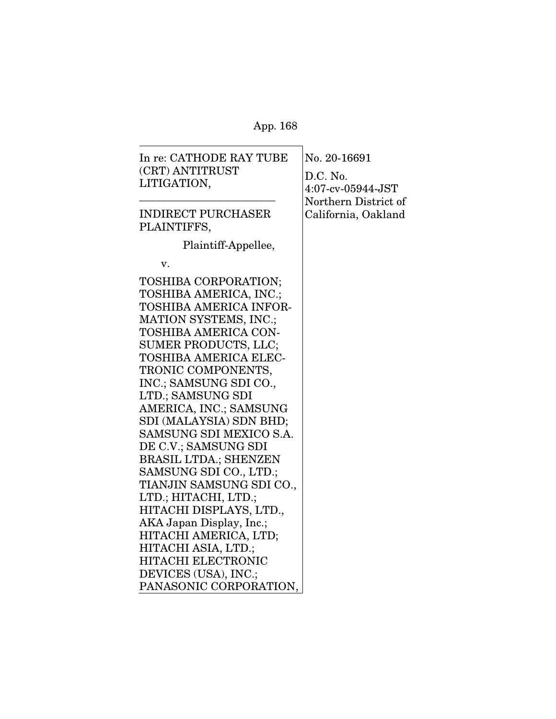| In re: CATHODE RAY TUBE<br>(CRT) ANTITRUST<br>LITIGATION,                                                                                                                                                                                                                                                                                                                                                                                                                                                                                                                                                                                | No. 20-16691<br>D.C. No.<br>$4:07$ -cv-05944-JST<br>Northern District of |
|------------------------------------------------------------------------------------------------------------------------------------------------------------------------------------------------------------------------------------------------------------------------------------------------------------------------------------------------------------------------------------------------------------------------------------------------------------------------------------------------------------------------------------------------------------------------------------------------------------------------------------------|--------------------------------------------------------------------------|
| <b>INDIRECT PURCHASER</b><br>PLAINTIFFS,                                                                                                                                                                                                                                                                                                                                                                                                                                                                                                                                                                                                 | California, Oakland                                                      |
| Plaintiff-Appellee,                                                                                                                                                                                                                                                                                                                                                                                                                                                                                                                                                                                                                      |                                                                          |
| v.                                                                                                                                                                                                                                                                                                                                                                                                                                                                                                                                                                                                                                       |                                                                          |
| TOSHIBA CORPORATION;<br>TOSHIBA AMERICA, INC.;<br>TOSHIBA AMERICA INFOR-<br>MATION SYSTEMS, INC.;<br>TOSHIBA AMERICA CON-<br>SUMER PRODUCTS, LLC;<br><b>TOSHIBA AMERICA ELEC-</b><br>TRONIC COMPONENTS,<br>INC.; SAMSUNG SDI CO.,<br>LTD.; SAMSUNG SDI<br>AMERICA, INC.; SAMSUNG<br>SDI (MALAYSIA) SDN BHD;<br>SAMSUNG SDI MEXICO S.A.<br>DE C.V.; SAMSUNG SDI<br><b>BRASIL LTDA.; SHENZEN</b><br>SAMSUNG SDI CO., LTD.;<br>TIANJIN SAMSUNG SDI CO.,<br>LTD.; HITACHI, LTD.;<br>HITACHI DISPLAYS, LTD.,<br>AKA Japan Display, Inc.;<br>HITACHI AMERICA, LTD;<br>HITACHI ASIA, LTD.;<br><b>HITACHI ELECTRONIC</b><br>DEVICES (USA), INC.; |                                                                          |
| PANASONIC CORPORATION,                                                                                                                                                                                                                                                                                                                                                                                                                                                                                                                                                                                                                   |                                                                          |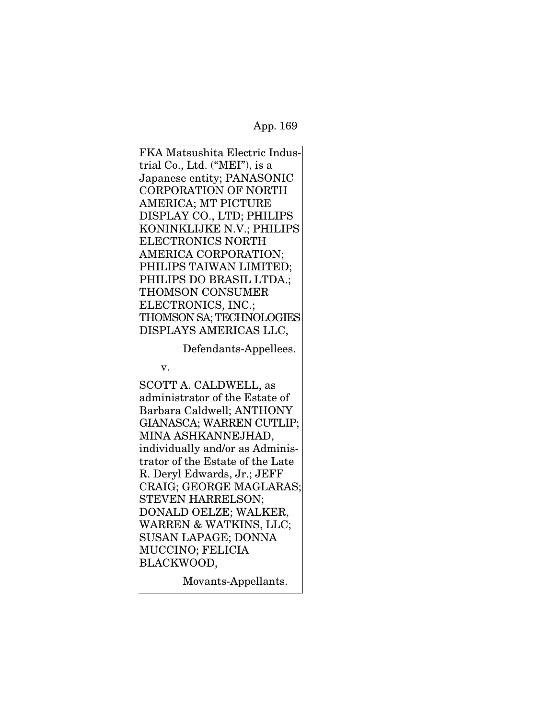FKA Matsushita Electric Industrial Co., Ltd. ("MEI"), is a Japanese entity; PANASONIC CORPORATION OF NORTH AMERICA; MT PICTURE DISPLAY CO., LTD; PHILIPS KONINKLIJKE N.V.; PHILIPS ELECTRONICS NORTH AMERICA CORPORATION; PHILIPS TAIWAN LIMITED; PHILIPS DO BRASIL LTDA.; THOMSON CONSUMER ELECTRONICS, INC.; THOMSON SA; TECHNOLOGIES DISPLAYS AMERICAS LLC,

Defendants-Appellees.

v.

SCOTT A. CALDWELL, as administrator of the Estate of Barbara Caldwell; ANTHONY GIANASCA; WARREN CUTLIP; MINA ASHKANNEJHAD, individually and/or as Administrator of the Estate of the Late R. Deryl Edwards, Jr.; JEFF CRAIG; GEORGE MAGLARAS; STEVEN HARRELSON; DONALD OELZE; WALKER, WARREN & WATKINS, LLC; SUSAN LAPAGE; DONNA MUCCINO; FELICIA BLACKWOOD,

Movants-Appellants.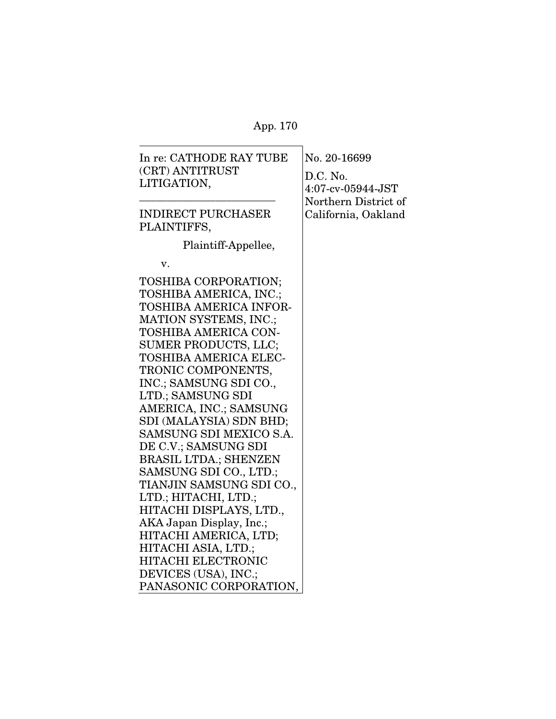$\overline{\phantom{0}}$ 

| In re: CATHODE RAY TUBE      | No. 20-16699         |
|------------------------------|----------------------|
| (CRT) ANTITRUST              | D.C. No.             |
| LITIGATION,                  | $4:07$ -cv-05944-JST |
|                              | Northern District of |
| <b>INDIRECT PURCHASER</b>    | California, Oakland  |
| PLAINTIFFS,                  |                      |
| Plaintiff-Appellee,          |                      |
|                              |                      |
| v.                           |                      |
| TOSHIBA CORPORATION;         |                      |
| TOSHIBA AMERICA, INC.;       |                      |
| TOSHIBA AMERICA INFOR-       |                      |
| MATION SYSTEMS, INC.;        |                      |
| TOSHIBA AMERICA CON-         |                      |
| <b>SUMER PRODUCTS, LLC;</b>  |                      |
| TOSHIBA AMERICA ELEC-        |                      |
| TRONIC COMPONENTS,           |                      |
| INC.; SAMSUNG SDI CO.,       |                      |
| LTD.; SAMSUNG SDI            |                      |
| AMERICA, INC.; SAMSUNG       |                      |
| SDI (MALAYSIA) SDN BHD;      |                      |
| SAMSUNG SDI MEXICO S.A.      |                      |
| DE C.V.; SAMSUNG SDI         |                      |
| <b>BRASIL LTDA.; SHENZEN</b> |                      |
| SAMSUNG SDI CO., LTD.;       |                      |
| TIANJIN SAMSUNG SDI CO.,     |                      |
| LTD.; HITACHI, LTD.;         |                      |
| HITACHI DISPLAYS, LTD.,      |                      |
| AKA Japan Display, Inc.;     |                      |
| HITACHI AMERICA, LTD;        |                      |
| HITACHI ASIA, LTD.;          |                      |
| <b>HITACHI ELECTRONIC</b>    |                      |
| DEVICES (USA), INC.;         |                      |
| PANASONIC CORPORATION,       |                      |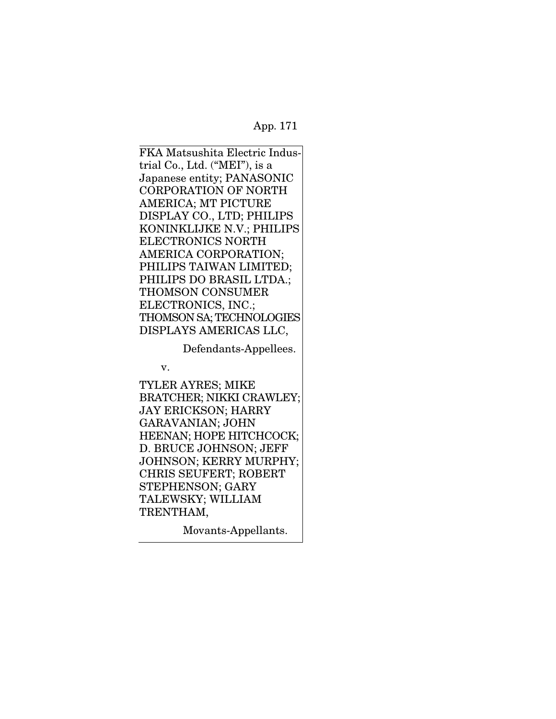FKA Matsushita Electric Industrial Co., Ltd. ("MEI"), is a Japanese entity; PANASONIC CORPORATION OF NORTH AMERICA; MT PICTURE DISPLAY CO., LTD; PHILIPS KONINKLIJKE N.V.; PHILIPS ELECTRONICS NORTH AMERICA CORPORATION; PHILIPS TAIWAN LIMITED; PHILIPS DO BRASIL LTDA.; THOMSON CONSUMER ELECTRONICS, INC.; THOMSON SA; TECHNOLOGIES DISPLAYS AMERICAS LLC,

Defendants-Appellees.

v.

TYLER AYRES; MIKE BRATCHER; NIKKI CRAWLEY; JAY ERICKSON; HARRY GARAVANIAN; JOHN HEENAN; HOPE HITCHCOCK; D. BRUCE JOHNSON; JEFF JOHNSON; KERRY MURPHY; CHRIS SEUFERT; ROBERT STEPHENSON; GARY TALEWSKY; WILLIAM TRENTHAM,

Movants-Appellants.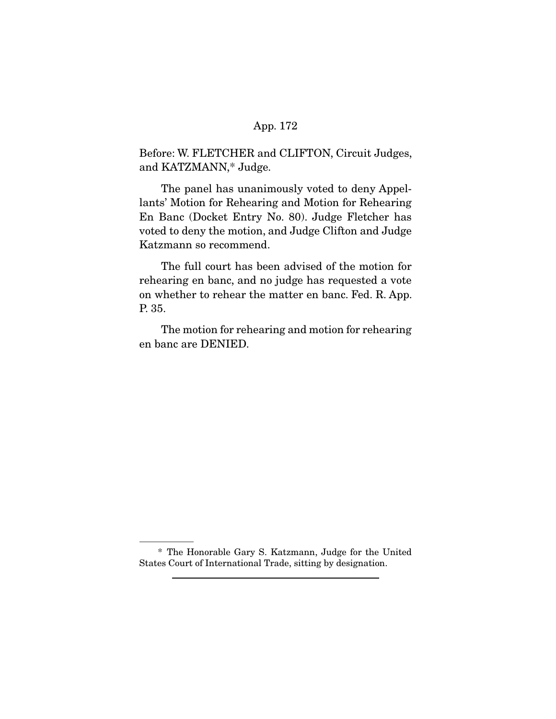Before: W. FLETCHER and CLIFTON, Circuit Judges, and KATZMANN,\* Judge.

 The panel has unanimously voted to deny Appellants' Motion for Rehearing and Motion for Rehearing En Banc (Docket Entry No. 80). Judge Fletcher has voted to deny the motion, and Judge Clifton and Judge Katzmann so recommend.

 The full court has been advised of the motion for rehearing en banc, and no judge has requested a vote on whether to rehear the matter en banc. Fed. R. App. P. 35.

 The motion for rehearing and motion for rehearing en banc are DENIED.

 <sup>\*</sup> The Honorable Gary S. Katzmann, Judge for the United States Court of International Trade, sitting by designation.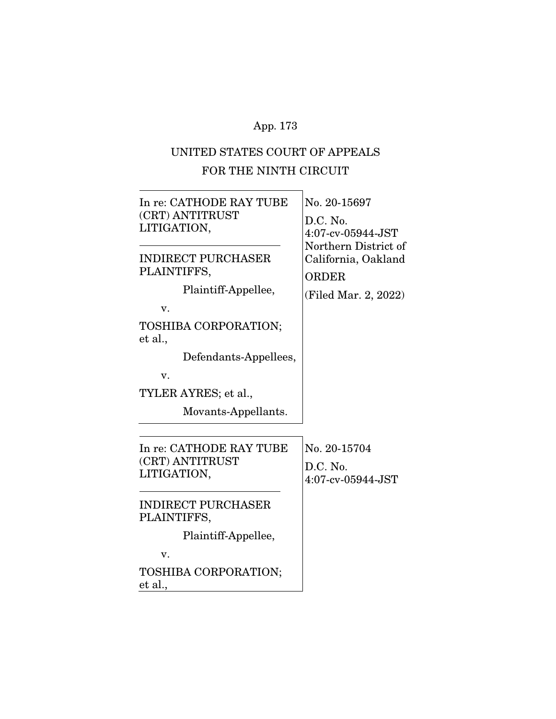# UNITED STATES COURT OF APPEALS FOR THE NINTH CIRCUIT

| In re: CATHODE RAY TUBE<br>(CRT) ANTITRUST<br>LITIGATION,<br><b>INDIRECT PURCHASER</b><br>PLAINTIFFS,<br>Plaintiff-Appellee,<br>v.<br>TOSHIBA CORPORATION;<br>et al.,<br>Defendants-Appellees, | No. 20-15697<br>D.C. No.<br>4:07-cv-05944-JST<br>Northern District of<br>California, Oakland<br><b>ORDER</b><br>(Filed Mar. 2, 2022) |
|------------------------------------------------------------------------------------------------------------------------------------------------------------------------------------------------|--------------------------------------------------------------------------------------------------------------------------------------|
| v.<br>TYLER AYRES; et al.,<br>Movants-Appellants.                                                                                                                                              |                                                                                                                                      |
| In re: CATHODE RAY TUBE<br>(CRT) ANTITRUST<br>LITIGATION,                                                                                                                                      | No. 20-15704<br>D.C. No.<br>$4:07$ -cv-05944-JST                                                                                     |
| <b>INDIRECT PURCHASER</b><br>PLAINTIFFS,<br>Plaintiff-Appellee,<br>v.                                                                                                                          |                                                                                                                                      |
| TOSHIBA CORPORATION;<br>et al.,                                                                                                                                                                |                                                                                                                                      |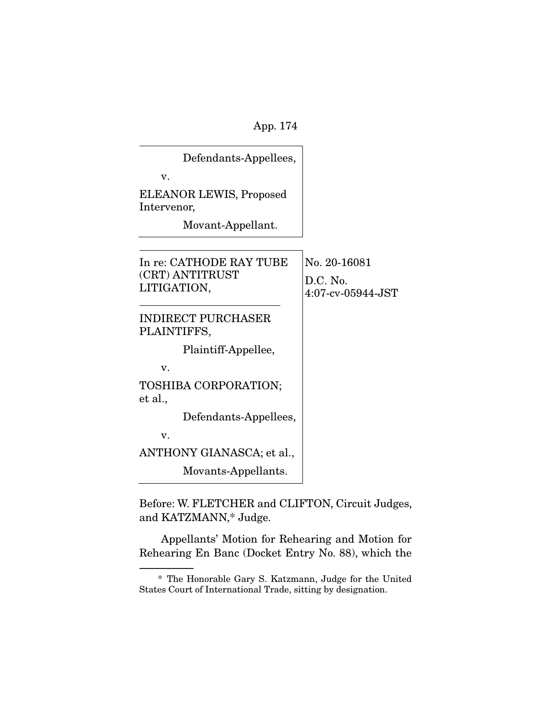| Defendants-Appellees,                                     |                                                      |
|-----------------------------------------------------------|------------------------------------------------------|
| v.                                                        |                                                      |
| ELEANOR LEWIS, Proposed<br>Intervenor,                    |                                                      |
| Movant-Appellant.                                         |                                                      |
| In re: CATHODE RAY TUBE<br>(CRT) ANTITRUST<br>LITIGATION, | No. 20-16081<br>D.C. No.<br>$4:07$ -cv- $05944$ -JST |
| <b>INDIRECT PURCHASER</b><br>PLAINTIFFS,                  |                                                      |
| Plaintiff-Appellee,                                       |                                                      |
| v.                                                        |                                                      |
| TOSHIBA CORPORATION;<br>et al.,                           |                                                      |
| Defendants-Appellees,                                     |                                                      |
| v.                                                        |                                                      |
| ANTHONY GIANASCA; et al.,                                 |                                                      |
| Movants-Appellants.                                       |                                                      |

Before: W. FLETCHER and CLIFTON, Circuit Judges, and KATZMANN,\* Judge.

 Appellants' Motion for Rehearing and Motion for Rehearing En Banc (Docket Entry No. 88), which the

 <sup>\*</sup> The Honorable Gary S. Katzmann, Judge for the United States Court of International Trade, sitting by designation.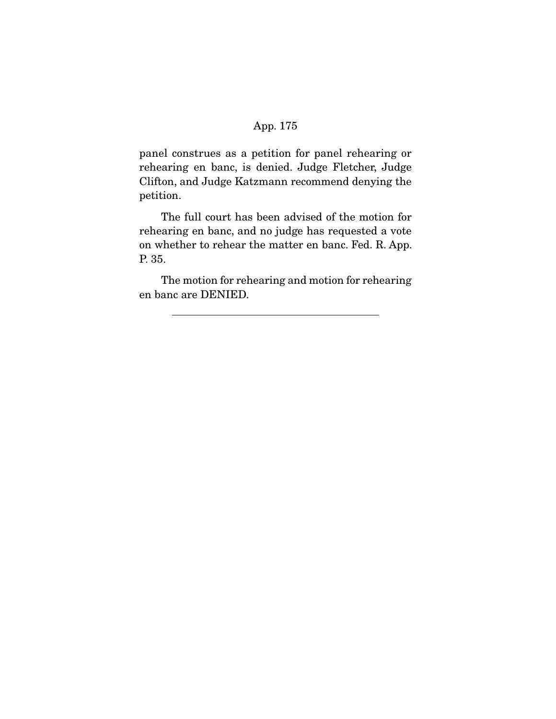panel construes as a petition for panel rehearing or rehearing en banc, is denied. Judge Fletcher, Judge Clifton, and Judge Katzmann recommend denying the petition.

 The full court has been advised of the motion for rehearing en banc, and no judge has requested a vote on whether to rehear the matter en banc. Fed. R. App. P. 35.

 The motion for rehearing and motion for rehearing en banc are DENIED.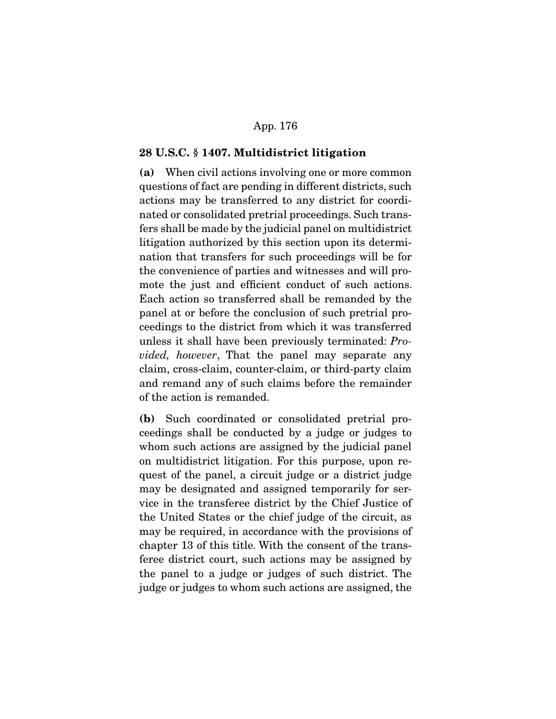#### **28 U.S.C. § 1407. Multidistrict litigation**

**(a)** When civil actions involving one or more common questions of fact are pending in different districts, such actions may be transferred to any district for coordinated or consolidated pretrial proceedings. Such transfers shall be made by the judicial panel on multidistrict litigation authorized by this section upon its determination that transfers for such proceedings will be for the convenience of parties and witnesses and will promote the just and efficient conduct of such actions. Each action so transferred shall be remanded by the panel at or before the conclusion of such pretrial proceedings to the district from which it was transferred unless it shall have been previously terminated: Provided, however, That the panel may separate any claim, cross-claim, counter-claim, or third-party claim and remand any of such claims before the remainder of the action is remanded.

**(b)** Such coordinated or consolidated pretrial proceedings shall be conducted by a judge or judges to whom such actions are assigned by the judicial panel on multidistrict litigation. For this purpose, upon request of the panel, a circuit judge or a district judge may be designated and assigned temporarily for service in the transferee district by the Chief Justice of the United States or the chief judge of the circuit, as may be required, in accordance with the provisions of chapter 13 of this title. With the consent of the transferee district court, such actions may be assigned by the panel to a judge or judges of such district. The judge or judges to whom such actions are assigned, the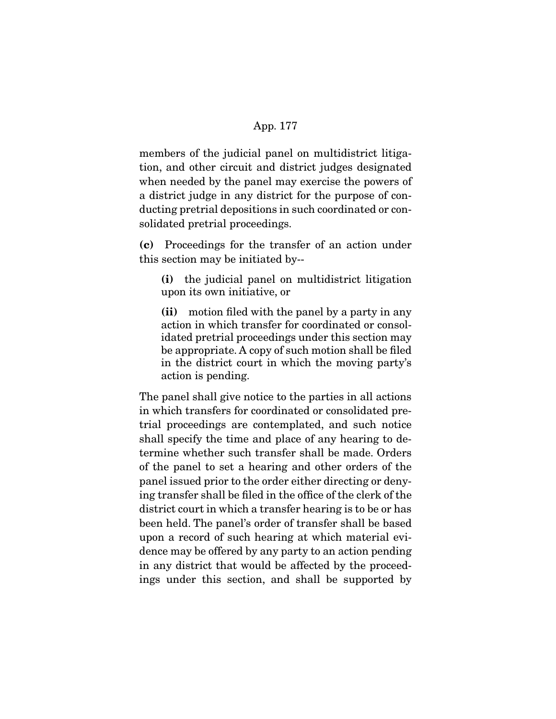members of the judicial panel on multidistrict litigation, and other circuit and district judges designated when needed by the panel may exercise the powers of a district judge in any district for the purpose of conducting pretrial depositions in such coordinated or consolidated pretrial proceedings.

**(c)** Proceedings for the transfer of an action under this section may be initiated by--

**(i)** the judicial panel on multidistrict litigation upon its own initiative, or

**(ii)** motion filed with the panel by a party in any action in which transfer for coordinated or consolidated pretrial proceedings under this section may be appropriate. A copy of such motion shall be filed in the district court in which the moving party's action is pending.

The panel shall give notice to the parties in all actions in which transfers for coordinated or consolidated pretrial proceedings are contemplated, and such notice shall specify the time and place of any hearing to determine whether such transfer shall be made. Orders of the panel to set a hearing and other orders of the panel issued prior to the order either directing or denying transfer shall be filed in the office of the clerk of the district court in which a transfer hearing is to be or has been held. The panel's order of transfer shall be based upon a record of such hearing at which material evidence may be offered by any party to an action pending in any district that would be affected by the proceedings under this section, and shall be supported by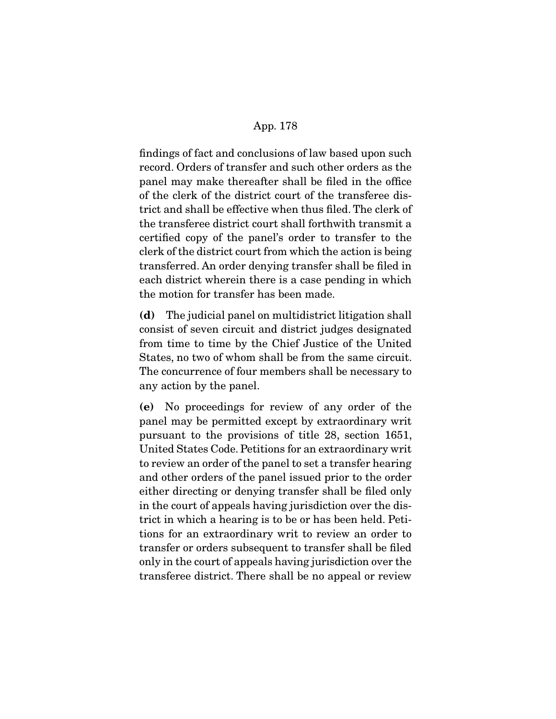findings of fact and conclusions of law based upon such record. Orders of transfer and such other orders as the panel may make thereafter shall be filed in the office of the clerk of the district court of the transferee district and shall be effective when thus filed. The clerk of the transferee district court shall forthwith transmit a certified copy of the panel's order to transfer to the clerk of the district court from which the action is being transferred. An order denying transfer shall be filed in each district wherein there is a case pending in which the motion for transfer has been made.

**(d)** The judicial panel on multidistrict litigation shall consist of seven circuit and district judges designated from time to time by the Chief Justice of the United States, no two of whom shall be from the same circuit. The concurrence of four members shall be necessary to any action by the panel.

**(e)** No proceedings for review of any order of the panel may be permitted except by extraordinary writ pursuant to the provisions of title 28, section 1651, United States Code. Petitions for an extraordinary writ to review an order of the panel to set a transfer hearing and other orders of the panel issued prior to the order either directing or denying transfer shall be filed only in the court of appeals having jurisdiction over the district in which a hearing is to be or has been held. Petitions for an extraordinary writ to review an order to transfer or orders subsequent to transfer shall be filed only in the court of appeals having jurisdiction over the transferee district. There shall be no appeal or review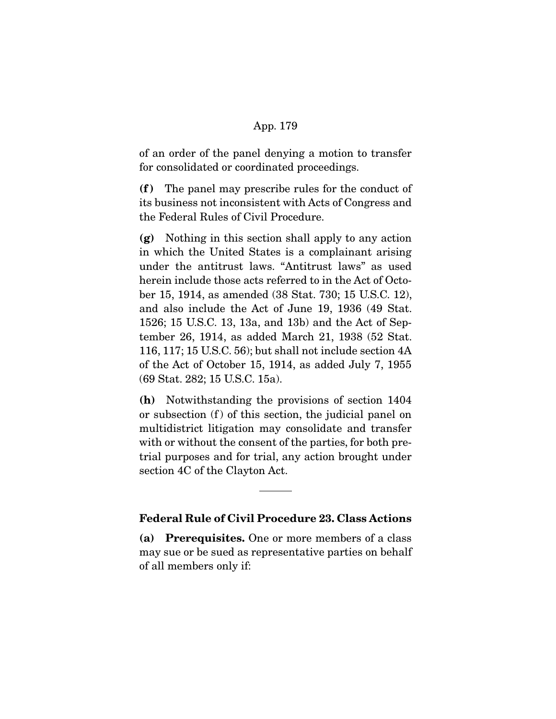of an order of the panel denying a motion to transfer for consolidated or coordinated proceedings.

**(f )** The panel may prescribe rules for the conduct of its business not inconsistent with Acts of Congress and the Federal Rules of Civil Procedure.

**(g)** Nothing in this section shall apply to any action in which the United States is a complainant arising under the antitrust laws. "Antitrust laws" as used herein include those acts referred to in the Act of October 15, 1914, as amended (38 Stat. 730; 15 U.S.C. 12), and also include the Act of June 19, 1936 (49 Stat. 1526; 15 U.S.C. 13, 13a, and 13b) and the Act of September 26, 1914, as added March 21, 1938 (52 Stat. 116, 117; 15 U.S.C. 56); but shall not include section 4A of the Act of October 15, 1914, as added July 7, 1955 (69 Stat. 282; 15 U.S.C. 15a).

**(h)** Notwithstanding the provisions of section 1404 or subsection (f) of this section, the judicial panel on multidistrict litigation may consolidate and transfer with or without the consent of the parties, for both pretrial purposes and for trial, any action brought under section 4C of the Clayton Act.

### **Federal Rule of Civil Procedure 23. Class Actions**

**(a) Prerequisites.** One or more members of a class may sue or be sued as representative parties on behalf of all members only if: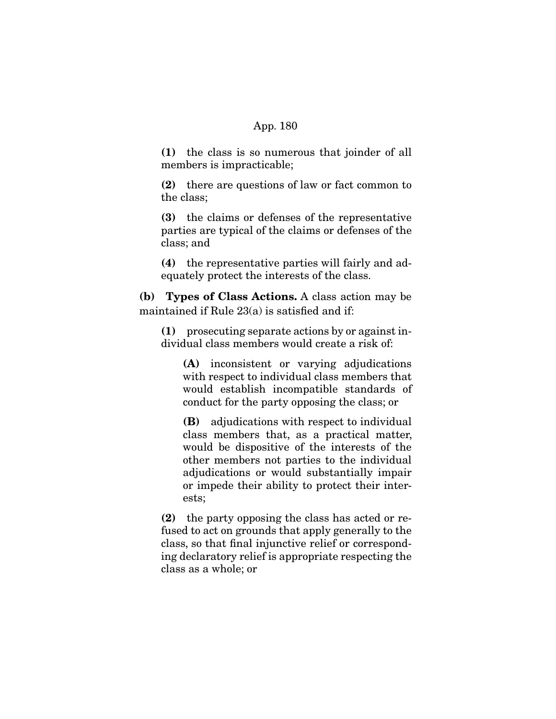**(1)** the class is so numerous that joinder of all members is impracticable;

**(2)** there are questions of law or fact common to the class;

**(3)** the claims or defenses of the representative parties are typical of the claims or defenses of the class; and

**(4)** the representative parties will fairly and adequately protect the interests of the class.

**(b) Types of Class Actions.** A class action may be maintained if Rule 23(a) is satisfied and if:

**(1)** prosecuting separate actions by or against individual class members would create a risk of:

**(A)** inconsistent or varying adjudications with respect to individual class members that would establish incompatible standards of conduct for the party opposing the class; or

**(B)** adjudications with respect to individual class members that, as a practical matter, would be dispositive of the interests of the other members not parties to the individual adjudications or would substantially impair or impede their ability to protect their interests;

**(2)** the party opposing the class has acted or refused to act on grounds that apply generally to the class, so that final injunctive relief or corresponding declaratory relief is appropriate respecting the class as a whole; or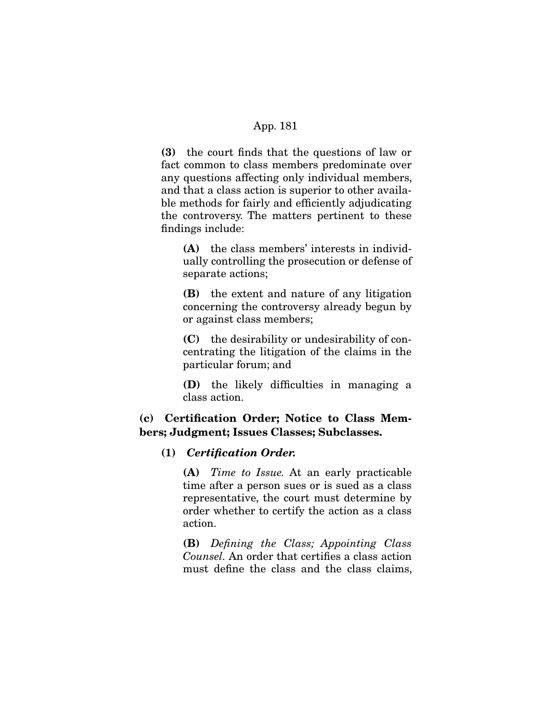**(3)** the court finds that the questions of law or fact common to class members predominate over any questions affecting only individual members, and that a class action is superior to other available methods for fairly and efficiently adjudicating the controversy. The matters pertinent to these findings include:

**(A)** the class members' interests in individually controlling the prosecution or defense of separate actions;

**(B)** the extent and nature of any litigation concerning the controversy already begun by or against class members;

**(C)** the desirability or undesirability of concentrating the litigation of the claims in the particular forum; and

**(D)** the likely difficulties in managing a class action.

# **(c) Certification Order; Notice to Class Members; Judgment; Issues Classes; Subclasses.**

#### **(1)** *Certification Order.*

**(A)** Time to Issue. At an early practicable time after a person sues or is sued as a class representative, the court must determine by order whether to certify the action as a class action.

**(B)** Defining the Class; Appointing Class Counsel. An order that certifies a class action must define the class and the class claims,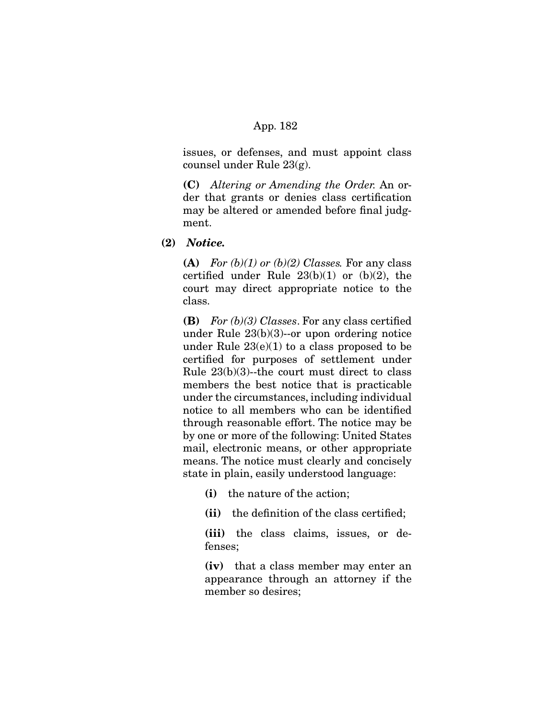issues, or defenses, and must appoint class counsel under Rule 23(g).

**(C)** Altering or Amending the Order. An order that grants or denies class certification may be altered or amended before final judgment.

**(2)** *Notice.* 

**(A)** For  $(b)(1)$  or  $(b)(2)$  Classes. For any class certified under Rule  $23(b)(1)$  or  $(b)(2)$ , the court may direct appropriate notice to the class.

**(B)** For (b)(3) Classes. For any class certified under Rule 23(b)(3)--or upon ordering notice under Rule  $23(e)(1)$  to a class proposed to be certified for purposes of settlement under Rule 23(b)(3)--the court must direct to class members the best notice that is practicable under the circumstances, including individual notice to all members who can be identified through reasonable effort. The notice may be by one or more of the following: United States mail, electronic means, or other appropriate means. The notice must clearly and concisely state in plain, easily understood language:

- **(i)** the nature of the action;
- **(ii)** the definition of the class certified;

**(iii)** the class claims, issues, or defenses;

**(iv)** that a class member may enter an appearance through an attorney if the member so desires;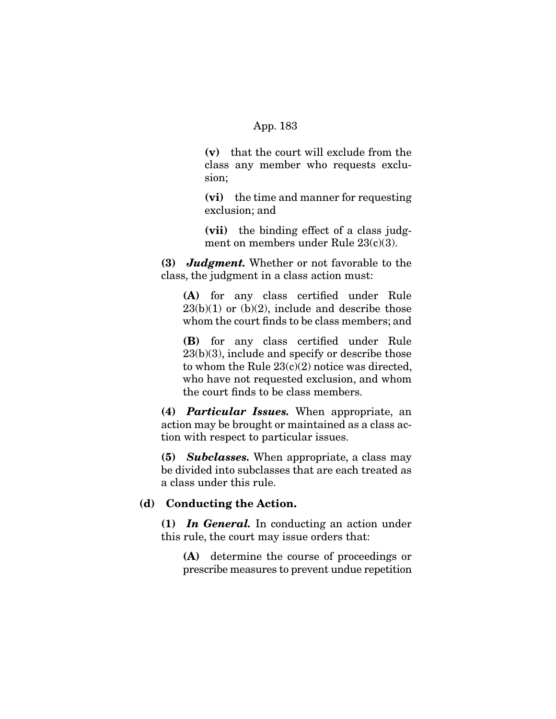**(v)** that the court will exclude from the class any member who requests exclusion;

**(vi)** the time and manner for requesting exclusion; and

**(vii)** the binding effect of a class judgment on members under Rule 23(c)(3).

**(3)** *Judgment.* Whether or not favorable to the class, the judgment in a class action must:

**(A)** for any class certified under Rule  $23(b)(1)$  or  $(b)(2)$ , include and describe those whom the court finds to be class members; and

**(B)** for any class certified under Rule 23(b)(3), include and specify or describe those to whom the Rule 23(c)(2) notice was directed, who have not requested exclusion, and whom the court finds to be class members.

**(4)** *Particular Issues.* When appropriate, an action may be brought or maintained as a class action with respect to particular issues.

**(5)** *Subclasses.* When appropriate, a class may be divided into subclasses that are each treated as a class under this rule.

#### **(d) Conducting the Action.**

**(1)** *In General.* In conducting an action under this rule, the court may issue orders that:

**(A)** determine the course of proceedings or prescribe measures to prevent undue repetition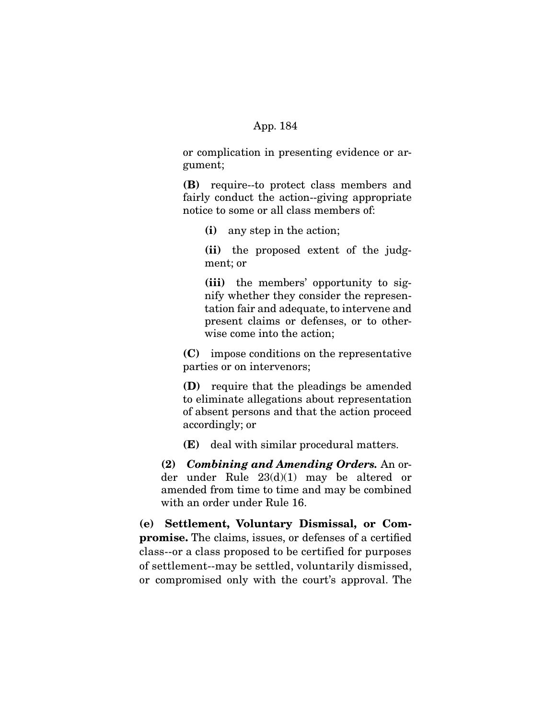or complication in presenting evidence or argument;

**(B)** require--to protect class members and fairly conduct the action--giving appropriate notice to some or all class members of:

**(i)** any step in the action;

**(ii)** the proposed extent of the judgment; or

**(iii)** the members' opportunity to signify whether they consider the representation fair and adequate, to intervene and present claims or defenses, or to otherwise come into the action;

**(C)** impose conditions on the representative parties or on intervenors;

**(D)** require that the pleadings be amended to eliminate allegations about representation of absent persons and that the action proceed accordingly; or

**(E)** deal with similar procedural matters.

**(2)** *Combining and Amending Orders.* An order under Rule 23(d)(1) may be altered or amended from time to time and may be combined with an order under Rule 16.

**(e) Settlement, Voluntary Dismissal, or Compromise.** The claims, issues, or defenses of a certified class--or a class proposed to be certified for purposes of settlement--may be settled, voluntarily dismissed, or compromised only with the court's approval. The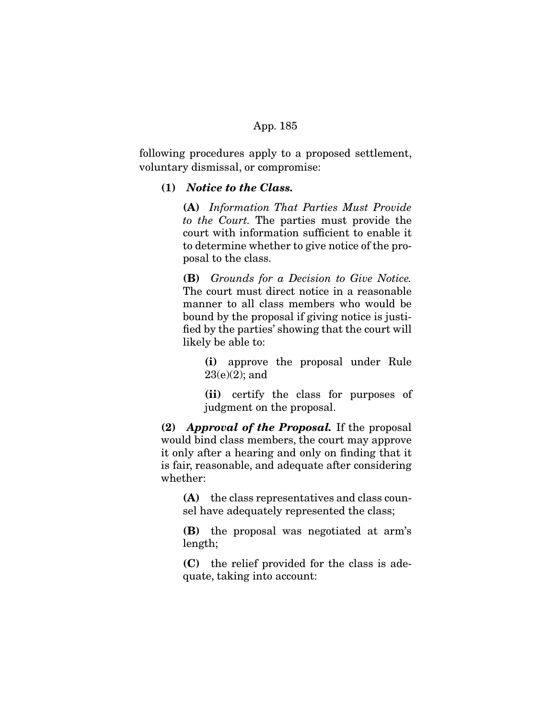following procedures apply to a proposed settlement, voluntary dismissal, or compromise:

## **(1)** *Notice to the Class.*

**(A)** Information That Parties Must Provide to the Court. The parties must provide the court with information sufficient to enable it to determine whether to give notice of the proposal to the class.

**(B)** Grounds for a Decision to Give Notice. The court must direct notice in a reasonable manner to all class members who would be bound by the proposal if giving notice is justified by the parties' showing that the court will likely be able to:

**(i)** approve the proposal under Rule 23(e)(2); and

**(ii)** certify the class for purposes of judgment on the proposal.

**(2)** *Approval of the Proposal.* If the proposal would bind class members, the court may approve it only after a hearing and only on finding that it is fair, reasonable, and adequate after considering whether:

**(A)** the class representatives and class counsel have adequately represented the class;

**(B)** the proposal was negotiated at arm's length;

**(C)** the relief provided for the class is adequate, taking into account: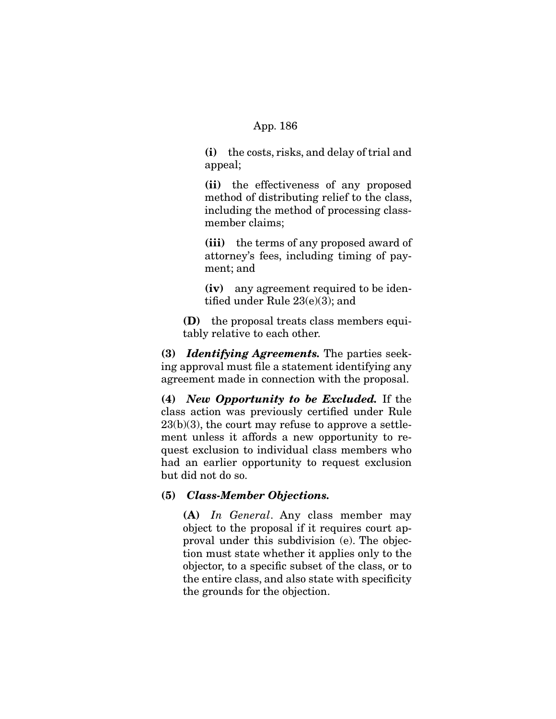**(i)** the costs, risks, and delay of trial and appeal;

**(ii)** the effectiveness of any proposed method of distributing relief to the class, including the method of processing classmember claims;

**(iii)** the terms of any proposed award of attorney's fees, including timing of payment; and

**(iv)** any agreement required to be identified under Rule 23(e)(3); and

**(D)** the proposal treats class members equitably relative to each other.

**(3)** *Identifying Agreements.* The parties seeking approval must file a statement identifying any agreement made in connection with the proposal.

**(4)** *New Opportunity to be Excluded.* If the class action was previously certified under Rule  $23(b)(3)$ , the court may refuse to approve a settlement unless it affords a new opportunity to request exclusion to individual class members who had an earlier opportunity to request exclusion but did not do so.

#### **(5)** *Class-Member Objections.*

**(A)** In General. Any class member may object to the proposal if it requires court approval under this subdivision (e). The objection must state whether it applies only to the objector, to a specific subset of the class, or to the entire class, and also state with specificity the grounds for the objection.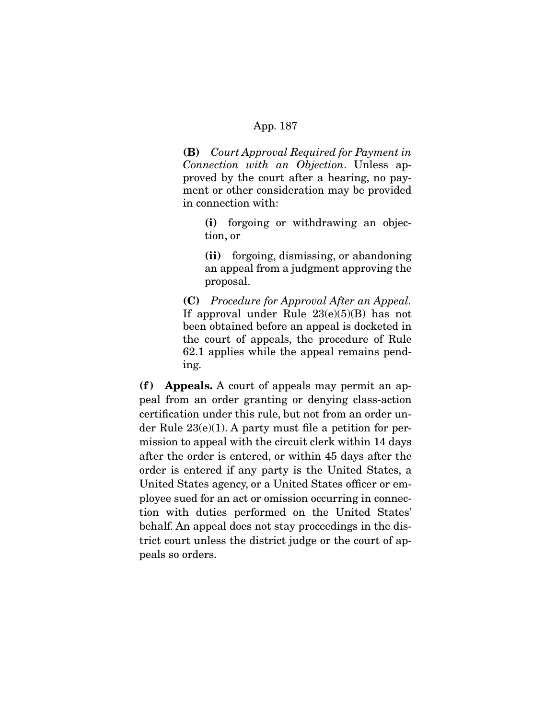**(B)** Court Approval Required for Payment in Connection with an Objection. Unless approved by the court after a hearing, no payment or other consideration may be provided in connection with:

**(i)** forgoing or withdrawing an objection, or

**(ii)** forgoing, dismissing, or abandoning an appeal from a judgment approving the proposal.

**(C)** Procedure for Approval After an Appeal. If approval under Rule  $23(e)(5)(B)$  has not been obtained before an appeal is docketed in the court of appeals, the procedure of Rule 62.1 applies while the appeal remains pending.

**(f ) Appeals.** A court of appeals may permit an appeal from an order granting or denying class-action certification under this rule, but not from an order under Rule 23(e)(1). A party must file a petition for permission to appeal with the circuit clerk within 14 days after the order is entered, or within 45 days after the order is entered if any party is the United States, a United States agency, or a United States officer or employee sued for an act or omission occurring in connection with duties performed on the United States' behalf. An appeal does not stay proceedings in the district court unless the district judge or the court of appeals so orders.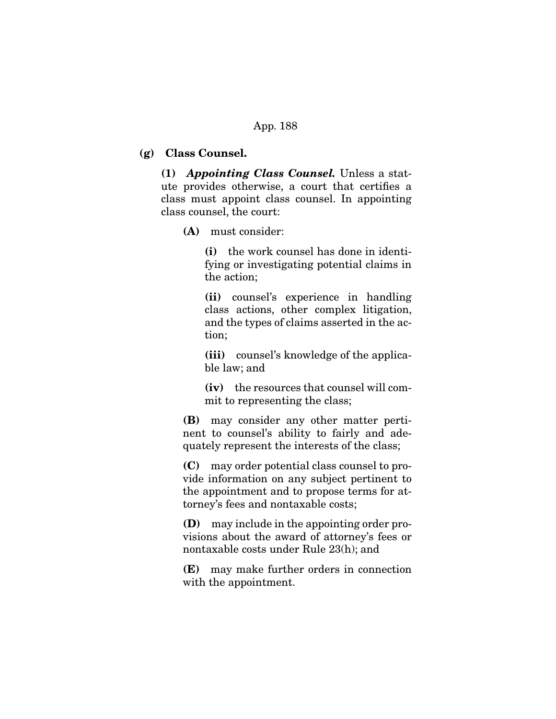## **(g) Class Counsel.**

**(1)** *Appointing Class Counsel.* Unless a statute provides otherwise, a court that certifies a class must appoint class counsel. In appointing class counsel, the court:

**(A)** must consider:

**(i)** the work counsel has done in identifying or investigating potential claims in the action;

**(ii)** counsel's experience in handling class actions, other complex litigation, and the types of claims asserted in the action;

**(iii)** counsel's knowledge of the applicable law; and

**(iv)** the resources that counsel will commit to representing the class;

**(B)** may consider any other matter pertinent to counsel's ability to fairly and adequately represent the interests of the class;

**(C)** may order potential class counsel to provide information on any subject pertinent to the appointment and to propose terms for attorney's fees and nontaxable costs;

**(D)** may include in the appointing order provisions about the award of attorney's fees or nontaxable costs under Rule 23(h); and

**(E)** may make further orders in connection with the appointment.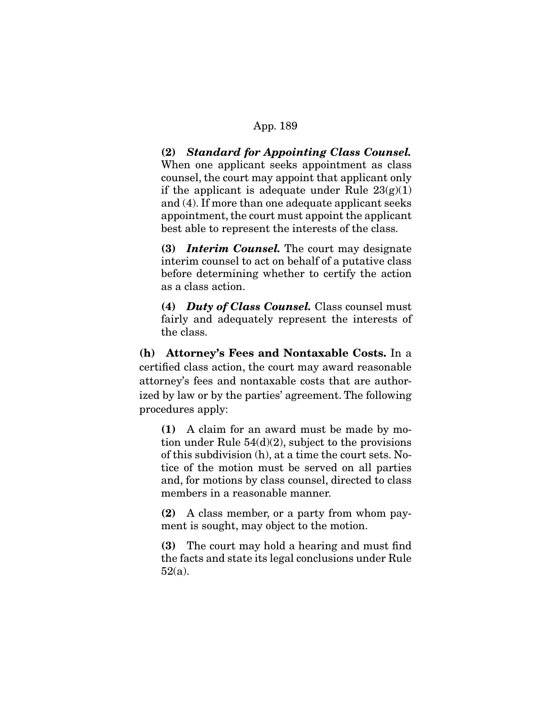**(2)** *Standard for Appointing Class Counsel.* When one applicant seeks appointment as class counsel, the court may appoint that applicant only if the applicant is adequate under Rule  $23(g)(1)$ and (4). If more than one adequate applicant seeks appointment, the court must appoint the applicant best able to represent the interests of the class.

**(3)** *Interim Counsel.* The court may designate interim counsel to act on behalf of a putative class before determining whether to certify the action as a class action.

**(4)** *Duty of Class Counsel.* Class counsel must fairly and adequately represent the interests of the class.

**(h) Attorney's Fees and Nontaxable Costs.** In a certified class action, the court may award reasonable attorney's fees and nontaxable costs that are authorized by law or by the parties' agreement. The following procedures apply:

**(1)** A claim for an award must be made by motion under Rule  $54(d)(2)$ , subject to the provisions of this subdivision (h), at a time the court sets. Notice of the motion must be served on all parties and, for motions by class counsel, directed to class members in a reasonable manner.

**(2)** A class member, or a party from whom payment is sought, may object to the motion.

**(3)** The court may hold a hearing and must find the facts and state its legal conclusions under Rule 52(a).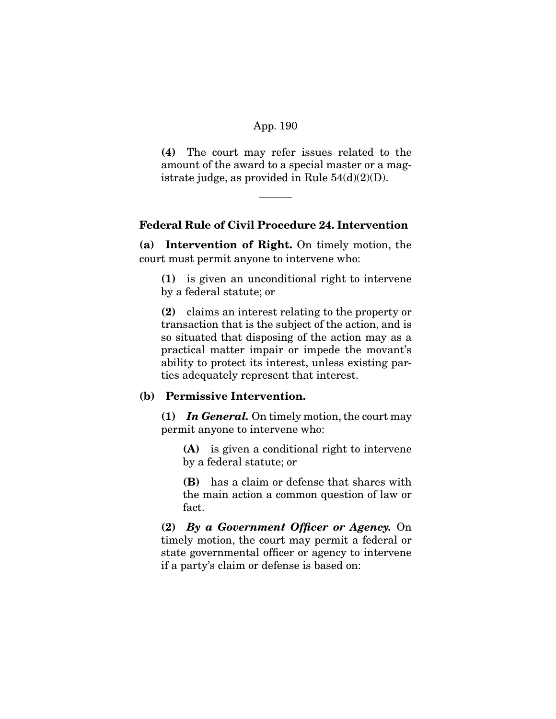**(4)** The court may refer issues related to the amount of the award to a special master or a magistrate judge, as provided in Rule  $54(d)(2)(D)$ .

# **Federal Rule of Civil Procedure 24. Intervention**

**(a) Intervention of Right.** On timely motion, the court must permit anyone to intervene who:

**(1)** is given an unconditional right to intervene by a federal statute; or

**(2)** claims an interest relating to the property or transaction that is the subject of the action, and is so situated that disposing of the action may as a practical matter impair or impede the movant's ability to protect its interest, unless existing parties adequately represent that interest.

# **(b) Permissive Intervention.**

**(1)** *In General.* On timely motion, the court may permit anyone to intervene who:

**(A)** is given a conditional right to intervene by a federal statute; or

**(B)** has a claim or defense that shares with the main action a common question of law or fact.

**(2)** *By a Government Officer or Agency.* On timely motion, the court may permit a federal or state governmental officer or agency to intervene if a party's claim or defense is based on: